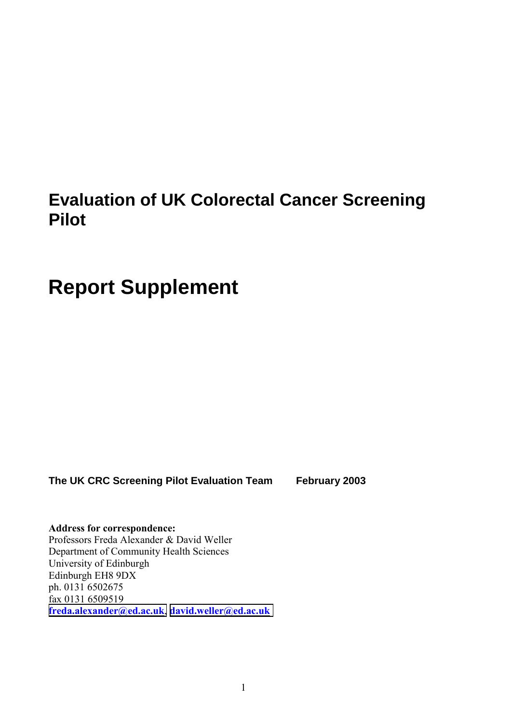# **Evaluation of UK Colorectal Cancer Screening Pilot**

# **Report Supplement**

**The UK CRC Screening Pilot Evaluation Team February 2003**

**Address for correspondence:** Professors Freda Alexander & David Weller Department of Community Health Sciences University of Edinburgh Edinburgh EH8 9DX ph. 0131 6502675 fax 0131 6509519 **[freda.alexander@ed.ac.uk](mailto:freda.alexander@ed.ac.uk)**, **[david.weller@ed.ac.uk](mailto:david.weller@ed.ac.uk)**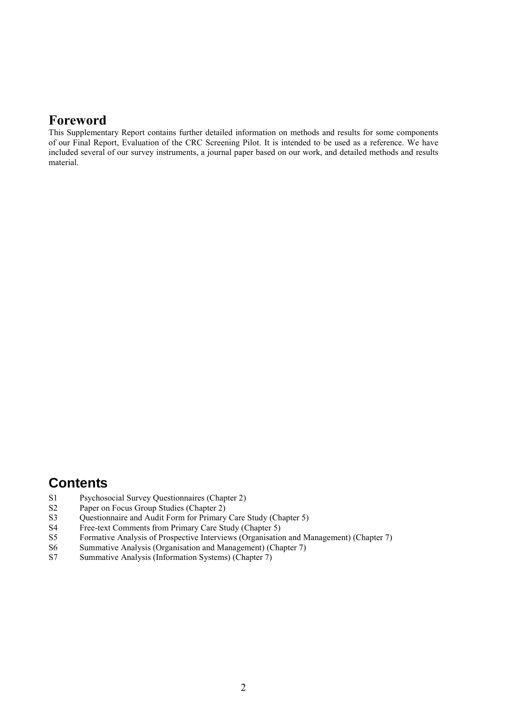## **Foreword**

This Supplementary Report contains further detailed information on methods and results for some components of our Final Report, Evaluation of the CRC Screening Pilot. It is intended to be used as a reference. We have included several of our survey instruments, a journal paper based on our work, and detailed methods and results material.

# **Contents**

- S1 Psychosocial Survey Questionnaires (Chapter 2)<br>S2 Paper on Focus Group Studies (Chapter 2)
- Paper on Focus Group Studies (Chapter 2)
- S3 Questionnaire and Audit Form for Primary Care Study (Chapter 5)<br>S4 Free-text Comments from Primary Care Study (Chapter 5)
- Free-text Comments from Primary Care Study (Chapter 5)
- S5 Formative Analysis of Prospective Interviews (Organisation and Management) (Chapter 7)
- S6 Summative Analysis (Organisation and Management) (Chapter 7)
- S7 Summative Analysis (Information Systems) (Chapter 7)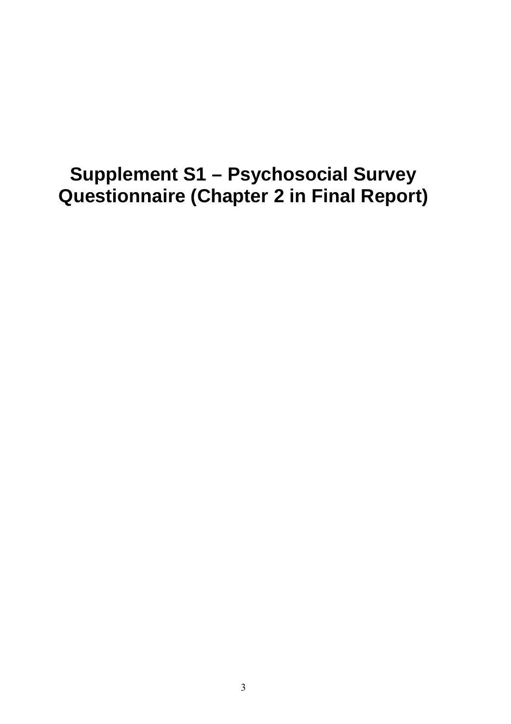# **Supplement S1 – Psychosocial Survey Questionnaire (Chapter 2 in Final Report)**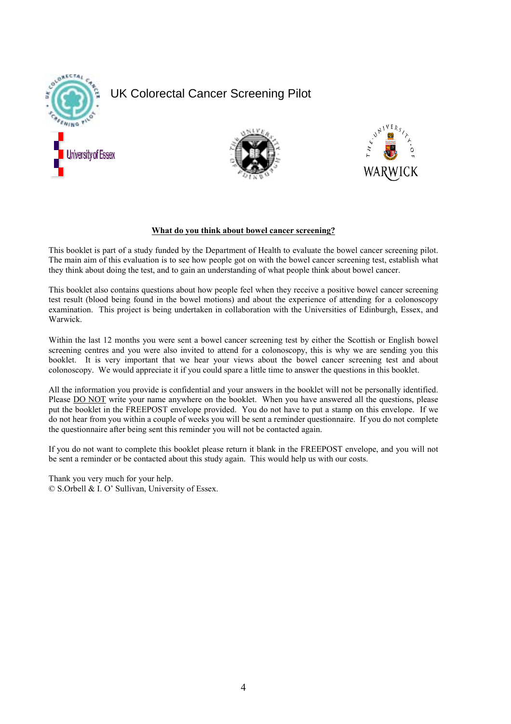

# UK Colorectal Cancer Screening Pilot





### **What do you think about bowel cancer screening?**

This booklet is part of a study funded by the Department of Health to evaluate the bowel cancer screening pilot. The main aim of this evaluation is to see how people got on with the bowel cancer screening test, establish what they think about doing the test, and to gain an understanding of what people think about bowel cancer.

This booklet also contains questions about how people feel when they receive a positive bowel cancer screening test result (blood being found in the bowel motions) and about the experience of attending for a colonoscopy examination. This project is being undertaken in collaboration with the Universities of Edinburgh, Essex, and Warwick.

Within the last 12 months you were sent a bowel cancer screening test by either the Scottish or English bowel screening centres and you were also invited to attend for a colonoscopy, this is why we are sending you this booklet. It is very important that we hear your views about the bowel cancer screening test and about colonoscopy. We would appreciate it if you could spare a little time to answer the questions in this booklet.

All the information you provide is confidential and your answers in the booklet will not be personally identified. Please **DO NOT** write your name anywhere on the booklet. When you have answered all the questions, please put the booklet in the FREEPOST envelope provided. You do not have to put a stamp on this envelope. If we do not hear from you within a couple of weeks you will be sent a reminder questionnaire. If you do not complete the questionnaire after being sent this reminder you will not be contacted again.

If you do not want to complete this booklet please return it blank in the FREEPOST envelope, and you will not be sent a reminder or be contacted about this study again. This would help us with our costs.

Thank you very much for your help. © S.Orbell & I. O' Sullivan, University of Essex.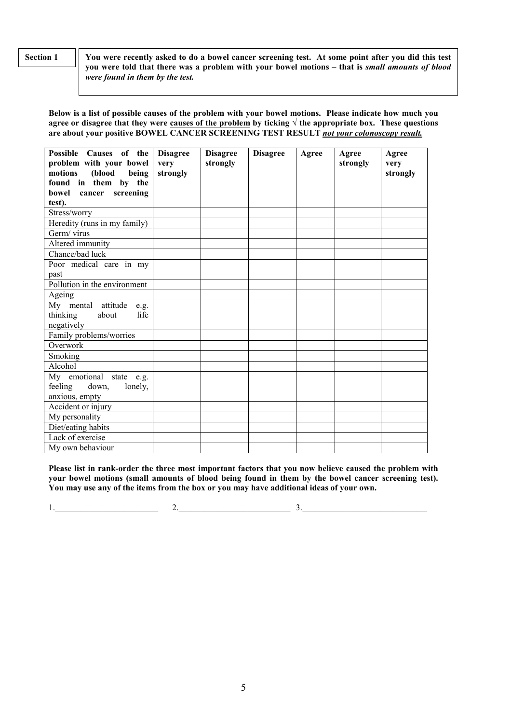**Section 1 You were recently asked to do a bowel cancer screening test. At some point after you did this test** you were told that there was a problem with your bowel motions – that is *small amounts of blood were found in them by the test.*

**Below is a list of possible causes of the problem with your bowel motions. Please indicate how much you agree or disagree that they were causes of the problem by ticking** *√* **the appropriate box. These questions are about your positive BOWEL CANCER SCREENING TEST RESULT** *not your colonoscopy result.*

| Possible Causes of the       | <b>Disagree</b> | <b>Disagree</b> | <b>Disagree</b> | Agree | Agree    | Agree    |
|------------------------------|-----------------|-----------------|-----------------|-------|----------|----------|
| problem with your bowel      | very            | strongly        |                 |       | strongly | very     |
| (blood<br>motions<br>being   | strongly        |                 |                 |       |          | strongly |
| found in them by the         |                 |                 |                 |       |          |          |
| bowel<br>screening<br>cancer |                 |                 |                 |       |          |          |
| test).                       |                 |                 |                 |       |          |          |
| Stress/worry                 |                 |                 |                 |       |          |          |
| Heredity (runs in my family) |                 |                 |                 |       |          |          |
| Germ/virus                   |                 |                 |                 |       |          |          |
| Altered immunity             |                 |                 |                 |       |          |          |
| Chance/bad luck              |                 |                 |                 |       |          |          |
| Poor medical care in my      |                 |                 |                 |       |          |          |
| past                         |                 |                 |                 |       |          |          |
| Pollution in the environment |                 |                 |                 |       |          |          |
| Ageing                       |                 |                 |                 |       |          |          |
| My mental attitude<br>e.g.   |                 |                 |                 |       |          |          |
| life<br>thinking<br>about    |                 |                 |                 |       |          |          |
| negatively                   |                 |                 |                 |       |          |          |
| Family problems/worries      |                 |                 |                 |       |          |          |
| Overwork                     |                 |                 |                 |       |          |          |
| Smoking                      |                 |                 |                 |       |          |          |
| Alcohol                      |                 |                 |                 |       |          |          |
| My emotional state e.g.      |                 |                 |                 |       |          |          |
| feeling<br>down,<br>lonely,  |                 |                 |                 |       |          |          |
| anxious, empty               |                 |                 |                 |       |          |          |
| Accident or injury           |                 |                 |                 |       |          |          |
| My personality               |                 |                 |                 |       |          |          |
| Diet/eating habits           |                 |                 |                 |       |          |          |
| Lack of exercise             |                 |                 |                 |       |          |          |
| My own behaviour             |                 |                 |                 |       |          |          |

**Please list in rank-order the three most important factors that you now believe caused the problem with your bowel motions (small amounts of blood being found in them by the bowel cancer screening test). You may use any of the items from the box or you may have additional ideas of your own.**

 $1.$   $2.$   $2.$   $3.$   $3.$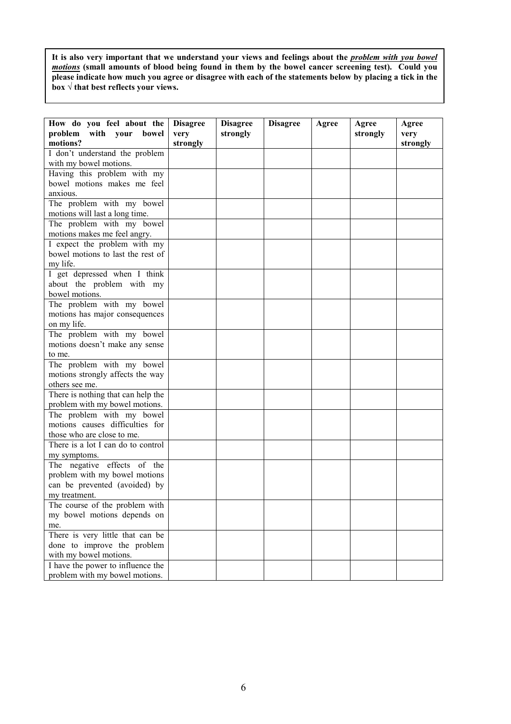It is also very important that we understand your views and feelings about the *problem with you bowel motions* **(small amounts of blood being found in them by the bowel cancer screening test). Could you please indicate how much you agree or disagree with each of the statements below by placing a tick in the box** *√* **that best reflects your views.**

| How do you feel about the          | <b>Disagree</b> | <b>Disagree</b> | <b>Disagree</b> | Agree | Agree    | Agree    |
|------------------------------------|-----------------|-----------------|-----------------|-------|----------|----------|
| with your<br>problem<br>bowel      | very            | strongly        |                 |       | strongly | very     |
| motions?                           | strongly        |                 |                 |       |          | strongly |
| I don't understand the problem     |                 |                 |                 |       |          |          |
| with my bowel motions.             |                 |                 |                 |       |          |          |
| Having this problem with my        |                 |                 |                 |       |          |          |
| bowel motions makes me feel        |                 |                 |                 |       |          |          |
| anxious.                           |                 |                 |                 |       |          |          |
| The problem with my bowel          |                 |                 |                 |       |          |          |
| motions will last a long time.     |                 |                 |                 |       |          |          |
| The problem with my bowel          |                 |                 |                 |       |          |          |
| motions makes me feel angry.       |                 |                 |                 |       |          |          |
| I expect the problem with my       |                 |                 |                 |       |          |          |
| bowel motions to last the rest of  |                 |                 |                 |       |          |          |
| my life.                           |                 |                 |                 |       |          |          |
| I get depressed when I think       |                 |                 |                 |       |          |          |
| about the problem with my          |                 |                 |                 |       |          |          |
| bowel motions.                     |                 |                 |                 |       |          |          |
| The problem with my bowel          |                 |                 |                 |       |          |          |
| motions has major consequences     |                 |                 |                 |       |          |          |
| on my life.                        |                 |                 |                 |       |          |          |
| The problem with my bowel          |                 |                 |                 |       |          |          |
| motions doesn't make any sense     |                 |                 |                 |       |          |          |
| to me.                             |                 |                 |                 |       |          |          |
| The problem with my bowel          |                 |                 |                 |       |          |          |
| motions strongly affects the way   |                 |                 |                 |       |          |          |
| others see me.                     |                 |                 |                 |       |          |          |
| There is nothing that can help the |                 |                 |                 |       |          |          |
| problem with my bowel motions.     |                 |                 |                 |       |          |          |
| The problem with my bowel          |                 |                 |                 |       |          |          |
| motions causes difficulties for    |                 |                 |                 |       |          |          |
| those who are close to me.         |                 |                 |                 |       |          |          |
| There is a lot I can do to control |                 |                 |                 |       |          |          |
| my symptoms.                       |                 |                 |                 |       |          |          |
| The negative effects of the        |                 |                 |                 |       |          |          |
| problem with my bowel motions      |                 |                 |                 |       |          |          |
| can be prevented (avoided) by      |                 |                 |                 |       |          |          |
| my treatment.                      |                 |                 |                 |       |          |          |
| The course of the problem with     |                 |                 |                 |       |          |          |
| my bowel motions depends on        |                 |                 |                 |       |          |          |
| me.                                |                 |                 |                 |       |          |          |
| There is very little that can be   |                 |                 |                 |       |          |          |
| done to improve the problem        |                 |                 |                 |       |          |          |
| with my bowel motions.             |                 |                 |                 |       |          |          |
| I have the power to influence the  |                 |                 |                 |       |          |          |
| problem with my bowel motions.     |                 |                 |                 |       |          |          |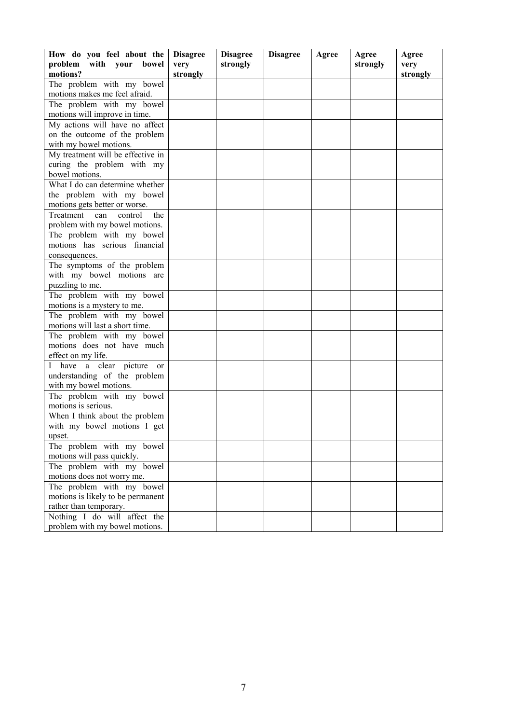| How do you feel about the                                      | <b>Disagree</b> | <b>Disagree</b> | <b>Disagree</b> | Agree | Agree    | Agree    |
|----------------------------------------------------------------|-----------------|-----------------|-----------------|-------|----------|----------|
| problem with your<br>bowel                                     | very            | strongly        |                 |       | strongly | very     |
| motions?                                                       | strongly        |                 |                 |       |          | strongly |
| The problem with my bowel                                      |                 |                 |                 |       |          |          |
| motions makes me feel afraid.                                  |                 |                 |                 |       |          |          |
| The problem with my bowel                                      |                 |                 |                 |       |          |          |
| motions will improve in time.                                  |                 |                 |                 |       |          |          |
| My actions will have no affect                                 |                 |                 |                 |       |          |          |
| on the outcome of the problem                                  |                 |                 |                 |       |          |          |
| with my bowel motions.                                         |                 |                 |                 |       |          |          |
| My treatment will be effective in                              |                 |                 |                 |       |          |          |
| curing the problem with my                                     |                 |                 |                 |       |          |          |
| bowel motions.                                                 |                 |                 |                 |       |          |          |
| What I do can determine whether                                |                 |                 |                 |       |          |          |
| the problem with my bowel                                      |                 |                 |                 |       |          |          |
| motions gets better or worse.                                  |                 |                 |                 |       |          |          |
| Treatment<br>the<br>control<br>can                             |                 |                 |                 |       |          |          |
| problem with my bowel motions.                                 |                 |                 |                 |       |          |          |
| The problem with my bowel                                      |                 |                 |                 |       |          |          |
| motions has serious financial                                  |                 |                 |                 |       |          |          |
| consequences.                                                  |                 |                 |                 |       |          |          |
| The symptoms of the problem                                    |                 |                 |                 |       |          |          |
| with my bowel motions are                                      |                 |                 |                 |       |          |          |
| puzzling to me.                                                |                 |                 |                 |       |          |          |
| The problem with my bowel                                      |                 |                 |                 |       |          |          |
| motions is a mystery to me.                                    |                 |                 |                 |       |          |          |
| The problem with my bowel                                      |                 |                 |                 |       |          |          |
| motions will last a short time.                                |                 |                 |                 |       |          |          |
| The problem with my bowel                                      |                 |                 |                 |       |          |          |
| motions does not have much                                     |                 |                 |                 |       |          |          |
| effect on my life.                                             |                 |                 |                 |       |          |          |
| I have a clear picture or                                      |                 |                 |                 |       |          |          |
| understanding of the problem                                   |                 |                 |                 |       |          |          |
| with my bowel motions.                                         |                 |                 |                 |       |          |          |
| The problem with my bowel                                      |                 |                 |                 |       |          |          |
| motions is serious.                                            |                 |                 |                 |       |          |          |
| When I think about the problem                                 |                 |                 |                 |       |          |          |
| with my bowel motions I get                                    |                 |                 |                 |       |          |          |
| upset.                                                         |                 |                 |                 |       |          |          |
| The problem with my bowel                                      |                 |                 |                 |       |          |          |
| motions will pass quickly.                                     |                 |                 |                 |       |          |          |
| The problem with my bowel                                      |                 |                 |                 |       |          |          |
| motions does not worry me.                                     |                 |                 |                 |       |          |          |
| The problem with my bowel                                      |                 |                 |                 |       |          |          |
| motions is likely to be permanent                              |                 |                 |                 |       |          |          |
| rather than temporary.                                         |                 |                 |                 |       |          |          |
|                                                                |                 |                 |                 |       |          |          |
|                                                                |                 |                 |                 |       |          |          |
| Nothing I do will affect the<br>problem with my bowel motions. |                 |                 |                 |       |          |          |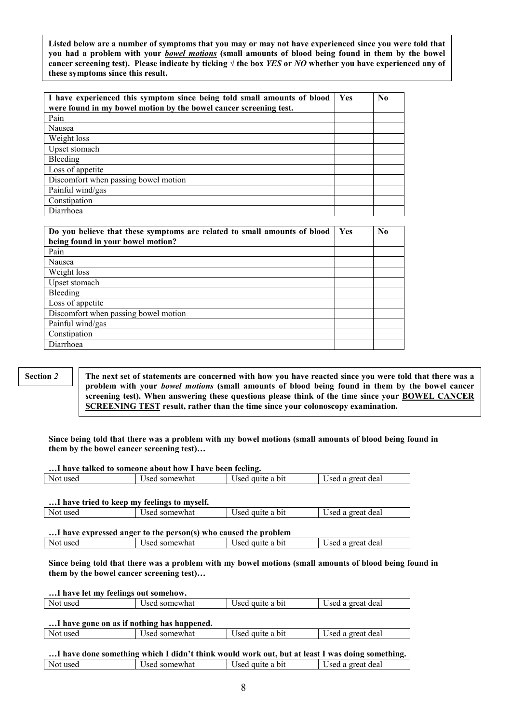**Listed below are a number of symptoms that you may or may not have experienced since you were told that you had a problem with your** *bowel motions* **(small amounts of blood being found in them by the bowel cancer screening test). Please indicate by ticking** *√* **the box** *YES* **or** *NO* **whether you have experienced any of these symptoms since this result.**

| I have experienced this symptom since being told small amounts of blood<br>were found in my bowel motion by the bowel cancer screening test. | Yes | N <sub>0</sub> |
|----------------------------------------------------------------------------------------------------------------------------------------------|-----|----------------|
| Pain                                                                                                                                         |     |                |
| Nausea                                                                                                                                       |     |                |
| Weight loss                                                                                                                                  |     |                |
| Upset stomach                                                                                                                                |     |                |
| Bleeding                                                                                                                                     |     |                |
| Loss of appetite                                                                                                                             |     |                |
| Discomfort when passing bowel motion                                                                                                         |     |                |
| Painful wind/gas                                                                                                                             |     |                |
| Constipation                                                                                                                                 |     |                |
| Diarrhoea                                                                                                                                    |     |                |

| Do you believe that these symptoms are related to small amounts of blood | Yes | N <sub>0</sub> |
|--------------------------------------------------------------------------|-----|----------------|
| being found in your bowel motion?                                        |     |                |
| Pain                                                                     |     |                |
| Nausea                                                                   |     |                |
| Weight loss                                                              |     |                |
| Upset stomach                                                            |     |                |
| Bleeding                                                                 |     |                |
| Loss of appetite                                                         |     |                |
| Discomfort when passing bowel motion                                     |     |                |
| Painful wind/gas                                                         |     |                |
| Constipation                                                             |     |                |
| Diarrhoea                                                                |     |                |
|                                                                          |     |                |

### **Section** *2*

**The next set of statements are concerned with how you have reacted since you were told that there was a problem with your** *bowel motions* **(small amounts of blood being found in them by the bowel cancer screening test). When answering these questions please think of the time since your BOWEL CANCER SCREENING TEST result, rather than the time since your colonoscopy examination.** 

**Since being told that there was a problem with my bowel motions (small amounts of blood being found in** them by the bowel cancer screening test)...

|          | I have talked to someone about how I have been feeling.                         |                  |                   |
|----------|---------------------------------------------------------------------------------|------------------|-------------------|
| Not used | Used somewhat                                                                   | Used quite a bit | Used a great deal |
|          |                                                                                 |                  |                   |
|          | I have tried to keep my feelings to myself.                                     |                  |                   |
|          |                                                                                 |                  |                   |
| Not used | Used somewhat                                                                   | Used quite a bit | Used a great deal |
| Not used | I have expressed anger to the person(s) who caused the problem<br>Used somewhat | Used quite a bit | Used a great deal |

| I have let my feelings out somehow. |               |                  |                   |  |  |
|-------------------------------------|---------------|------------------|-------------------|--|--|
| Not used                            | Used somewhat | Used quite a bit | Used a great deal |  |  |
|                                     |               |                  |                   |  |  |

| I have gone on as if nothing has happened. |               |                  |                   |
|--------------------------------------------|---------------|------------------|-------------------|
| Not used                                   | Used somewhat | Used quite a bit | Used a great deal |
|                                            |               |                  |                   |

|          | I have done something which I didn't think would work out, but at least I was doing something. |                  |                   |  |  |
|----------|------------------------------------------------------------------------------------------------|------------------|-------------------|--|--|
| Not used | Used somewhat                                                                                  | Used quite a bit | Used a great deal |  |  |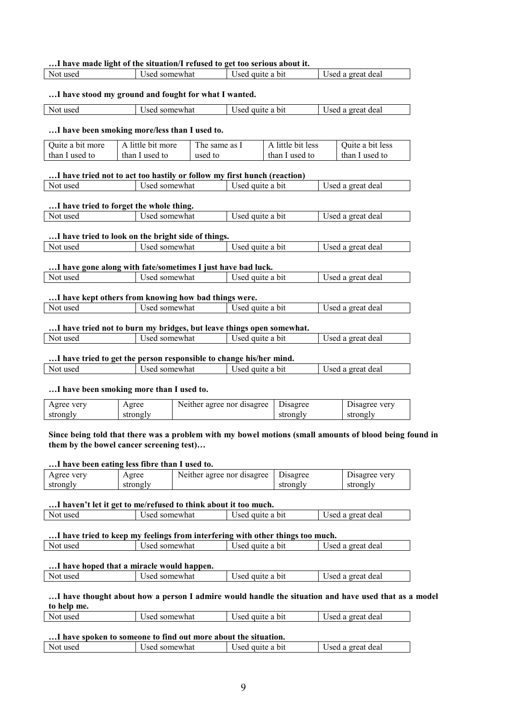| I have made light of the situation/I refused to get too serious about it. |                                                        |                   |                            |                  |                      |  |                           |
|---------------------------------------------------------------------------|--------------------------------------------------------|-------------------|----------------------------|------------------|----------------------|--|---------------------------|
| Not used                                                                  |                                                        | Used somewhat     |                            |                  | Used quite a bit     |  | Used a great deal         |
| I have stood my ground and fought for what I wanted.                      |                                                        |                   |                            |                  |                      |  |                           |
| Not used                                                                  | Used somewhat<br>Used quite a bit<br>Used a great deal |                   |                            |                  |                      |  |                           |
| I have been smoking more/less than I used to.                             |                                                        |                   |                            |                  |                      |  |                           |
| Quite a bit more                                                          |                                                        | A little bit more | The same as I              |                  | A little bit less    |  | Quite a bit less          |
| than I used to                                                            | than I used to                                         |                   | used to                    |                  | than I used to       |  | than I used to            |
| I have tried not to act too hastily or follow my first hunch (reaction)   |                                                        |                   |                            |                  |                      |  |                           |
| Not used                                                                  |                                                        | Used somewhat     |                            | Used quite a bit |                      |  | Used a great deal         |
| I have tried to forget the whole thing.                                   |                                                        |                   |                            |                  |                      |  |                           |
| Not used                                                                  |                                                        | Used somewhat     |                            | Used quite a bit |                      |  | Used a great deal         |
| I have tried to look on the bright side of things.                        |                                                        |                   |                            |                  |                      |  |                           |
| Not used                                                                  |                                                        | Used somewhat     |                            | Used quite a bit |                      |  | Used a great deal         |
| I have gone along with fate/sometimes I just have bad luck.               |                                                        |                   |                            |                  |                      |  |                           |
| Not used                                                                  |                                                        | Used somewhat     |                            | Used quite a bit |                      |  | Used a great deal         |
| I have kept others from knowing how bad things were.                      |                                                        |                   |                            |                  |                      |  |                           |
| Not used                                                                  |                                                        | Used somewhat     |                            | Used quite a bit |                      |  | Used a great deal         |
| I have tried not to burn my bridges, but leave things open somewhat.      |                                                        |                   |                            |                  |                      |  |                           |
| Not used                                                                  |                                                        | Used somewhat     |                            | Used quite a bit |                      |  | Used a great deal         |
| I have tried to get the person responsible to change his/her mind.        |                                                        |                   |                            |                  |                      |  |                           |
| Not used                                                                  |                                                        | Used somewhat     |                            | Used quite a bit |                      |  | Used a great deal         |
| I have been smoking more than I used to.                                  |                                                        |                   |                            |                  |                      |  |                           |
| Agree very<br>strongly                                                    | Agree<br>strongly                                      |                   | Neither agree nor disagree |                  | Disagree<br>strongly |  | Disagree very<br>strongly |

### **Since being told that there was a problem with my bowel motions (small amounts of blood being found in** them by the bowel cancer screening test)...

### **ÖI have been eating less fibre than I used to.**

| Agree very | Agree    | Neither agree nor disagree   Disagree |          | Disagree very |
|------------|----------|---------------------------------------|----------|---------------|
| strongly   | strongly |                                       | strongly | strongly      |

### **I...** I haven't let it get to me/refused to think about it too much.

| Not used | somewhat<br>∪sed | quite a bit<br>$\sim$ $\sim$ $\sim$<br>usea | - -<br>oreat<br>dea.<br>Usec<br>и |
|----------|------------------|---------------------------------------------|-----------------------------------|
|          |                  |                                             |                                   |

### **I...** have tried to keep my feelings from interfering with other things too much.

| Not used | Used somewhat | Jsed quite a bit | a great deal<br>Jsed |
|----------|---------------|------------------|----------------------|
|          |               |                  |                      |

### **ÖI have hoped that a miracle would happen.**

| Not used | somewhat<br>c Sed ال | auite a bit<br>Used | great deal<br>Used<br>я |
|----------|----------------------|---------------------|-------------------------|
|          |                      |                     |                         |

### **ÖI have thought about how a person I admire would handle the situation and have used that as a model to help me.**

| Not used | Used somewhat | Used quite a bit | Used a great deal |
|----------|---------------|------------------|-------------------|
|          |               |                  |                   |

### **ÖI have spoken to someone to find out more about the situation.** Not used Used somewhat Used quite a bit Used a great deal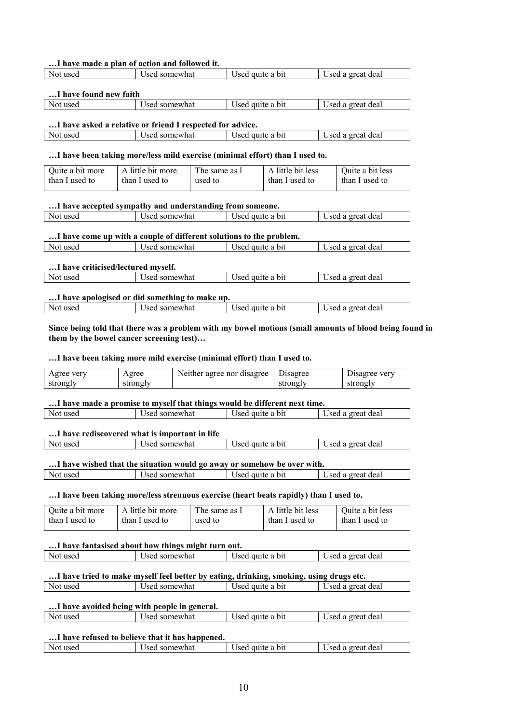### **ÖI have made a plan of action and followed it.**

| Not used                                                  | Used somewhat | Used quite a bit | Used a great deal |  |
|-----------------------------------------------------------|---------------|------------------|-------------------|--|
|                                                           |               |                  |                   |  |
| I have found new faith.                                   |               |                  |                   |  |
| Not used                                                  | Used somewhat | Used quite a bit | Used a great deal |  |
|                                                           |               |                  |                   |  |
| I have asked a relative or friend I respected for advice. |               |                  |                   |  |
| Not used                                                  | Used somewhat | Used quite a bit | Used a great deal |  |

### **ÖI have been taking more/less mild exercise (minimal effort) than I used to.**

| Quite a bit more | A little bit more | The same as I | A little bit less | Quite a bit less |
|------------------|-------------------|---------------|-------------------|------------------|
| than I used to   | than I used to    | used to       | than I used to    | than I used to   |

### **ÖI have accepted sympathy and understanding from someone.**

|             | ------<br>------               | --- ---- -- ----- - ---- |                           |
|-------------|--------------------------------|--------------------------|---------------------------|
| Not<br>used | somewhat<br>1000<br><b>SEU</b> | quite a bit<br>Used      | ereat deal<br>'ാലവ<br>5U. |
|             |                                |                          |                           |

### **I...** I have come up with a couple of different solutions to the problem.

| Not used | <b>Jsed somewhat</b> | Used quite a bit | a great deal<br>Used |
|----------|----------------------|------------------|----------------------|
|          |                      |                  |                      |
| .<br>- - | $\sim$ $\sim$        |                  |                      |

### **ÖI have criticised/lectured myself.** Not used Used somewhat Used quite a bit Used a great deal

### **I**...I have apologised or did something to make up.

| Not<br>used | . somewhat<br>5 U. | a bit<br>000<br>quite<br>'ovu | deal<br>cod<br>great<br>SU |
|-------------|--------------------|-------------------------------|----------------------------|
|             |                    |                               |                            |

### **Since being told that there was a problem with my bowel motions (small amounts of blood being found in** them by the bowel cancer screening test)...

### **ÖI have been taking more mild exercise (minimal effort) than I used to.**

| Agree verv | Agree    | Neither agree nor disagree | Disagree | Disagree verv |
|------------|----------|----------------------------|----------|---------------|
| strongly   | strongly |                            | strongly | strongly      |

### **ÖI have made a promise to myself that things would be different next time.**

| Not<br>used | ewhat<br>some<br>эси | bit<br>Ised<br>aunte –<br>*a ≀ | deal<br>oreat<br><sub>sec</sub><br>UI. |
|-------------|----------------------|--------------------------------|----------------------------------------|
|             |                      |                                |                                        |

### **ÖI have rediscovered what is important in life**

| Used quite a bit<br>Not used<br>Used a great deal<br>Used somewhat |
|--------------------------------------------------------------------|
|--------------------------------------------------------------------|

### ...I have wished that the situation would go away or somehow be over with.

| Not used | somewhat         | bit   | deal  |
|----------|------------------|-------|-------|
|          | .10 <sub>c</sub> | quite | great |
|          | $\sim$           | 30.1  | Jsec  |
|          |                  |       |       |

### **ÖI have been taking more/less strenuous exercise (heart beats rapidly) than I used to.**

| Quite a bit more | A little bit more | The same as I | A little bit less | Quite a bit less |
|------------------|-------------------|---------------|-------------------|------------------|
| than I used to   | than I used to    | used to       | than I used to    | than I used to   |

### **ÖI have fantasised about how things might turn out.**

| Not used                                        | Used somewhat                                                                          | Used quite a bit | Used a great deal |  |  |  |  |
|-------------------------------------------------|----------------------------------------------------------------------------------------|------------------|-------------------|--|--|--|--|
|                                                 |                                                                                        |                  |                   |  |  |  |  |
|                                                 | I have tried to make myself feel better by eating, drinking, smoking, using drugs etc. |                  |                   |  |  |  |  |
| Not used                                        | Used somewhat                                                                          | Used quite a bit | Used a great deal |  |  |  |  |
|                                                 |                                                                                        |                  |                   |  |  |  |  |
|                                                 | I have avoided being with people in general.                                           |                  |                   |  |  |  |  |
| Not used                                        | Used somewhat                                                                          | Used quite a bit | Used a great deal |  |  |  |  |
|                                                 |                                                                                        |                  |                   |  |  |  |  |
| I have refused to believe that it has happened. |                                                                                        |                  |                   |  |  |  |  |

# Not used Used somewhat Used quite a bit Used a great deal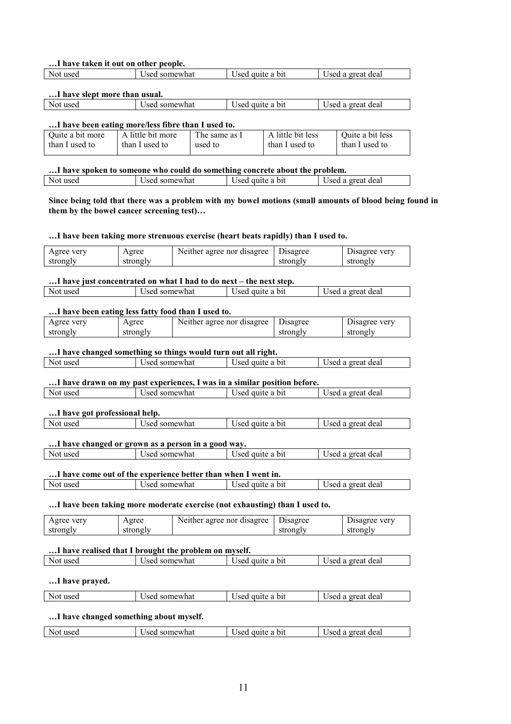| I have taken it out on other people.                                             |       |                   |                  |                            |                  |  |                   |                                                                                                        |
|----------------------------------------------------------------------------------|-------|-------------------|------------------|----------------------------|------------------|--|-------------------|--------------------------------------------------------------------------------------------------------|
| Not used                                                                         |       | Used somewhat     | Used quite a bit |                            |                  |  | Used a great deal |                                                                                                        |
|                                                                                  |       |                   |                  |                            |                  |  |                   |                                                                                                        |
| I have slept more than usual.<br>Not used                                        |       | Used somewhat     |                  |                            | Used quite a bit |  |                   | Used a great deal                                                                                      |
|                                                                                  |       |                   |                  |                            |                  |  |                   |                                                                                                        |
| I have been eating more/less fibre than I used to.                               |       |                   |                  |                            |                  |  |                   |                                                                                                        |
| Quite a bit more                                                                 |       | A little bit more |                  | The same as I              |                  |  | A little bit less | Quite a bit less                                                                                       |
| than I used to                                                                   |       | than I used to    |                  | used to                    |                  |  | than I used to    | than I used to                                                                                         |
|                                                                                  |       |                   |                  |                            |                  |  |                   |                                                                                                        |
| I have spoken to someone who could do something concrete about the problem.      |       |                   |                  |                            |                  |  |                   |                                                                                                        |
| Not used                                                                         |       | Used somewhat     |                  |                            | Used quite a bit |  |                   | Used a great deal                                                                                      |
|                                                                                  |       |                   |                  |                            |                  |  |                   |                                                                                                        |
|                                                                                  |       |                   |                  |                            |                  |  |                   | Since being told that there was a problem with my bowel motions (small amounts of blood being found in |
| them by the bowel cancer screening test)                                         |       |                   |                  |                            |                  |  |                   |                                                                                                        |
|                                                                                  |       |                   |                  |                            |                  |  |                   |                                                                                                        |
| I have been taking more strenuous exercise (heart beats rapidly) than I used to. |       |                   |                  |                            |                  |  |                   |                                                                                                        |
| Agree very                                                                       | Agree |                   |                  | Neither agree nor disagree |                  |  | Disagree          | Disagree very                                                                                          |
| strongly                                                                         |       | strongly          |                  |                            |                  |  | strongly          | strongly                                                                                               |
|                                                                                  |       |                   |                  |                            |                  |  |                   |                                                                                                        |
| I have just concentrated on what I had to do next - the next step.               |       |                   |                  |                            |                  |  |                   |                                                                                                        |
| Not used                                                                         |       | Used somewhat     |                  |                            | Used quite a bit |  |                   | Used a great deal                                                                                      |
|                                                                                  |       |                   |                  |                            |                  |  |                   |                                                                                                        |
| I have been eating less fatty food than I used to.<br>Agree very                 |       |                   |                  | Neither agree nor disagree |                  |  | Disagree          |                                                                                                        |
| strongly                                                                         | Agree | strongly          |                  |                            |                  |  | strongly          | Disagree very<br>strongly                                                                              |
|                                                                                  |       |                   |                  |                            |                  |  |                   |                                                                                                        |
| I have changed something so things would turn out all right.                     |       |                   |                  |                            |                  |  |                   |                                                                                                        |
| Not used                                                                         |       | Used somewhat     |                  |                            | Used quite a bit |  |                   | Used a great deal                                                                                      |
|                                                                                  |       |                   |                  |                            |                  |  |                   |                                                                                                        |
| I have drawn on my past experiences, I was in a similar position before.         |       |                   |                  |                            |                  |  |                   |                                                                                                        |
| Not used                                                                         |       | Used somewhat     |                  |                            | Used quite a bit |  |                   | Used a great deal                                                                                      |
|                                                                                  |       |                   |                  |                            |                  |  |                   |                                                                                                        |
| I have got professional help.<br>Not used                                        |       | Used somewhat     |                  |                            | Used quite a bit |  |                   | Used a great deal                                                                                      |
|                                                                                  |       |                   |                  |                            |                  |  |                   |                                                                                                        |
| I have changed or grown as a person in a good way.                               |       |                   |                  |                            |                  |  |                   |                                                                                                        |
| Not used                                                                         |       | Used somewhat     |                  |                            | Used quite a bit |  |                   | Used a great deal                                                                                      |
|                                                                                  |       |                   |                  |                            |                  |  |                   |                                                                                                        |
| I have come out of the experience better than when I went in.                    |       |                   |                  |                            |                  |  |                   |                                                                                                        |
| Not used                                                                         |       | Used somewhat     |                  |                            | Used quite a bit |  |                   | Used a great deal                                                                                      |
|                                                                                  |       |                   |                  |                            |                  |  |                   |                                                                                                        |
| I have been taking more moderate exercise (not exhausting) than I used to.       |       |                   |                  |                            |                  |  |                   |                                                                                                        |
| Agree very                                                                       | Agree |                   |                  | Neither agree nor disagree |                  |  | Disagree          | Disagree very                                                                                          |
| strongly                                                                         |       | strongly          |                  |                            |                  |  | strongly          | strongly                                                                                               |
|                                                                                  |       |                   |                  |                            |                  |  |                   |                                                                                                        |
| I have realised that I brought the problem on myself.                            |       |                   |                  |                            |                  |  |                   |                                                                                                        |
| Not used                                                                         |       | Used somewhat     |                  |                            | Used quite a bit |  |                   | Used a great deal                                                                                      |
| I have prayed.                                                                   |       |                   |                  |                            |                  |  |                   |                                                                                                        |
| Not used                                                                         |       | Used somewhat     |                  |                            | Used quite a bit |  |                   | Used a great deal                                                                                      |
|                                                                                  |       |                   |                  |                            |                  |  |                   |                                                                                                        |
| I have changed something about myself.                                           |       |                   |                  |                            |                  |  |                   |                                                                                                        |

| Not used | Used somewhat | Used quite a bit | Used a great<br>deal |
|----------|---------------|------------------|----------------------|
|          |               |                  |                      |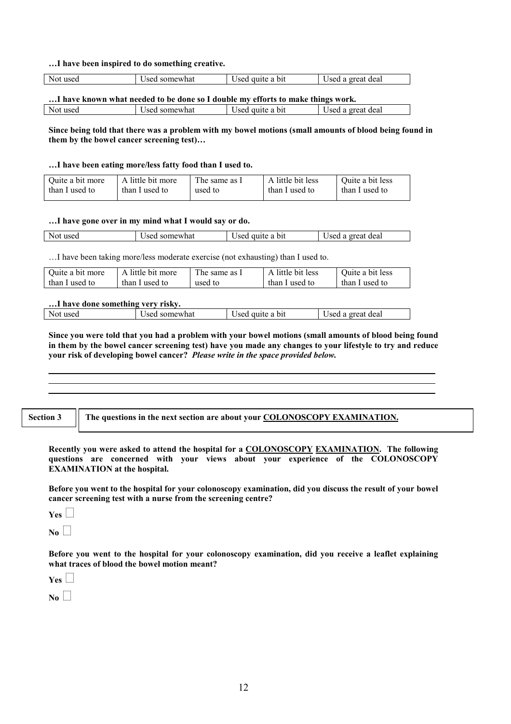### **ÖI have been inspired to do something creative.**

| Not used | Used somewhat | Used quite a bit | Used a great deal |
|----------|---------------|------------------|-------------------|
|          |               |                  |                   |

...I have known what needed to be done so I double my efforts to make things work.

| Not used | Jsed somewhat | Used quite a bit | a great deal<br>Used |
|----------|---------------|------------------|----------------------|
|          |               |                  |                      |

**Since being told that there was a problem with my bowel motions (small amounts of blood being found in** them by the bowel cancer screening test)...

### **ÖI have been eating more/less fatty food than I used to.**

| Quite a bit more | A little bit more | The same as I | A little bit less | Quite a bit less |
|------------------|-------------------|---------------|-------------------|------------------|
| than I used to   | than I used to    | used to       | than I used to    | than I used to   |
|                  |                   |               |                   |                  |

### **CI.** have gone over in my mind what I would say or do.

| Not used | somewhat<br>ലേ<br>⊃o∪u | bit<br>quite<br>--<br>usea.<br>ы | oreat<br>deal<br>. INFA. |
|----------|------------------------|----------------------------------|--------------------------|
|          |                        |                                  |                          |

I have been taking more/less moderate exercise (not exhausting) than I used to.

| Quite a bit more | A little bit more | The same as I | A little bit less | Quite a bit less |
|------------------|-------------------|---------------|-------------------|------------------|
| than I used to   | than I used to    | used to       | than I used to    | than I used to   |

| I have done something very risky. |               |                  |                   |  |  |  |
|-----------------------------------|---------------|------------------|-------------------|--|--|--|
| Not used                          | Used somewhat | Used quite a bit | Used a great deal |  |  |  |

**Since you were told that you had a problem with your bowel motions (small amounts of blood being found in them by the bowel cancer screening test) have you made any changes to your lifestyle to try and reduce your risk of developing bowel cancer?** *Please write in the space provided below.*

Section 3 **The questions in the next section are about your COLONOSCOPY EXAMINATION.** 

**Recently you were asked to attend the hospital for a COLONOSCOPY EXAMINATION. The following questions are concerned with your views about your experience of the COLONOSCOPY EXAMINATION at the hospital.**

**Before you went to the hospital for your colonoscopy examination, did you discuss the result of your bowel cancer screening test with a nurse from the screening centre?**

 $\bf{V}$ es  $|$ 

 $\overline{\mathbf{N}}$ **o**  $\Box$ 

**Before you went to the hospital for your colonoscopy examination, did you receive a leaflet explaining what traces of blood the bowel motion meant?**

 $\bf{Yes}$   $\parallel$ 

 $\overline{N_0}$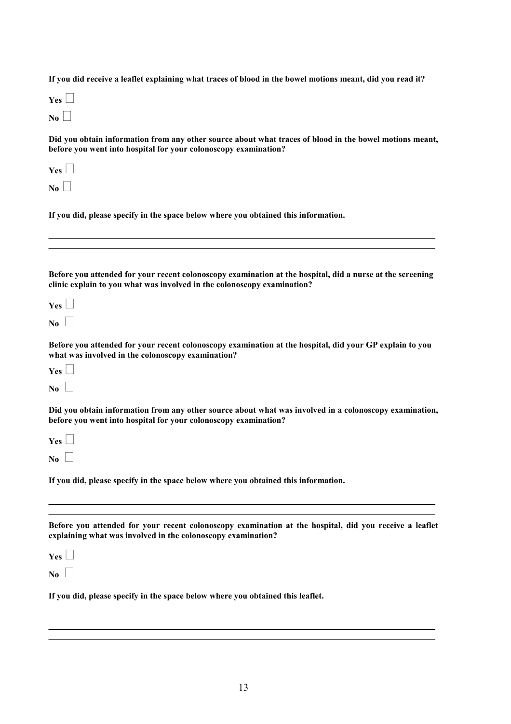**If you did receive a leaflet explaining what traces of blood in the bowel motions meant, did you read it?**

 $\overline{\mathbf{Y}}$ es  $\overline{\mathbf{N}}$ **o**  $\Box$ 

**Did you obtain information from any other source about what traces of blood in the bowel motions meant, before you went into hospital for your colonoscopy examination?**

 $\overline{\mathbf{Y}}$ es  $\overline{\mathbf{N}}$ **o**  $\Box$ 

**If you did, please specify in the space below where you obtained this information.**

**Before you attended for your recent colonoscopy examination at the hospital, did a nurse at the screening clinic explain to you what was involved in the colonoscopy examination?**

 $\bf{V}$ es  $|$  $\overline{N_0}$ 

**Before you attended for your recent colonoscopy examination at the hospital, did your GP explain to you what was involved in the colonoscopy examination?**

 $\bf{v}_{es}$  | |

 $\overline{N_0}$ 

**Did you obtain information from any other source about what was involved in a colonoscopy examination, before you went into hospital for your colonoscopy examination?**

 $\overline{\mathbf{Y}}$ es

 $\overline{\mathbf{N}}$ **O** 

**If you did, please specify in the space below where you obtained this information.**

**Before you attended for your recent colonoscopy examination at the hospital, did you receive a leaflet explaining what was involved in the colonoscopy examination?**

 $\overline{\mathbf{Y}}$ es

 $\overline{\mathbf{N}}$ **O** 

**If you did, please specify in the space below where you obtained this leaflet.**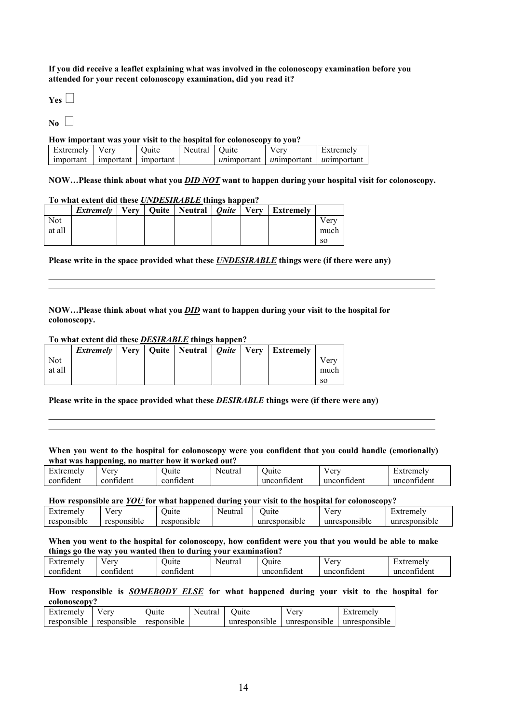**If you did receive a leaflet explaining what was involved in the colonoscopy examination before you attended for your recent colonoscopy examination, did you read it?**

 $\overline{\mathbf{Y}}$ es

 $\overline{N_0}$ 

### **How important was your visit to the hospital for colonoscopy to you?**

| <b>Extremely</b> Very | Ouite                     |  | Neutral   Quite           | Verv | Extremely |                     |
|-----------------------|---------------------------|--|---------------------------|------|-----------|---------------------|
| important             | 1 important   1 important |  | unimportant   unimportant |      |           | <i>un</i> important |

### NOW...Please think about what you *DID NOT* want to happen during your hospital visit for colonoscopy.

### **To what extent did these** *UNDESIRABLE* **things happen?**

|        | Extremely | Verv | Quite   Neutral   <i>Quite</i>   Very |  | <b>Extremely</b> |               |
|--------|-----------|------|---------------------------------------|--|------------------|---------------|
| Not    |           |      |                                       |  |                  | Verv          |
| at all |           |      |                                       |  |                  | much          |
|        |           |      |                                       |  |                  | <sub>SO</sub> |

**Please write in the space provided what these** *UNDESIRABLE* **things were (if there were any)**

NOW...Please think about what you *DID* want to happen during your visit to the hospital for **colonoscopy.**

### **To what extent did these** *DESIRABLE* **things happen?**

|            | Extremely |  | Very   Quite   Neutral   <i>Quite</i>   Very |  | <b>Extremely</b> |               |
|------------|-----------|--|----------------------------------------------|--|------------------|---------------|
| <b>Not</b> |           |  |                                              |  |                  | Verv          |
| at all     |           |  |                                              |  |                  | much          |
|            |           |  |                                              |  |                  | <sub>SO</sub> |

**Please write in the space provided what these** *DESIRABLE* **things were (if there were any)**

**When you went to the hospital for colonoscopy were you confident that you could handle (emotionally) what was happening, no matter how it worked out?**

| Ē<br>Extremelv | $ -$<br>√erv | Juite               | . .<br>Neutral | Juite       | 'erv        | ±xtremelv   |
|----------------|--------------|---------------------|----------------|-------------|-------------|-------------|
| confident      | confident    | $\sim$<br>confident |                | unconfident | unconfident | unconfident |

### **How responsible are** *YOU* **for what happened during your visit to the hospital for colonoscopy?**

| ∟xtremelv   | err<br>ັ    | Juite                               | Neutral | Juite         | $\alpha$ rt          | Extremely     |
|-------------|-------------|-------------------------------------|---------|---------------|----------------------|---------------|
| responsible | responsible | $\ddot{\phantom{0}}$<br>responsible |         | unresponsible | . .<br>unresponsible | unresponsible |

**When you went to the hospital for colonoscopy, how confident were you that you would be able to make things go the way you wanted then to during your examination?**

| $\sim$<br>$\tilde{\phantom{a}}$<br>$\sim$<br>$\tilde{\phantom{a}}$<br>unconfident<br>confident<br>confident<br>confident<br>unconfident<br>unconfident | $\mathbf{\tau}$<br>tremely<br>- 371 | $ -$<br>ver | Juite | $\sim$ $\sim$<br>Neutra. | Quite | $1 \text{ or }$<br>◡ | $\overline{\phantom{0}}$<br>∙xtremeIv |
|--------------------------------------------------------------------------------------------------------------------------------------------------------|-------------------------------------|-------------|-------|--------------------------|-------|----------------------|---------------------------------------|
|                                                                                                                                                        |                                     |             |       |                          |       |                      |                                       |

**How responsible is** *SOMEBODY ELSE* **for what happened during your visit to the hospital for colonoscopy?**

| Extremely   | <b>Verv</b>             | Juite | Neutral | Juite         | √erv          | Extremelv     |
|-------------|-------------------------|-------|---------|---------------|---------------|---------------|
| responsible | responsible responsible |       |         | unresponsible | unresponsible | unresponsible |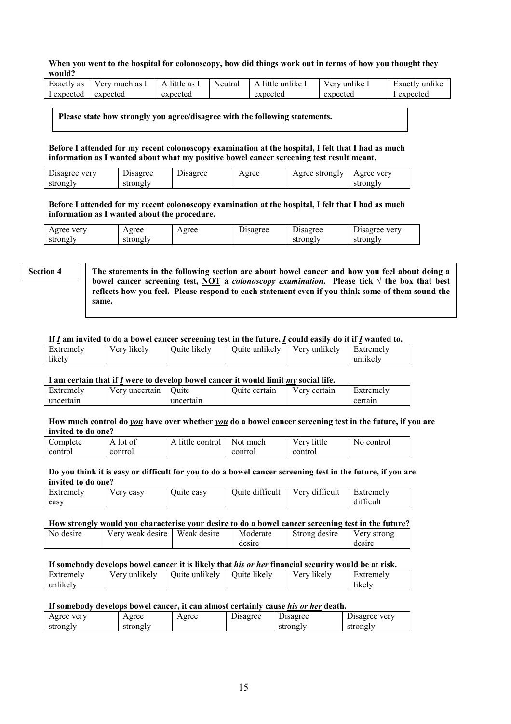**When you went to the hospital for colonoscopy, how did things work out in terms of how you thought they would?**

| Exactly as | √erv much as | little as | Neutral | little unlike | Very unlike | Exactiv unlıke |
|------------|--------------|-----------|---------|---------------|-------------|----------------|
| expected   | expected     | expected  |         | expected      | expected    | expected       |

### **Please state how strongly you agree/disagree with the following statements.**

**Before I attended for my recent colonoscopy examination at the hospital, I felt that I had as much information as I wanted about what my positive bowel cancer screening test result meant.**

| Disagree very | Disagree | Disagree | Agree | Agree strongly | Agree very |
|---------------|----------|----------|-------|----------------|------------|
| strongly      | strongly |          |       |                | strongly   |

**Before I attended for my recent colonoscopy examination at the hospital, I felt that I had as much information as I wanted about the procedure.**

| Agree very | Agree    | Agree | Disagree | Disagree | Disagree very |
|------------|----------|-------|----------|----------|---------------|
| strongly   | strongly |       |          | strongly | strongly      |

**Section 4 The statements in the following section are about bowel cancer and how you feel about doing a bowel cancer screening test, NOT a** *colonoscopy examination***. Please tick**  $\sqrt{}$  **the box that best reflects how you feel. Please respond to each statement even if you think some of them sound the same.**

### **If** *I* **am invited to do a bowel cancer screening test in the future,** *I* **could easily do it if** *I* **wanted to.**

| Extremely | Very likely | Ouite likely | Ouite unlikelv | Very unlikely | Extremely |
|-----------|-------------|--------------|----------------|---------------|-----------|
| likely    |             |              |                |               | unlikelv  |

### **I am certain that if** *I* **were to develop bowel cancer it would limit** *my* **social life.**

| Extremely | Verv uncertain | Juite     | Juite certain | Verv certain | Extremely |
|-----------|----------------|-----------|---------------|--------------|-----------|
| uncertain |                | uncertain |               |              | certain   |

### **How much control do** *you* **have over whether** *you* **do a bowel cancer screening test in the future, if you are invited to do one?**

| Complete | A lot of | A little control   Not much |         | Very little | No control |
|----------|----------|-----------------------------|---------|-------------|------------|
| control  | control  |                             | control | control     |            |

### **Do you think it is easy or difficult for you to do a bowel cancer screening test in the future, if you are invited to do one?**

| Extremely | Very easy | Juite easy | Ouite difficult | Very difficult | Extremely |
|-----------|-----------|------------|-----------------|----------------|-----------|
| easy      |           |            |                 |                | difficult |

### **How strongly would you characterise your desire to do a bowel cancer screening test in the future?**

| No desire | Very weak desire | Weak desire | Moderate | Strong desire | Very strong |
|-----------|------------------|-------------|----------|---------------|-------------|
|           |                  |             | desire   |               | desire      |

### **If somebody develops bowel cancer it is likely that** *his or her* **financial security would be at risk.**

| Extremely | Very unlikely | Ouite unlikely | Ouite likely | Very likely | Extremely |
|-----------|---------------|----------------|--------------|-------------|-----------|
| unlikelv  |               |                |              |             | likelv    |

### **If somebody develops bowel cancer, it can almost certainly cause** *his or her* **death.**

| Agree very | Agree    | Agree | Disagree | Disagree | Disagree very |
|------------|----------|-------|----------|----------|---------------|
| strongly   | strongly |       |          | strongly | strongly      |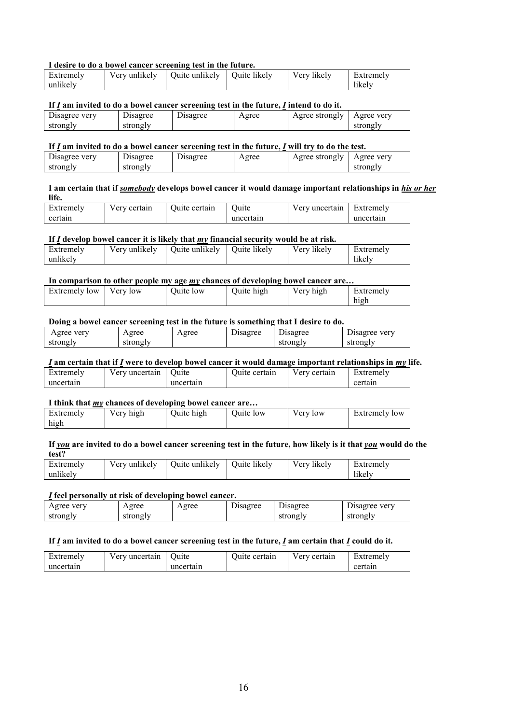### **I desire to do a bowel cancer screening test in the future.**

| Extremely | Very unlikely | Ouite unlikely | Ouite likely | Very likely | Extremely |  |
|-----------|---------------|----------------|--------------|-------------|-----------|--|
| unlikelv  |               |                |              |             | likely    |  |

### **If** *I* **am invited to do a bowel cancer screening test in the future,** *I* **intend to do it.**

| Disagree very | Disagree | Disagree | Agree | Agree strongly | Agree very |
|---------------|----------|----------|-------|----------------|------------|
| strongly      | strongly |          |       |                | strongly   |

### **If** *I* **am invited to do a bowel cancer screening test in the future,** *I* **will try to do the test.**

| Disagree very | Disagree | Disagree | Agree | Agree strongly | Agree very |
|---------------|----------|----------|-------|----------------|------------|
| strongly      | strongly |          |       |                | strongly   |

### **I am certain that if** *somebody* **develops bowel cancer it would damage important relationships in** *his or her* **life.**

| Extremely | Very certain | Ouite certain | Juite     | Very uncertain   Extremely |           |
|-----------|--------------|---------------|-----------|----------------------------|-----------|
| certain   |              |               | uncertain |                            | uncertain |

### **If** *I* **develop bowel cancer it is likely that** *my* **financial security would be at risk.**

| Extremely | Verv unlikelv | Ouite unlikely | <b>Oulte likely</b> | Very likely | Extremelv |
|-----------|---------------|----------------|---------------------|-------------|-----------|
| unlikely  |               |                |                     |             | likelv    |

### In comparison to other people my age  $\frac{my}{my}$  chances of developing bowel cancer are...

| Extremely low | Very low | Juite low | Ouite high | Very high | Extremely |
|---------------|----------|-----------|------------|-----------|-----------|
|               |          |           |            |           | high      |

### **Doing a bowel cancer screening test in the future is something that I desire to do.**

| Agree very | Agree    | Agree | Disagree | Disagree | Disagree very |
|------------|----------|-------|----------|----------|---------------|
| strongly   | strongly |       |          | strongly | strongly      |

### *I* **am certain that if** *I* **were to develop bowel cancer it would damage important relationships in** *my* **life.** Extremely uncertain Very uncertain Quite uncertain Quite certain Very certain Extremely certain

### **I** think that *my* chances of developing bowel cancer are...

| Extremely | Very high | Ouite high | Juite low | Very low | Extremely low |
|-----------|-----------|------------|-----------|----------|---------------|
| high      |           |            |           |          |               |

### **If** *you* **are invited to do a bowel cancer screening test in the future, how likely is it that** *you* **would do the test?**

| Extremely | Very unlikely | Ouite unlikely | Uuite likely | Very likely | Extremely |
|-----------|---------------|----------------|--------------|-------------|-----------|
| unlikely  |               |                |              |             | likelv    |

### *I* **feel personally at risk of developing bowel cancer.**

| Agree very | Agree    | Agree | Disagree | Disagree | Disagree verv |
|------------|----------|-------|----------|----------|---------------|
| strongly   | strongly |       |          | strongly | strongly      |

### If  $I$  am invited to do a bowel cancer screening test in the future,  $I$  am certain that  $I$  could do it.

| Extremelv | Verv uncertain | Juite     | Ouite certain | Verv certain | Extremely |
|-----------|----------------|-----------|---------------|--------------|-----------|
| uncertain |                | uncertain |               |              | certain   |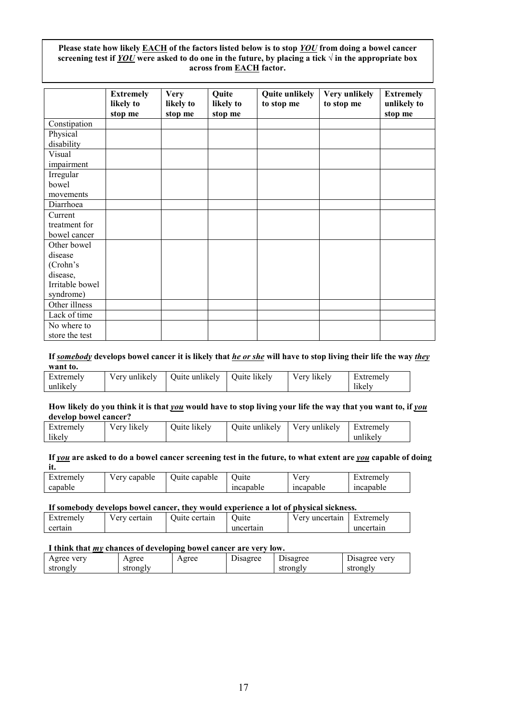### **Please state how likely EACH of the factors listed below is to stop** *YOU* **from doing a bowel cancer screening test if** *YOU* **were asked to do one in the future, by placing a tick** *√* **in the appropriate box across from EACH factor.**

|                               | <b>Extremely</b><br>likely to<br>stop me | <b>Very</b><br>likely to<br>stop me | Quite<br>likely to<br>stop me | <b>Quite unlikely</b><br>to stop me | Very unlikely<br>to stop me | <b>Extremely</b><br>unlikely to<br>stop me |
|-------------------------------|------------------------------------------|-------------------------------------|-------------------------------|-------------------------------------|-----------------------------|--------------------------------------------|
| Constipation                  |                                          |                                     |                               |                                     |                             |                                            |
| Physical<br>disability        |                                          |                                     |                               |                                     |                             |                                            |
| Visual<br>impairment          |                                          |                                     |                               |                                     |                             |                                            |
| Irregular<br>bowel            |                                          |                                     |                               |                                     |                             |                                            |
| movements                     |                                          |                                     |                               |                                     |                             |                                            |
| Diarrhoea                     |                                          |                                     |                               |                                     |                             |                                            |
| Current                       |                                          |                                     |                               |                                     |                             |                                            |
| treatment for<br>bowel cancer |                                          |                                     |                               |                                     |                             |                                            |
| Other bowel                   |                                          |                                     |                               |                                     |                             |                                            |
| disease                       |                                          |                                     |                               |                                     |                             |                                            |
| (Crohn's                      |                                          |                                     |                               |                                     |                             |                                            |
| disease,                      |                                          |                                     |                               |                                     |                             |                                            |
| Irritable bowel<br>syndrome)  |                                          |                                     |                               |                                     |                             |                                            |
| Other illness                 |                                          |                                     |                               |                                     |                             |                                            |
| Lack of time                  |                                          |                                     |                               |                                     |                             |                                            |
| No where to                   |                                          |                                     |                               |                                     |                             |                                            |
| store the test                |                                          |                                     |                               |                                     |                             |                                            |

### **If** *somebody* **develops bowel cancer it is likely that** *he or she* **will have to stop living their life the way** *they* **want to.**

| Extremely | Very unlikely | Quite unlikely   Quite likely | Very likely | Extremelv |
|-----------|---------------|-------------------------------|-------------|-----------|
| unlikely  |               |                               |             | likelv    |

### **How likely do you think it is that** *you* **would have to stop living your life the way that you want to, if** *you* **develop bowel cancer?**

| Extremely | Very likely | Juite likely | Ouite unlikely | Very unlikely | Extremely |
|-----------|-------------|--------------|----------------|---------------|-----------|
| likely    |             |              |                |               | unlikely  |

### **If** *you* **are asked to do a bowel cancer screening test in the future, to what extent are** *you* **capable of doing**

| แ.        |              |               |           |           |           |
|-----------|--------------|---------------|-----------|-----------|-----------|
| Extremely | Very capable | Duite capable | Quite     | Very      | Extremely |
| capable   |              |               | incapable | incapable | mcapable  |

### **If somebody develops bowel cancer, they would experience a lot of physical sickness.**

|           |              |               |           | II SOMOOG! GOT CLOPS BOTTER CHILCET THE THURL CAPELLEMEN IN THE SIGHT SIGNIFICS! |           |
|-----------|--------------|---------------|-----------|----------------------------------------------------------------------------------|-----------|
| Extremely | Very certain | Juite certain | Juite     | Very uncertain                                                                   | Extremely |
| certain   |              |               | uncertain |                                                                                  | uncertain |
|           |              |               |           |                                                                                  |           |

### **I think that** *my* **chances of developing bowel cancer are very low.**

| I think that my thanted of actualing bower tanter are terminal |          |       |          |          |               |
|----------------------------------------------------------------|----------|-------|----------|----------|---------------|
| Agree very                                                     | Agree    | Agree | Disagree | Disagree | Disagree very |
| strongly                                                       | strongly |       |          | strongly | strongly      |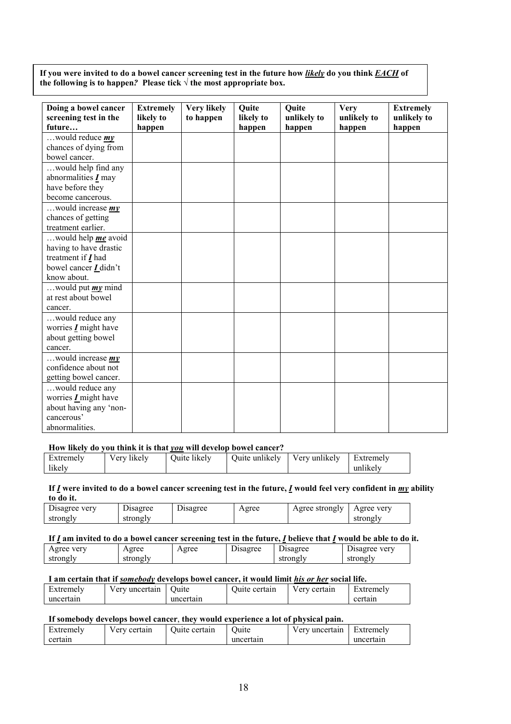**If you were invited to do a bowel cancer screening test in the future how** *likely* **do you think** *EACH* **of the following is to happen***?* **Please tick** *√* **the most appropriate box.**

|                                |                  |             | Quite     | Quite       |             |                  |
|--------------------------------|------------------|-------------|-----------|-------------|-------------|------------------|
| Doing a bowel cancer           | <b>Extremely</b> | Very likely |           |             | <b>Very</b> | <b>Extremely</b> |
| screening test in the          | likely to        | to happen   | likely to | unlikely to | unlikely to | unlikely to      |
| future                         | happen           |             | happen    | happen      | happen      | happen           |
| would reduce $m\mathbf{v}$     |                  |             |           |             |             |                  |
| chances of dying from          |                  |             |           |             |             |                  |
| bowel cancer.                  |                  |             |           |             |             |                  |
| would help find any            |                  |             |           |             |             |                  |
| abnormalities $I$ may          |                  |             |           |             |             |                  |
| have before they               |                  |             |           |             |             |                  |
| become cancerous.              |                  |             |           |             |             |                  |
| would increase $my$            |                  |             |           |             |             |                  |
| chances of getting             |                  |             |           |             |             |                  |
| treatment earlier.             |                  |             |           |             |             |                  |
| would help $me$ avoid          |                  |             |           |             |             |                  |
| having to have drastic         |                  |             |           |             |             |                  |
| treatment if $I$ had           |                  |             |           |             |             |                  |
| bowel cancer <i>L</i> didn't   |                  |             |           |             |             |                  |
| know about.                    |                  |             |           |             |             |                  |
| would put $\frac{my}{my}$ mind |                  |             |           |             |             |                  |
| at rest about bowel            |                  |             |           |             |             |                  |
| cancer.                        |                  |             |           |             |             |                  |
| would reduce any               |                  |             |           |             |             |                  |
| worries $I$ might have         |                  |             |           |             |             |                  |
| about getting bowel            |                  |             |           |             |             |                  |
| cancer.                        |                  |             |           |             |             |                  |
| would increase $m\mathbf{v}$   |                  |             |           |             |             |                  |
| confidence about not           |                  |             |           |             |             |                  |
| getting bowel cancer.          |                  |             |           |             |             |                  |
| would reduce any               |                  |             |           |             |             |                  |
| worries $I$ might have         |                  |             |           |             |             |                  |
| about having any 'non-         |                  |             |           |             |             |                  |
| cancerous'                     |                  |             |           |             |             |                  |
| abnormalities.                 |                  |             |           |             |             |                  |

### **How likely do you think it is that** *you* **will develop bowel cancer?**

| Extremely | Verv likelv | Juite likelv | Ouite unlikely | Very unlikely | Extremely |
|-----------|-------------|--------------|----------------|---------------|-----------|
| likely    |             |              |                |               | unlikely  |

**If** *I* **were invited to do a bowel cancer screening test in the future,** *I* **would feel very confident in** *my* **ability to do it.**

| Disagree very | Disagree | Disagree | Agree | Agree strongly | Agree very |
|---------------|----------|----------|-------|----------------|------------|
| strongly      | strongly |          |       |                | strongly   |

### **If** *I* **am invited to do a bowel cancer screening test in the future,** *I* **believe that** *I* **would be able to do it.**

| Agree verv | Agree    | Agree | $\overline{\phantom{a}}$<br>Disagree | Disagree | very<br>$D$ isagree |
|------------|----------|-------|--------------------------------------|----------|---------------------|
| strongly   | strongly |       |                                      | strongly | strongly            |

### **I am certain that if** *somebody* **develops bowel cancer, it would limit** *his or her* **social life.**

| Extremely | Very uncertain | Juite     | Juite certain | Very certain | Extremely |
|-----------|----------------|-----------|---------------|--------------|-----------|
| uncertain |                | uncertain |               |              | certain   |

### **If somebody develops bowel cancer**, **they would experience a lot of physical pain.**

| Extremely | Verv certain | Juite certain | Juite     | Very uncertain | Extremely |
|-----------|--------------|---------------|-----------|----------------|-----------|
| certain   |              |               | uncertain |                | uncertain |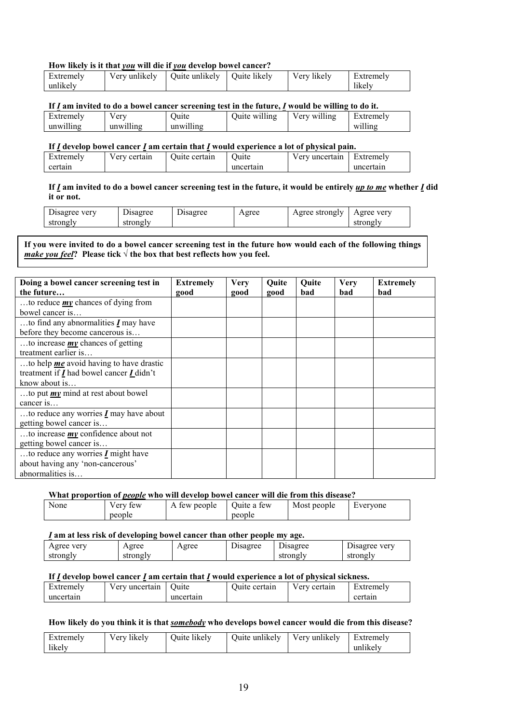### **How likely is it that** *you* **will die if** *you* **develop bowel cancer?**

| Extremely | Very unlikely | Ouite unlikely | Ouite likely | Very likely | Extremely   |  |  |  |  |
|-----------|---------------|----------------|--------------|-------------|-------------|--|--|--|--|
| unlikely  |               |                |              |             | .<br>likely |  |  |  |  |

### **If** *I* **am invited to do a bowel cancer screening test in the future,** *I* **would be willing to do it.**

| Extremelv      | $\sqrt{\rho}$ rv<br>◡ | Juite     | <br>willing<br>Juite | <br>erv willing | Extremelv |
|----------------|-----------------------|-----------|----------------------|-----------------|-----------|
| .<br>unwilling | .<br>unwilling        | unwilling |                      |                 | willing   |
|                |                       |           |                      |                 |           |

### **If** *I* **develop bowel cancer** *I* **am certain that** *I* **would experience a lot of physical pain.**

| Extremely | Very certain | Ouite certain | Juite     | Very uncertain | Extremely |
|-----------|--------------|---------------|-----------|----------------|-----------|
| certain   |              |               | uncertain |                | uncertain |
|           |              |               |           |                |           |

### **If** *I* **am invited to do a bowel cancer screening test in the future, it would be entirely** *up to me* **whether** *I* **did it or not.**

| Disagree very | Disagree | Disagree | Agree | Agree strongly | Agree very |
|---------------|----------|----------|-------|----------------|------------|
| strongly      | strongly |          |       |                | strongly   |

### **If you were invited to do a bowel cancer screening test in the future how would each of the following things** *make you feel***? Please tick** *√* **the box that best reflects how you feel.**

| Doing a bowel cancer screening test in          | <b>Extremely</b> | <b>Very</b> | Ouite | Quite | <b>Very</b> | <b>Extremely</b> |
|-------------------------------------------------|------------------|-------------|-------|-------|-------------|------------------|
| the future                                      | good             | good        | good  | bad   | bad         | <b>bad</b>       |
| to reduce $m\gamma$ chances of dying from       |                  |             |       |       |             |                  |
| bowel cancer is                                 |                  |             |       |       |             |                  |
| to find any abnormalities $I$ may have          |                  |             |       |       |             |                  |
| before they become cancerous is                 |                  |             |       |       |             |                  |
| to increase $my$ chances of getting             |                  |             |       |       |             |                  |
| treatment earlier is                            |                  |             |       |       |             |                  |
| to help $me$ avoid having to have drastic       |                  |             |       |       |             |                  |
| treatment if $I$ had bowel cancer $I$ didn't    |                  |             |       |       |             |                  |
| know about is                                   |                  |             |       |       |             |                  |
| to put $\frac{my}{mv}$ mind at rest about bowel |                  |             |       |       |             |                  |
| cancer is                                       |                  |             |       |       |             |                  |
| to reduce any worries $I$ may have about        |                  |             |       |       |             |                  |
| getting bowel cancer is                         |                  |             |       |       |             |                  |
| to increase $my$ confidence about not           |                  |             |       |       |             |                  |
| getting bowel cancer is                         |                  |             |       |       |             |                  |
| to reduce any worries $I$ might have            |                  |             |       |       |             |                  |
| about having any 'non-cancerous'                |                  |             |       |       |             |                  |
| abnormalities is                                |                  |             |       |       |             |                  |

### **What proportion of** *people* **who will develop bowel cancer will die from this disease?**

| None | Verv few | A few people | Ouite a few | Most people | Everyone |
|------|----------|--------------|-------------|-------------|----------|
|      | people   |              | people      |             |          |

### *I* **am at less risk of developing bowel cancer than other people my age.**

| Agree verv | Agree    | Agree | Disagree | Disagree | Disagree very |
|------------|----------|-------|----------|----------|---------------|
| strongly   | strongly |       |          | strongly | strongly      |

### **If** *I* **develop bowel cancer** *I* **am certain that** *I* **would experience a lot of physical sickness.**

| Extremely | Very uncertain | Juite     | Juite certain | Verv certain | Extremely |
|-----------|----------------|-----------|---------------|--------------|-----------|
| uncertain |                | uncertain |               |              | certain   |

### **How likely do you think it is that** *somebody* **who develops bowel cancer would die from this disease?**

| Extremely | Verv likelv | Juite likely | Ouite unlikely | Verv unlikely | Extremely |
|-----------|-------------|--------------|----------------|---------------|-----------|
| likely    |             |              |                |               | unlikely  |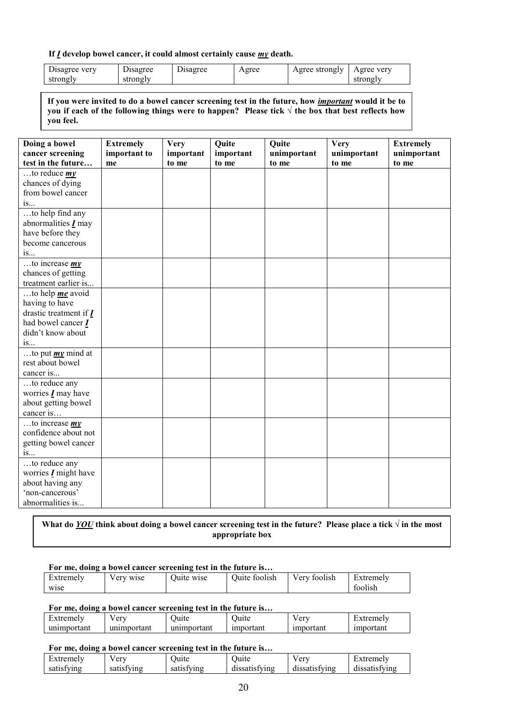### **If** *I* **develop bowel cancer, it could almost certainly cause** *my* **death.**

| Disagree very | Disagree | Disagree | Agree | Agree strongly | Agree verv |
|---------------|----------|----------|-------|----------------|------------|
| strongly      | strongly |          |       |                | strongly   |

### **If you were invited to do a bowel cancer screening test in the future, how** *important* **would it be to you if each of the following things were to happen? Please tick** *√* **the box that best reflects how you feel.**

| Doing a bowel                  | <b>Extremely</b> | <b>Very</b> | Quite     | Quite       | <b>Very</b> | <b>Extremely</b> |
|--------------------------------|------------------|-------------|-----------|-------------|-------------|------------------|
| cancer screening               | important to     | important   | important | unimportant | unimportant | unimportant      |
| test in the future             | me               | to me       | to me     | to me       | to me       | to me            |
| $\ldots$ to reduce $my$        |                  |             |           |             |             |                  |
| chances of dying               |                  |             |           |             |             |                  |
| from bowel cancer              |                  |             |           |             |             |                  |
| is                             |                  |             |           |             |             |                  |
| to help find any               |                  |             |           |             |             |                  |
| abnormalities $I$ may          |                  |             |           |             |             |                  |
| have before they               |                  |             |           |             |             |                  |
| become cancerous               |                  |             |           |             |             |                  |
| is                             |                  |             |           |             |             |                  |
| to increase $m y$              |                  |             |           |             |             |                  |
| chances of getting             |                  |             |           |             |             |                  |
| treatment earlier is           |                  |             |           |             |             |                  |
| to help me avoid               |                  |             |           |             |             |                  |
| having to have                 |                  |             |           |             |             |                  |
| drastic treatment if $I$       |                  |             |           |             |             |                  |
| had bowel cancer $I$           |                  |             |           |             |             |                  |
| didn't know about              |                  |             |           |             |             |                  |
| is                             |                  |             |           |             |             |                  |
| to put $\frac{my}{my}$ mind at |                  |             |           |             |             |                  |
| rest about bowel               |                  |             |           |             |             |                  |
| cancer is                      |                  |             |           |             |             |                  |
| to reduce any                  |                  |             |           |             |             |                  |
| worries $I$ may have           |                  |             |           |             |             |                  |
| about getting bowel            |                  |             |           |             |             |                  |
| cancer is                      |                  |             |           |             |             |                  |
| to increase $my$               |                  |             |           |             |             |                  |
| confidence about not           |                  |             |           |             |             |                  |
| getting bowel cancer           |                  |             |           |             |             |                  |
| is                             |                  |             |           |             |             |                  |
| to reduce any                  |                  |             |           |             |             |                  |
| worries $I$ might have         |                  |             |           |             |             |                  |
| about having any               |                  |             |           |             |             |                  |
| 'non-cancerous'                |                  |             |           |             |             |                  |
| abnormalities is               |                  |             |           |             |             |                  |

### **What do** *YOU* **think about doing a bowel cancer screening test in the future? Please place a tick** *√* **in the most appropriate box**

### For me, doing a bowel cancer screening test in the future is...

| Extremely | Verv wise | Juite wise | Ouite foolish | Very foolish | Extremely |
|-----------|-----------|------------|---------------|--------------|-----------|
| wise      |           |            |               |              | toolish   |

### For me, doing a bowel cancer screening test in the future is...

| Extremely   | erv         | Juite       | Juite     | 'erv      | ∴xtremelv |
|-------------|-------------|-------------|-----------|-----------|-----------|
| unimportant | unimportant | unimportant | important | ımportant | important |

### For me, doing a bowel cancer screening test in the future is...

|            |            | - - - -    | .             |               |               |
|------------|------------|------------|---------------|---------------|---------------|
| Extremely  | /erv       | Juite      | Juite         | very          | ∠xtremelv     |
| satisfying | satisfying | satisfying | dissatisfying | dissatisfying | dissatisfying |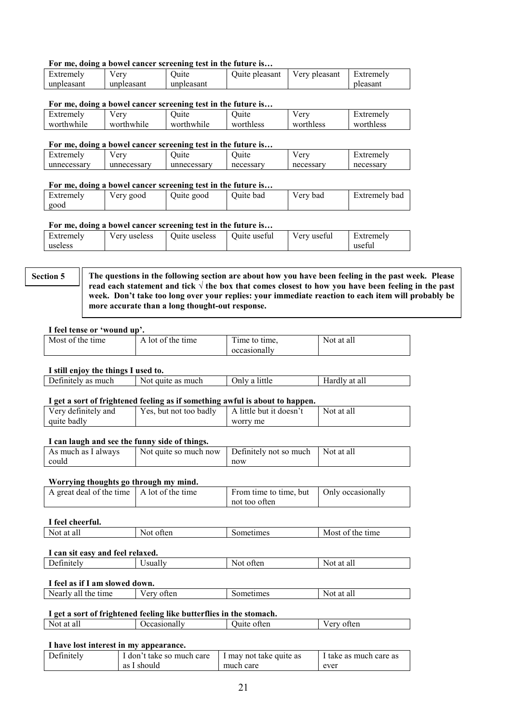### For me, doing a bowel cancer screening test in the future is...

| Extremely  | √erv       | Juite      | Ouite pleasant | Very pleasant | Extremely |
|------------|------------|------------|----------------|---------------|-----------|
| unpleasant | unpleasant | unpleasant |                |               | pleasant  |

### For me, doing a bowel cancer screening test in the future is...

| Extremelv  | /ery       | $\sim$<br>Juite | Juite     | y ery<br>$\mathbf{u}$ | ∠xtremelv |
|------------|------------|-----------------|-----------|-----------------------|-----------|
| worthwhile | worthwhile | worthwhile      | worthless | worthless             | worthless |
|            |            |                 |           |                       |           |

### For me, doing a bowel cancer screening test in the future is...

| unnecessary<br>unnecessary<br>unnecessarv<br>necessary<br>necessary<br>necessary | –<br>∠xtremely | err<br>◡ | Juite | Juite | $\alpha$ r<br>◡ェ | ∠xtremeiv |
|----------------------------------------------------------------------------------|----------------|----------|-------|-------|------------------|-----------|
|                                                                                  |                |          |       |       |                  |           |

### For me, doing a bowel cancer screening test in the future is...

| Extremely | Very good | Ouite good | Juite bad | Very bad | Extremely bad |
|-----------|-----------|------------|-----------|----------|---------------|
| good      |           |            |           |          |               |

### For me, doing a bowel cancer screening test in the future is...

| Extremely | Very useless | Ouite useless | Ouite useful | Very useful | Extremely |
|-----------|--------------|---------------|--------------|-------------|-----------|
| useless   |              |               |              |             | useful    |

**Section 5 The questions in the following section are about how you have been feeling in the past week. Please read each statement and tick** *√* **the box that comes closest to how you have been feeling in the past** week. Don't take too long over your replies: your immediate reaction to each item will probably be **more accurate than a long thought-out response.**

### I feel tense or 'wound up'.

| Most of the time | A lot of the time | m.<br>I ime to time. | Not at all |
|------------------|-------------------|----------------------|------------|
|                  |                   | occasionally         |            |
|                  |                   |                      |            |

### **I still enjoy the things I used to.**

| much<br>Definitely<br>as | much<br>Not<br>as<br>quite | little<br>Jniv | all'<br>Hardly<br>at |
|--------------------------|----------------------------|----------------|----------------------|
|                          |                            |                |                      |

### **I get a sort of frightened feeling as if something awful is about to happen.**

| Very definitely and | Yes, but not too badly | A little but it doesn't | Not at all |
|---------------------|------------------------|-------------------------|------------|
| quite badly         |                        | worry me                |            |

### **I can laugh and see the funny side of things.**

| As much as I always | Not quite so much now Definitely not so much Not at all |  |
|---------------------|---------------------------------------------------------|--|
| could               | now                                                     |  |

### **Worrying thoughts go through my mind.**

| A great deal of the time   A lot of the time | From time to time, but | <b>Only occasionally</b> |
|----------------------------------------------|------------------------|--------------------------|
|                                              | not too often          |                          |

## **I** feel cheerful.<br>Not at all Not often Sometimes Most of the time

### **I can sit easy and feel relaxed.**

| Definitely | $\blacksquare$<br>$ -$<br>Jsually | otten<br>וח צו | Not.<br>at all |
|------------|-----------------------------------|----------------|----------------|
|            |                                   |                |                |

### **I feel as if I am slowed down.**

| Nearly all<br>time<br>the | often<br>10rr<br>יי ו | Sometimes | Not at<br>all |
|---------------------------|-----------------------|-----------|---------------|
|                           |                       |           |               |

### **I get a sort of frightened feeling like butterflies in the stomach.**

| Not<br>all<br>at | <i><b>C</b></i> casionally | often<br>Juite | often<br>$\alpha$ rt<br>◡ |
|------------------|----------------------------|----------------|---------------------------|
|                  |                            |                |                           |

### **I have lost interest in my appearance.**

| Definitely | I don't take so much care | I may not take quite as | I take as much care as |
|------------|---------------------------|-------------------------|------------------------|
|            | as I should               | much care               | ever                   |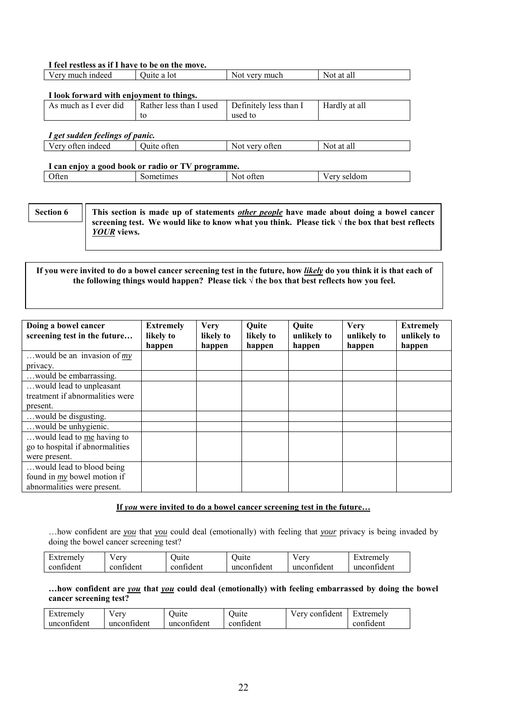| I feel restless as if I have to be on the move. |                         |                        |               |  |  |
|-------------------------------------------------|-------------------------|------------------------|---------------|--|--|
| Very much indeed                                | Quite a lot             | Not very much          | Not at all    |  |  |
|                                                 |                         |                        |               |  |  |
| I look forward with enjoyment to things.        |                         |                        |               |  |  |
| As much as I ever did                           | Rather less than I used | Definitely less than I | Hardly at all |  |  |
|                                                 | to                      | used to                |               |  |  |
|                                                 |                         |                        |               |  |  |
| I get sudden feelings of panic.                 |                         |                        |               |  |  |
| Very often indeed                               | Quite often             | Not very often         | Not at all    |  |  |
|                                                 |                         |                        |               |  |  |

**I can enjoy a good book or radio or TV programme.**

| <br>Often | ometimes | N<br>otten | ·ldom<br>$I$ $\alpha$ rt $I$<br>$\sim$ |
|-----------|----------|------------|----------------------------------------|
|           |          |            |                                        |

**Section 6**

**This section is made up of statements** *other people* **have made about doing a bowel cancer screening test. We would like to know what you think. Please tick** *√* **the box that best reflects** *YOUR* **views.**

**If you were invited to do a bowel cancer screening test in the future, how** *likely* **do you think it is that each of the following things would happen? Please tick** *√* **the box that best reflects how you feel.**

| Doing a bowel cancer<br>screening test in the future | <b>Extremely</b><br>likely to<br>happen | <b>Very</b><br>likely to<br>happen | Quite<br>likely to<br>happen | Quite<br>unlikely to<br>happen | <b>Very</b><br>unlikely to<br>happen | <b>Extremely</b><br>unlikely to<br>happen |
|------------------------------------------------------|-----------------------------------------|------------------------------------|------------------------------|--------------------------------|--------------------------------------|-------------------------------------------|
| would be an invasion of $my$                         |                                         |                                    |                              |                                |                                      |                                           |
| privacy.                                             |                                         |                                    |                              |                                |                                      |                                           |
| would be embarrassing.                               |                                         |                                    |                              |                                |                                      |                                           |
| would lead to unpleasant                             |                                         |                                    |                              |                                |                                      |                                           |
| treatment if abnormalities were                      |                                         |                                    |                              |                                |                                      |                                           |
| present.                                             |                                         |                                    |                              |                                |                                      |                                           |
| would be disgusting.                                 |                                         |                                    |                              |                                |                                      |                                           |
| would be unhygienic.                                 |                                         |                                    |                              |                                |                                      |                                           |
| would lead to me having to                           |                                         |                                    |                              |                                |                                      |                                           |
| go to hospital if abnormalities                      |                                         |                                    |                              |                                |                                      |                                           |
| were present.                                        |                                         |                                    |                              |                                |                                      |                                           |
| would lead to blood being                            |                                         |                                    |                              |                                |                                      |                                           |
| found in $my$ bowel motion if                        |                                         |                                    |                              |                                |                                      |                                           |
| abnormalities were present.                          |                                         |                                    |                              |                                |                                      |                                           |

### **If you were invited to do a bowel cancer screening test in the future...**

...how confident are *you* that *you* could deal (emotionally) with feeling that *your* privacy is being invaded by doing the bowel cancer screening test?

| Extremely | √erv      | Juite     | Juite       | /ery        | Extremely   |
|-----------|-----------|-----------|-------------|-------------|-------------|
| confident | confident | confident | unconfident | unconfident | unconfident |

### **Öhow confident are** *you* **that** *you* **could deal (emotionally) with feeling embarrassed by doing the bowel cancer screening test?**

| Extremely   | √erv        | Juite       | Juite     | Very confident | Extremely |
|-------------|-------------|-------------|-----------|----------------|-----------|
| unconfident | unconfident | unconfident | confident |                | confident |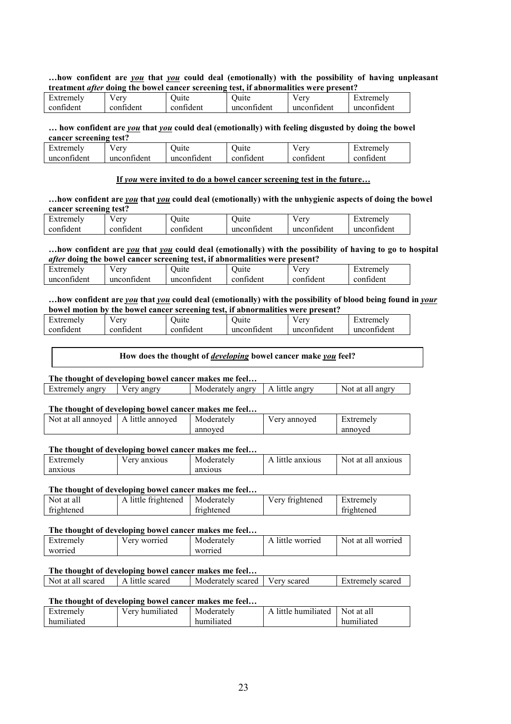### **Öhow confident are** *you* **that** *you* **could deal (emotionally) with the possibility of having unpleasant treatment** *after* **doing the bowel cancer screening test, if abnormalities were present?**

| Extremely | erv       | Juite     | Juite       | verv        | Extremely   |
|-----------|-----------|-----------|-------------|-------------|-------------|
| confident | confident | confident | unconfident | unconfident | unconfident |

### **Ö how confident are** *you* **that** *you* **could deal (emotionally) with feeling disgusted by doing the bowel cancer screening test?**

|             | .           |             |           |           |           |  |  |
|-------------|-------------|-------------|-----------|-----------|-----------|--|--|
| Extremelv   | erv         | Juite       | Juite     | verv      | ∠xtremelv |  |  |
| unconfident | unconfident | unconfident | confident | confident | confident |  |  |

### If you were invited to do a bowel cancer screening test in the future...

### **Öhow confident are** *you* **that** *you* **could deal (emotionally) with the unhygienic aspects of doing the bowel cancer screening test?**

| Extremely | √erv      | Juite     | Juite       | very        | Extremely   |
|-----------|-----------|-----------|-------------|-------------|-------------|
| confident | confident | confident | unconfident | unconfident | unconfident |

### **Öhow confident are** *you* **that** *you* **could deal (emotionally) with the possibility of having to go to hospital** *after* **doing the bowel cancer screening test, if abnormalities were present?**

| Extremely   | erv         | Juite       | Juite     | √erv      | Extremelv |
|-------------|-------------|-------------|-----------|-----------|-----------|
| unconfident | unconfident | unconfident | confident | confident | confident |

### **Öhow confident are** *you* **that** *you* **could deal (emotionally) with the possibility of blood being found in** *your* **bowel motion by the bowel cancer screening test, if abnormalities were present?**

| Extremelv |           |           |             |                 | Extremely   |
|-----------|-----------|-----------|-------------|-----------------|-------------|
|           | v erv     | Juite     | Juite       | $^{\prime}$ erv |             |
|           |           |           |             |                 |             |
| confident | confident | confident | unconfident | unconfident     | unconfident |
|           |           |           |             |                 |             |
|           |           |           |             |                 |             |

### **How does the thought of** *developing* **bowel cancer make** *you* **feel?**

### The thought of developing bowel cancer makes me feel...

| angry<br>Extremely | angry<br>۵r<br>. | angry<br>$v100$ derate | angry<br>нне<br>⊷ | angry<br>--<br>-Not<br>all<br>яι |
|--------------------|------------------|------------------------|-------------------|----------------------------------|

### The thought of developing bowel cancer makes me feel...

| Not at all annoved | A little annoved | Moderately | Very annoved | Extremely |
|--------------------|------------------|------------|--------------|-----------|
|                    |                  | annoved    |              | annoved   |

### The thought of developing bowel cancer makes me feel...

| extremely | Verv anxious | Moderately | little anxious<br>A | Not at all<br>anxious |
|-----------|--------------|------------|---------------------|-----------------------|
| anxious   |              | anxious    |                     |                       |

### The thought of developing bowel cancer makes me feel...

| Not at all | A little frightened | Moderately | Very frightened | Extremely  |
|------------|---------------------|------------|-----------------|------------|
| frightened |                     | frightened |                 | frightened |

### The thought of developing bowel cancer makes me feel...

| Extremely | Very worried | Moderately | . little worried<br>A | Not at all worried |
|-----------|--------------|------------|-----------------------|--------------------|
| worried   |              | worried    |                       |                    |

### The thought of developing bowel cancer makes me feel...

| Not at all scared | little scared<br>А | Moderately scared | Verv scared | Extremely scared |
|-------------------|--------------------|-------------------|-------------|------------------|
|                   |                    |                   |             |                  |

### The thought of developing bowel cancer makes me feel...

| Extremely  | Very humiliated | Moderately | . little humiliated | Not at all |
|------------|-----------------|------------|---------------------|------------|
| humiliated |                 | humiliated |                     | humiliated |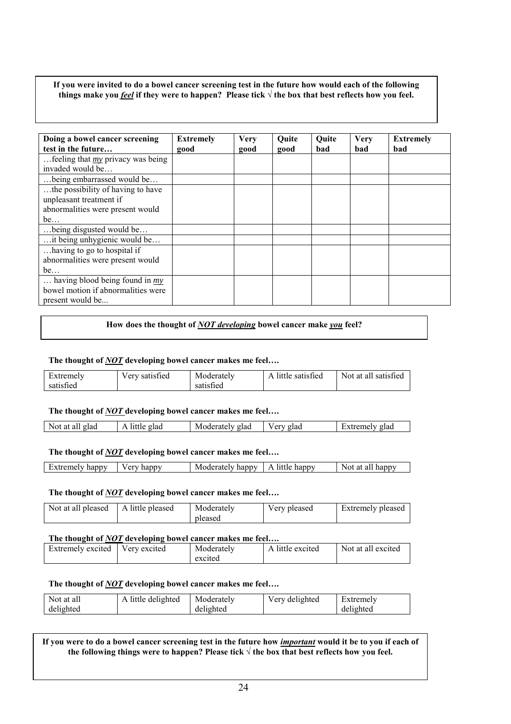**If you were invited to do a bowel cancer screening test in the future how would each of the following things make you** *feel* **if they were to happen? Please tick** *√* **the box that best reflects how you feel.**

| Doing a bowel cancer screening      | <b>Extremely</b> | <b>Very</b> | Quite | Ouite | <b>Very</b> | <b>Extremely</b> |
|-------------------------------------|------------------|-------------|-------|-------|-------------|------------------|
| test in the future                  | good             | good        | good  | bad   | bad         | bad              |
| feeling that $my$ privacy was being |                  |             |       |       |             |                  |
| invaded would be                    |                  |             |       |       |             |                  |
| being embarrassed would be          |                  |             |       |       |             |                  |
| the possibility of having to have   |                  |             |       |       |             |                  |
| unpleasant treatment if             |                  |             |       |       |             |                  |
| abnormalities were present would    |                  |             |       |       |             |                  |
| be                                  |                  |             |       |       |             |                  |
| being disgusted would be            |                  |             |       |       |             |                  |
| it being unhygienic would be        |                  |             |       |       |             |                  |
| having to go to hospital if         |                  |             |       |       |             |                  |
| abnormalities were present would    |                  |             |       |       |             |                  |
| be                                  |                  |             |       |       |             |                  |
| having blood being found in $my$    |                  |             |       |       |             |                  |
| bowel motion if abnormalities were  |                  |             |       |       |             |                  |
| present would be                    |                  |             |       |       |             |                  |

### **How does the thought of** *NOT developing* **bowel cancer make** *you* **feel?**

### The thought of *NOT* developing bowel cancer makes me feel....

| Extremely | Very satisfied | Moderately | A little satisfied | Not at all satisfied |
|-----------|----------------|------------|--------------------|----------------------|
| satisfied |                | satisfied  |                    |                      |

### The thought of *NOT* developing bowel cancer makes me feel....

| Not at<br>glad<br>all | :Iac<br>нш | oderately<br>giad<br>™u. | $\alpha$ ry<br>glad | glac<br>tremely<br>. .cme |
|-----------------------|------------|--------------------------|---------------------|---------------------------|
|                       |            |                          |                     |                           |

### The thought of *NOT* developing bowel cancer makes me feel....

|  | happy<br>$H$ $V'$<br>extreme<br>:I V | happy<br>---<br>$V^{\alpha r}$<br>'TV | NЛ<br>hanny<br>'oderately | hanny<br>11. L I <del>C</del><br>$\cdot$ . | hann <sup>-</sup><br>all<br>Not<br>at |
|--|--------------------------------------|---------------------------------------|---------------------------|--------------------------------------------|---------------------------------------|
|--|--------------------------------------|---------------------------------------|---------------------------|--------------------------------------------|---------------------------------------|

### The thought of *NOT* developing bowel cancer makes me feel....

| Not at all pleased | A little pleased | Moderately | Very pleased | Extremely pleased |
|--------------------|------------------|------------|--------------|-------------------|
|                    |                  | pleased    |              |                   |

### **The thought of** *NOT* **developing bowel cancer makes me feel....**

| Extremely excited | Very excited | Moderately<br>excited | A little excited | Not at all excited |
|-------------------|--------------|-----------------------|------------------|--------------------|
|                   |              |                       |                  |                    |

### The thought of *NOT* developing bowel cancer makes me feel....

| Not at all | A little delighted | Moderately | Very delighted | <b>Extremely</b> |
|------------|--------------------|------------|----------------|------------------|
| delighted  |                    | delighted  |                | delighted        |

**If you were to do a bowel cancer screening test in the future how** *important* **would it be to you if each of the following things were to happen? Please tick** *√* **the box that best reflects how you feel.**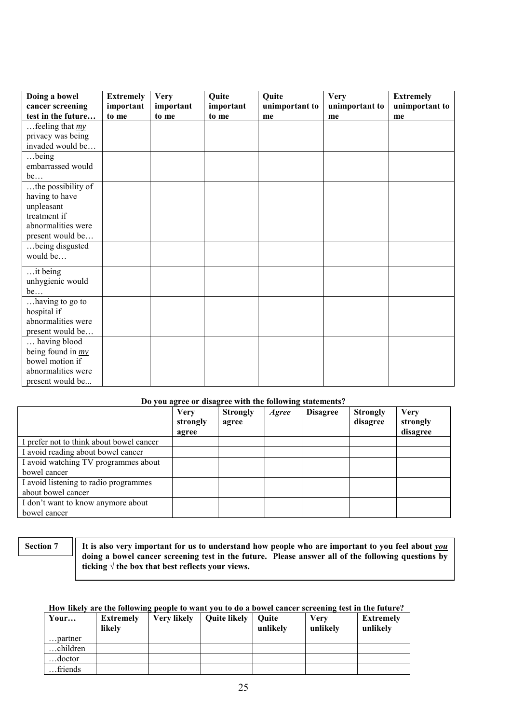| Doing a bowel        | <b>Extremely</b> | <b>Very</b> | Quite     | Quite          | <b>Very</b>    | <b>Extremely</b> |
|----------------------|------------------|-------------|-----------|----------------|----------------|------------------|
| cancer screening     | important        | important   | important | unimportant to | unimportant to | unimportant to   |
| test in the future   | to me            | to me       | to me     | me             | me             | me               |
| feeling that $m y$   |                  |             |           |                |                |                  |
| privacy was being    |                  |             |           |                |                |                  |
| invaded would be     |                  |             |           |                |                |                  |
| $$ being             |                  |             |           |                |                |                  |
| embarrassed would    |                  |             |           |                |                |                  |
| be                   |                  |             |           |                |                |                  |
| the possibility of   |                  |             |           |                |                |                  |
| having to have       |                  |             |           |                |                |                  |
| unpleasant           |                  |             |           |                |                |                  |
| treatment if         |                  |             |           |                |                |                  |
| abnormalities were   |                  |             |           |                |                |                  |
| present would be     |                  |             |           |                |                |                  |
| being disgusted      |                  |             |           |                |                |                  |
| would be             |                  |             |           |                |                |                  |
| it being             |                  |             |           |                |                |                  |
| unhygienic would     |                  |             |           |                |                |                  |
| be                   |                  |             |           |                |                |                  |
| having to go to      |                  |             |           |                |                |                  |
| hospital if          |                  |             |           |                |                |                  |
| abnormalities were   |                  |             |           |                |                |                  |
| present would be     |                  |             |           |                |                |                  |
| having blood         |                  |             |           |                |                |                  |
| being found in $m y$ |                  |             |           |                |                |                  |
| bowel motion if      |                  |             |           |                |                |                  |
| abnormalities were   |                  |             |           |                |                |                  |
| present would be     |                  |             |           |                |                |                  |

### **Do you agree or disagree with the following statements?**

|                                          | <b>Very</b><br>strongly<br>agree | <b>Strongly</b><br>agree | <i>Agree</i> | <b>Disagree</b> | <b>Strongly</b><br>disagree | <b>Very</b><br>strongly<br>disagree |
|------------------------------------------|----------------------------------|--------------------------|--------------|-----------------|-----------------------------|-------------------------------------|
| I prefer not to think about bowel cancer |                                  |                          |              |                 |                             |                                     |
| I avoid reading about bowel cancer       |                                  |                          |              |                 |                             |                                     |
| I avoid watching TV programmes about     |                                  |                          |              |                 |                             |                                     |
| bowel cancer                             |                                  |                          |              |                 |                             |                                     |
| I avoid listening to radio programmes    |                                  |                          |              |                 |                             |                                     |
| about bowel cancer                       |                                  |                          |              |                 |                             |                                     |
| I don't want to know anymore about       |                                  |                          |              |                 |                             |                                     |
| bowel cancer                             |                                  |                          |              |                 |                             |                                     |

**Section 7**

**It is also very important for us to understand how people who are important to you feel about** *you* **doing a bowel cancer screening test in the future. Please answer all of the following questions by ticking √ the box that best reflects your views.**

### **How likely are the following people to want you to do a bowel cancer screening test in the future?**

| Your      | <b>Extremely</b><br>likely | Very likely | Quite likely | Quite<br>unlikely | Verv<br>unlikely | <b>Extremely</b><br>unlikelv |
|-----------|----------------------------|-------------|--------------|-------------------|------------------|------------------------------|
| partner   |                            |             |              |                   |                  |                              |
| .children |                            |             |              |                   |                  |                              |
| doctor    |                            |             |              |                   |                  |                              |
| .friends  |                            |             |              |                   |                  |                              |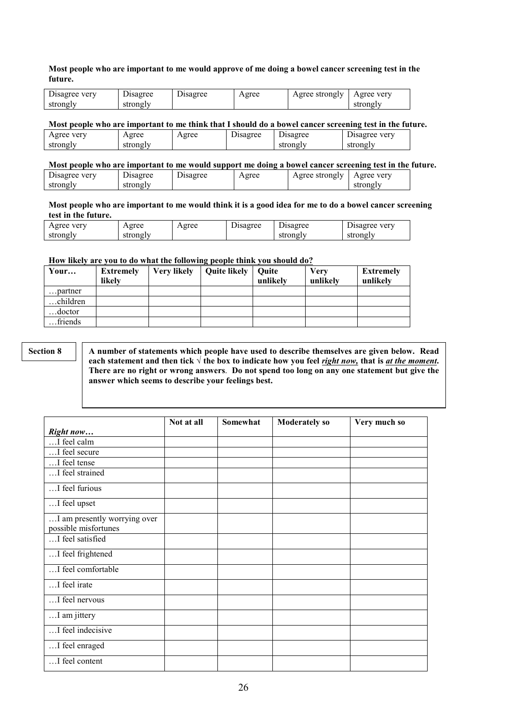### **Most people who are important to me would approve of me doing a bowel cancer screening test in the future.**

| Disagree very | Disagree | Disagree | Agree | Agree strongly | Agree very |
|---------------|----------|----------|-------|----------------|------------|
| strongly      | strongly |          |       |                | strongly   |

### **Most people who are important to me think that I should do a bowel cancer screening test in the future.**

| Agree very | Agree    | Agree | Disagree | Disagree | Disagree very |
|------------|----------|-------|----------|----------|---------------|
| strongly   | strongly |       |          | strongly | strongly      |

### **Most people who are important to me would support me doing a bowel cancer screening test in the future.**

| Disagree very | Disagree | Disagree | Agree | Agree strongly   Agree very |          |
|---------------|----------|----------|-------|-----------------------------|----------|
| strongly      | strongly |          |       |                             | strongly |

### **Most people who are important to me would think it is a good idea for me to do a bowel cancer screening test in the future.**

| Agree very | Agree    | Agree | Disagree | Disagree | Disagree very |
|------------|----------|-------|----------|----------|---------------|
| strongly   | strongly |       |          | strongly | strongly      |

### **How likely are you to do what the following people think you should do?**

| Your     | <b>Extremely</b><br>likely | Very likely | Quite likely   Quite | unlikely | <b>Very</b><br>unlikely | <b>Extremely</b><br>unlikely |
|----------|----------------------------|-------------|----------------------|----------|-------------------------|------------------------------|
| partner  |                            |             |                      |          |                         |                              |
| children |                            |             |                      |          |                         |                              |
| doctor   |                            |             |                      |          |                         |                              |
| friends  |                            |             |                      |          |                         |                              |

### **Section 8**

**A number of statements which people have used to describe themselves are given below. Read each statement and then tick**  $\sqrt{}$  **the box to indicate how you feel** *<u>right now</u>***, that is <u>at the moment</u>. There are no right or wrong answers**. **Do not spend too long on any one statement but give the answer which seems to describe your feelings best.**

|                              | Not at all | Somewhat | <b>Moderately so</b> | Very much so |
|------------------------------|------------|----------|----------------------|--------------|
| Right now                    |            |          |                      |              |
| I feel calm                  |            |          |                      |              |
| I feel secure                |            |          |                      |              |
| I feel tense                 |            |          |                      |              |
| I feel strained              |            |          |                      |              |
| I feel furious               |            |          |                      |              |
| I feel upset                 |            |          |                      |              |
| I am presently worrying over |            |          |                      |              |
| possible misfortunes         |            |          |                      |              |
| I feel satisfied             |            |          |                      |              |
| I feel frightened            |            |          |                      |              |
| I feel comfortable           |            |          |                      |              |
| I feel irate                 |            |          |                      |              |
| I feel nervous               |            |          |                      |              |
| I am jittery                 |            |          |                      |              |
| I feel indecisive            |            |          |                      |              |
| I feel enraged               |            |          |                      |              |
| I feel content               |            |          |                      |              |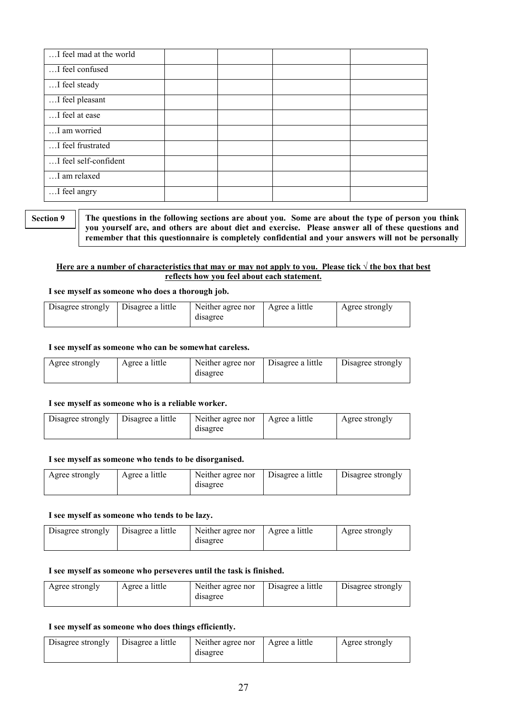| I feel mad at the world |  |  |
|-------------------------|--|--|
| I feel confused         |  |  |
| I feel steady           |  |  |
| I feel pleasant         |  |  |
| I feel at ease          |  |  |
| I am worried            |  |  |
| I feel frustrated       |  |  |
| I feel self-confident   |  |  |
| I am relaxed            |  |  |
| I feel angry            |  |  |

**Section 9 The questions in the following sections are about you. Some are about the type of person you think you yourself are, and others are about diet and exercise. Please answer all of these questions and remember that this questionnaire is completely confidential and your answers will not be personally**

### **Here are a number of characteristics that may or may not apply to you. Please tick √ the box that best reflects how you feel about each statement.**

### **I see myself as someone who does a thorough job.**

| Disagree strongly | Disagree a little | Neither agree nor<br>disagree | Agree a little | Agree strongly |
|-------------------|-------------------|-------------------------------|----------------|----------------|
|-------------------|-------------------|-------------------------------|----------------|----------------|

### **I see myself as someone who can be somewhat careless.**

| Agree strongly | Agree a little | Neither agree nor<br>disagree | Disagree a little | Disagree strongly |
|----------------|----------------|-------------------------------|-------------------|-------------------|
|----------------|----------------|-------------------------------|-------------------|-------------------|

### **I see myself as someone who is a reliable worker.**

| Disagree strongly | Disagree a little | Neither agree nor<br>disagree | Agree a little | Agree strongly |
|-------------------|-------------------|-------------------------------|----------------|----------------|
|                   |                   |                               |                |                |

### **I see myself as someone who tends to be disorganised.**

| Agree strongly | Agree a little | Neither agree nor<br>disagree | Disagree a little | Disagree strongly |
|----------------|----------------|-------------------------------|-------------------|-------------------|
|                |                |                               |                   |                   |

### **I see myself as someone who tends to be lazy.**

| Disagree strongly | Disagree a little | Neither agree nor<br>disagree | Agree a little | Agree strongly |
|-------------------|-------------------|-------------------------------|----------------|----------------|
|-------------------|-------------------|-------------------------------|----------------|----------------|

### **I see myself as someone who perseveres until the task is finished.**

| Agree strongly | Agree a little | Neither agree nor | Disagree a little | Disagree strongly |
|----------------|----------------|-------------------|-------------------|-------------------|
|                |                | disagree          |                   |                   |

### **I see myself as someone who does things efficiently.**

| Disagree strongly | Disagree a little | Neither agree nor | Agree a little | Agree strongly |
|-------------------|-------------------|-------------------|----------------|----------------|
|                   |                   | disagree          |                |                |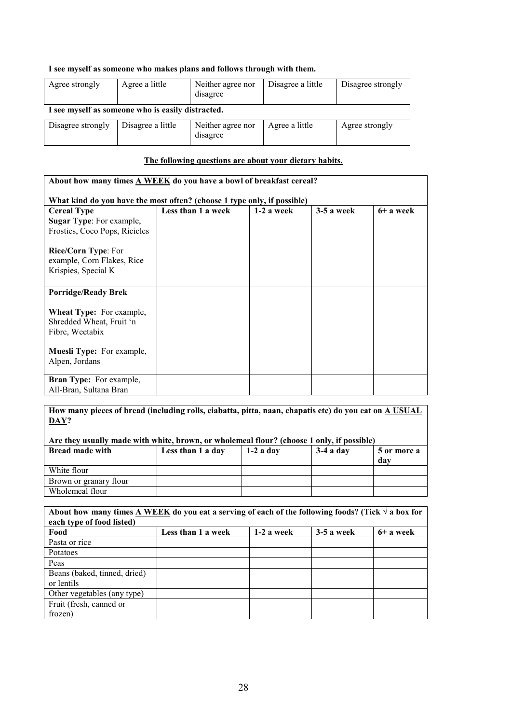### **I see myself as someone who makes plans and follows through with them.**

| Agree strongly                                    | Agree a little    | Neither agree nor<br>disagree | Disagree a little | Disagree strongly |  |  |
|---------------------------------------------------|-------------------|-------------------------------|-------------------|-------------------|--|--|
| I see myself as someone who is easily distracted. |                   |                               |                   |                   |  |  |
| Disagree strongly                                 | Disagree a little | Neither agree nor<br>disagree | Agree a little    | Agree strongly    |  |  |

### **The following questions are about your dietary habits.**

| About how many times A WEEK do you have a bowl of breakfast cereal?                                                |                    |            |            |           |
|--------------------------------------------------------------------------------------------------------------------|--------------------|------------|------------|-----------|
| What kind do you have the most often? (choose 1 type only, if possible)                                            |                    |            |            |           |
| <b>Cereal Type</b>                                                                                                 | Less than 1 a week | 1-2 a week | 3-5 a week | 6+ a week |
| Sugar Type: For example,                                                                                           |                    |            |            |           |
| Frosties, Coco Pops, Ricicles                                                                                      |                    |            |            |           |
| <b>Rice/Corn Type: For</b><br>example, Corn Flakes, Rice<br>Krispies, Special K                                    |                    |            |            |           |
| <b>Porridge/Ready Brek</b>                                                                                         |                    |            |            |           |
| <b>Wheat Type:</b> For example,<br>Shredded Wheat, Fruit 'n<br>Fibre, Weetabix<br><b>Muesli Type:</b> For example, |                    |            |            |           |
| Alpen, Jordans                                                                                                     |                    |            |            |           |
| <b>Bran Type:</b> For example,<br>All-Bran, Sultana Bran                                                           |                    |            |            |           |

**How many pieces of bread (including rolls, ciabatta, pitta, naan, chapatis etc) do you eat on A USUAL DAY?**

| Are they usually made with white, brown, or wholemeal flour? (choose 1 only, if possible) |                   |             |             |                    |  |
|-------------------------------------------------------------------------------------------|-------------------|-------------|-------------|--------------------|--|
| <b>Bread made with</b>                                                                    | Less than 1 a day | $1-2$ a day | $3-4$ a day | 5 or more a<br>day |  |
| White flour                                                                               |                   |             |             |                    |  |
| Brown or granary flour                                                                    |                   |             |             |                    |  |
| Wholemeal flour                                                                           |                   |             |             |                    |  |

| About how many times A WEEK do you eat a serving of each of the following foods? (Tick $\forall$ a box for |                    |            |            |             |
|------------------------------------------------------------------------------------------------------------|--------------------|------------|------------|-------------|
| each type of food listed)                                                                                  |                    |            |            |             |
| Food                                                                                                       | Less than 1 a week | 1-2 a week | 3-5 a week | $6+$ a week |
| Pasta or rice                                                                                              |                    |            |            |             |
| Potatoes                                                                                                   |                    |            |            |             |
| Peas                                                                                                       |                    |            |            |             |
| Beans (baked, tinned, dried)                                                                               |                    |            |            |             |
| or lentils                                                                                                 |                    |            |            |             |
| Other vegetables (any type)                                                                                |                    |            |            |             |
| Fruit (fresh, canned or                                                                                    |                    |            |            |             |
| frozen)                                                                                                    |                    |            |            |             |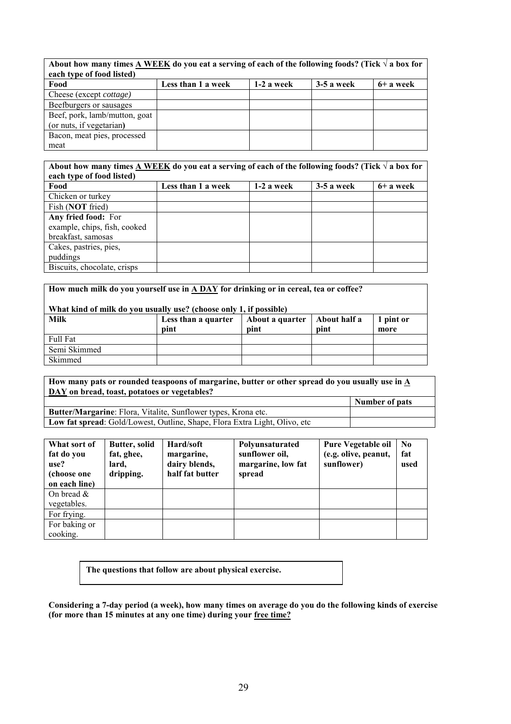| About how many times $\underline{A \text{ WEEK}}$ do you eat a serving of each of the following foods? (Tick $\forall$ a box for |                    |            |            |           |
|----------------------------------------------------------------------------------------------------------------------------------|--------------------|------------|------------|-----------|
| each type of food listed)                                                                                                        |                    |            |            |           |
| Food                                                                                                                             | Less than 1 a week | 1-2 a week | 3-5 a week | 6+ a week |
| Cheese (except <i>cottage</i> )                                                                                                  |                    |            |            |           |
| Beefburgers or sausages                                                                                                          |                    |            |            |           |
| Beef, pork, lamb/mutton, goat                                                                                                    |                    |            |            |           |
| (or nuts, if vegetarian)                                                                                                         |                    |            |            |           |
| Bacon, meat pies, processed                                                                                                      |                    |            |            |           |
| meat                                                                                                                             |                    |            |            |           |

| About how many times $\underline{A \text{ WEEK}}$ do you eat a serving of each of the following foods? (Tick $\forall$ a box for |                    |              |            |           |
|----------------------------------------------------------------------------------------------------------------------------------|--------------------|--------------|------------|-----------|
| each type of food listed)                                                                                                        |                    |              |            |           |
| Food                                                                                                                             | Less than 1 a week | $1-2$ a week | 3-5 a week | 6+ a week |
| Chicken or turkey                                                                                                                |                    |              |            |           |
| Fish (NOT fried)                                                                                                                 |                    |              |            |           |
| Any fried food: For                                                                                                              |                    |              |            |           |
| example, chips, fish, cooked                                                                                                     |                    |              |            |           |
| breakfast, samosas                                                                                                               |                    |              |            |           |
| Cakes, pastries, pies,                                                                                                           |                    |              |            |           |
| puddings                                                                                                                         |                    |              |            |           |
| Biscuits, chocolate, crisps                                                                                                      |                    |              |            |           |

**How much milk do you yourself use in A DAY for drinking or in cereal, tea or coffee?**

| What kind of milk do you usually use? (choose only 1, if possible) |                                                                     |      |      |      |  |  |
|--------------------------------------------------------------------|---------------------------------------------------------------------|------|------|------|--|--|
| <b>Milk</b>                                                        | Less than a quarter<br>About half a<br>1 pint or<br>About a quarter |      |      |      |  |  |
|                                                                    | pint                                                                | pint | pint | more |  |  |
| Full Fat                                                           |                                                                     |      |      |      |  |  |
| Semi Skimmed                                                       |                                                                     |      |      |      |  |  |
| Skimmed                                                            |                                                                     |      |      |      |  |  |

**How many pats or rounded teaspoons of margarine, butter or other spread do you usually use in A DAY on bread, toast, potatoes or vegetables?**

**Number of pats**

**Butter/Margarine**: Flora, Vitalite, Sunflower types, Krona etc. **Low fat spread**: Gold/Lowest, Outline, Shape, Flora Extra Light, Olivo, etc

| What sort of<br>fat do you<br>use?<br>(choose one<br>on each line) | Butter, solid<br>fat, ghee,<br>lard,<br>dripping. | Hard/soft<br>margarine,<br>dairy blends,<br>half fat butter | Polyunsaturated<br>sunflower oil,<br>margarine, low fat<br>spread | <b>Pure Vegetable oil</b><br>(e.g. olive, peanut,<br>sunflower) | $\mathbf{N_0}$<br>fat<br>used |
|--------------------------------------------------------------------|---------------------------------------------------|-------------------------------------------------------------|-------------------------------------------------------------------|-----------------------------------------------------------------|-------------------------------|
| On bread $\&$<br>vegetables.                                       |                                                   |                                                             |                                                                   |                                                                 |                               |
| For frying.                                                        |                                                   |                                                             |                                                                   |                                                                 |                               |
| For baking or<br>cooking.                                          |                                                   |                                                             |                                                                   |                                                                 |                               |

**The questions that follow are about physical exercise.**

**Considering a 7-day period (a week), how many times on average do you do the following kinds of exercise (for more than 15 minutes at any one time) during your free time?**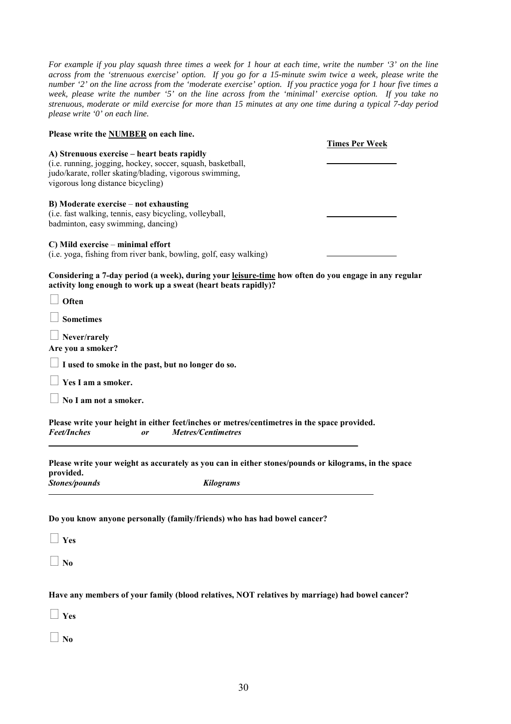*For example if you play squash three times a week for 1 hour at each time, write the number '3' on the line across from the 'strenuous exercise' option. If you go for a 15-minute swim twice a week, please write the number '2' on the line across from the 'moderate exercise' option. If you practice yoga for 1 hour five times a week, please write the number '5' on the line across from the 'minimal' exercise option. If you take no strenuous, moderate or mild exercise for more than 15 minutes at any one time during a typical 7-day period please write '0' on each line.*

## **Please write the NUMBER on each line. Times Per Week** A) Strenuous exercise – heart beats rapidly (i.e. running, jogging, hockey, soccer, squash, basketball, judo/karate, roller skating/blading, vigorous swimming, vigorous long distance bicycling) **B)** Moderate exercise – not exhausting (i.e. fast walking, tennis, easy bicycling, volleyball, badminton, easy swimming, dancing) **C)** Mild exercise – minimal effort (i.e. yoga, fishing from river bank, bowling, golf, easy walking) **Considering a 7-day period (a week), during your leisure-time how often do you engage in any regular activity long enough to work up a sweat (heart beats rapidly)? Often ڤ Sometimes ڤ ڤ Never/rarely Are you a smoker? ڤ I used to smoke in the past, but no longer do so. ڤ Yes I am a smoker. ڤ No I am not a smoker. Please write your height in either feet/inches or metres/centimetres in the space provided.** *Feet/Inches or Metres/Centimetres*  **Please write your weight as accurately as you can in either stones/pounds or kilograms, in the space provided.**

*Stones/pounds Kilograms* 

### **Do you know anyone personally (family/friends) who has had bowel cancer?**

 $\frac{1}{2}$   $\frac{1}{2}$   $\frac{1}{2}$   $\frac{1}{2}$   $\frac{1}{2}$   $\frac{1}{2}$   $\frac{1}{2}$   $\frac{1}{2}$   $\frac{1}{2}$   $\frac{1}{2}$   $\frac{1}{2}$   $\frac{1}{2}$   $\frac{1}{2}$   $\frac{1}{2}$   $\frac{1}{2}$   $\frac{1}{2}$   $\frac{1}{2}$   $\frac{1}{2}$   $\frac{1}{2}$   $\frac{1}{2}$   $\frac{1}{2}$   $\frac{1}{2}$ 

 $\vert \ \vert_{\mathbf{N}\mathbf{0}}$ 

### **Have any members of your family (blood relatives, NOT relatives by marriage) had bowel cancer?**

 $\Box$  **Yes** 

 $\overline{\mathbf{N}}$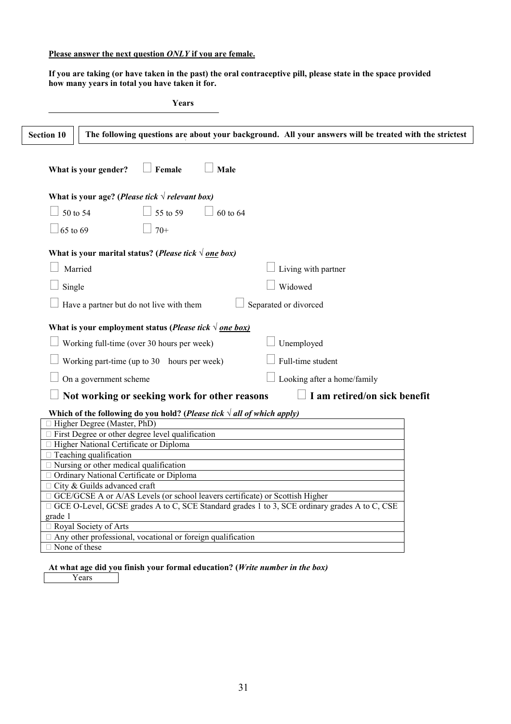### **Please answer the next question** *ONLY* **if you are female.**

**If you are taking (or have taken in the past) the oral contraceptive pill, please state in the space provided how many years in total you have taken it for.**

|                   | Years                                                                                                          |                              |
|-------------------|----------------------------------------------------------------------------------------------------------------|------------------------------|
| <b>Section 10</b> | The following questions are about your background. All your answers will be treated with the strictest         |                              |
|                   | Female<br>What is your gender?<br>Male                                                                         |                              |
|                   | What is your age? ( <i>Please tick</i> $\sqrt{\textit{relevant box}}$ )                                        |                              |
|                   | 55 to 59<br>50 to 54<br>60 to 64                                                                               |                              |
| $\Box$ 65 to 69   | $70+$                                                                                                          |                              |
|                   | What is your marital status? ( <i>Please tick</i> $\sqrt{one}$ <i>box</i> )                                    |                              |
|                   | Married<br>Living with partner                                                                                 |                              |
|                   | Widowed<br>Single                                                                                              |                              |
|                   | Have a partner but do not live with them<br>Separated or divorced                                              |                              |
|                   | What is your employment status ( <i>Please tick</i> $\sqrt{one box}$ )                                         |                              |
|                   |                                                                                                                |                              |
|                   | Unemployed<br>Working full-time (over 30 hours per week)                                                       |                              |
|                   | Working part-time (up to 30 hours per week)<br>Full-time student                                               |                              |
|                   | On a government scheme<br>Looking after a home/family                                                          |                              |
|                   | Not working or seeking work for other reasons                                                                  | I am retired/on sick benefit |
|                   | Which of the following do you hold? ( <i>Please tick</i> $\sqrt{all of which apply}$ )                         |                              |
|                   | □ Higher Degree (Master, PhD)                                                                                  |                              |
|                   | $\Box$ First Degree or other degree level qualification                                                        |                              |
|                   | □ Higher National Certificate or Diploma                                                                       |                              |
|                   | $\Box$ Teaching qualification                                                                                  |                              |
|                   | $\Box$ Nursing or other medical qualification                                                                  |                              |
|                   | □ Ordinary National Certificate or Diploma                                                                     |                              |
|                   | City & Guilds advanced craft<br>□ GCE/GCSE A or A/AS Levels (or school leavers certificate) or Scottish Higher |                              |
|                   | $\Box$ GCE O-Level, GCSE grades A to C, SCE Standard grades 1 to 3, SCE ordinary grades A to C, CSE            |                              |
| grade 1           |                                                                                                                |                              |
|                   | Royal Society of Arts                                                                                          |                              |
|                   | $\Box$ Any other professional, vocational or foreign qualification                                             |                              |
|                   | □ None of these                                                                                                |                              |
|                   |                                                                                                                |                              |

**At what age did you finish your formal education? (***Write number in the box)*

Years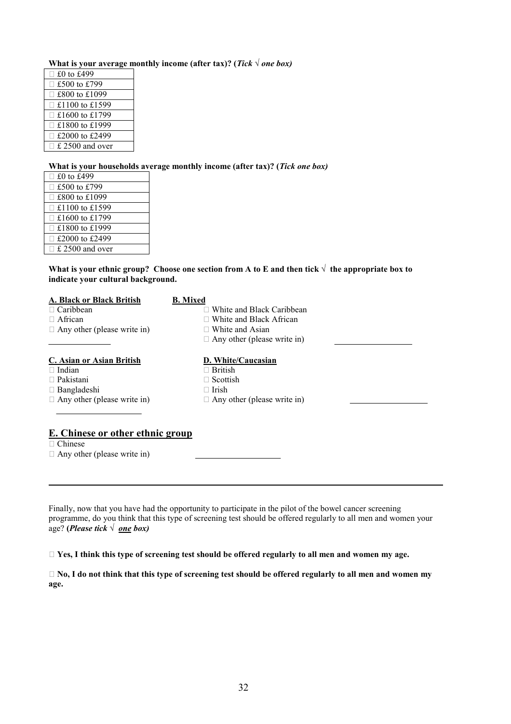### **What is your average monthly income (after tax)? (***Tick* $\sqrt{$ *one box***)**

| $\Box$ £0 to £499      |
|------------------------|
| □ £500 to £799         |
| $\Box$ £800 to £1099   |
| $\Box$ £1100 to £1599  |
| $\Box$ £1600 to £1799  |
| $\Box$ £1800 to £1999  |
| $\Box$ £2000 to £2499  |
| $\Box$ £ 2500 and over |

### **What is your households average monthly income (after tax)? (***Tick one box)*

| $\Box$ £0 to £499      |
|------------------------|
| $\Box$ £500 to £799    |
| $\Box$ £800 to £1099   |
| $\Box$ £1100 to £1599  |
| $\Box$ £1600 to £1799  |
| $\Box$ £1800 to £1999  |
| $\Box$ £2000 to £2499  |
| $\Box$ £ 2500 and over |

### **What is your ethnic group?** Choose one section from A to E and then tick  $\sqrt{}$  the appropriate box to **indicate your cultural background.**

| A. Black or Black British<br>$\Box$ Caribbean<br>$\Box$ African<br>$\Box$ Any other (please write in)                      | <b>B.</b> Mixed<br>White and Black Caribbean<br>$\overline{\phantom{a}}$<br>White and Black African<br>$\Box$ White and Asian<br>$\Box$ Any other (please write in) |  |
|----------------------------------------------------------------------------------------------------------------------------|---------------------------------------------------------------------------------------------------------------------------------------------------------------------|--|
| C. Asian or Asian British<br>$\Box$ Indian<br>$\Box$ Pakistani<br>$\Box$ Bangladeshi<br>$\Box$ Any other (please write in) | D. White/Caucasian<br><b>British</b><br>$\Box$ Scottish<br>$\Box$ Irish<br>$\Box$ Any other (please write in)                                                       |  |
| E. Chinese or other ethnic group                                                                                           |                                                                                                                                                                     |  |

 $\Box$  Chinese

 $\Box$  Any other (please write in)

Finally, now that you have had the opportunity to participate in the pilot of the bowel cancer screening programme, do you think that this type of screening test should be offered regularly to all men and women your age? **(***Please tick* **√** *one box)*

**ڤ Yes, I think this type of screening test should be offered regularly to all men and women my age.**

**ڤ No, I do not think that this type of screening test should be offered regularly to all men and women my age.**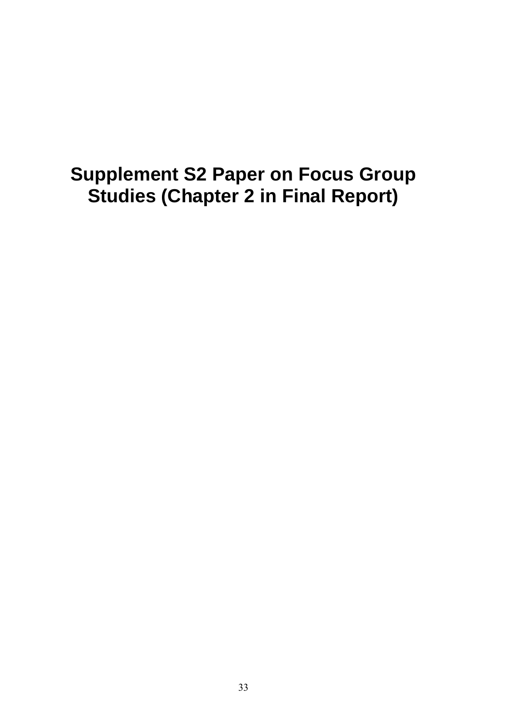# **Supplement S2 Paper on Focus Group Studies (Chapter 2 in Final Report)**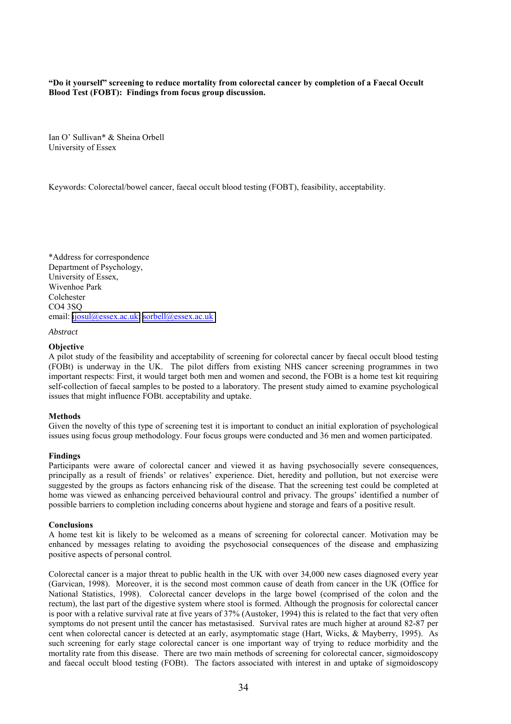**ìDo it yourselfî screening to reduce mortality from colorectal cancer by completion of a Faecal Occult Blood Test (FOBT): Findings from focus group discussion.**

Ian O' Sullivan\* & Sheina Orbell University of Essex

Keywords: Colorectal/bowel cancer, faecal occult blood testing (FOBT), feasibility, acceptability.

\*Address for correspondence Department of Psychology, University of Essex, Wivenhoe Park Colchester CO4 3SQ email: [ijosul@essex.ac.uk;](mailto:ijosul@essex.ac.uk) [sorbell@essex.ac.uk](mailto:sorbell@essex.ac.uk)

*Abstract*

### **Objective**

A pilot study of the feasibility and acceptability of screening for colorectal cancer by faecal occult blood testing (FOBt) is underway in the UK. The pilot differs from existing NHS cancer screening programmes in two important respects: First, it would target both men and women and second, the FOBt is a home test kit requiring self-collection of faecal samples to be posted to a laboratory. The present study aimed to examine psychological issues that might influence FOBt. acceptability and uptake.

### **Methods**

Given the novelty of this type of screening test it is important to conduct an initial exploration of psychological issues using focus group methodology. Four focus groups were conducted and 36 men and women participated.

### **Findings**

Participants were aware of colorectal cancer and viewed it as having psychosocially severe consequences, principally as a result of friends' or relatives' experience. Diet, heredity and pollution, but not exercise were suggested by the groups as factors enhancing risk of the disease. That the screening test could be completed at home was viewed as enhancing perceived behavioural control and privacy. The groups' identified a number of possible barriers to completion including concerns about hygiene and storage and fears of a positive result.

### **Conclusions**

A home test kit is likely to be welcomed as a means of screening for colorectal cancer. Motivation may be enhanced by messages relating to avoiding the psychosocial consequences of the disease and emphasizing positive aspects of personal control.

Colorectal cancer is a major threat to public health in the UK with over 34,000 new cases diagnosed every year (Garvican, 1998). Moreover, it is the second most common cause of death from cancer in the UK (Office for National Statistics, 1998). Colorectal cancer develops in the large bowel (comprised of the colon and the rectum), the last part of the digestive system where stool is formed. Although the prognosis for colorectal cancer is poor with a relative survival rate at five years of 37% (Austoker, 1994) this is related to the fact that very often symptoms do not present until the cancer has metastasised. Survival rates are much higher at around 82-87 per cent when colorectal cancer is detected at an early, asymptomatic stage (Hart, Wicks, & Mayberry, 1995). As such screening for early stage colorectal cancer is one important way of trying to reduce morbidity and the mortality rate from this disease. There are two main methods of screening for colorectal cancer, sigmoidoscopy and faecal occult blood testing (FOBt). The factors associated with interest in and uptake of sigmoidoscopy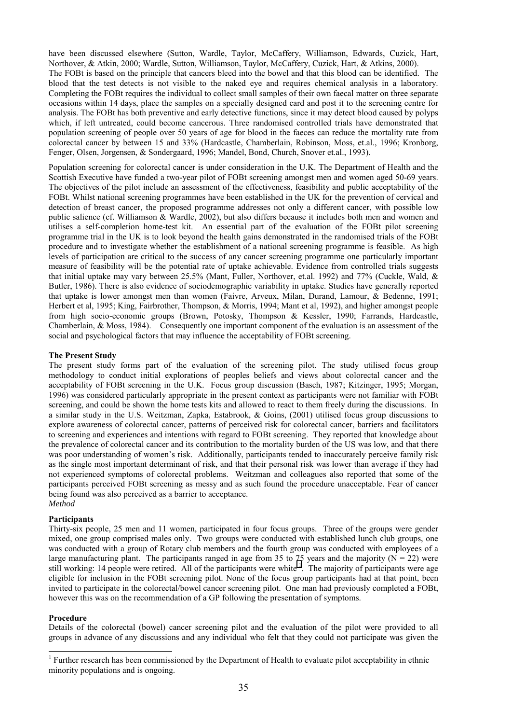have been discussed elsewhere (Sutton, Wardle, Taylor, McCaffery, Williamson, Edwards, Cuzick, Hart, Northover, & Atkin, 2000; Wardle, Sutton, Williamson, Taylor, McCaffery, Cuzick, Hart, & Atkins, 2000). The FOBt is based on the principle that cancers bleed into the bowel and that this blood can be identified. The blood that the test detects is not visible to the naked eye and requires chemical analysis in a laboratory. Completing the FOBt requires the individual to collect small samples of their own faecal matter on three separate occasions within 14 days, place the samples on a specially designed card and post it to the screening centre for analysis. The FOBt has both preventive and early detective functions, since it may detect blood caused by polyps which, if left untreated, could become cancerous. Three randomised controlled trials have demonstrated that population screening of people over 50 years of age for blood in the faeces can reduce the mortality rate from colorectal cancer by between 15 and 33% (Hardcastle, Chamberlain, Robinson, Moss, et.al., 1996; Kronborg, Fenger, Olsen, Jorgensen, & Sondergaard, 1996; Mandel, Bond, Church, Snover et.al., 1993).

Population screening for colorectal cancer is under consideration in the U.K. The Department of Health and the Scottish Executive have funded a two-year pilot of FOBt screening amongst men and women aged 50-69 years. The objectives of the pilot include an assessment of the effectiveness, feasibility and public acceptability of the FOBt. Whilst national screening programmes have been established in the UK for the prevention of cervical and detection of breast cancer, the proposed programme addresses not only a different cancer, with possible low public salience (cf. Williamson & Wardle, 2002), but also differs because it includes both men and women and utilises a self-completion home-test kit. An essential part of the evaluation of the FOBt pilot screening programme trial in the UK is to look beyond the health gains demonstrated in the randomised trials of the FOBt procedure and to investigate whether the establishment of a national screening programme is feasible. As high levels of participation are critical to the success of any cancer screening programme one particularly important measure of feasibility will be the potential rate of uptake achievable. Evidence from controlled trials suggests that initial uptake may vary between 25.5% (Mant, Fuller, Northover, et.al. 1992) and 77% (Cuckle, Wald, & Butler, 1986). There is also evidence of sociodemographic variability in uptake. Studies have generally reported that uptake is lower amongst men than women (Faivre, Arveux, Milan, Durand, Lamour, & Bedenne, 1991; Herbert et al, 1995; King, Fairbrother, Thompson, & Morris, 1994; Mant et al, 1992), and higher amongst people from high socio-economic groups (Brown, Potosky, Thompson & Kessler, 1990; Farrands, Hardcastle, Chamberlain, & Moss, 1984). Consequently one important component of the evaluation is an assessment of the social and psychological factors that may influence the acceptability of FOBt screening.

### **The Present Study**

The present study forms part of the evaluation of the screening pilot. The study utilised focus group methodology to conduct initial explorations of peoples beliefs and views about colorectal cancer and the acceptability of FOBt screening in the U.K. Focus group discussion (Basch, 1987; Kitzinger, 1995; Morgan, 1996) was considered particularly appropriate in the present context as participants were not familiar with FOBt screening, and could be shown the home tests kits and allowed to react to them freely during the discussions. In a similar study in the U.S. Weitzman, Zapka, Estabrook, & Goins, (2001) utilised focus group discussions to explore awareness of colorectal cancer, patterns of perceived risk for colorectal cancer, barriers and facilitators to screening and experiences and intentions with regard to FOBt screening. They reported that knowledge about the prevalence of colorectal cancer and its contribution to the mortality burden of the US was low, and that there was poor understanding of women's risk. Additionally, participants tended to inaccurately perceive family risk as the single most important determinant of risk, and that their personal risk was lower than average if they had not experienced symptoms of colorectal problems. Weitzman and colleagues also reported that some of the participants perceived FOBt screening as messy and as such found the procedure unacceptable. Fear of cancer being found was also perceived as a barrier to acceptance. *Method*

### **Participants**

Thirty-six people, 25 men and 11 women, participated in four focus groups. Three of the groups were gender mixed, one group comprised males only. Two groups were conducted with established lunch club groups, one was conducted with a group of Rotary club members and the fourth group was conducted with employees of a large manufacturing plant. The participants ranged in age from 35 to 75 years and the majority ( $N = 22$ ) were still working: 14 people were retired. All of the participants were white <sup>1</sup>. The majority of participants were age eligible for inclusion in the FOBt screening pilot. None of the focus group participants had at that point, been invited to participate in the colorectal/bowel cancer screening pilot. One man had previously completed a FOBt, however this was on the recommendation of a GP following the presentation of symptoms.

### **Procedure**

 $\overline{a}$ 

Details of the colorectal (bowel) cancer screening pilot and the evaluation of the pilot were provided to all groups in advance of any discussions and any individual who felt that they could not participate was given the

<sup>&</sup>lt;sup>1</sup> Further research has been commissioned by the Department of Health to evaluate pilot acceptability in ethnic minority populations and is ongoing.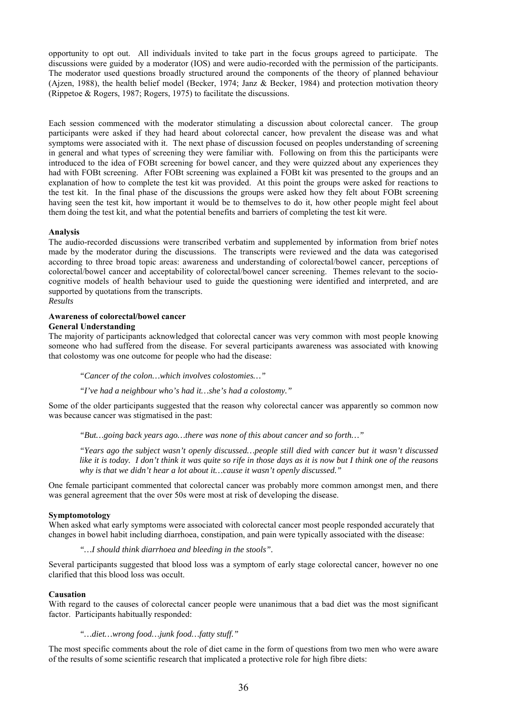opportunity to opt out. All individuals invited to take part in the focus groups agreed to participate. The discussions were guided by a moderator (IOS) and were audio-recorded with the permission of the participants. The moderator used questions broadly structured around the components of the theory of planned behaviour (Ajzen, 1988), the health belief model (Becker, 1974; Janz & Becker, 1984) and protection motivation theory (Rippetoe & Rogers, 1987; Rogers, 1975) to facilitate the discussions.

Each session commenced with the moderator stimulating a discussion about colorectal cancer. The group participants were asked if they had heard about colorectal cancer, how prevalent the disease was and what symptoms were associated with it. The next phase of discussion focused on peoples understanding of screening in general and what types of screening they were familiar with. Following on from this the participants were introduced to the idea of FOBt screening for bowel cancer, and they were quizzed about any experiences they had with FOBt screening. After FOBt screening was explained a FOBt kit was presented to the groups and an explanation of how to complete the test kit was provided. At this point the groups were asked for reactions to the test kit. In the final phase of the discussions the groups were asked how they felt about FOBt screening having seen the test kit, how important it would be to themselves to do it, how other people might feel about them doing the test kit, and what the potential benefits and barriers of completing the test kit were.

### **Analysis**

The audio-recorded discussions were transcribed verbatim and supplemented by information from brief notes made by the moderator during the discussions. The transcripts were reviewed and the data was categorised according to three broad topic areas: awareness and understanding of colorectal/bowel cancer, perceptions of colorectal/bowel cancer and acceptability of colorectal/bowel cancer screening. Themes relevant to the sociocognitive models of health behaviour used to guide the questioning were identified and interpreted, and are supported by quotations from the transcripts. *Results*

## **Awareness of colorectal/bowel cancer**

### **General Understanding**

The majority of participants acknowledged that colorectal cancer was very common with most people knowing someone who had suffered from the disease. For several participants awareness was associated with knowing that colostomy was one outcome for people who had the disease:

*"Cancer of the colon…which involves colostomies…"*

*"I've had a neighbour who's had it…she's had a colostomy."*

Some of the older participants suggested that the reason why colorectal cancer was apparently so common now was because cancer was stigmatised in the past:

*"But…going back years ago…there was none of this about cancer and so forth…"*

*"Years ago the subject wasn't openly discussed…people still died with cancer but it wasn't discussed like it is today. I don't think it was quite so rife in those days as it is now but I think one of the reasons why is that we didn't hear a lot about it…cause it wasn't openly discussed."*

One female participant commented that colorectal cancer was probably more common amongst men, and there was general agreement that the over 50s were most at risk of developing the disease.

### **Symptomotology**

When asked what early symptoms were associated with colorectal cancer most people responded accurately that changes in bowel habit including diarrhoea, constipation, and pain were typically associated with the disease:

*"…I should think diarrhoea and bleeding in the stools".*

Several participants suggested that blood loss was a symptom of early stage colorectal cancer, however no one clarified that this blood loss was occult.

### **Causation**

With regard to the causes of colorectal cancer people were unanimous that a bad diet was the most significant factor. Participants habitually responded:

### *"…diet…wrong food…junk food…fatty stuff."*

The most specific comments about the role of diet came in the form of questions from two men who were aware of the results of some scientific research that implicated a protective role for high fibre diets: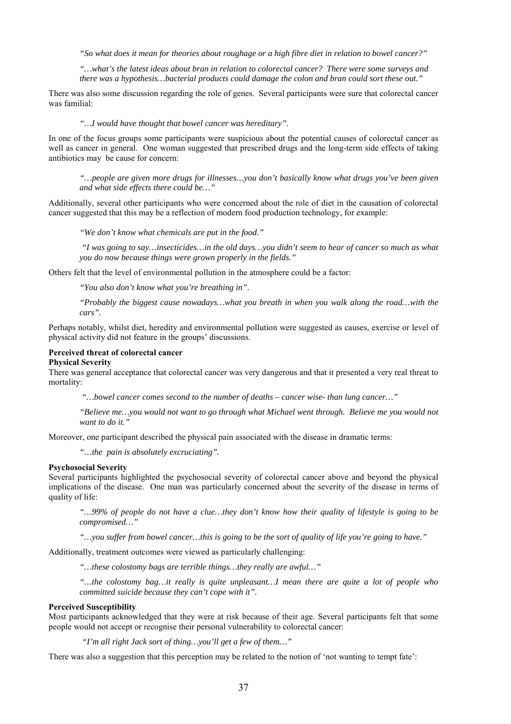*"So what does it mean for theories about roughage or a high fibre diet in relation to bowel cancer?"*

*"…what's the latest ideas about bran in relation to colorectal cancer? There were some surveys and there was a hypothesis…bacterial products could damage the colon and bran could sort these out."*

There was also some discussion regarding the role of genes. Several participants were sure that colorectal cancer was familial:

*"…I would have thought that bowel cancer was hereditary".*

In one of the focus groups some participants were suspicious about the potential causes of colorectal cancer as well as cancer in general. One woman suggested that prescribed drugs and the long-term side effects of taking antibiotics may be cause for concern:

*"…people are given more drugs for illnesses…you don't basically know what drugs you've been given and what side effects there could be…"*

Additionally, several other participants who were concerned about the role of diet in the causation of colorectal cancer suggested that this may be a reflection of modern food production technology, for example:

*"We don't know what chemicals are put in the food."*

 *"I was going to say…insecticides…in the old days…you didn't seem to hear of cancer so much as what you do now because things were grown properly in the fields."*

Others felt that the level of environmental pollution in the atmosphere could be a factor:

*"You also don't know what you're breathing in".*

*"Probably the biggest cause nowadays…what you breath in when you walk along the road…with the cars".*

Perhaps notably, whilst diet, heredity and environmental pollution were suggested as causes, exercise or level of physical activity did not feature in the groups' discussions.

#### **Perceived threat of colorectal cancer**

#### **Physical Severity**

There was general acceptance that colorectal cancer was very dangerous and that it presented a very real threat to mortality:

 *"…bowel cancer comes second to the number of deaths – cancer wise- than lung cancer…"*

*"Believe me…you would not want to go through what Michael went through. Believe me you would not want to do it."*

Moreover, one participant described the physical pain associated with the disease in dramatic terms:

*"…the pain is absolutely excruciating".*

#### **Psychosocial Severity**

Several participants highlighted the psychosocial severity of colorectal cancer above and beyond the physical implications of the disease. One man was particularly concerned about the severity of the disease in terms of quality of life:

*"…99% of people do not have a clue…they don't know how their quality of lifestyle is going to be compromised…"*

*"…you suffer from bowel cancer…this is going to be the sort of quality of life you're going to have."*

Additionally, treatment outcomes were viewed as particularly challenging:

*"…these colostomy bags are terrible things…they really are awful…"*

*"…the colostomy bag…it really is quite unpleasant…I mean there are quite a lot of people who committed suicide because they can't cope with it".*

#### **Perceived Susceptibility**

Most participants acknowledged that they were at risk because of their age. Several participants felt that some people would not accept or recognise their personal vulnerability to colorectal cancer:

*"I'm all right Jack sort of thing…you'll get a few of them…"*

There was also a suggestion that this perception may be related to the notion of 'not wanting to tempt fate':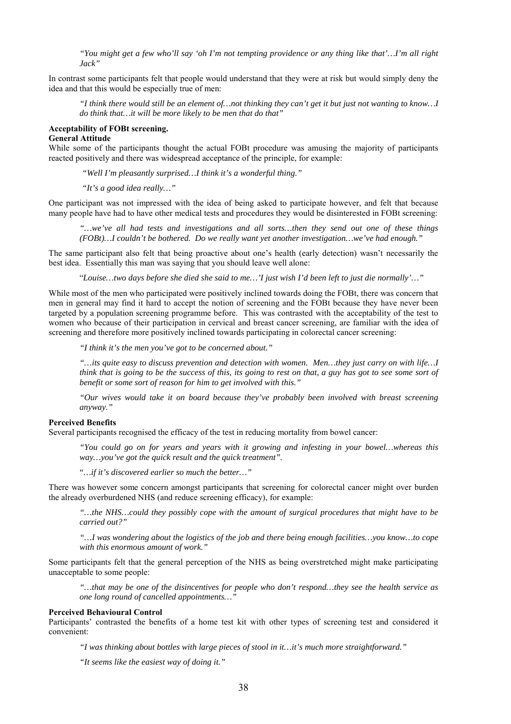*"You might get a few who'll say 'oh I'm not tempting providence or any thing like that'…I'm all right Jack"*

In contrast some participants felt that people would understand that they were at risk but would simply deny the idea and that this would be especially true of men:

*"I think there would still be an element of…not thinking they can't get it but just not wanting to know…I do think that…it will be more likely to be men that do that"*

#### **Acceptability of FOBt screening. General Attitude**

While some of the participants thought the actual FOBt procedure was amusing the majority of participants reacted positively and there was widespread acceptance of the principle, for example:

*"Well I'm pleasantly surprised…I think it's a wonderful thing."*

*"It's a good idea really…"*

One participant was not impressed with the idea of being asked to participate however, and felt that because many people have had to have other medical tests and procedures they would be disinterested in FOBt screening:

*"…we've all had tests and investigations and all sorts…then they send out one of these things (FOBt)…I couldn't be bothered. Do we really want yet another investigation…we've had enough."*

The same participant also felt that being proactive about one's health (early detection) wasn't necessarily the best idea. Essentially this man was saying that you should leave well alone:

ì*Louise…two days before she died she said to me…'I just wish I'd been left to just die normally'…"*

While most of the men who participated were positively inclined towards doing the FOBt, there was concern that men in general may find it hard to accept the notion of screening and the FOBt because they have never been targeted by a population screening programme before. This was contrasted with the acceptability of the test to women who because of their participation in cervical and breast cancer screening, are familiar with the idea of screening and therefore more positively inclined towards participating in colorectal cancer screening:

*"I think it's the men you've got to be concerned about."*

*"…its quite easy to discuss prevention and detection with women. Men…they just carry on with life…I think that is going to be the success of this, its going to rest on that, a guy has got to see some sort of benefit or some sort of reason for him to get involved with this."*

*"Our wives would take it on board because they've probably been involved with breast screening anyway."*

#### **Perceived Benefits**

Several participants recognised the efficacy of the test in reducing mortality from bowel cancer:

*"You could go on for years and years with it growing and infesting in your bowel…whereas this way…you've got the quick result and the quick treatment".*

*"…if it's discovered earlier so much the better…"*

There was however some concern amongst participants that screening for colorectal cancer might over burden the already overburdened NHS (and reduce screening efficacy), for example:

*"…the NHS…could they possibly cope with the amount of surgical procedures that might have to be carried out?"*

*"…I was wondering about the logistics of the job and there being enough facilities…you know…to cope with this enormous amount of work."*

Some participants felt that the general perception of the NHS as being overstretched might make participating unacceptable to some people:

*"…that may be one of the disincentives for people who don't respond…they see the health service as one long round of cancelled appointments…"*

#### **Perceived Behavioural Control**

Participants' contrasted the benefits of a home test kit with other types of screening test and considered it convenient:

*"I was thinking about bottles with large pieces of stool in it…it's much more straightforward."*

*"It seems like the easiest way of doing it."*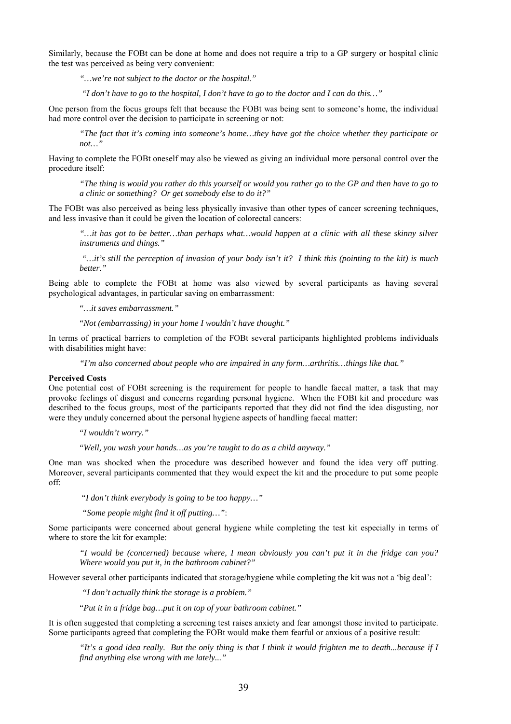Similarly, because the FOBt can be done at home and does not require a trip to a GP surgery or hospital clinic the test was perceived as being very convenient:

*"…we're not subject to the doctor or the hospital."*

 *"I don't have to go to the hospital, I don't have to go to the doctor and I can do this…"*

One person from the focus groups felt that because the FOBt was being sent to someone's home, the individual had more control over the decision to participate in screening or not:

*"The fact that it's coming into someone's home…they have got the choice whether they participate or not…"*

Having to complete the FOBt oneself may also be viewed as giving an individual more personal control over the procedure itself:

*"The thing is would you rather do this yourself or would you rather go to the GP and then have to go to a clinic or something? Or get somebody else to do it?"*

The FOBt was also perceived as being less physically invasive than other types of cancer screening techniques, and less invasive than it could be given the location of colorectal cancers:

*"…it has got to be better…than perhaps what…would happen at a clinic with all these skinny silver instruments and things."*

 *"…it's still the perception of invasion of your body isn't it? I think this (pointing to the kit) is much better."*

Being able to complete the FOBt at home was also viewed by several participants as having several psychological advantages, in particular saving on embarrassment:

*"…it saves embarrassment."*

*"Not (embarrassing) in your home I wouldn't have thought."*

In terms of practical barriers to completion of the FOBt several participants highlighted problems individuals with disabilities might have:

*"I'm also concerned about people who are impaired in any form…arthritis…things like that."*

#### **Perceived Costs**

One potential cost of FOBt screening is the requirement for people to handle faecal matter, a task that may provoke feelings of disgust and concerns regarding personal hygiene. When the FOBt kit and procedure was described to the focus groups, most of the participants reported that they did not find the idea disgusting, nor were they unduly concerned about the personal hygiene aspects of handling faecal matter:

*"I wouldn't worry."*

*"Well, you wash your hands…as you're taught to do as a child anyway."*

One man was shocked when the procedure was described however and found the idea very off putting. Moreover, several participants commented that they would expect the kit and the procedure to put some people off:

 *"I don't think everybody is going to be too happy…"*

*"Some people might find it off putting…"*:

Some participants were concerned about general hygiene while completing the test kit especially in terms of where to store the kit for example:

*"I would be (concerned) because where, I mean obviously you can't put it in the fridge can you? Where would you put it, in the bathroom cabinet?"*

However several other participants indicated that storage/hygiene while completing the kit was not a 'big deal':

*"I don't actually think the storage is a problem."*

*"Put it in a fridge bag…put it on top of your bathroom cabinet."*

It is often suggested that completing a screening test raises anxiety and fear amongst those invited to participate. Some participants agreed that completing the FOBt would make them fearful or anxious of a positive result:

*"It's a good idea really. But the only thing is that I think it would frighten me to death...because if I find anything else wrong with me lately..."*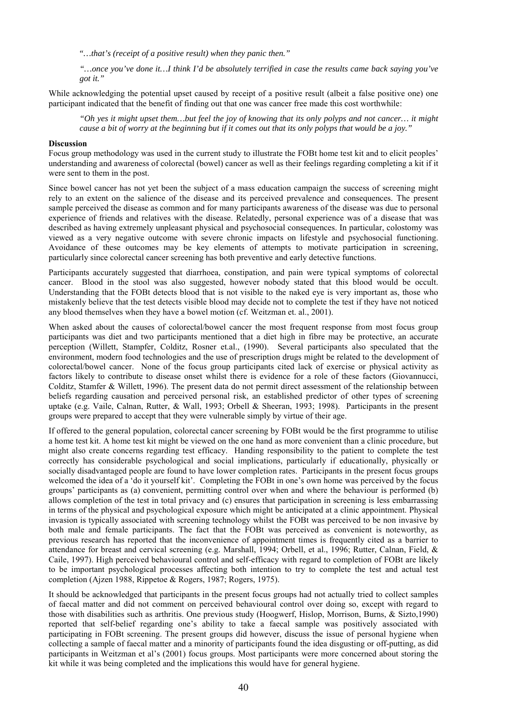*"…that's (receipt of a positive result) when they panic then."*

*"…once you've done it…I think I'd be absolutely terrified in case the results came back saying you've got it."*

While acknowledging the potential upset caused by receipt of a positive result (albeit a false positive one) one participant indicated that the benefit of finding out that one was cancer free made this cost worthwhile:

*"Oh yes it might upset them…but feel the joy of knowing that its only polyps and not cancer… it might cause a bit of worry at the beginning but if it comes out that its only polyps that would be a joy."*

#### **Discussion**

Focus group methodology was used in the current study to illustrate the FOBt home test kit and to elicit peoples<sup>7</sup> understanding and awareness of colorectal (bowel) cancer as well as their feelings regarding completing a kit if it were sent to them in the post.

Since bowel cancer has not yet been the subject of a mass education campaign the success of screening might rely to an extent on the salience of the disease and its perceived prevalence and consequences. The present sample perceived the disease as common and for many participants awareness of the disease was due to personal experience of friends and relatives with the disease. Relatedly, personal experience was of a disease that was described as having extremely unpleasant physical and psychosocial consequences. In particular, colostomy was viewed as a very negative outcome with severe chronic impacts on lifestyle and psychosocial functioning. Avoidance of these outcomes may be key elements of attempts to motivate participation in screening, particularly since colorectal cancer screening has both preventive and early detective functions.

Participants accurately suggested that diarrhoea, constipation, and pain were typical symptoms of colorectal cancer. Blood in the stool was also suggested, however nobody stated that this blood would be occult. Understanding that the FOBt detects blood that is not visible to the naked eye is very important as, those who mistakenly believe that the test detects visible blood may decide not to complete the test if they have not noticed any blood themselves when they have a bowel motion (cf. Weitzman et. al., 2001).

When asked about the causes of colorectal/bowel cancer the most frequent response from most focus group participants was diet and two participants mentioned that a diet high in fibre may be protective, an accurate perception (Willett, Stampfer, Colditz, Rosner et.al., (1990). Several participants also speculated that the environment, modern food technologies and the use of prescription drugs might be related to the development of colorectal/bowel cancer. None of the focus group participants cited lack of exercise or physical activity as factors likely to contribute to disease onset whilst there is evidence for a role of these factors (Giovannucci, Colditz, Stamfer & Willett, 1996). The present data do not permit direct assessment of the relationship between beliefs regarding causation and perceived personal risk, an established predictor of other types of screening uptake (e.g. Vaile, Calnan, Rutter, & Wall, 1993; Orbell & Sheeran, 1993; 1998). Participants in the present groups were prepared to accept that they were vulnerable simply by virtue of their age.

If offered to the general population, colorectal cancer screening by FOBt would be the first programme to utilise a home test kit. A home test kit might be viewed on the one hand as more convenient than a clinic procedure, but might also create concerns regarding test efficacy. Handing responsibility to the patient to complete the test correctly has considerable psychological and social implications, particularly if educationally, physically or socially disadvantaged people are found to have lower completion rates. Participants in the present focus groups welcomed the idea of a 'do it yourself kit'. Completing the FOBt in one's own home was perceived by the focus groupsí participants as (a) convenient, permitting control over when and where the behaviour is performed (b) allows completion of the test in total privacy and (c) ensures that participation in screening is less embarrassing in terms of the physical and psychological exposure which might be anticipated at a clinic appointment. Physical invasion is typically associated with screening technology whilst the FOBt was perceived to be non invasive by both male and female participants. The fact that the FOBt was perceived as convenient is noteworthy, as previous research has reported that the inconvenience of appointment times is frequently cited as a barrier to attendance for breast and cervical screening (e.g. Marshall, 1994; Orbell, et al., 1996; Rutter, Calnan, Field, & Caile, 1997). High perceived behavioural control and self-efficacy with regard to completion of FOBt are likely to be important psychological processes affecting both intention to try to complete the test and actual test completion (Ajzen 1988, Rippetoe & Rogers, 1987; Rogers, 1975).

It should be acknowledged that participants in the present focus groups had not actually tried to collect samples of faecal matter and did not comment on perceived behavioural control over doing so, except with regard to those with disabilities such as arthritis. One previous study (Hoogwerf, Hislop, Morrison, Burns, & Sizto,1990) reported that self-belief regarding one's ability to take a faecal sample was positively associated with participating in FOBt screening. The present groups did however, discuss the issue of personal hygiene when collecting a sample of faecal matter and a minority of participants found the idea disgusting or off-putting, as did participants in Weitzman et al's (2001) focus groups. Most participants were more concerned about storing the kit while it was being completed and the implications this would have for general hygiene.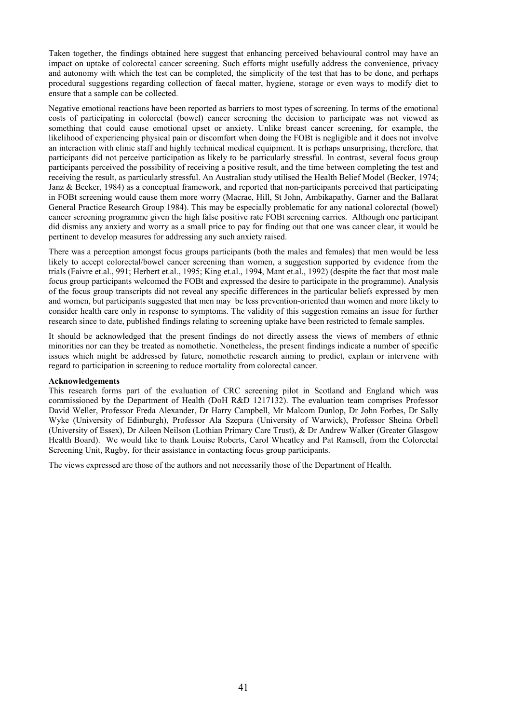Taken together, the findings obtained here suggest that enhancing perceived behavioural control may have an impact on uptake of colorectal cancer screening. Such efforts might usefully address the convenience, privacy and autonomy with which the test can be completed, the simplicity of the test that has to be done, and perhaps procedural suggestions regarding collection of faecal matter, hygiene, storage or even ways to modify diet to ensure that a sample can be collected.

Negative emotional reactions have been reported as barriers to most types of screening. In terms of the emotional costs of participating in colorectal (bowel) cancer screening the decision to participate was not viewed as something that could cause emotional upset or anxiety. Unlike breast cancer screening, for example, the likelihood of experiencing physical pain or discomfort when doing the FOBt is negligible and it does not involve an interaction with clinic staff and highly technical medical equipment. It is perhaps unsurprising, therefore, that participants did not perceive participation as likely to be particularly stressful. In contrast, several focus group participants perceived the possibility of receiving a positive result, and the time between completing the test and receiving the result, as particularly stressful. An Australian study utilised the Health Belief Model (Becker, 1974; Janz & Becker, 1984) as a conceptual framework, and reported that non-participants perceived that participating in FOBt screening would cause them more worry (Macrae, Hill, St John, Ambikapathy, Garner and the Ballarat General Practice Research Group 1984). This may be especially problematic for any national colorectal (bowel) cancer screening programme given the high false positive rate FOBt screening carries. Although one participant did dismiss any anxiety and worry as a small price to pay for finding out that one was cancer clear, it would be pertinent to develop measures for addressing any such anxiety raised.

There was a perception amongst focus groups participants (both the males and females) that men would be less likely to accept colorectal/bowel cancer screening than women, a suggestion supported by evidence from the trials (Faivre et.al., 991; Herbert et.al., 1995; King et.al., 1994, Mant et.al., 1992) (despite the fact that most male focus group participants welcomed the FOBt and expressed the desire to participate in the programme). Analysis of the focus group transcripts did not reveal any specific differences in the particular beliefs expressed by men and women, but participants suggested that men may be less prevention-oriented than women and more likely to consider health care only in response to symptoms. The validity of this suggestion remains an issue for further research since to date, published findings relating to screening uptake have been restricted to female samples.

It should be acknowledged that the present findings do not directly assess the views of members of ethnic minorities nor can they be treated as nomothetic. Nonetheless, the present findings indicate a number of specific issues which might be addressed by future, nomothetic research aiming to predict, explain or intervene with regard to participation in screening to reduce mortality from colorectal cancer.

#### **Acknowledgements**

This research forms part of the evaluation of CRC screening pilot in Scotland and England which was commissioned by the Department of Health (DoH R&D 1217132). The evaluation team comprises Professor David Weller, Professor Freda Alexander, Dr Harry Campbell, Mr Malcom Dunlop, Dr John Forbes, Dr Sally Wyke (University of Edinburgh), Professor Ala Szepura (University of Warwick), Professor Sheina Orbell (University of Essex), Dr Aileen Neilson (Lothian Primary Care Trust), & Dr Andrew Walker (Greater Glasgow Health Board). We would like to thank Louise Roberts, Carol Wheatley and Pat Ramsell, from the Colorectal Screening Unit, Rugby, for their assistance in contacting focus group participants.

The views expressed are those of the authors and not necessarily those of the Department of Health.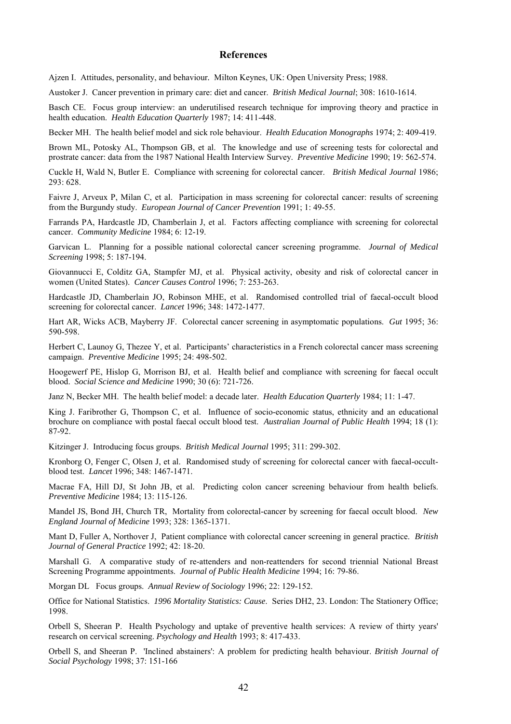#### **References**

Ajzen I. Attitudes, personality, and behaviour*.* Milton Keynes, UK: Open University Press; 1988.

Austoker J. Cancer prevention in primary care: diet and cancer. *British Medical Journal*; 308: 1610-1614.

Basch CE. Focus group interview: an underutilised research technique for improving theory and practice in health education. *Health Education Quarterly* 1987; 14: 411-448.

Becker MH. The health belief model and sick role behaviour. *Health Education Monographs* 1974; 2: 409-419.

Brown ML, Potosky AL, Thompson GB, et al. The knowledge and use of screening tests for colorectal and prostrate cancer: data from the 1987 National Health Interview Survey. *Preventive Medicine* 1990; 19: 562-574.

Cuckle H, Wald N, Butler E. Compliance with screening for colorectal cancer. *British Medical Journal* 1986; 293: 628.

Faivre J, Arveux P, Milan C, et al. Participation in mass screening for colorectal cancer: results of screening from the Burgundy study. *European Journal of Cancer Prevention* 1991; 1: 49-55.

Farrands PA, Hardcastle JD, Chamberlain J, et al. Factors affecting compliance with screening for colorectal cancer. *Community Medicine* 1984; 6: 12-19.

Garvican L. Planning for a possible national colorectal cancer screening programme. *Journal of Medical Screening* 1998; 5: 187-194.

Giovannucci E, Colditz GA, Stampfer MJ, et al. Physical activity, obesity and risk of colorectal cancer in women (United States). *Cancer Causes Control* 1996; 7: 253-263.

Hardcastle JD, Chamberlain JO, Robinson MHE, et al. Randomised controlled trial of faecal-occult blood screening for colorectal cancer. *Lancet* 1996; 348: 1472-1477.

Hart AR, Wicks ACB, Mayberry JF. Colorectal cancer screening in asymptomatic populations. *Gut* 1995; 36: 590-598.

Herbert C, Launoy G, Thezee Y, et al. Participants' characteristics in a French colorectal cancer mass screening campaign. *Preventive Medicine* 1995; 24: 498-502.

Hoogewerf PE, Hislop G, Morrison BJ, et al. Health belief and compliance with screening for faecal occult blood. *Social Science and Medicine* 1990; 30 (6): 721-726.

Janz N, Becker MH. The health belief model: a decade later. *Health Education Quarterly* 1984; 11: 1-47.

King J. Faribrother G, Thompson C, et al. Influence of socio-economic status, ethnicity and an educational brochure on compliance with postal faecal occult blood test. *Australian Journal of Public Health* 1994; 18 (1): 87-92.

Kitzinger J. Introducing focus groups. *British Medical Journal* 1995; 311: 299-302.

Kronborg O, Fenger C, Olsen J, et al. Randomised study of screening for colorectal cancer with faecal-occultblood test. *Lancet* 1996; 348: 1467-1471.

Macrae FA, Hill DJ, St John JB, et al. Predicting colon cancer screening behaviour from health beliefs. *Preventive Medicine* 1984; 13: 115-126.

Mandel JS, Bond JH, Church TR, Mortality from colorectal-cancer by screening for faecal occult blood. *New England Journal of Medicine* 1993; 328: 1365-1371.

Mant D, Fuller A, Northover J, Patient compliance with colorectal cancer screening in general practice. *British Journal of General Practice* 1992; 42: 18-20.

Marshall G. A comparative study of re-attenders and non-reattenders for second triennial National Breast Screening Programme appointments. *Journal of Public Health Medicine* 1994; 16: 79-86.

Morgan DL Focus groups. *Annual Review of Sociology* 1996; 22: 129-152.

Office for National Statistics. *1996 Mortality Statistics: Cause*. Series DH2, 23. London: The Stationery Office; 1998.

Orbell S, Sheeran P. Health Psychology and uptake of preventive health services: A review of thirty years' research on cervical screening. *Psychology and Health* 1993; 8: 417-433.

Orbell S, and Sheeran P. 'Inclined abstainers': A problem for predicting health behaviour. *British Journal of Social Psychology* 1998; 37: 151-166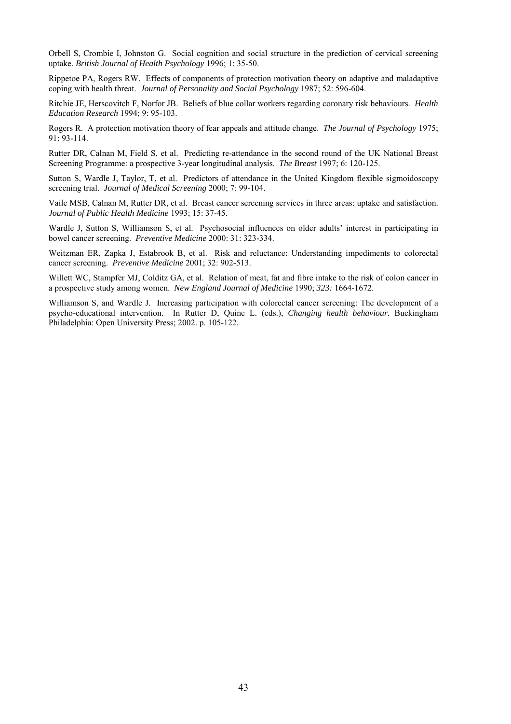Orbell S, Crombie I, Johnston G. Social cognition and social structure in the prediction of cervical screening uptake. *British Journal of Health Psychology* 1996; 1: 35-50.

Rippetoe PA, Rogers RW. Effects of components of protection motivation theory on adaptive and maladaptive coping with health threat. *Journal of Personality and Social Psychology* 1987; 52: 596-604.

Ritchie JE, Herscovitch F, Norfor JB. Beliefs of blue collar workers regarding coronary risk behaviours. *Health Education Research* 1994; 9: 95-103.

Rogers R. A protection motivation theory of fear appeals and attitude change. *The Journal of Psychology* 1975; 91: 93-114.

Rutter DR, Calnan M, Field S, et al. Predicting re-attendance in the second round of the UK National Breast Screening Programme: a prospective 3-year longitudinal analysis. *The Breast* 1997; 6: 120-125.

Sutton S, Wardle J, Taylor, T, et al. Predictors of attendance in the United Kingdom flexible sigmoidoscopy screening trial. *Journal of Medical Screening* 2000; 7: 99-104.

Vaile MSB, Calnan M, Rutter DR, et al. Breast cancer screening services in three areas: uptake and satisfaction. *Journal of Public Health Medicine* 1993; 15: 37-45.

Wardle J, Sutton S, Williamson S, et al. Psychosocial influences on older adults' interest in participating in bowel cancer screening. *Preventive Medicine* 2000: 31: 323-334.

Weitzman ER, Zapka J, Estabrook B, et al. Risk and reluctance: Understanding impediments to colorectal cancer screening. *Preventive Medicine* 2001; 32: 902-513.

Willett WC, Stampfer MJ, Colditz GA, et al. Relation of meat, fat and fibre intake to the risk of colon cancer in a prospective study among women. *New England Journal of Medicine* 1990; *323:* 1664-1672.

Williamson S, and Wardle J. Increasing participation with colorectal cancer screening: The development of a psycho-educational intervention. In Rutter D, Quine L. (eds.), *Changing health behaviour.* Buckingham Philadelphia: Open University Press; 2002. p. 105-122.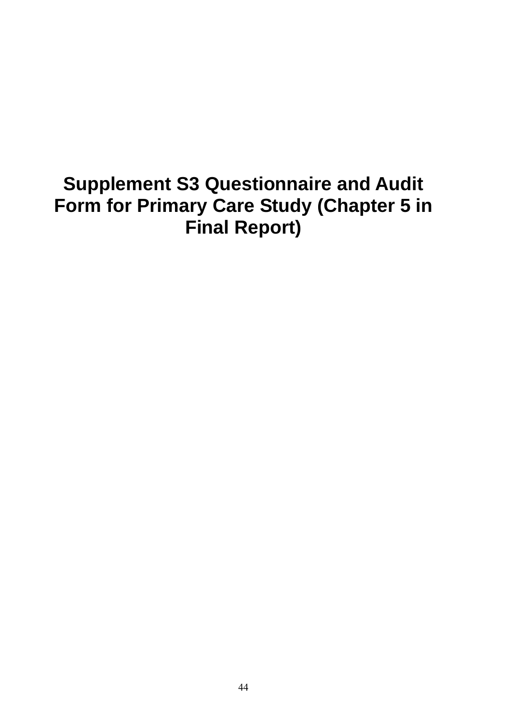# **Supplement S3 Questionnaire and Audit Form for Primary Care Study (Chapter 5 in Final Report)**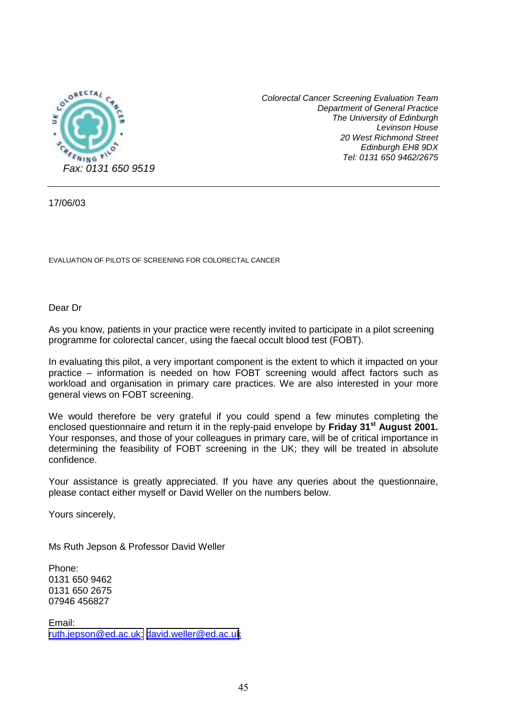

*Colorectal Cancer Screening Evaluation Team Department of General Practice The University of Edinburgh Levinson House 20 West Richmond Street Edinburgh EH8 9DX Tel: 0131 650 9462/2675*

17/06/03

EVALUATION OF PILOTS OF SCREENING FOR COLORECTAL CANCER

Dear Dr

As you know, patients in your practice were recently invited to participate in a pilot screening programme for colorectal cancer, using the faecal occult blood test (FOBT).

In evaluating this pilot, a very important component is the extent to which it impacted on your practice – information is needed on how FOBT screening would affect factors such as workload and organisation in primary care practices. We are also interested in your more general views on FOBT screening.

We would therefore be very grateful if you could spend a few minutes completing the enclosed questionnaire and return it in the reply-paid envelope by **Friday 31<sup>st</sup> August 2001.** Your responses, and those of your colleagues in primary care, will be of critical importance in determining the feasibility of FOBT screening in the UK; they will be treated in absolute confidence.

Your assistance is greatly appreciated. If you have any queries about the questionnaire, please contact either myself or David Weller on the numbers below.

Yours sincerely,

Ms Ruth Jepson & Professor David Weller

Phone: 0131 650 9462 0131 650 2675 07946 456827

Email: [ruth.jepson@ed.ac.uk;](mailto:ruth.jepson@ed.ac.uk) [david.weller@ed.ac.uk](mailto:david.weller@ed.ac.uk)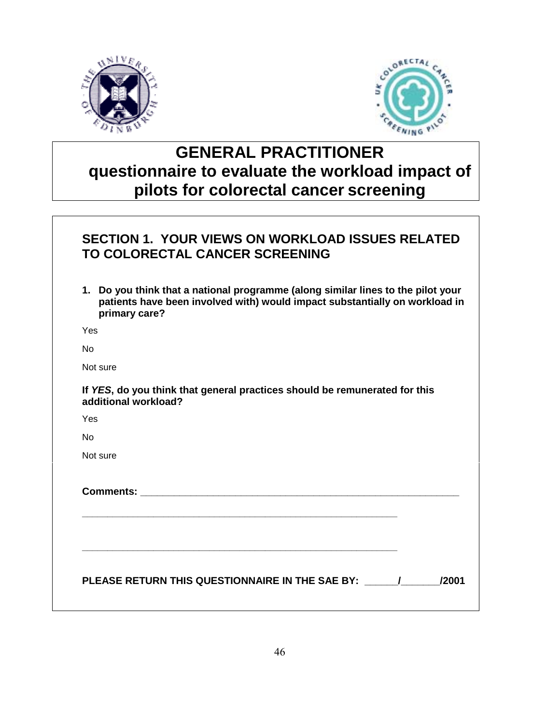



## **GENERAL PRACTITIONER questionnaire to evaluate the workload impact of pilots for colorectal cancer screening**

### **SECTION 1. YOUR VIEWS ON WORKLOAD ISSUES RELATED TO COLORECTAL CANCER SCREENING**

**1. Do you think that a national programme (along similar lines to the pilot your patients have been involved with) would impact substantially on workload in primary care?**

Yes

No

Not sure

**If** *YES***, do you think that general practices should be remunerated for this additional workload?**

**\_\_\_\_\_\_\_\_\_\_\_\_\_\_\_\_\_\_\_\_\_\_\_\_\_\_\_\_\_\_\_\_\_\_\_\_\_\_\_\_\_\_\_\_\_\_\_\_\_\_\_\_\_\_\_\_\_\_\_\_\_\_**

**\_\_\_\_\_\_\_\_\_\_\_\_\_\_\_\_\_\_\_\_\_\_\_\_\_\_\_\_\_\_\_\_\_\_\_\_\_\_\_\_\_\_\_\_\_\_\_\_\_\_\_\_\_\_\_\_\_\_\_\_\_\_**

Yes

No

Not sure

**Comments:**  $\blacksquare$ 

**PLEASE RETURN THIS QUESTIONNAIRE IN THE SAE BY: \_\_\_\_\_\_/\_\_\_\_\_\_\_/2001**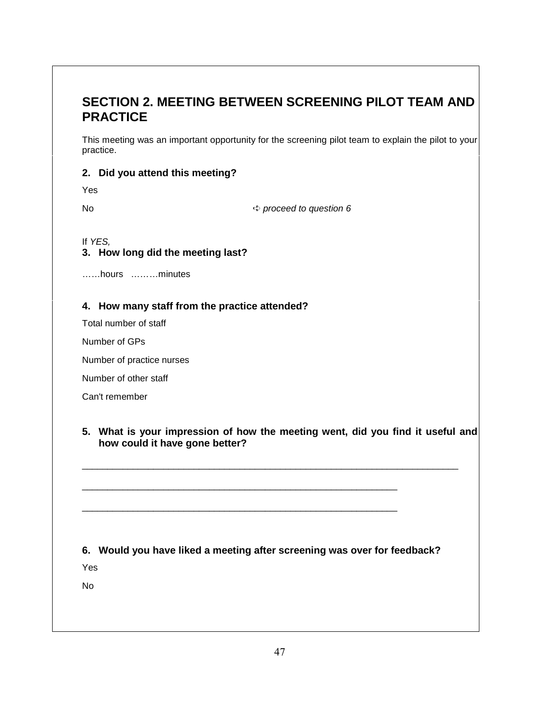### **SECTION 2. MEETING BETWEEN SCREENING PILOT TEAM AND PRACTICE**

This meeting was an important opportunity for the screening pilot team to explain the pilot to your practice.

#### **2. Did you attend this meeting?**

Yes

No → **No <sup>** $\triangle$ **</sup>** *proceed to question 6* 

If *YES,*

### **3. How long did the meeting last?**

……hours ………minutes

#### **4. How many staff from the practice attended?**

Total number of staff

Number of GPs

Number of practice nurses

Number of other staff

Can't remember

**5. What is your impression of how the meeting went, did you find it useful and how could it have gone better?**

\_\_\_\_\_\_\_\_\_\_\_\_\_\_\_\_\_\_\_\_\_\_\_\_\_\_\_\_\_\_\_\_\_\_\_\_\_\_\_\_\_\_\_\_\_\_\_\_\_\_\_\_\_\_\_\_\_\_\_\_\_\_\_\_\_\_\_\_\_\_\_\_\_\_

\_\_\_\_\_\_\_\_\_\_\_\_\_\_\_\_\_\_\_\_\_\_\_\_\_\_\_\_\_\_\_\_\_\_\_\_\_\_\_\_\_\_\_\_\_\_\_\_\_\_\_\_\_\_\_\_\_\_\_\_\_\_

\_\_\_\_\_\_\_\_\_\_\_\_\_\_\_\_\_\_\_\_\_\_\_\_\_\_\_\_\_\_\_\_\_\_\_\_\_\_\_\_\_\_\_\_\_\_\_\_\_\_\_\_\_\_\_\_\_\_\_\_\_\_

#### **6. Would you have liked a meeting after screening was over for feedback?**

Yes

No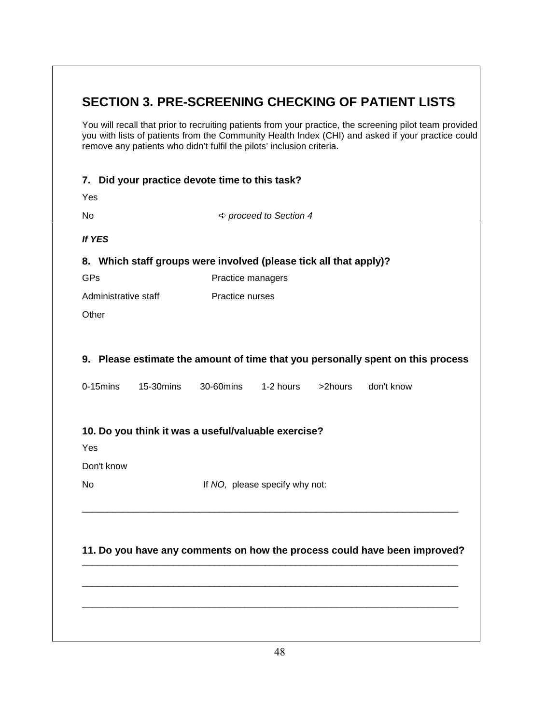### **SECTION 3. PRE-SCREENING CHECKING OF PATIENT LISTS**

You will recall that prior to recruiting patients from your practice, the screening pilot team provided you with lists of patients from the Community Health Index (CHI) and asked if your practice could remove any patients who didn't fulfil the pilots' inclusion criteria.

|                      |           | 7. Did your practice devote time to this task?                    |                                |         |                                                                                 |  |
|----------------------|-----------|-------------------------------------------------------------------|--------------------------------|---------|---------------------------------------------------------------------------------|--|
| Yes<br><b>No</b>     |           |                                                                   | → proceed to Section 4         |         |                                                                                 |  |
| <b>If YES</b>        |           |                                                                   |                                |         |                                                                                 |  |
|                      |           | 8. Which staff groups were involved (please tick all that apply)? |                                |         |                                                                                 |  |
| GPs                  |           | Practice managers                                                 |                                |         |                                                                                 |  |
| Administrative staff |           | Practice nurses                                                   |                                |         |                                                                                 |  |
| Other                |           |                                                                   |                                |         |                                                                                 |  |
|                      |           |                                                                   |                                |         |                                                                                 |  |
|                      |           |                                                                   |                                |         | 9. Please estimate the amount of time that you personally spent on this process |  |
| $0-15$ mins          | 15-30mins | 30-60mins                                                         | 1-2 hours                      | >2hours | don't know                                                                      |  |
|                      |           | 10. Do you think it was a useful/valuable exercise?               |                                |         |                                                                                 |  |
| Yes                  |           |                                                                   |                                |         |                                                                                 |  |
| Don't know           |           |                                                                   |                                |         |                                                                                 |  |
| <b>No</b>            |           |                                                                   | If NO, please specify why not: |         |                                                                                 |  |
|                      |           |                                                                   |                                |         |                                                                                 |  |
|                      |           |                                                                   |                                |         | 11. Do you have any comments on how the process could have been improved?       |  |
|                      |           |                                                                   |                                |         |                                                                                 |  |
|                      |           |                                                                   |                                |         |                                                                                 |  |
|                      |           |                                                                   |                                |         |                                                                                 |  |
|                      |           |                                                                   |                                |         |                                                                                 |  |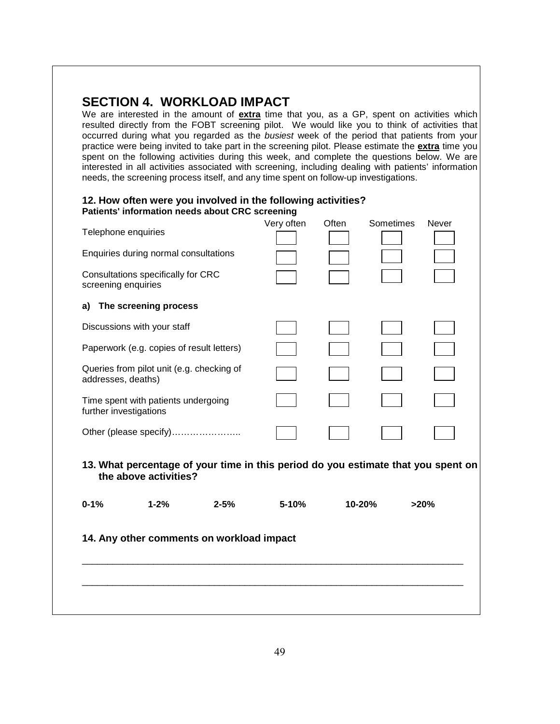### **SECTION 4. WORKLOAD IMPACT**

We are interested in the amount of **extra** time that you, as a GP, spent on activities which resulted directly from the FOBT screening pilot. We would like you to think of activities that occurred during what you regarded as the *busiest* week of the period that patients from your practice were being invited to take part in the screening pilot. Please estimate the **extra** time you spent on the following activities during this week, and complete the questions below. We are interested in all activities associated with screening, including dealing with patients' information needs, the screening process itself, and any time spent on follow-up investigations.

#### **12. How often were you involved in the following activities? Patients' information needs about CRC screening**

| Telephone enquiries                                                                                        | Very often | Often  | Sometimes | Never |
|------------------------------------------------------------------------------------------------------------|------------|--------|-----------|-------|
|                                                                                                            |            |        |           |       |
| Enquiries during normal consultations                                                                      |            |        |           |       |
| Consultations specifically for CRC<br>screening enquiries                                                  |            |        |           |       |
| The screening process<br>a)                                                                                |            |        |           |       |
| Discussions with your staff                                                                                |            |        |           |       |
| Paperwork (e.g. copies of result letters)                                                                  |            |        |           |       |
| Queries from pilot unit (e.g. checking of<br>addresses, deaths)                                            |            |        |           |       |
| Time spent with patients undergoing<br>further investigations                                              |            |        |           |       |
| Other (please specify)                                                                                     |            |        |           |       |
| 13. What percentage of your time in this period do you estimate that you spent on<br>the above activities? |            |        |           |       |
| $0 - 1%$<br>$1 - 2%$<br>$2 - 5%$                                                                           | $5 - 10%$  | 10-20% |           | >20%  |
| 14. Any other comments on workload impact                                                                  |            |        |           |       |
|                                                                                                            |            |        |           |       |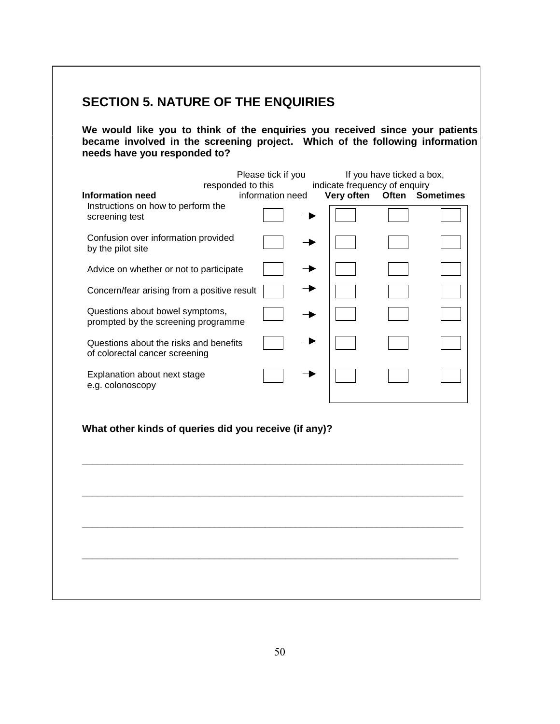|                                                                                 | responded to this | Please tick if you | indicate frequency of enquiry | If you have ticked a box, |  |
|---------------------------------------------------------------------------------|-------------------|--------------------|-------------------------------|---------------------------|--|
| <b>Information need</b><br>Instructions on how to perform the<br>screening test |                   | information need   | <b>Very often</b>             | <b>Often Sometimes</b>    |  |
| Confusion over information provided<br>by the pilot site                        |                   |                    |                               |                           |  |
| Advice on whether or not to participate                                         |                   |                    |                               |                           |  |
| Concern/fear arising from a positive result                                     |                   |                    |                               |                           |  |
| Questions about bowel symptoms,<br>prompted by the screening programme          |                   |                    |                               |                           |  |
| Questions about the risks and benefits<br>of colorectal cancer screening        |                   |                    |                               |                           |  |
| Explanation about next stage<br>e.g. colonoscopy                                |                   |                    |                               |                           |  |
| What other kinds of queries did you receive (if any)?                           |                   |                    |                               |                           |  |

┑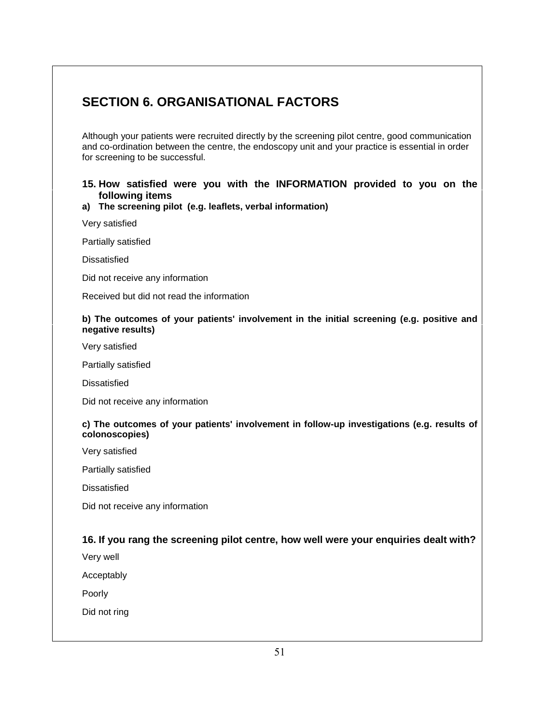### **SECTION 6. ORGANISATIONAL FACTORS**

Although your patients were recruited directly by the screening pilot centre, good communication and co-ordination between the centre, the endoscopy unit and your practice is essential in order for screening to be successful.

#### **15. How satisfied were you with the INFORMATION provided to you on the following items**

**a) The screening pilot (e.g. leaflets, verbal information)**

Very satisfied

Partially satisfied

Dissatisfied

Did not receive any information

Received but did not read the information

#### **b) The outcomes of your patients' involvement in the initial screening (e.g. positive and negative results)**

Very satisfied

Partially satisfied

**Dissatisfied** 

Did not receive any information

#### **c) The outcomes of your patients' involvement in follow-up investigations (e.g. results of colonoscopies)**

Very satisfied

Partially satisfied

**Dissatisfied** 

Did not receive any information

#### **16. If you rang the screening pilot centre, how well were your enquiries dealt with?**

Very well

Acceptably

Poorly

Did not ring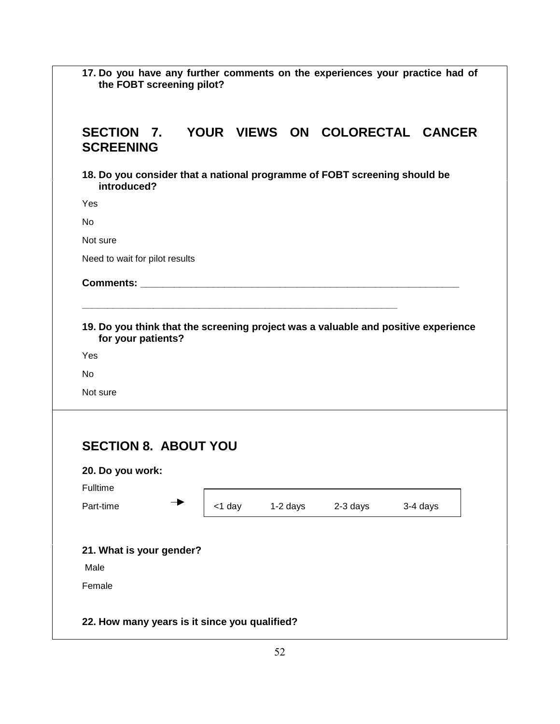| 17. Do you have any further comments on the experiences your practice had of |  |  |  |
|------------------------------------------------------------------------------|--|--|--|
| the FOBT screening pilot?                                                    |  |  |  |

### **SECTION 7. YOUR VIEWS ON COLORECTAL CANCER SCREENING**

**18. Do you consider that a national programme of FOBT screening should be introduced?**

Yes

No

Not sure

Need to wait for pilot results

**Comments: \_\_\_\_\_\_\_\_\_\_\_\_\_\_\_\_\_\_\_\_\_\_\_\_\_\_\_\_\_\_\_\_\_\_\_\_\_\_\_\_\_\_\_\_\_\_\_\_\_\_\_\_\_\_\_\_\_**

**19. Do you think that the screening project was a valuable and positive experience for your patients?**

**\_\_\_\_\_\_\_\_\_\_\_\_\_\_\_\_\_\_\_\_\_\_\_\_\_\_\_\_\_\_\_\_\_\_\_\_\_\_\_\_\_\_\_\_\_\_\_\_\_\_\_\_\_\_\_\_\_\_\_\_\_\_**

Yes

No

Not sure

| 20. Do you work:         |                |          |          |          |
|--------------------------|----------------|----------|----------|----------|
| Fulltime                 |                |          |          |          |
| Part-time                | →<br>$<$ 1 day | 1-2 days | 2-3 days | 3-4 days |
|                          |                |          |          |          |
| 21. What is your gender? |                |          |          |          |
| Male                     |                |          |          |          |
| Female                   |                |          |          |          |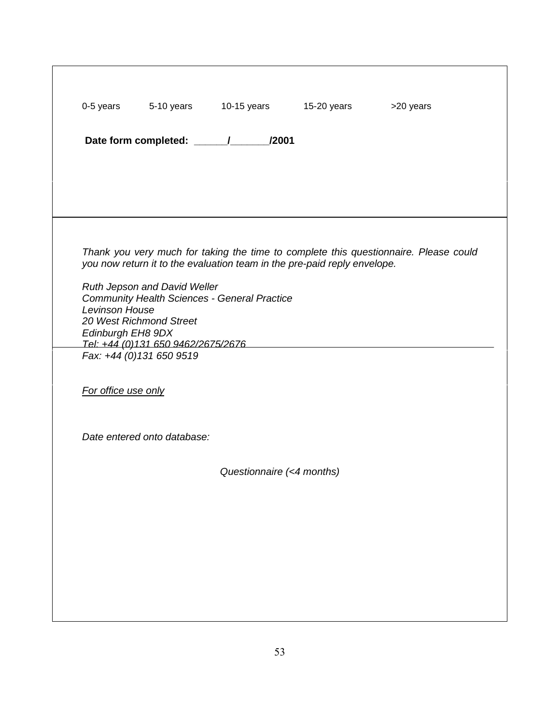|                     |                                                                |                                                     | 0-5 years 5-10 years 10-15 years 15-20 years                             | >20 years                                                                            |
|---------------------|----------------------------------------------------------------|-----------------------------------------------------|--------------------------------------------------------------------------|--------------------------------------------------------------------------------------|
|                     |                                                                |                                                     |                                                                          |                                                                                      |
|                     |                                                                |                                                     |                                                                          |                                                                                      |
|                     |                                                                |                                                     |                                                                          |                                                                                      |
|                     |                                                                |                                                     |                                                                          |                                                                                      |
|                     |                                                                |                                                     |                                                                          |                                                                                      |
|                     |                                                                |                                                     |                                                                          | Thank you very much for taking the time to complete this questionnaire. Please could |
|                     |                                                                |                                                     | you now return it to the evaluation team in the pre-paid reply envelope. |                                                                                      |
|                     | Ruth Jepson and David Weller                                   | <b>Community Health Sciences - General Practice</b> |                                                                          |                                                                                      |
| Levinson House      | 20 West Richmond Street                                        |                                                     |                                                                          |                                                                                      |
| Edinburgh EH8 9DX   |                                                                |                                                     |                                                                          |                                                                                      |
|                     | Tel: +44 (0)131 650 9462/2675/2676<br>Fax: +44 (0)131 650 9519 |                                                     |                                                                          |                                                                                      |
|                     |                                                                |                                                     |                                                                          |                                                                                      |
| For office use only |                                                                |                                                     |                                                                          |                                                                                      |
|                     |                                                                |                                                     |                                                                          |                                                                                      |
|                     | Date entered onto database:                                    |                                                     |                                                                          |                                                                                      |
|                     |                                                                |                                                     |                                                                          |                                                                                      |
|                     |                                                                | Questionnaire (<4 months)                           |                                                                          |                                                                                      |
|                     |                                                                |                                                     |                                                                          |                                                                                      |
|                     |                                                                |                                                     |                                                                          |                                                                                      |
|                     |                                                                |                                                     |                                                                          |                                                                                      |
|                     |                                                                |                                                     |                                                                          |                                                                                      |
|                     |                                                                |                                                     |                                                                          |                                                                                      |
|                     |                                                                |                                                     |                                                                          |                                                                                      |
|                     |                                                                |                                                     |                                                                          |                                                                                      |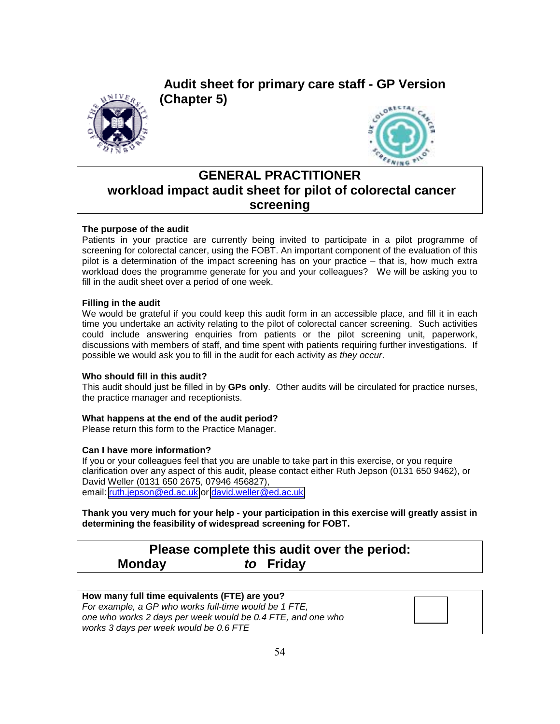### **Audit sheet for primary care staff - GP Version (Chapter 5)**





### **GENERAL PRACTITIONER workload impact audit sheet for pilot of colorectal cancer screening**

#### **The purpose of the audit**

Patients in your practice are currently being invited to participate in a pilot programme of screening for colorectal cancer, using the FOBT. An important component of the evaluation of this pilot is a determination of the impact screening has on your practice – that is, how much extra workload does the programme generate for you and your colleagues? We will be asking you to fill in the audit sheet over a period of one week.

#### **Filling in the audit**

We would be grateful if you could keep this audit form in an accessible place, and fill it in each time you undertake an activity relating to the pilot of colorectal cancer screening. Such activities could include answering enquiries from patients or the pilot screening unit, paperwork, discussions with members of staff, and time spent with patients requiring further investigations. If possible we would ask you to fill in the audit for each activity *as they occur*.

#### **Who should fill in this audit?**

This audit should just be filled in by **GPs only**. Other audits will be circulated for practice nurses, the practice manager and receptionists.

#### **What happens at the end of the audit period?**

Please return this form to the Practice Manager.

#### **Can I have more information?**

If you or your colleagues feel that you are unable to take part in this exercise, or you require clarification over any aspect of this audit, please contact either Ruth Jepson (0131 650 9462), or David Weller (0131 650 2675, 07946 456827), email: [ruth.jepson@ed.ac.uk](mailto:ruth.jepson@ed.ac.uk) or [david.weller@ed.ac.uk](mailto:david.weller@ed.ac.uk)

#### **Thank you very much for your help - your participation in this exercise will greatly assist in determining the feasibility of widespread screening for FOBT.**

### **Please complete this audit over the period: Monday** *to* **Friday**

**How many full time equivalents (FTE) are you?** *For example, a GP who works full-time would be 1 FTE, one who works 2 days per week would be 0.4 FTE, and one who works 3 days per week would be 0.6 FTE*

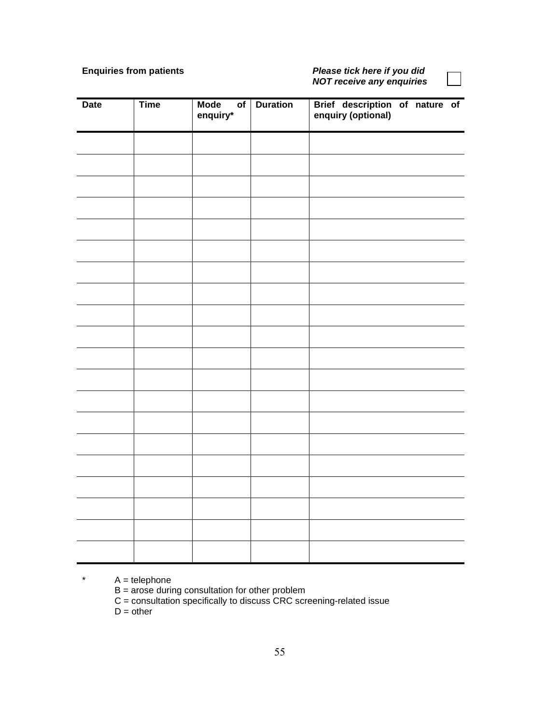#### **Enquiries from patients** *Please tick here if you did NOT receive any enquiries*

 $\overline{\phantom{0}}$ 

| <b>Date</b> | <b>Time</b> | Mode of Duration<br>enquiry* | Brief description of nature of<br>enquiry (optional) |  |  |
|-------------|-------------|------------------------------|------------------------------------------------------|--|--|
|             |             |                              |                                                      |  |  |
|             |             |                              |                                                      |  |  |
|             |             |                              |                                                      |  |  |
|             |             |                              |                                                      |  |  |
|             |             |                              |                                                      |  |  |
|             |             |                              |                                                      |  |  |
|             |             |                              |                                                      |  |  |
|             |             |                              |                                                      |  |  |
|             |             |                              |                                                      |  |  |
|             |             |                              |                                                      |  |  |
|             |             |                              |                                                      |  |  |
|             |             |                              |                                                      |  |  |
|             |             |                              |                                                      |  |  |
|             |             |                              |                                                      |  |  |
|             |             |                              |                                                      |  |  |
|             |             |                              |                                                      |  |  |
|             |             |                              |                                                      |  |  |
|             |             |                              |                                                      |  |  |
|             |             |                              |                                                      |  |  |
|             |             |                              |                                                      |  |  |

\* A = telephone

B = arose during consultation for other problem

C = consultation specifically to discuss CRC screening-related issue

 $D = other$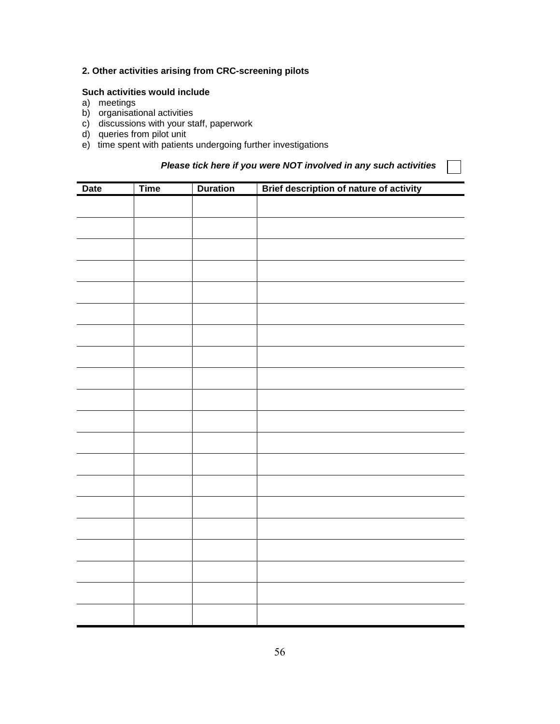#### **2. Other activities arising from CRC-screening pilots**

#### **Such activities would include**

- a) meetings
- b) organisational activities
- c) discussions with your staff, paperwork
- d) queries from pilot unit
- e) time spent with patients undergoing further investigations

#### *Please tick here if you were NOT involved in any such activities*

| <b>Date</b> | <b>Time</b> | <b>Duration</b> | Brief description of nature of activity |
|-------------|-------------|-----------------|-----------------------------------------|
|             |             |                 |                                         |
|             |             |                 |                                         |
|             |             |                 |                                         |
|             |             |                 |                                         |
|             |             |                 |                                         |
|             |             |                 |                                         |
|             |             |                 |                                         |
|             |             |                 |                                         |
|             |             |                 |                                         |
|             |             |                 |                                         |
|             |             |                 |                                         |
|             |             |                 |                                         |
|             |             |                 |                                         |
|             |             |                 |                                         |
|             |             |                 |                                         |
|             |             |                 |                                         |
|             |             |                 |                                         |
|             |             |                 |                                         |
|             |             |                 |                                         |
|             |             |                 |                                         |
|             |             |                 |                                         |
|             |             |                 |                                         |
|             |             |                 |                                         |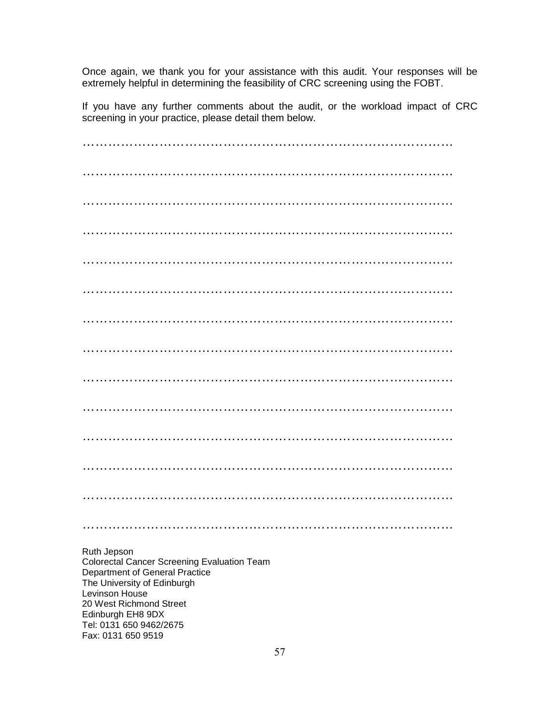Once again, we thank you for your assistance with this audit. Your responses will be extremely helpful in determining the feasibility of CRC screening using the FOBT.

If you have any further comments about the audit, or the workload impact of CRC screening in your practice, please detail them below.

| Ruth Jepson<br><b>Colorectal Cancer Screening Evaluation Team</b><br>Department of General Practice<br>The University of Edinburgh<br>Levinson House<br>20 West Richmond Street<br>Edinburgh EH8 9DX<br>Tel: 0131 650 9462/2675<br>Fax: 0131 650 9519 |
|-------------------------------------------------------------------------------------------------------------------------------------------------------------------------------------------------------------------------------------------------------|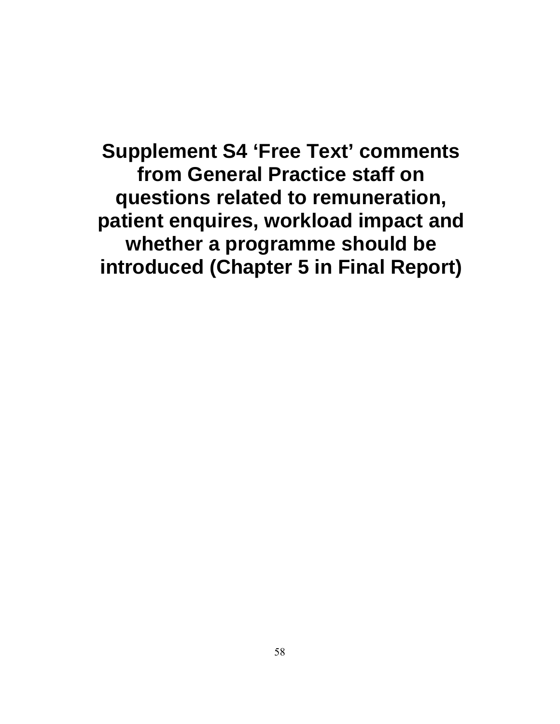**Supplement S4 'Free Text' comments from General Practice staff on questions related to remuneration, patient enquires, workload impact and whether a programme should be introduced (Chapter 5 in Final Report)**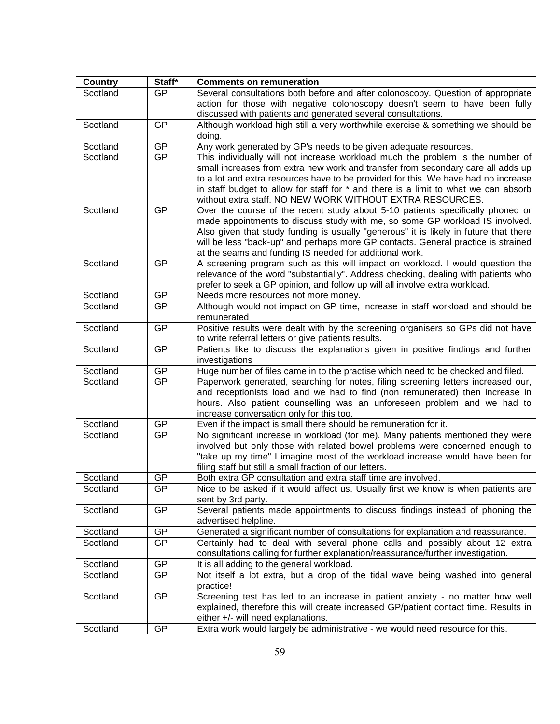| <b>Country</b> | Staff*    | <b>Comments on remuneration</b>                                                                                                                                           |
|----------------|-----------|---------------------------------------------------------------------------------------------------------------------------------------------------------------------------|
| Scotland       | <b>GP</b> | Several consultations both before and after colonoscopy. Question of appropriate                                                                                          |
|                |           | action for those with negative colonoscopy doesn't seem to have been fully                                                                                                |
|                |           | discussed with patients and generated several consultations.                                                                                                              |
| Scotland       | <b>GP</b> | Although workload high still a very worthwhile exercise & something we should be                                                                                          |
|                |           | doing.                                                                                                                                                                    |
| Scotland       | <b>GP</b> | Any work generated by GP's needs to be given adequate resources.                                                                                                          |
| Scotland       | <b>GP</b> | This individually will not increase workload much the problem is the number of                                                                                            |
|                |           | small increases from extra new work and transfer from secondary care all adds up                                                                                          |
|                |           | to a lot and extra resources have to be provided for this. We have had no increase<br>in staff budget to allow for staff for * and there is a limit to what we can absorb |
|                |           | without extra staff. NO NEW WORK WITHOUT EXTRA RESOURCES.                                                                                                                 |
| Scotland       | <b>GP</b> | Over the course of the recent study about 5-10 patients specifically phoned or                                                                                            |
|                |           | made appointments to discuss study with me, so some GP workload IS involved.                                                                                              |
|                |           | Also given that study funding is usually "generous" it is likely in future that there                                                                                     |
|                |           | will be less "back-up" and perhaps more GP contacts. General practice is strained                                                                                         |
|                |           | at the seams and funding IS needed for additional work.                                                                                                                   |
| Scotland       | <b>GP</b> | A screening program such as this will impact on workload. I would question the                                                                                            |
|                |           | relevance of the word "substantially". Address checking, dealing with patients who                                                                                        |
|                |           | prefer to seek a GP opinion, and follow up will all involve extra workload.                                                                                               |
| Scotland       | <b>GP</b> | Needs more resources not more money.                                                                                                                                      |
| Scotland       | <b>GP</b> | Although would not impact on GP time, increase in staff workload and should be                                                                                            |
|                |           | remunerated                                                                                                                                                               |
| Scotland       | <b>GP</b> | Positive results were dealt with by the screening organisers so GPs did not have                                                                                          |
| Scotland       | <b>GP</b> | to write referral letters or give patients results.<br>Patients like to discuss the explanations given in positive findings and further                                   |
|                |           | investigations                                                                                                                                                            |
| Scotland       | <b>GP</b> | Huge number of files came in to the practise which need to be checked and filed.                                                                                          |
| Scotland       | <b>GP</b> | Paperwork generated, searching for notes, filing screening letters increased our,                                                                                         |
|                |           | and receptionists load and we had to find (non remunerated) then increase in                                                                                              |
|                |           | hours. Also patient counselling was an unforeseen problem and we had to                                                                                                   |
|                |           | increase conversation only for this too.                                                                                                                                  |
| Scotland       | <b>GP</b> | Even if the impact is small there should be remuneration for it.                                                                                                          |
| Scotland       | <b>GP</b> | No significant increase in workload (for me). Many patients mentioned they were                                                                                           |
|                |           | involved but only those with related bowel problems were concerned enough to                                                                                              |
|                |           | "take up my time" I imagine most of the workload increase would have been for                                                                                             |
|                |           | filing staff but still a small fraction of our letters.                                                                                                                   |
| Scotland       | GP        | Both extra GP consultation and extra staff time are involved.                                                                                                             |
| Scotland       | <b>GP</b> | Nice to be asked if it would affect us. Usually first we know is when patients are                                                                                        |
| Scotland       | <b>GP</b> | sent by 3rd party.<br>Several patients made appointments to discuss findings instead of phoning the                                                                       |
|                |           | advertised helpline.                                                                                                                                                      |
| Scotland       | <b>GP</b> | Generated a significant number of consultations for explanation and reassurance.                                                                                          |
| Scotland       | GP        | Certainly had to deal with several phone calls and possibly about 12 extra                                                                                                |
|                |           | consultations calling for further explanation/reassurance/further investigation.                                                                                          |
| Scotland       | GP        | It is all adding to the general workload.                                                                                                                                 |
| Scotland       | GP        | Not itself a lot extra, but a drop of the tidal wave being washed into general                                                                                            |
|                |           | practice!                                                                                                                                                                 |
| Scotland       | <b>GP</b> | Screening test has led to an increase in patient anxiety - no matter how well                                                                                             |
|                |           | explained, therefore this will create increased GP/patient contact time. Results in                                                                                       |
|                |           | either +/- will need explanations.                                                                                                                                        |
| Scotland       | <b>GP</b> | Extra work would largely be administrative - we would need resource for this.                                                                                             |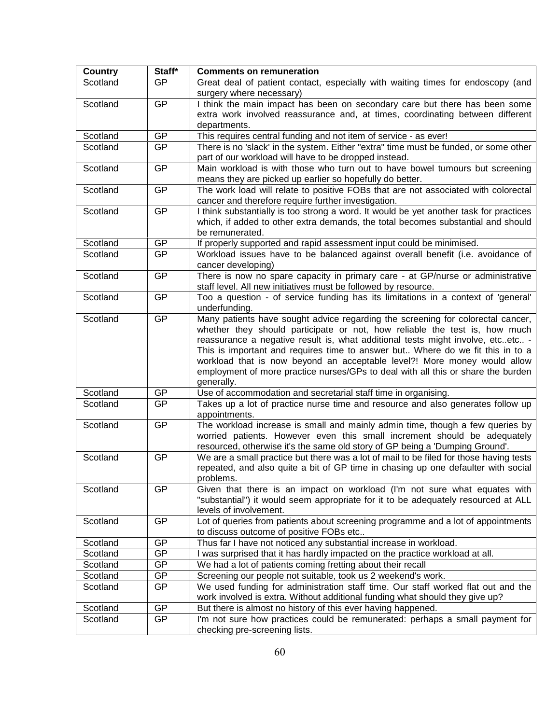| Country  | Staff*    | <b>Comments on remuneration</b>                                                                                                                                   |
|----------|-----------|-------------------------------------------------------------------------------------------------------------------------------------------------------------------|
| Scotland | <b>GP</b> | Great deal of patient contact, especially with waiting times for endoscopy (and                                                                                   |
|          |           | surgery where necessary)                                                                                                                                          |
| Scotland | <b>GP</b> | I think the main impact has been on secondary care but there has been some                                                                                        |
|          |           | extra work involved reassurance and, at times, coordinating between different                                                                                     |
|          |           | departments.                                                                                                                                                      |
| Scotland | <b>GP</b> | This requires central funding and not item of service - as ever!                                                                                                  |
| Scotland | <b>GP</b> | There is no 'slack' in the system. Either "extra" time must be funded, or some other                                                                              |
|          |           | part of our workload will have to be dropped instead.                                                                                                             |
| Scotland | <b>GP</b> | Main workload is with those who turn out to have bowel tumours but screening                                                                                      |
| Scotland | <b>GP</b> | means they are picked up earlier so hopefully do better.<br>The work load will relate to positive FOBs that are not associated with colorectal                    |
|          |           | cancer and therefore require further investigation.                                                                                                               |
| Scotland | <b>GP</b> | I think substantially is too strong a word. It would be yet another task for practices                                                                            |
|          |           | which, if added to other extra demands, the total becomes substantial and should                                                                                  |
|          |           | be remunerated.                                                                                                                                                   |
| Scotland | <b>GP</b> | If properly supported and rapid assessment input could be minimised.                                                                                              |
| Scotland | <b>GP</b> | Workload issues have to be balanced against overall benefit (i.e. avoidance of                                                                                    |
|          |           | cancer developing)                                                                                                                                                |
| Scotland | <b>GP</b> | There is now no spare capacity in primary care - at GP/nurse or administrative                                                                                    |
|          |           | staff level. All new initiatives must be followed by resource.                                                                                                    |
| Scotland | <b>GP</b> | Too a question - of service funding has its limitations in a context of 'general'                                                                                 |
|          |           | underfunding.                                                                                                                                                     |
| Scotland | <b>GP</b> | Many patients have sought advice regarding the screening for colorectal cancer,                                                                                   |
|          |           | whether they should participate or not, how reliable the test is, how much                                                                                        |
|          |           | reassurance a negative result is, what additional tests might involve, etcetc -<br>This is important and requires time to answer but Where do we fit this in to a |
|          |           | workload that is now beyond an acceptable level?! More money would allow                                                                                          |
|          |           | employment of more practice nurses/GPs to deal with all this or share the burden                                                                                  |
|          |           | generally.                                                                                                                                                        |
| Scotland | <b>GP</b> | Use of accommodation and secretarial staff time in organising.                                                                                                    |
| Scotland | <b>GP</b> | Takes up a lot of practice nurse time and resource and also generates follow up                                                                                   |
|          |           | appointments.                                                                                                                                                     |
| Scotland | <b>GP</b> | The workload increase is small and mainly admin time, though a few queries by                                                                                     |
|          |           | worried patients. However even this small increment should be adequately                                                                                          |
|          |           | resourced, otherwise it's the same old story of GP being a 'Dumping Ground'.                                                                                      |
| Scotland | <b>GP</b> | We are a small practice but there was a lot of mail to be filed for those having tests                                                                            |
|          |           | repeated, and also quite a bit of GP time in chasing up one defaulter with social<br>problems.                                                                    |
| Scotland | <b>GP</b> | Given that there is an impact on workload (I'm not sure what equates with                                                                                         |
|          |           | "substantial") it would seem appropriate for it to be adequately resourced at ALL                                                                                 |
|          |           | levels of involvement.                                                                                                                                            |
| Scotland | <b>GP</b> | Lot of queries from patients about screening programme and a lot of appointments                                                                                  |
|          |           | to discuss outcome of positive FOBs etc                                                                                                                           |
| Scotland | <b>GP</b> | Thus far I have not noticed any substantial increase in workload.                                                                                                 |
| Scotland | GP        | was surprised that it has hardly impacted on the practice workload at all.                                                                                        |
| Scotland | <b>GP</b> | We had a lot of patients coming fretting about their recall                                                                                                       |
| Scotland | GP        | Screening our people not suitable, took us 2 weekend's work.                                                                                                      |
| Scotland | <b>GP</b> | We used funding for administration staff time. Our staff worked flat out and the                                                                                  |
|          |           | work involved is extra. Without additional funding what should they give up?                                                                                      |
| Scotland | GP        | But there is almost no history of this ever having happened.                                                                                                      |
| Scotland | <b>GP</b> | I'm not sure how practices could be remunerated: perhaps a small payment for                                                                                      |
|          |           | checking pre-screening lists.                                                                                                                                     |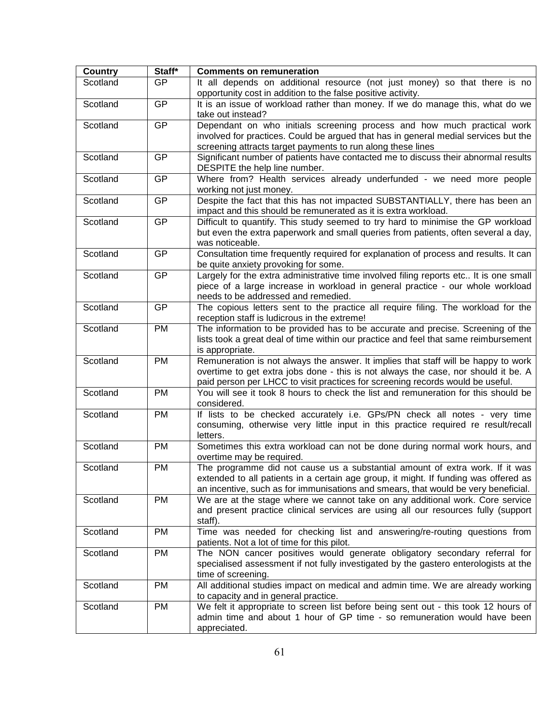| <b>Country</b> | Staff*    | <b>Comments on remuneration</b>                                                                                                                                                                                                                            |
|----------------|-----------|------------------------------------------------------------------------------------------------------------------------------------------------------------------------------------------------------------------------------------------------------------|
| Scotland       | <b>GP</b> | It all depends on additional resource (not just money) so that there is no<br>opportunity cost in addition to the false positive activity.                                                                                                                 |
| Scotland       | <b>GP</b> | It is an issue of workload rather than money. If we do manage this, what do we<br>take out instead?                                                                                                                                                        |
| Scotland       | <b>GP</b> | Dependant on who initials screening process and how much practical work<br>involved for practices. Could be argued that has in general medial services but the<br>screening attracts target payments to run along these lines                              |
| Scotland       | <b>GP</b> | Significant number of patients have contacted me to discuss their abnormal results<br>DESPITE the help line number.                                                                                                                                        |
| Scotland       | <b>GP</b> | Where from? Health services already underfunded - we need more people<br>working not just money.                                                                                                                                                           |
| Scotland       | <b>GP</b> | Despite the fact that this has not impacted SUBSTANTIALLY, there has been an<br>impact and this should be remunerated as it is extra workload.                                                                                                             |
| Scotland       | <b>GP</b> | Difficult to quantify. This study seemed to try hard to minimise the GP workload<br>but even the extra paperwork and small queries from patients, often several a day,<br>was noticeable.                                                                  |
| Scotland       | <b>GP</b> | Consultation time frequently required for explanation of process and results. It can<br>be quite anxiety provoking for some.                                                                                                                               |
| Scotland       | <b>GP</b> | Largely for the extra administrative time involved filing reports etc It is one small<br>piece of a large increase in workload in general practice - our whole workload<br>needs to be addressed and remedied.                                             |
| Scotland       | <b>GP</b> | The copious letters sent to the practice all require filing. The workload for the<br>reception staff is ludicrous in the extreme!                                                                                                                          |
| Scotland       | PM        | The information to be provided has to be accurate and precise. Screening of the<br>lists took a great deal of time within our practice and feel that same reimbursement<br>is appropriate.                                                                 |
| Scotland       | <b>PM</b> | Remuneration is not always the answer. It implies that staff will be happy to work<br>overtime to get extra jobs done - this is not always the case, nor should it be. A<br>paid person per LHCC to visit practices for screening records would be useful. |
| Scotland       | <b>PM</b> | You will see it took 8 hours to check the list and remuneration for this should be<br>considered.                                                                                                                                                          |
| Scotland       | <b>PM</b> | If lists to be checked accurately i.e. GPs/PN check all notes - very time<br>consuming, otherwise very little input in this practice required re result/recall<br>letters.                                                                                 |
| Scotland       | <b>PM</b> | Sometimes this extra workload can not be done during normal work hours, and<br>overtime may be required.                                                                                                                                                   |
| Scotland       | PM        | The programme did not cause us a substantial amount of extra work. If it was<br>extended to all patients in a certain age group, it might. If funding was offered as<br>an incentive, such as for immunisations and smears, that would be very beneficial. |
| Scotland       | PM        | We are at the stage where we cannot take on any additional work. Core service<br>and present practice clinical services are using all our resources fully (support<br>staff).                                                                              |
| Scotland       | PM        | Time was needed for checking list and answering/re-routing questions from<br>patients. Not a lot of time for this pilot.                                                                                                                                   |
| Scotland       | <b>PM</b> | The NON cancer positives would generate obligatory secondary referral for<br>specialised assessment if not fully investigated by the gastero enterologists at the<br>time of screening.                                                                    |
| Scotland       | PM        | All additional studies impact on medical and admin time. We are already working<br>to capacity and in general practice.                                                                                                                                    |
| Scotland       | PM        | We felt it appropriate to screen list before being sent out - this took 12 hours of<br>admin time and about 1 hour of GP time - so remuneration would have been<br>appreciated.                                                                            |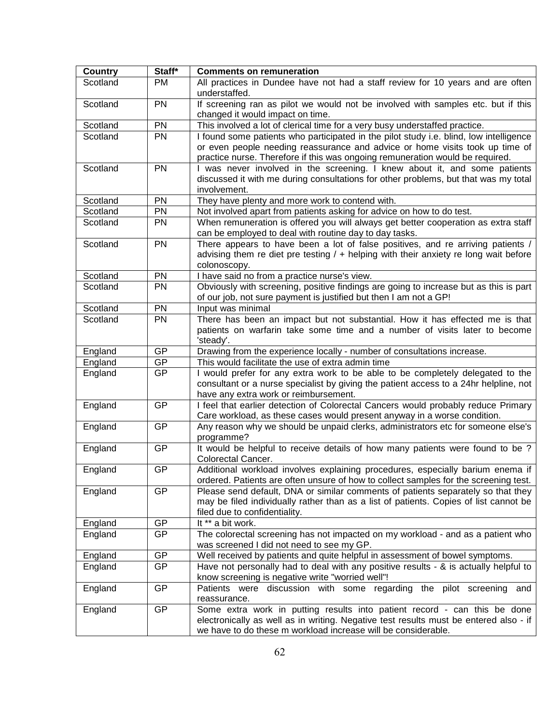| <b>Country</b> | Staff*    | <b>Comments on remuneration</b>                                                                                                |
|----------------|-----------|--------------------------------------------------------------------------------------------------------------------------------|
| Scotland       | PM        | All practices in Dundee have not had a staff review for 10 years and are often                                                 |
|                |           | understaffed.                                                                                                                  |
| Scotland       | <b>PN</b> | If screening ran as pilot we would not be involved with samples etc. but if this                                               |
| Scotland       | PN        | changed it would impact on time.<br>This involved a lot of clerical time for a very busy understaffed practice.                |
| Scotland       | <b>PN</b> | I found some patients who participated in the pilot study i.e. blind, low intelligence                                         |
|                |           | or even people needing reassurance and advice or home visits took up time of                                                   |
|                |           | practice nurse. Therefore if this was ongoing remuneration would be required.                                                  |
| Scotland       | <b>PN</b> | I was never involved in the screening. I knew about it, and some patients                                                      |
|                |           | discussed it with me during consultations for other problems, but that was my total                                            |
|                |           | involvement.                                                                                                                   |
| Scotland       | PN        | They have plenty and more work to contend with.                                                                                |
| Scotland       | PN        | Not involved apart from patients asking for advice on how to do test.                                                          |
| Scotland       | <b>PN</b> | When remuneration is offered you will always get better cooperation as extra staff                                             |
|                |           | can be employed to deal with routine day to day tasks.                                                                         |
| Scotland       | PN        | There appears to have been a lot of false positives, and re arriving patients /                                                |
|                |           | advising them re diet pre testing $/ +$ helping with their anxiety re long wait before                                         |
|                |           | colonoscopy.                                                                                                                   |
| Scotland       | PN        | I have said no from a practice nurse's view.                                                                                   |
| Scotland       | <b>PN</b> | Obviously with screening, positive findings are going to increase but as this is part                                          |
|                |           | of our job, not sure payment is justified but then I am not a GP!                                                              |
| Scotland       | PN        | Input was minimal                                                                                                              |
| Scotland       | <b>PN</b> | There has been an impact but not substantial. How it has effected me is that                                                   |
|                |           | patients on warfarin take some time and a number of visits later to become                                                     |
|                |           | 'steady'.                                                                                                                      |
| England        | <b>GP</b> | Drawing from the experience locally - number of consultations increase.                                                        |
| England        | GP        | This would facilitate the use of extra admin time                                                                              |
| England        | <b>GP</b> | I would prefer for any extra work to be able to be completely delegated to the                                                 |
|                |           | consultant or a nurse specialist by giving the patient access to a 24hr helpline, not<br>have any extra work or reimbursement. |
| England        | <b>GP</b> | I feel that earlier detection of Colorectal Cancers would probably reduce Primary                                              |
|                |           | Care workload, as these cases would present anyway in a worse condition.                                                       |
| England        | <b>GP</b> | Any reason why we should be unpaid clerks, administrators etc for someone else's                                               |
|                |           | programme?                                                                                                                     |
| England        | GP        | It would be helpful to receive details of how many patients were found to be ?                                                 |
|                |           | Colorectal Cancer.                                                                                                             |
| England        | GP        | Additional workload involves explaining procedures, especially barium enema if                                                 |
|                |           | ordered. Patients are often unsure of how to collect samples for the screening test.                                           |
| England        | <b>GP</b> | Please send default, DNA or similar comments of patients separately so that they                                               |
|                |           | may be filed individually rather than as a list of patients. Copies of list cannot be                                          |
|                |           | filed due to confidentiality.                                                                                                  |
| England        | <b>GP</b> | It ** a bit work.                                                                                                              |
| England        | <b>GP</b> | The colorectal screening has not impacted on my workload - and as a patient who                                                |
|                |           | was screened I did not need to see my GP.                                                                                      |
| England        | <b>GP</b> | Well received by patients and quite helpful in assessment of bowel symptoms.                                                   |
| England        | <b>GP</b> | Have not personally had to deal with any positive results $-$ & is actually helpful to                                         |
|                | <b>GP</b> | know screening is negative write "worried well"!                                                                               |
| England        |           | Patients were discussion with some regarding the pilot screening and                                                           |
| England        | <b>GP</b> | reassurance.<br>Some extra work in putting results into patient record - can this be done                                      |
|                |           | electronically as well as in writing. Negative test results must be entered also - if                                          |
|                |           | we have to do these m workload increase will be considerable.                                                                  |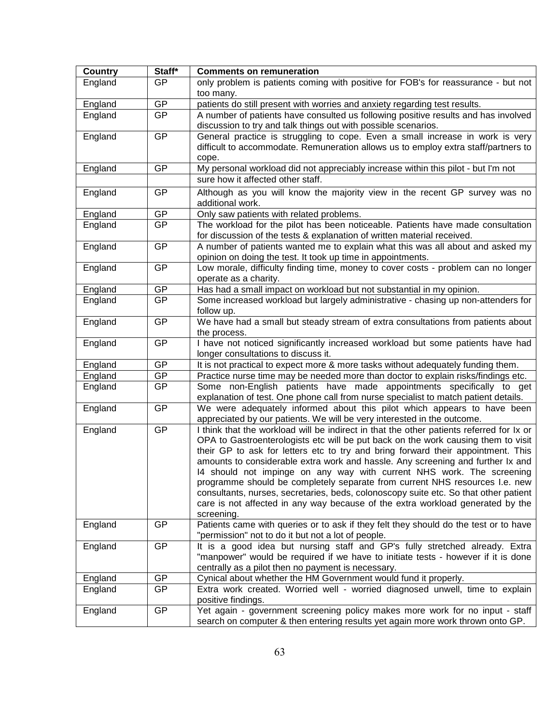| <b>Country</b> | Staff*    | <b>Comments on remuneration</b>                                                                                                                                                                                                                                                                                                                                                                                                                                                                                                                                                                                                                                                                      |
|----------------|-----------|------------------------------------------------------------------------------------------------------------------------------------------------------------------------------------------------------------------------------------------------------------------------------------------------------------------------------------------------------------------------------------------------------------------------------------------------------------------------------------------------------------------------------------------------------------------------------------------------------------------------------------------------------------------------------------------------------|
| England        | GP        | only problem is patients coming with positive for FOB's for reassurance - but not<br>too many.                                                                                                                                                                                                                                                                                                                                                                                                                                                                                                                                                                                                       |
| England        | <b>GP</b> | patients do still present with worries and anxiety regarding test results.                                                                                                                                                                                                                                                                                                                                                                                                                                                                                                                                                                                                                           |
| England        | GP        | A number of patients have consulted us following positive results and has involved<br>discussion to try and talk things out with possible scenarios.                                                                                                                                                                                                                                                                                                                                                                                                                                                                                                                                                 |
| England        | GP        | General practice is struggling to cope. Even a small increase in work is very<br>difficult to accommodate. Remuneration allows us to employ extra staff/partners to<br>cope.                                                                                                                                                                                                                                                                                                                                                                                                                                                                                                                         |
| England        | GP        | My personal workload did not appreciably increase within this pilot - but I'm not                                                                                                                                                                                                                                                                                                                                                                                                                                                                                                                                                                                                                    |
|                |           | sure how it affected other staff.                                                                                                                                                                                                                                                                                                                                                                                                                                                                                                                                                                                                                                                                    |
| England        | <b>GP</b> | Although as you will know the majority view in the recent GP survey was no<br>additional work.                                                                                                                                                                                                                                                                                                                                                                                                                                                                                                                                                                                                       |
| England        | <b>GP</b> | Only saw patients with related problems.                                                                                                                                                                                                                                                                                                                                                                                                                                                                                                                                                                                                                                                             |
| England        | GP        | The workload for the pilot has been noticeable. Patients have made consultation<br>for discussion of the tests & explanation of written material received.                                                                                                                                                                                                                                                                                                                                                                                                                                                                                                                                           |
| England        | GP        | A number of patients wanted me to explain what this was all about and asked my<br>opinion on doing the test. It took up time in appointments.                                                                                                                                                                                                                                                                                                                                                                                                                                                                                                                                                        |
| England        | <b>GP</b> | Low morale, difficulty finding time, money to cover costs - problem can no longer<br>operate as a charity.                                                                                                                                                                                                                                                                                                                                                                                                                                                                                                                                                                                           |
| England        | <b>GP</b> | Has had a small impact on workload but not substantial in my opinion.                                                                                                                                                                                                                                                                                                                                                                                                                                                                                                                                                                                                                                |
| England        | GP        | Some increased workload but largely administrative - chasing up non-attenders for<br>follow up.                                                                                                                                                                                                                                                                                                                                                                                                                                                                                                                                                                                                      |
| England        | <b>GP</b> | We have had a small but steady stream of extra consultations from patients about<br>the process.                                                                                                                                                                                                                                                                                                                                                                                                                                                                                                                                                                                                     |
| England        | <b>GP</b> | I have not noticed significantly increased workload but some patients have had<br>longer consultations to discuss it.                                                                                                                                                                                                                                                                                                                                                                                                                                                                                                                                                                                |
| England        | <b>GP</b> | It is not practical to expect more & more tasks without adequately funding them.                                                                                                                                                                                                                                                                                                                                                                                                                                                                                                                                                                                                                     |
| England        | GP        | Practice nurse time may be needed more than doctor to explain risks/findings etc.                                                                                                                                                                                                                                                                                                                                                                                                                                                                                                                                                                                                                    |
| England        | GP        | Some non-English patients have made appointments specifically to get<br>explanation of test. One phone call from nurse specialist to match patient details.                                                                                                                                                                                                                                                                                                                                                                                                                                                                                                                                          |
| England        | GP        | We were adequately informed about this pilot which appears to have been<br>appreciated by our patients. We will be very interested in the outcome.                                                                                                                                                                                                                                                                                                                                                                                                                                                                                                                                                   |
| England        | GP        | I think that the workload will be indirect in that the other patients referred for Ix or<br>OPA to Gastroenterologists etc will be put back on the work causing them to visit<br>their GP to ask for letters etc to try and bring forward their appointment. This<br>amounts to considerable extra work and hassle. Any screening and further Ix and<br>14 should not impinge on any way with current NHS work. The screening<br>programme should be completely separate from current NHS resources I.e. new<br>consultants, nurses, secretaries, beds, colonoscopy suite etc. So that other patient<br>care is not affected in any way because of the extra workload generated by the<br>screening. |
| England        | <b>GP</b> | Patients came with queries or to ask if they felt they should do the test or to have<br>"permission" not to do it but not a lot of people.                                                                                                                                                                                                                                                                                                                                                                                                                                                                                                                                                           |
| England        | <b>GP</b> | It is a good idea but nursing staff and GP's fully stretched already. Extra<br>"manpower" would be required if we have to initiate tests - however if it is done<br>centrally as a pilot then no payment is necessary.                                                                                                                                                                                                                                                                                                                                                                                                                                                                               |
| England        | <b>GP</b> | Cynical about whether the HM Government would fund it properly.                                                                                                                                                                                                                                                                                                                                                                                                                                                                                                                                                                                                                                      |
| England        | GP        | Extra work created. Worried well - worried diagnosed unwell, time to explain<br>positive findings.                                                                                                                                                                                                                                                                                                                                                                                                                                                                                                                                                                                                   |
| England        | <b>GP</b> | Yet again - government screening policy makes more work for no input - staff<br>search on computer & then entering results yet again more work thrown onto GP.                                                                                                                                                                                                                                                                                                                                                                                                                                                                                                                                       |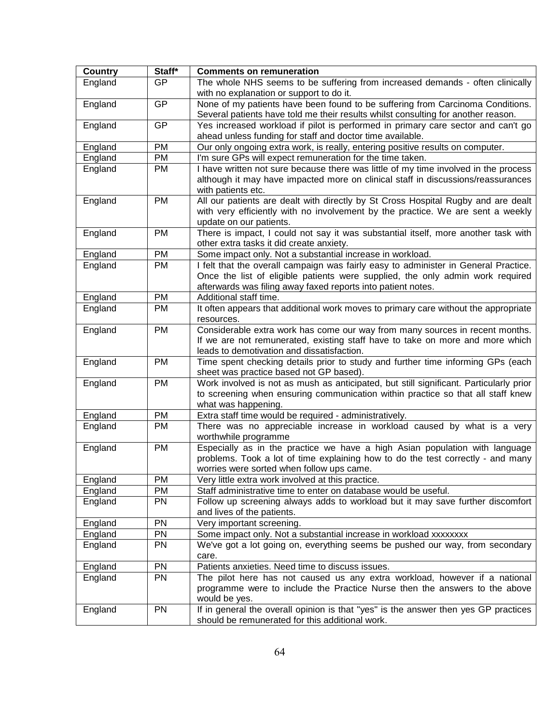| <b>Country</b>     | Staff*                 | <b>Comments on remuneration</b>                                                                                                                  |
|--------------------|------------------------|--------------------------------------------------------------------------------------------------------------------------------------------------|
| England            | <b>GP</b>              | The whole NHS seems to be suffering from increased demands - often clinically                                                                    |
|                    |                        | with no explanation or support to do it.                                                                                                         |
| England            | <b>GP</b>              | None of my patients have been found to be suffering from Carcinoma Conditions.                                                                   |
|                    |                        | Several patients have told me their results whilst consulting for another reason.                                                                |
| England            | GP                     | Yes increased workload if pilot is performed in primary care sector and can't go                                                                 |
|                    |                        | ahead unless funding for staff and doctor time available.                                                                                        |
| England            | <b>PM</b><br><b>PM</b> | Our only ongoing extra work, is really, entering positive results on computer.                                                                   |
| England<br>England | PM                     | I'm sure GPs will expect remuneration for the time taken.<br>I have written not sure because there was little of my time involved in the process |
|                    |                        | although it may have impacted more on clinical staff in discussions/reassurances                                                                 |
|                    |                        | with patients etc.                                                                                                                               |
| England            | <b>PM</b>              | All our patients are dealt with directly by St Cross Hospital Rugby and are dealt                                                                |
|                    |                        | with very efficiently with no involvement by the practice. We are sent a weekly                                                                  |
|                    |                        | update on our patients.                                                                                                                          |
| England            | <b>PM</b>              | There is impact, I could not say it was substantial itself, more another task with                                                               |
|                    |                        | other extra tasks it did create anxiety.                                                                                                         |
| England            | <b>PM</b>              | Some impact only. Not a substantial increase in workload.                                                                                        |
| England            | <b>PM</b>              | I felt that the overall campaign was fairly easy to administer in General Practice.                                                              |
|                    |                        | Once the list of eligible patients were supplied, the only admin work required                                                                   |
|                    |                        | afterwards was filing away faxed reports into patient notes.                                                                                     |
| England            | <b>PM</b>              | Additional staff time.                                                                                                                           |
| England            | PM                     | It often appears that additional work moves to primary care without the appropriate                                                              |
|                    |                        | resources.                                                                                                                                       |
| England            | PM                     | Considerable extra work has come our way from many sources in recent months.                                                                     |
|                    |                        | If we are not remunerated, existing staff have to take on more and more which<br>leads to demotivation and dissatisfaction.                      |
| England            | <b>PM</b>              | Time spent checking details prior to study and further time informing GPs (each                                                                  |
|                    |                        | sheet was practice based not GP based).                                                                                                          |
| England            | $\overline{PM}$        | Work involved is not as mush as anticipated, but still significant. Particularly prior                                                           |
|                    |                        | to screening when ensuring communication within practice so that all staff knew                                                                  |
|                    |                        | what was happening.                                                                                                                              |
| England            | <b>PM</b>              | Extra staff time would be required - administratively.                                                                                           |
| England            | PM                     | There was no appreciable increase in workload caused by what is a very                                                                           |
|                    |                        | worthwhile programme                                                                                                                             |
| England            | PM                     | Especially as in the practice we have a high Asian population with language                                                                      |
|                    |                        | problems. Took a lot of time explaining how to do the test correctly - and many                                                                  |
|                    |                        | worries were sorted when follow ups came.                                                                                                        |
| England            | PM                     | Very little extra work involved at this practice.                                                                                                |
| England            | <b>PM</b><br><b>PN</b> | Staff administrative time to enter on database would be useful.                                                                                  |
| England            |                        | Follow up screening always adds to workload but it may save further discomfort<br>and lives of the patients.                                     |
| England            | PN                     | Very important screening.                                                                                                                        |
| England            | PN                     | Some impact only. Not a substantial increase in workload xxxxxxxx                                                                                |
| England            | <b>PN</b>              | We've got a lot going on, everything seems be pushed our way, from secondary                                                                     |
|                    |                        | care.                                                                                                                                            |
| England            | PN                     | Patients anxieties. Need time to discuss issues.                                                                                                 |
| England            | <b>PN</b>              | The pilot here has not caused us any extra workload, however if a national                                                                       |
|                    |                        | programme were to include the Practice Nurse then the answers to the above                                                                       |
|                    |                        | would be yes.                                                                                                                                    |
| England            | <b>PN</b>              | If in general the overall opinion is that "yes" is the answer then yes GP practices                                                              |
|                    |                        | should be remunerated for this additional work.                                                                                                  |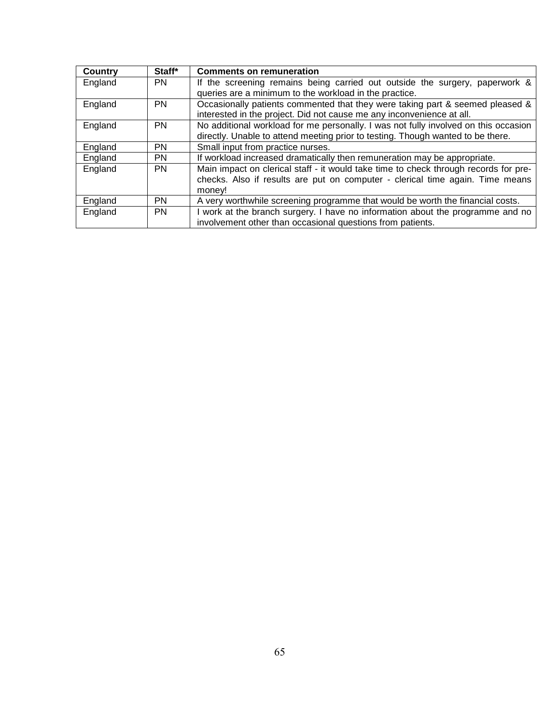| <b>Country</b> | Staff*    | <b>Comments on remuneration</b>                                                      |
|----------------|-----------|--------------------------------------------------------------------------------------|
| England        | PN.       | If the screening remains being carried out outside the surgery, paperwork &          |
|                |           | queries are a minimum to the workload in the practice.                               |
| England        | PN.       | Occasionally patients commented that they were taking part & seemed pleased &        |
|                |           | interested in the project. Did not cause me any inconvenience at all.                |
| England        | <b>PN</b> | No additional workload for me personally. I was not fully involved on this occasion  |
|                |           | directly. Unable to attend meeting prior to testing. Though wanted to be there.      |
| England        | PN.       | Small input from practice nurses.                                                    |
| England        | <b>PN</b> | If workload increased dramatically then remuneration may be appropriate.             |
| England        | PN.       | Main impact on clerical staff - it would take time to check through records for pre- |
|                |           | checks. Also if results are put on computer - clerical time again. Time means        |
|                |           | money!                                                                               |
| England        | PN        | A very worthwhile screening programme that would be worth the financial costs.       |
| England        | PN.       | I work at the branch surgery. I have no information about the programme and no       |
|                |           | involvement other than occasional questions from patients.                           |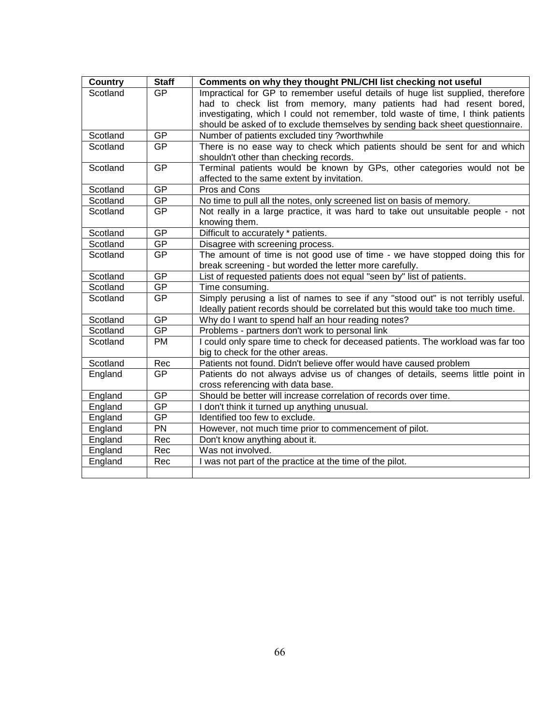| <b>Country</b> | <b>Staff</b> | Comments on why they thought PNL/CHI list checking not useful                                                       |
|----------------|--------------|---------------------------------------------------------------------------------------------------------------------|
| Scotland       | <b>GP</b>    | Impractical for GP to remember useful details of huge list supplied, therefore                                      |
|                |              | had to check list from memory, many patients had had resent bored,                                                  |
|                |              | investigating, which I could not remember, told waste of time, I think patients                                     |
|                |              | should be asked of to exclude themselves by sending back sheet questionnaire.                                       |
| Scotland       | <b>GP</b>    | Number of patients excluded tiny ?worthwhile                                                                        |
| Scotland       | <b>GP</b>    | There is no ease way to check which patients should be sent for and which<br>shouldn't other than checking records. |
| Scotland       | <b>GP</b>    | Terminal patients would be known by GPs, other categories would not be                                              |
|                |              | affected to the same extent by invitation.                                                                          |
| Scotland       | GP           | Pros and Cons                                                                                                       |
| Scotland       | GP           | No time to pull all the notes, only screened list on basis of memory.                                               |
| Scotland       | <b>GP</b>    | Not really in a large practice, it was hard to take out unsuitable people - not<br>knowing them.                    |
| Scotland       | <b>GP</b>    | Difficult to accurately * patients.                                                                                 |
| Scotland       | GP           | Disagree with screening process.                                                                                    |
| Scotland       | GP           | The amount of time is not good use of time - we have stopped doing this for                                         |
|                |              | break screening - but worded the letter more carefully.                                                             |
| Scotland       | GP           | List of requested patients does not equal "seen by" list of patients.                                               |
| Scotland       | GP           | Time consuming.                                                                                                     |
| Scotland       | GP           | Simply perusing a list of names to see if any "stood out" is not terribly useful.                                   |
|                |              | Ideally patient records should be correlated but this would take too much time.                                     |
| Scotland       | <b>GP</b>    | Why do I want to spend half an hour reading notes?                                                                  |
| Scotland       | GP           | Problems - partners don't work to personal link                                                                     |
| Scotland       | <b>PM</b>    | I could only spare time to check for deceased patients. The workload was far too                                    |
|                |              | big to check for the other areas.                                                                                   |
| Scotland       | Rec          | Patients not found. Didn't believe offer would have caused problem                                                  |
| England        | <b>GP</b>    | Patients do not always advise us of changes of details, seems little point in                                       |
|                |              | cross referencing with data base.                                                                                   |
| England        | GP           | Should be better will increase correlation of records over time.                                                    |
| England        | GP           | I don't think it turned up anything unusual.                                                                        |
| England        | <b>GP</b>    | Identified too few to exclude.                                                                                      |
| England        | PN           | However, not much time prior to commencement of pilot.                                                              |
| England        | Rec          | Don't know anything about it.                                                                                       |
| England        | Rec          | Was not involved.                                                                                                   |
| England        | Rec          | I was not part of the practice at the time of the pilot.                                                            |
|                |              |                                                                                                                     |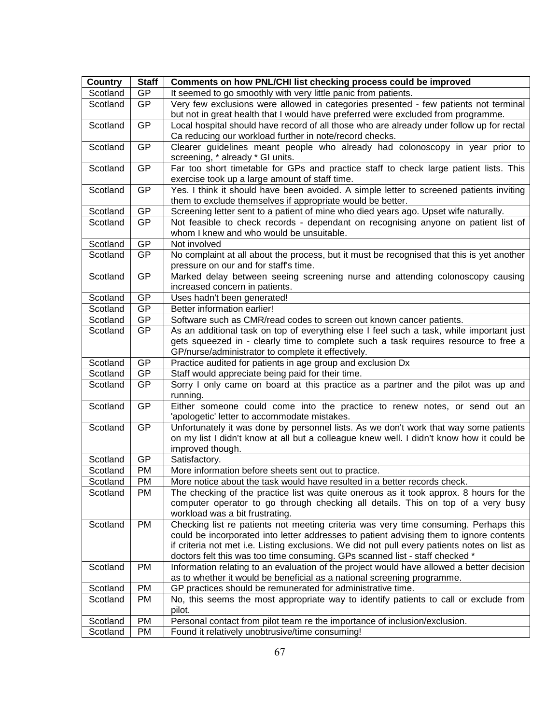| <b>Country</b> | <b>Staff</b> | Comments on how PNL/CHI list checking process could be improved                                                                                                                                                                                                                                                                                                 |
|----------------|--------------|-----------------------------------------------------------------------------------------------------------------------------------------------------------------------------------------------------------------------------------------------------------------------------------------------------------------------------------------------------------------|
| Scotland       | GP           | It seemed to go smoothly with very little panic from patients.                                                                                                                                                                                                                                                                                                  |
| Scotland       | <b>GP</b>    | Very few exclusions were allowed in categories presented - few patients not terminal<br>but not in great health that I would have preferred were excluded from programme.                                                                                                                                                                                       |
| Scotland       | GP           | Local hospital should have record of all those who are already under follow up for rectal<br>Ca reducing our workload further in note/record checks.                                                                                                                                                                                                            |
| Scotland       | GP           | Clearer guidelines meant people who already had colonoscopy in year prior to<br>screening, * already * GI units.                                                                                                                                                                                                                                                |
| Scotland       | GP           | Far too short timetable for GPs and practice staff to check large patient lists. This<br>exercise took up a large amount of staff time.                                                                                                                                                                                                                         |
| Scotland       | GP           | Yes. I think it should have been avoided. A simple letter to screened patients inviting<br>them to exclude themselves if appropriate would be better.                                                                                                                                                                                                           |
| Scotland       | GP           | Screening letter sent to a patient of mine who died years ago. Upset wife naturally.                                                                                                                                                                                                                                                                            |
| Scotland       | GP           | Not feasible to check records - dependant on recognising anyone on patient list of<br>whom I knew and who would be unsuitable.                                                                                                                                                                                                                                  |
| Scotland       | GP           | Not involved                                                                                                                                                                                                                                                                                                                                                    |
| Scotland       | <b>GP</b>    | No complaint at all about the process, but it must be recognised that this is yet another<br>pressure on our and for staff's time.                                                                                                                                                                                                                              |
| Scotland       | <b>GP</b>    | Marked delay between seeing screening nurse and attending colonoscopy causing<br>increased concern in patients.                                                                                                                                                                                                                                                 |
| Scotland       | GP           | Uses hadn't been generated!                                                                                                                                                                                                                                                                                                                                     |
| Scotland       | GP           | Better information earlier!                                                                                                                                                                                                                                                                                                                                     |
| Scotland       | GP           | Software such as CMR/read codes to screen out known cancer patients.                                                                                                                                                                                                                                                                                            |
| Scotland       | GP           | As an additional task on top of everything else I feel such a task, while important just                                                                                                                                                                                                                                                                        |
|                |              | gets squeezed in - clearly time to complete such a task requires resource to free a                                                                                                                                                                                                                                                                             |
|                |              | GP/nurse/administrator to complete it effectively.                                                                                                                                                                                                                                                                                                              |
| Scotland       | GP           | Practice audited for patients in age group and exclusion Dx                                                                                                                                                                                                                                                                                                     |
| Scotland       | GP           | Staff would appreciate being paid for their time.                                                                                                                                                                                                                                                                                                               |
| Scotland       | GP           | Sorry I only came on board at this practice as a partner and the pilot was up and<br>running.                                                                                                                                                                                                                                                                   |
| Scotland       | GP           | Either someone could come into the practice to renew notes, or send out an<br>'apologetic' letter to accommodate mistakes.                                                                                                                                                                                                                                      |
| Scotland       | GP           | Unfortunately it was done by personnel lists. As we don't work that way some patients<br>on my list I didn't know at all but a colleague knew well. I didn't know how it could be<br>improved though.                                                                                                                                                           |
| Scotland       | GP           | Satisfactory.                                                                                                                                                                                                                                                                                                                                                   |
| Scotland       | PM           | More information before sheets sent out to practice.                                                                                                                                                                                                                                                                                                            |
| Scotland       | <b>PM</b>    | More notice about the task would have resulted in a better records check.                                                                                                                                                                                                                                                                                       |
| Scotland       | PM           | The checking of the practice list was quite onerous as it took approx. 8 hours for the                                                                                                                                                                                                                                                                          |
|                |              | computer operator to go through checking all details. This on top of a very busy<br>workload was a bit frustrating.                                                                                                                                                                                                                                             |
| Scotland       | <b>PM</b>    | Checking list re patients not meeting criteria was very time consuming. Perhaps this<br>could be incorporated into letter addresses to patient advising them to ignore contents<br>if criteria not met i.e. Listing exclusions. We did not pull every patients notes on list as<br>doctors felt this was too time consuming. GPs scanned list - staff checked * |
| Scotland       | PM           | Information relating to an evaluation of the project would have allowed a better decision                                                                                                                                                                                                                                                                       |
|                |              | as to whether it would be beneficial as a national screening programme.                                                                                                                                                                                                                                                                                         |
| Scotland       | PM           | GP practices should be remunerated for administrative time.                                                                                                                                                                                                                                                                                                     |
| Scotland       | <b>PM</b>    | No, this seems the most appropriate way to identify patients to call or exclude from<br>pilot.                                                                                                                                                                                                                                                                  |
| Scotland       | <b>PM</b>    | Personal contact from pilot team re the importance of inclusion/exclusion.                                                                                                                                                                                                                                                                                      |
| Scotland       | PM           | Found it relatively unobtrusive/time consuming!                                                                                                                                                                                                                                                                                                                 |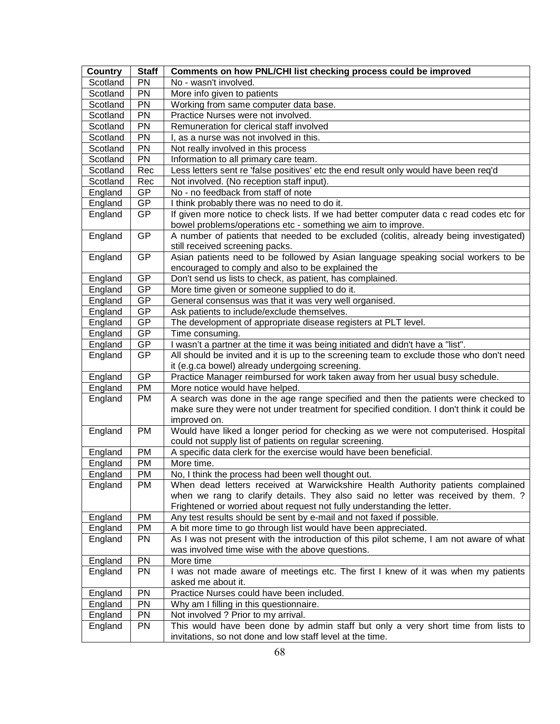| <b>Country</b>     | <b>Staff</b> | Comments on how PNL/CHI list checking process could be improved                                                          |
|--------------------|--------------|--------------------------------------------------------------------------------------------------------------------------|
| Scotland           | PN           | No - wasn't involved.                                                                                                    |
| Scotland           | PN           | More info given to patients                                                                                              |
| Scotland           | PN           | Working from same computer data base.                                                                                    |
| Scotland           | PN           | Practice Nurses were not involved.                                                                                       |
| Scotland           | PN           | Remuneration for clerical staff involved                                                                                 |
| Scotland           | PN           | I, as a nurse was not involved in this.                                                                                  |
| Scotland           | <b>PN</b>    | Not really involved in this process                                                                                      |
| Scotland           | <b>PN</b>    | Information to all primary care team.                                                                                    |
| Scotland           | Rec          | Less letters sent re 'false positives' etc the end result only would have been req'd                                     |
| Scotland           | Rec          | Not involved. (No reception staff input).                                                                                |
| England            | <b>GP</b>    | No - no feedback from staff of note                                                                                      |
| England            | GP           | I think probably there was no need to do it.                                                                             |
| England            | <b>GP</b>    | If given more notice to check lists. If we had better computer data c read codes etc for                                 |
|                    |              | bowel problems/operations etc - something we aim to improve.                                                             |
| England            | GP           | A number of patients that needed to be excluded (colitis, already being investigated)<br>still received screening packs. |
| England            | GP           | Asian patients need to be followed by Asian language speaking social workers to be                                       |
|                    |              | encouraged to comply and also to be explained the                                                                        |
| England            | GP           | Don't send us lists to check, as patient, has complained.                                                                |
| England            | GP           | More time given or someone supplied to do it.                                                                            |
| England            | GP           | General consensus was that it was very well organised.                                                                   |
| England            | GP           | Ask patients to include/exclude themselves.                                                                              |
| England            | GP           | The development of appropriate disease registers at PLT level.                                                           |
| England            | GP           | Time consuming.                                                                                                          |
| England            | GP           | I wasn't a partner at the time it was being initiated and didn't have a "list".                                          |
| England            | GP           | All should be invited and it is up to the screening team to exclude those who don't need                                 |
|                    |              | it (e.g.ca bowel) already undergoing screening.                                                                          |
| England            | GP           | Practice Manager reimbursed for work taken away from her usual busy schedule.                                            |
| England            | PM           | More notice would have helped.                                                                                           |
| England            | PM           | A search was done in the age range specified and then the patients were checked to                                       |
|                    |              | make sure they were not under treatment for specified condition. I don't think it could be                               |
|                    |              | improved on.                                                                                                             |
| England            | <b>PM</b>    | Would have liked a longer period for checking as we were not computerised. Hospital                                      |
|                    |              | could not supply list of patients on regular screening.                                                                  |
| England            | PM           | A specific data clerk for the exercise would have been beneficial.                                                       |
| England            | PM           | More time.                                                                                                               |
| England            | PM           | No, I think the process had been well thought out.                                                                       |
| England            | <b>PM</b>    | When dead letters received at Warwickshire Health Authority patients complained                                          |
|                    |              | when we rang to clarify details. They also said no letter was received by them. ?                                        |
|                    |              | Frightened or worried about request not fully understanding the letter.                                                  |
| England            | PM           | Any test results should be sent by e-mail and not faxed if possible.                                                     |
| England            | PM           | A bit more time to go through list would have been appreciated.                                                          |
| England            | <b>PN</b>    | As I was not present with the introduction of this pilot scheme, I am not aware of what                                  |
|                    |              | was involved time wise with the above questions.                                                                         |
| England<br>England | PN<br>PN     | More time<br>I was not made aware of meetings etc. The first I knew of it was when my patients                           |
|                    |              | asked me about it.                                                                                                       |
| England            | PN           | Practice Nurses could have been included.                                                                                |
| England            | PN           | Why am I filling in this questionnaire.                                                                                  |
| England            | <b>PN</b>    | Not involved ? Prior to my arrival.                                                                                      |
| England            | <b>PN</b>    | This would have been done by admin staff but only a very short time from lists to                                        |
|                    |              | invitations, so not done and low staff level at the time.                                                                |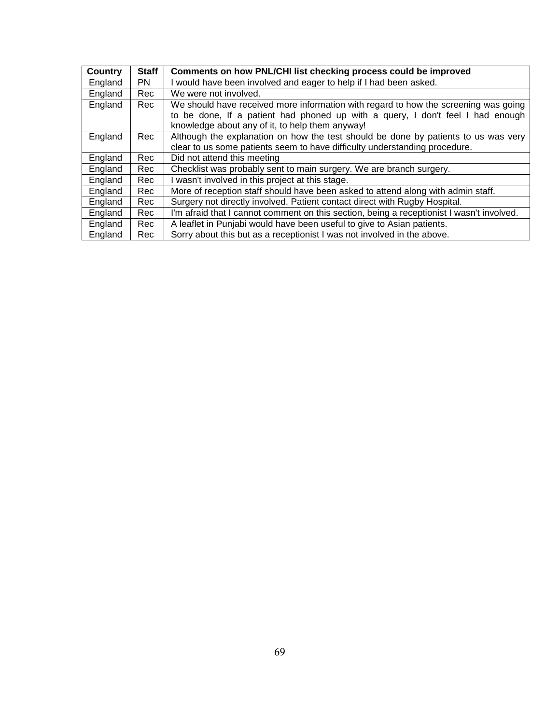| <b>Country</b> | <b>Staff</b> | Comments on how PNL/CHI list checking process could be improved                           |
|----------------|--------------|-------------------------------------------------------------------------------------------|
| England        | <b>PN</b>    | I would have been involved and eager to help if I had been asked.                         |
| England        | Rec          | We were not involved.                                                                     |
| England        | Rec          | We should have received more information with regard to how the screening was going       |
|                |              | to be done, If a patient had phoned up with a query, I don't feel I had enough            |
|                |              | knowledge about any of it, to help them anyway!                                           |
| England        | Rec          | Although the explanation on how the test should be done by patients to us was very        |
|                |              | clear to us some patients seem to have difficulty understanding procedure.                |
| England        | Rec          | Did not attend this meeting                                                               |
| England        | Rec          | Checklist was probably sent to main surgery. We are branch surgery.                       |
| England        | Rec          | I wasn't involved in this project at this stage.                                          |
| England        | Rec          | More of reception staff should have been asked to attend along with admin staff.          |
| England        | Rec          | Surgery not directly involved. Patient contact direct with Rugby Hospital.                |
| England        | Rec          | I'm afraid that I cannot comment on this section, being a receptionist I wasn't involved. |
| England        | Rec          | A leaflet in Punjabi would have been useful to give to Asian patients.                    |
| England        | Rec          | Sorry about this but as a receptionist I was not involved in the above.                   |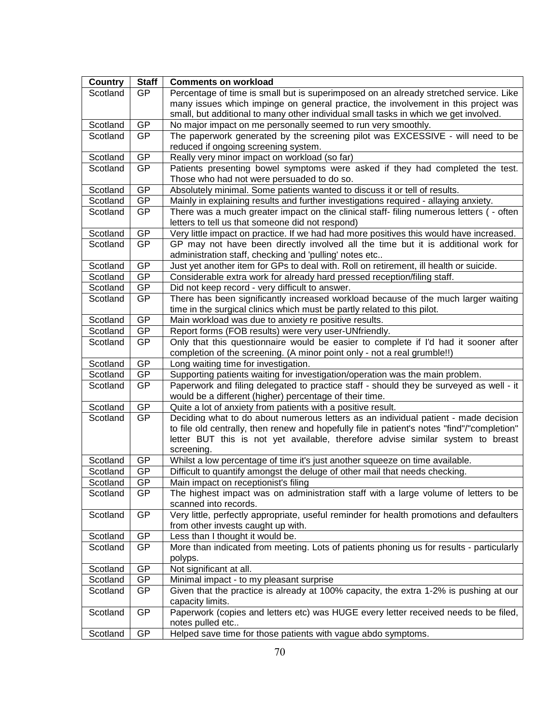| <b>Country</b> | <b>Staff</b> | <b>Comments on workload</b>                                                                                                                        |
|----------------|--------------|----------------------------------------------------------------------------------------------------------------------------------------------------|
| Scotland       | <b>GP</b>    | Percentage of time is small but is superimposed on an already stretched service. Like                                                              |
|                |              | many issues which impinge on general practice, the involvement in this project was                                                                 |
|                |              | small, but additional to many other individual small tasks in which we get involved.                                                               |
| Scotland       | GP           | No major impact on me personally seemed to run very smoothly.                                                                                      |
| Scotland       | GP           | The paperwork generated by the screening pilot was EXCESSIVE - will need to be                                                                     |
|                |              | reduced if ongoing screening system.                                                                                                               |
| Scotland       | <b>GP</b>    | Really very minor impact on workload (so far)                                                                                                      |
| Scotland       | <b>GP</b>    | Patients presenting bowel symptoms were asked if they had completed the test.                                                                      |
|                |              | Those who had not were persuaded to do so.                                                                                                         |
| Scotland       | GP           | Absolutely minimal. Some patients wanted to discuss it or tell of results.                                                                         |
| Scotland       | <b>GP</b>    | Mainly in explaining results and further investigations required - allaying anxiety.                                                               |
| Scotland       | GP           | There was a much greater impact on the clinical staff- filing numerous letters ( - often                                                           |
|                |              | letters to tell us that someone did not respond)                                                                                                   |
| Scotland       | GP           | Very little impact on practice. If we had had more positives this would have increased.                                                            |
| Scotland       | GP           | GP may not have been directly involved all the time but it is additional work for<br>administration staff, checking and 'pulling' notes etc        |
| Scotland       | GP           | Just yet another item for GPs to deal with. Roll on retirement, ill health or suicide.                                                             |
| Scotland       | GP           | Considerable extra work for already hard pressed reception/filing staff.                                                                           |
| Scotland       | GP           | Did not keep record - very difficult to answer.                                                                                                    |
| Scotland       | <b>GP</b>    | There has been significantly increased workload because of the much larger waiting                                                                 |
|                |              | time in the surgical clinics which must be partly related to this pilot.                                                                           |
| Scotland       | GP           | Main workload was due to anxiety re positive results.                                                                                              |
| Scotland       | GP           | Report forms (FOB results) were very user-UNfriendly.                                                                                              |
| Scotland       | GP           | Only that this questionnaire would be easier to complete if I'd had it sooner after                                                                |
|                |              | completion of the screening. (A minor point only - not a real grumble!!)                                                                           |
| Scotland       | GP           | Long waiting time for investigation.                                                                                                               |
| Scotland       | <b>GP</b>    | Supporting patients waiting for investigation/operation was the main problem.                                                                      |
| Scotland       | GP           | Paperwork and filing delegated to practice staff - should they be surveyed as well - it<br>would be a different (higher) percentage of their time. |
| Scotland       | <b>GP</b>    | Quite a lot of anxiety from patients with a positive result.                                                                                       |
| Scotland       | GP           | Deciding what to do about numerous letters as an individual patient - made decision                                                                |
|                |              | to file old centrally, then renew and hopefully file in patient's notes "find"/"completion"                                                        |
|                |              | letter BUT this is not yet available, therefore advise similar system to breast                                                                    |
|                |              | screening.                                                                                                                                         |
| Scotland       | GP           | Whilst a low percentage of time it's just another squeeze on time available.                                                                       |
| Scotland       | GP           | Difficult to quantify amongst the deluge of other mail that needs checking.                                                                        |
| Scotland       | <b>GP</b>    | Main impact on receptionist's filing                                                                                                               |
| Scotland       | GP           | The highest impact was on administration staff with a large volume of letters to be                                                                |
|                |              | scanned into records.                                                                                                                              |
| Scotland       | GP           | Very little, perfectly appropriate, useful reminder for health promotions and defaulters                                                           |
|                |              | from other invests caught up with.                                                                                                                 |
| Scotland       | GP           | Less than I thought it would be.                                                                                                                   |
| Scotland       | GP           | More than indicated from meeting. Lots of patients phoning us for results - particularly                                                           |
|                |              | polyps.                                                                                                                                            |
| Scotland       | <b>GP</b>    | Not significant at all.                                                                                                                            |
| Scotland       | GP           | Minimal impact - to my pleasant surprise                                                                                                           |
| Scotland       | GP           | Given that the practice is already at 100% capacity, the extra 1-2% is pushing at our                                                              |
|                |              | capacity limits.                                                                                                                                   |
| Scotland       | GP           | Paperwork (copies and letters etc) was HUGE every letter received needs to be filed,                                                               |
|                |              | notes pulled etc                                                                                                                                   |
| Scotland       | GP           | Helped save time for those patients with vague abdo symptoms.                                                                                      |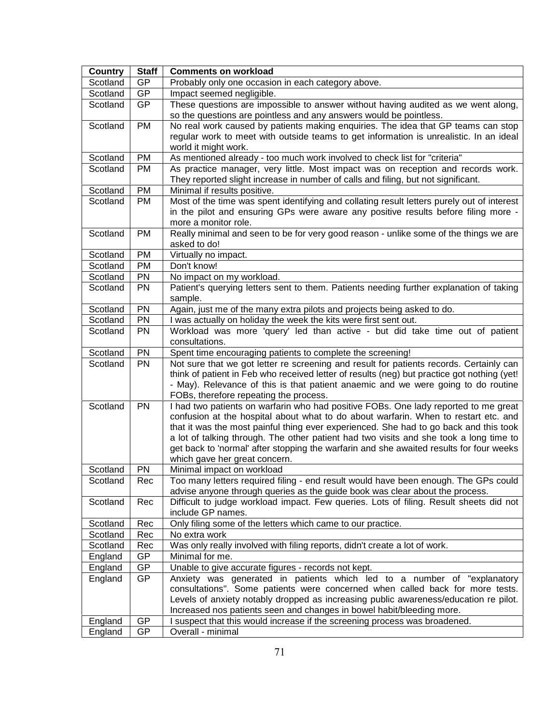| <b>Country</b> | <b>Staff</b> | <b>Comments on workload</b>                                                                                                                                                     |
|----------------|--------------|---------------------------------------------------------------------------------------------------------------------------------------------------------------------------------|
| Scotland       | GP           | Probably only one occasion in each category above.                                                                                                                              |
| Scotland       | GP           | Impact seemed negligible.                                                                                                                                                       |
| Scotland       | <b>GP</b>    | These questions are impossible to answer without having audited as we went along,                                                                                               |
|                |              | so the questions are pointless and any answers would be pointless.                                                                                                              |
| Scotland       | <b>PM</b>    | No real work caused by patients making enquiries. The idea that GP teams can stop                                                                                               |
|                |              | regular work to meet with outside teams to get information is unrealistic. In an ideal                                                                                          |
|                |              | world it might work.                                                                                                                                                            |
| Scotland       | <b>PM</b>    | As mentioned already - too much work involved to check list for "criteria"                                                                                                      |
| Scotland       | <b>PM</b>    | As practice manager, very little. Most impact was on reception and records work.                                                                                                |
|                |              | They reported slight increase in number of calls and filing, but not significant.                                                                                               |
| Scotland       | PM           | Minimal if results positive.                                                                                                                                                    |
| Scotland       | <b>PM</b>    | Most of the time was spent identifying and collating result letters purely out of interest                                                                                      |
|                |              | in the pilot and ensuring GPs were aware any positive results before filing more -                                                                                              |
|                |              | more a monitor role.                                                                                                                                                            |
| Scotland       | <b>PM</b>    | Really minimal and seen to be for very good reason - unlike some of the things we are                                                                                           |
|                |              | asked to do!                                                                                                                                                                    |
| Scotland       | PM           | Virtually no impact.                                                                                                                                                            |
| Scotland       | PM           | Don't know!                                                                                                                                                                     |
| Scotland       | PN           | No impact on my workload.                                                                                                                                                       |
| Scotland       | PN           | Patient's querying letters sent to them. Patients needing further explanation of taking                                                                                         |
|                |              | sample.                                                                                                                                                                         |
| Scotland       | PN           | Again, just me of the many extra pilots and projects being asked to do.                                                                                                         |
| Scotland       | PN           | I was actually on holiday the week the kits were first sent out.                                                                                                                |
| Scotland       | PN           | Workload was more 'query' led than active - but did take time out of patient                                                                                                    |
|                |              | consultations.                                                                                                                                                                  |
| Scotland       | <b>PN</b>    | Spent time encouraging patients to complete the screening!                                                                                                                      |
| Scotland       | <b>PN</b>    | Not sure that we got letter re screening and result for patients records. Certainly can                                                                                         |
|                |              | think of patient in Feb who received letter of results (neg) but practice got nothing (yet!                                                                                     |
|                |              | - May). Relevance of this is that patient anaemic and we were going to do routine                                                                                               |
|                |              | FOBs, therefore repeating the process.                                                                                                                                          |
| Scotland       | PN           | I had two patients on warfarin who had positive FOBs. One lady reported to me great                                                                                             |
|                |              | confusion at the hospital about what to do about warfarin. When to restart etc. and                                                                                             |
|                |              | that it was the most painful thing ever experienced. She had to go back and this took<br>a lot of talking through. The other patient had two visits and she took a long time to |
|                |              | get back to 'normal' after stopping the warfarin and she awaited results for four weeks                                                                                         |
|                |              | which gave her great concern.                                                                                                                                                   |
| Scotland       | <b>PN</b>    | Minimal impact on workload                                                                                                                                                      |
| Scotland       | Rec          | Too many letters required filing - end result would have been enough. The GPs could                                                                                             |
|                |              | advise anyone through queries as the guide book was clear about the process.                                                                                                    |
| Scotland       | Rec          | Difficult to judge workload impact. Few queries. Lots of filing. Result sheets did not                                                                                          |
|                |              | include GP names.                                                                                                                                                               |
| Scotland       | Rec          | Only filing some of the letters which came to our practice.                                                                                                                     |
| Scotland       | Rec          | No extra work                                                                                                                                                                   |
| Scotland       | Rec          | Was only really involved with filing reports, didn't create a lot of work.                                                                                                      |
| England        | GP           | Minimal for me.                                                                                                                                                                 |
| England        | GP           | Unable to give accurate figures - records not kept.                                                                                                                             |
| England        | <b>GP</b>    | Anxiety was generated in patients which led to a number of "explanatory                                                                                                         |
|                |              | consultations". Some patients were concerned when called back for more tests.                                                                                                   |
|                |              | Levels of anxiety notably dropped as increasing public awareness/education re pilot.                                                                                            |
|                |              | Increased nos patients seen and changes in bowel habit/bleeding more.                                                                                                           |
| England        | GP           | I suspect that this would increase if the screening process was broadened.                                                                                                      |
| England        | <b>GP</b>    | Overall - minimal                                                                                                                                                               |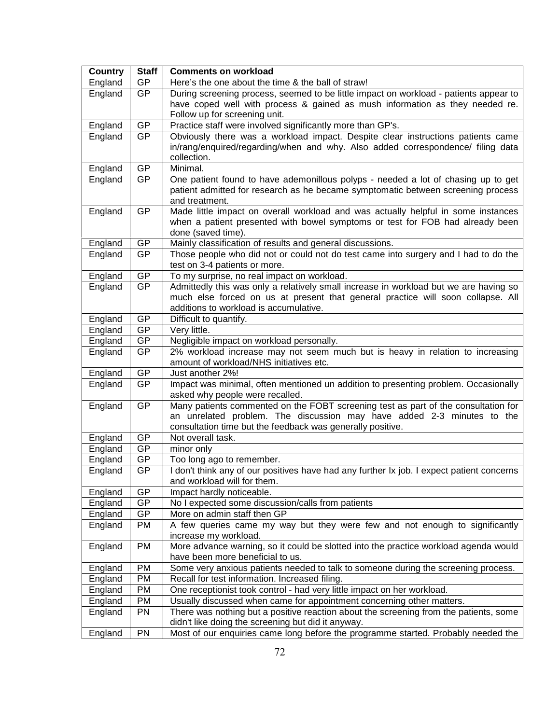| Country | <b>Staff</b> | <b>Comments on workload</b>                                                                                                |
|---------|--------------|----------------------------------------------------------------------------------------------------------------------------|
| England | GP           | Here's the one about the time & the ball of straw!                                                                         |
| England | GP           | During screening process, seemed to be little impact on workload - patients appear to                                      |
|         |              | have coped well with process & gained as mush information as they needed re.                                               |
|         |              | Follow up for screening unit.                                                                                              |
| England | GP           | Practice staff were involved significantly more than GP's.                                                                 |
| England | GP           | Obviously there was a workload impact. Despite clear instructions patients came                                            |
|         |              | in/rang/enquired/regarding/when and why. Also added correspondence/ filing data                                            |
|         |              | collection.                                                                                                                |
| England | GP           | Minimal.                                                                                                                   |
| England | <b>GP</b>    | One patient found to have ademonillous polyps - needed a lot of chasing up to get                                          |
|         |              | patient admitted for research as he became symptomatic between screening process                                           |
|         |              | and treatment.                                                                                                             |
| England | GP           | Made little impact on overall workload and was actually helpful in some instances                                          |
|         |              | when a patient presented with bowel symptoms or test for FOB had already been                                              |
|         |              | done (saved time).                                                                                                         |
| England | GP           | Mainly classification of results and general discussions.                                                                  |
| England | GP           | Those people who did not or could not do test came into surgery and I had to do the                                        |
|         |              | test on 3-4 patients or more.                                                                                              |
| England | <b>GP</b>    | To my surprise, no real impact on workload.                                                                                |
| England | GP           | Admittedly this was only a relatively small increase in workload but we are having so                                      |
|         |              | much else forced on us at present that general practice will soon collapse. All                                            |
|         | GP           | additions to workload is accumulative.                                                                                     |
| England | <b>GP</b>    | Difficult to quantify.<br>Very little.                                                                                     |
| England | <b>GP</b>    |                                                                                                                            |
| England | <b>GP</b>    | Negligible impact on workload personally.<br>2% workload increase may not seem much but is heavy in relation to increasing |
| England |              | amount of workload/NHS initiatives etc.                                                                                    |
| England | <b>GP</b>    | Just another 2%!                                                                                                           |
| England | <b>GP</b>    | Impact was minimal, often mentioned un addition to presenting problem. Occasionally                                        |
|         |              | asked why people were recalled.                                                                                            |
| England | GP           | Many patients commented on the FOBT screening test as part of the consultation for                                         |
|         |              | an unrelated problem. The discussion may have added 2-3 minutes to the                                                     |
|         |              | consultation time but the feedback was generally positive.                                                                 |
| England | <b>GP</b>    | Not overall task.                                                                                                          |
| England | GP           | minor only                                                                                                                 |
| England | GP           | Too long ago to remember.                                                                                                  |
| England | <b>GP</b>    | I don't think any of our positives have had any further Ix job. I expect patient concerns                                  |
|         |              | and workload will for them.                                                                                                |
| England | <b>GP</b>    | Impact hardly noticeable.                                                                                                  |
| England | <b>GP</b>    | No I expected some discussion/calls from patients                                                                          |
| England | GP           | More on admin staff then GP                                                                                                |
| England | <b>PM</b>    | A few queries came my way but they were few and not enough to significantly                                                |
|         |              | increase my workload.                                                                                                      |
| England | <b>PM</b>    | More advance warning, so it could be slotted into the practice workload agenda would                                       |
|         |              | have been more beneficial to us.                                                                                           |
| England | PM           | Some very anxious patients needed to talk to someone during the screening process.                                         |
| England | PM           | Recall for test information. Increased filing.                                                                             |
| England | PM           | One receptionist took control - had very little impact on her workload.                                                    |
| England | PM           | Usually discussed when came for appointment concerning other matters.                                                      |
| England | PN           | There was nothing but a positive reaction about the screening from the patients, some                                      |
|         |              | didn't like doing the screening but did it anyway.                                                                         |
| England | <b>PN</b>    | Most of our enquiries came long before the programme started. Probably needed the                                          |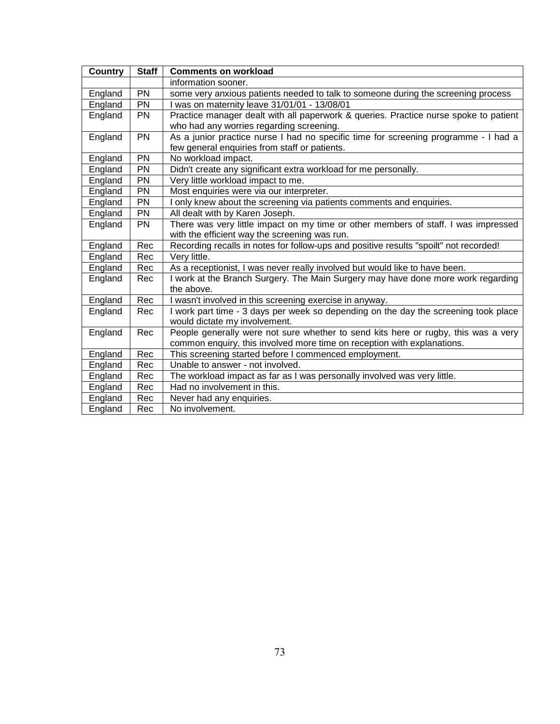| <b>Country</b> | <b>Staff</b> | <b>Comments on workload</b>                                                           |
|----------------|--------------|---------------------------------------------------------------------------------------|
|                |              | information sooner.                                                                   |
| England        | PN           | some very anxious patients needed to talk to someone during the screening process     |
| England        | PN           | I was on maternity leave 31/01/01 - 13/08/01                                          |
| England        | <b>PN</b>    | Practice manager dealt with all paperwork & queries. Practice nurse spoke to patient  |
|                |              | who had any worries regarding screening.                                              |
| England        | <b>PN</b>    | As a junior practice nurse I had no specific time for screening programme - I had a   |
|                |              | few general enquiries from staff or patients.                                         |
| England        | PN           | No workload impact.                                                                   |
| England        | <b>PN</b>    | Didn't create any significant extra workload for me personally.                       |
| England        | PN           | Very little workload impact to me.                                                    |
| England        | PN           | Most enquiries were via our interpreter.                                              |
| England        | PN           | I only knew about the screening via patients comments and enquiries.                  |
| England        | PN           | All dealt with by Karen Joseph.                                                       |
| England        | PN           | There was very little impact on my time or other members of staff. I was impressed    |
|                |              | with the efficient way the screening was run.                                         |
| England        | Rec          | Recording recalls in notes for follow-ups and positive results "spoilt" not recorded! |
| England        | Rec          | Very little.                                                                          |
| England        | Rec          | As a receptionist, I was never really involved but would like to have been.           |
| England        | Rec          | I work at the Branch Surgery. The Main Surgery may have done more work regarding      |
|                |              | the above.                                                                            |
| England        | Rec          | I wasn't involved in this screening exercise in anyway.                               |
| England        | Rec          | I work part time - 3 days per week so depending on the day the screening took place   |
|                |              | would dictate my involvement.                                                         |
| England        | Rec          | People generally were not sure whether to send kits here or rugby, this was a very    |
|                |              | common enquiry, this involved more time on reception with explanations.               |
| England        | Rec          | This screening started before I commenced employment.                                 |
| England        | Rec          | Unable to answer - not involved.                                                      |
| England        | Rec          | The workload impact as far as I was personally involved was very little.              |
| England        | Rec          | Had no involvement in this.                                                           |
| England        | Rec          | Never had any enquiries.                                                              |
| England        | Rec          | No involvement.                                                                       |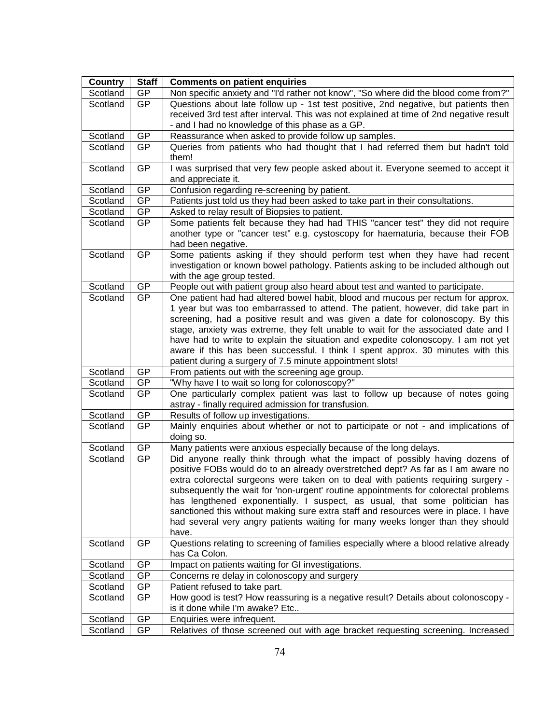| <b>Country</b> | <b>Staff</b> | <b>Comments on patient enquiries</b>                                                             |
|----------------|--------------|--------------------------------------------------------------------------------------------------|
| Scotland       | GP           | Non specific anxiety and "I'd rather not know", "So where did the blood come from?"              |
| Scotland       | <b>GP</b>    | Questions about late follow up - 1st test positive, 2nd negative, but patients then              |
|                |              | received 3rd test after interval. This was not explained at time of 2nd negative result          |
|                |              | - and I had no knowledge of this phase as a GP.                                                  |
| Scotland       | GP           | Reassurance when asked to provide follow up samples.                                             |
| Scotland       | GP           | Queries from patients who had thought that I had referred them but hadn't told                   |
|                |              | them!                                                                                            |
| Scotland       | GP           | I was surprised that very few people asked about it. Everyone seemed to accept it                |
|                |              | and appreciate it.                                                                               |
| Scotland       | GP           | Confusion regarding re-screening by patient.                                                     |
| Scotland       | GP           | Patients just told us they had been asked to take part in their consultations.                   |
| Scotland       | GP           | Asked to relay result of Biopsies to patient.                                                    |
| Scotland       | GP           | Some patients felt because they had had THIS "cancer test" they did not require                  |
|                |              | another type or "cancer test" e.g. cystoscopy for haematuria, because their FOB                  |
|                | GP           | had been negative.<br>Some patients asking if they should perform test when they have had recent |
| Scotland       |              | investigation or known bowel pathology. Patients asking to be included although out              |
|                |              | with the age group tested.                                                                       |
| Scotland       | <b>GP</b>    | People out with patient group also heard about test and wanted to participate.                   |
| Scotland       | GP           | One patient had had altered bowel habit, blood and mucous per rectum for approx.                 |
|                |              | 1 year but was too embarrassed to attend. The patient, however, did take part in                 |
|                |              | screening, had a positive result and was given a date for colonoscopy. By this                   |
|                |              | stage, anxiety was extreme, they felt unable to wait for the associated date and I               |
|                |              | have had to write to explain the situation and expedite colonoscopy. I am not yet                |
|                |              | aware if this has been successful. I think I spent approx. 30 minutes with this                  |
|                |              | patient during a surgery of 7.5 minute appointment slots!                                        |
| Scotland       | GP           | From patients out with the screening age group.                                                  |
| Scotland       | GP           | "Why have I to wait so long for colonoscopy?"                                                    |
| Scotland       | GP           | One particularly complex patient was last to follow up because of notes going                    |
|                |              | astray - finally required admission for transfusion.                                             |
| Scotland       | GP           | Results of follow up investigations.                                                             |
| Scotland       | <b>GP</b>    | Mainly enquiries about whether or not to participate or not - and implications of                |
|                |              | doing so.                                                                                        |
| Scotland       | GP           | Many patients were anxious especially because of the long delays.                                |
| Scotland       | <b>GP</b>    | Did anyone really think through what the impact of possibly having dozens of                     |
|                |              | positive FOBs would do to an already overstretched dept? As far as I am aware no                 |
|                |              | extra colorectal surgeons were taken on to deal with patients requiring surgery -                |
|                |              | subsequently the wait for 'non-urgent' routine appointments for colorectal problems              |
|                |              | has lengthened exponentially. I suspect, as usual, that some politician has                      |
|                |              | sanctioned this without making sure extra staff and resources were in place. I have              |
|                |              | had several very angry patients waiting for many weeks longer than they should<br>have.          |
| Scotland       | GP           | Questions relating to screening of families especially where a blood relative already            |
|                |              | has Ca Colon.                                                                                    |
| Scotland       | GP           | Impact on patients waiting for GI investigations.                                                |
| Scotland       | GP           | Concerns re delay in colonoscopy and surgery                                                     |
| Scotland       | GP           | Patient refused to take part.                                                                    |
| Scotland       | <b>GP</b>    | How good is test? How reassuring is a negative result? Details about colonoscopy -               |
|                |              | is it done while I'm awake? Etc                                                                  |
| Scotland       | GP           | Enquiries were infrequent.                                                                       |
| Scotland       | <b>GP</b>    | Relatives of those screened out with age bracket requesting screening. Increased                 |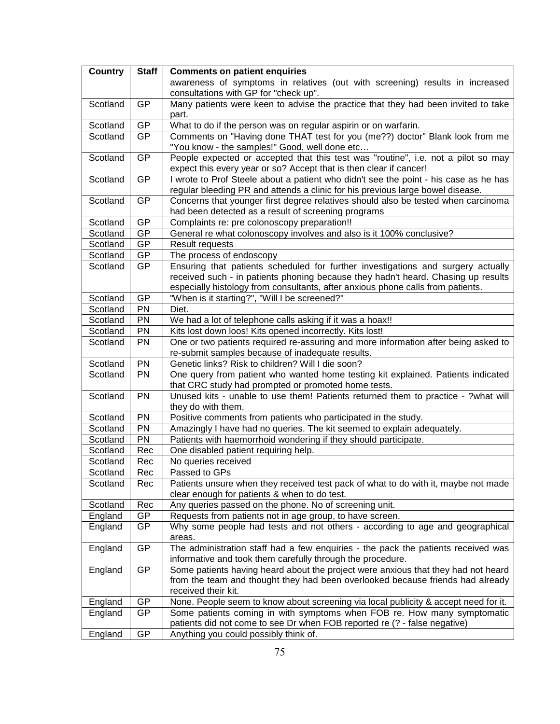| <b>Country</b> | <b>Staff</b>             | <b>Comments on patient enquiries</b>                                                                                                            |
|----------------|--------------------------|-------------------------------------------------------------------------------------------------------------------------------------------------|
|                |                          | awareness of symptoms in relatives (out with screening) results in increased<br>consultations with GP for "check up".                           |
| Scotland       | <b>GP</b>                | Many patients were keen to advise the practice that they had been invited to take<br>part.                                                      |
| Scotland       | GP                       | What to do if the person was on regular aspirin or on warfarin.                                                                                 |
| Scotland       | GP                       | Comments on "Having done THAT test for you (me??) doctor" Blank look from me                                                                    |
|                |                          | "You know - the samples!" Good, well done etc                                                                                                   |
| Scotland       | GP                       | People expected or accepted that this test was "routine", i.e. not a pilot so may                                                               |
|                |                          | expect this every year or so? Accept that is then clear if cancer!                                                                              |
| Scotland       | GP                       | I wrote to Prof Steele about a patient who didn't see the point - his case as he has                                                            |
|                |                          | regular bleeding PR and attends a clinic for his previous large bowel disease.                                                                  |
| Scotland       | GP                       | Concerns that younger first degree relatives should also be tested when carcinoma                                                               |
|                |                          | had been detected as a result of screening programs                                                                                             |
| Scotland       | GP                       | Complaints re: pre colonoscopy preparation!!                                                                                                    |
| Scotland       | GP                       | General re what colonoscopy involves and also is it 100% conclusive?                                                                            |
| Scotland       | $\overline{\mathsf{GP}}$ | <b>Result requests</b>                                                                                                                          |
| Scotland       | GP                       | The process of endoscopy                                                                                                                        |
| Scotland       | GP                       | Ensuring that patients scheduled for further investigations and surgery actually                                                                |
|                |                          | received such - in patients phoning because they hadn't heard. Chasing up results                                                               |
|                |                          | especially histology from consultants, after anxious phone calls from patients.                                                                 |
| Scotland       | GP                       | "When is it starting?", "Will I be screened?"                                                                                                   |
| Scotland       | PN                       | Diet.                                                                                                                                           |
| Scotland       | PN                       | We had a lot of telephone calls asking if it was a hoax!!                                                                                       |
| Scotland       | PN<br>PN                 | Kits lost down loos! Kits opened incorrectly. Kits lost!                                                                                        |
| Scotland       |                          | One or two patients required re-assuring and more information after being asked to<br>re-submit samples because of inadequate results.          |
| Scotland       | PN                       | Genetic links? Risk to children? Will I die soon?                                                                                               |
| Scotland       | PN                       | One query from patient who wanted home testing kit explained. Patients indicated                                                                |
|                |                          | that CRC study had prompted or promoted home tests.                                                                                             |
| Scotland       | PN                       | Unused kits - unable to use them! Patients returned them to practice - ?what will                                                               |
|                |                          | they do with them.                                                                                                                              |
| Scotland       | <b>PN</b>                | Positive comments from patients who participated in the study.                                                                                  |
| Scotland       | PN                       | Amazingly I have had no queries. The kit seemed to explain adequately.                                                                          |
| Scotland       | PN                       | Patients with haemorrhoid wondering if they should participate.                                                                                 |
| Scotland       | Rec                      | One disabled patient requiring help.                                                                                                            |
| Scotland       | Rec                      | No queries received                                                                                                                             |
| Scotland       | Rec                      | Passed to GPs                                                                                                                                   |
| Scotland       | Rec                      | Patients unsure when they received test pack of what to do with it, maybe not made                                                              |
|                |                          | clear enough for patients & when to do test.                                                                                                    |
| Scotland       | Rec                      | Any queries passed on the phone. No of screening unit.                                                                                          |
| England        | GP                       | Requests from patients not in age group, to have screen.                                                                                        |
| England        | GP                       | Why some people had tests and not others - according to age and geographical                                                                    |
|                |                          | areas.                                                                                                                                          |
| England        | GP                       | The administration staff had a few enquiries - the pack the patients received was<br>informative and took them carefully through the procedure. |
| England        | GP                       | Some patients having heard about the project were anxious that they had not heard                                                               |
|                |                          | from the team and thought they had been overlooked because friends had already                                                                  |
|                |                          | received their kit.                                                                                                                             |
| England        | GP                       | None. People seem to know about screening via local publicity & accept need for it.                                                             |
| England        | GP                       | Some patients coming in with symptoms when FOB re. How many symptomatic                                                                         |
|                |                          | patients did not come to see Dr when FOB reported re (? - false negative)                                                                       |
| England        | GP                       | Anything you could possibly think of.                                                                                                           |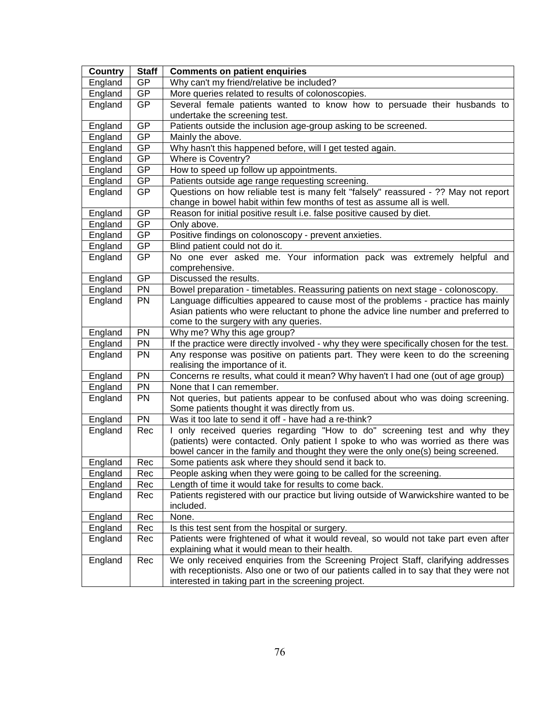| <b>Country</b> | <b>Staff</b> | <b>Comments on patient enquiries</b>                                                                                                   |
|----------------|--------------|----------------------------------------------------------------------------------------------------------------------------------------|
| England        | <b>GP</b>    | Why can't my friend/relative be included?                                                                                              |
| England        | <b>GP</b>    | More queries related to results of colonoscopies.                                                                                      |
| England        | GP           | Several female patients wanted to know how to persuade their husbands to                                                               |
|                |              | undertake the screening test.                                                                                                          |
| England        | GP           | Patients outside the inclusion age-group asking to be screened.                                                                        |
| England        | GP           | Mainly the above.                                                                                                                      |
| England        | GP           | Why hasn't this happened before, will I get tested again.                                                                              |
| England        | GP           | Where is Coventry?                                                                                                                     |
| England        | GP           | How to speed up follow up appointments.                                                                                                |
| England        | GP           | Patients outside age range requesting screening.                                                                                       |
| England        | GP           | Questions on how reliable test is many felt "falsely" reassured - ?? May not report                                                    |
|                |              | change in bowel habit within few months of test as assume all is well.                                                                 |
| England        | GP           | Reason for initial positive result i.e. false positive caused by diet.                                                                 |
| England        | GP           | Only above.                                                                                                                            |
| England        | GP           | Positive findings on colonoscopy - prevent anxieties.                                                                                  |
| England        | GP<br>GP     | Blind patient could not do it.                                                                                                         |
| England        |              | No one ever asked me. Your information pack was extremely helpful and<br>comprehensive.                                                |
| England        | GP           | Discussed the results.                                                                                                                 |
| England        | PN           | Bowel preparation - timetables. Reassuring patients on next stage - colonoscopy.                                                       |
| England        | PN           | Language difficulties appeared to cause most of the problems - practice has mainly                                                     |
|                |              | Asian patients who were reluctant to phone the advice line number and preferred to                                                     |
|                |              | come to the surgery with any queries.                                                                                                  |
| England        | PN           | Why me? Why this age group?                                                                                                            |
| England        | PN           | If the practice were directly involved - why they were specifically chosen for the test.                                               |
| England        | PN           | Any response was positive on patients part. They were keen to do the screening                                                         |
|                |              | realising the importance of it.                                                                                                        |
| England        | PN           | Concerns re results, what could it mean? Why haven't I had one (out of age group)                                                      |
| England        | PN           | None that I can remember.                                                                                                              |
| England        | PN           | Not queries, but patients appear to be confused about who was doing screening.                                                         |
|                |              | Some patients thought it was directly from us.                                                                                         |
| England        | PN           | Was it too late to send it off - have had a re-think?                                                                                  |
| England        | Rec          | only received queries regarding "How to do" screening test and why they                                                                |
|                |              | (patients) were contacted. Only patient I spoke to who was worried as there was                                                        |
|                |              | bowel cancer in the family and thought they were the only one(s) being screened.                                                       |
| England        | Rec          | Some patients ask where they should send it back to.                                                                                   |
| England        | Rec          | People asking when they were going to be called for the screening.                                                                     |
| England        | Rec          | Length of time it would take for results to come back.                                                                                 |
| England        | Rec          | Patients registered with our practice but living outside of Warwickshire wanted to be                                                  |
|                |              | included.                                                                                                                              |
| England        | Rec          | None.                                                                                                                                  |
| England        | Rec          | Is this test sent from the hospital or surgery.<br>Patients were frightened of what it would reveal, so would not take part even after |
| England        | Rec          | explaining what it would mean to their health.                                                                                         |
| England        | Rec          | We only received enquiries from the Screening Project Staff, clarifying addresses                                                      |
|                |              | with receptionists. Also one or two of our patients called in to say that they were not                                                |
|                |              | interested in taking part in the screening project.                                                                                    |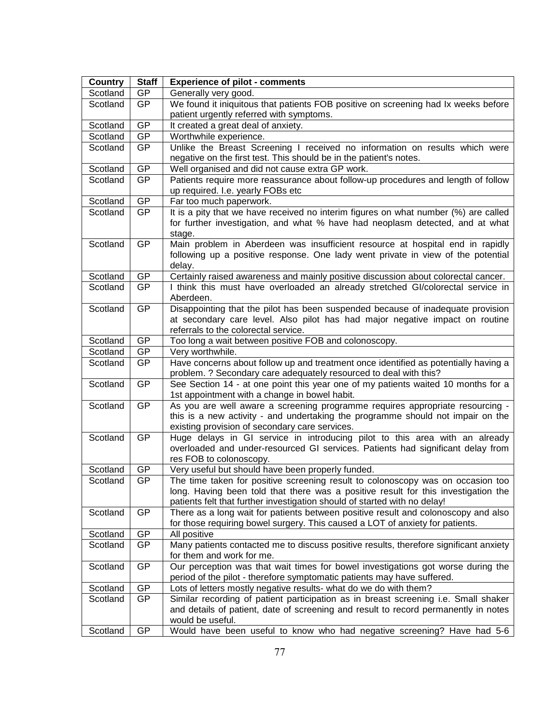| <b>Country</b> | <b>Staff</b> | <b>Experience of pilot - comments</b>                                                                                                                    |
|----------------|--------------|----------------------------------------------------------------------------------------------------------------------------------------------------------|
| Scotland       | GP           | Generally very good.                                                                                                                                     |
| Scotland       | <b>GP</b>    | We found it iniquitous that patients FOB positive on screening had Ix weeks before                                                                       |
|                |              | patient urgently referred with symptoms.                                                                                                                 |
| Scotland       | GP           | It created a great deal of anxiety.                                                                                                                      |
| Scotland       | GP           | Worthwhile experience.                                                                                                                                   |
| Scotland       | GP           | Unlike the Breast Screening I received no information on results which were                                                                              |
|                |              | negative on the first test. This should be in the patient's notes.                                                                                       |
| Scotland       | GP           | Well organised and did not cause extra GP work.                                                                                                          |
| Scotland       | <b>GP</b>    | Patients require more reassurance about follow-up procedures and length of follow                                                                        |
|                |              | up required. I.e. yearly FOBs etc                                                                                                                        |
| Scotland       | GP           | Far too much paperwork.                                                                                                                                  |
| Scotland       | <b>GP</b>    | It is a pity that we have received no interim figures on what number (%) are called                                                                      |
|                |              | for further investigation, and what % have had neoplasm detected, and at what                                                                            |
|                |              | stage.                                                                                                                                                   |
| Scotland       | <b>GP</b>    | Main problem in Aberdeen was insufficient resource at hospital end in rapidly                                                                            |
|                |              | following up a positive response. One lady went private in view of the potential<br>delay.                                                               |
| Scotland       | <b>GP</b>    | Certainly raised awareness and mainly positive discussion about colorectal cancer.                                                                       |
| Scotland       | <b>GP</b>    | I think this must have overloaded an already stretched GI/colorectal service in                                                                          |
|                |              | Aberdeen.                                                                                                                                                |
| Scotland       | GP           | Disappointing that the pilot has been suspended because of inadequate provision                                                                          |
|                |              | at secondary care level. Also pilot has had major negative impact on routine                                                                             |
|                |              | referrals to the colorectal service.                                                                                                                     |
| Scotland       | GP           |                                                                                                                                                          |
|                | <b>GP</b>    | Too long a wait between positive FOB and colonoscopy.                                                                                                    |
| Scotland       |              | Very worthwhile.                                                                                                                                         |
| Scotland       | GP           | Have concerns about follow up and treatment once identified as potentially having a<br>problem. ? Secondary care adequately resourced to deal with this? |
| Scotland       | GP           | See Section 14 - at one point this year one of my patients waited 10 months for a                                                                        |
|                |              | 1st appointment with a change in bowel habit.                                                                                                            |
| Scotland       | <b>GP</b>    | As you are well aware a screening programme requires appropriate resourcing -                                                                            |
|                |              | this is a new activity - and undertaking the programme should not impair on the                                                                          |
|                |              | existing provision of secondary care services.                                                                                                           |
| Scotland       | GP           | Huge delays in GI service in introducing pilot to this area with an already                                                                              |
|                |              | overloaded and under-resourced GI services. Patients had significant delay from                                                                          |
|                |              | res FOB to colonoscopy.                                                                                                                                  |
| Scotland       | <b>GP</b>    | Very useful but should have been properly funded.                                                                                                        |
| Scotland       | <b>GP</b>    | The time taken for positive screening result to colonoscopy was on occasion too                                                                          |
|                |              | long. Having been told that there was a positive result for this investigation the                                                                       |
|                |              | patients felt that further investigation should of started with no delay!                                                                                |
| Scotland       | GP           | There as a long wait for patients between positive result and colonoscopy and also                                                                       |
|                |              | for those requiring bowel surgery. This caused a LOT of anxiety for patients.                                                                            |
| Scotland       | GP           | All positive                                                                                                                                             |
| Scotland       | GP           | Many patients contacted me to discuss positive results, therefore significant anxiety                                                                    |
|                |              | for them and work for me.                                                                                                                                |
| Scotland       | <b>GP</b>    | Our perception was that wait times for bowel investigations got worse during the                                                                         |
|                |              | period of the pilot - therefore symptomatic patients may have suffered.                                                                                  |
| Scotland       | GP           | Lots of letters mostly negative results- what do we do with them?                                                                                        |
| Scotland       | <b>GP</b>    | Similar recording of patient participation as in breast screening i.e. Small shaker                                                                      |
|                |              | and details of patient, date of screening and result to record permanently in notes                                                                      |
|                |              | would be useful.                                                                                                                                         |
| Scotland       | <b>GP</b>    | Would have been useful to know who had negative screening? Have had 5-6                                                                                  |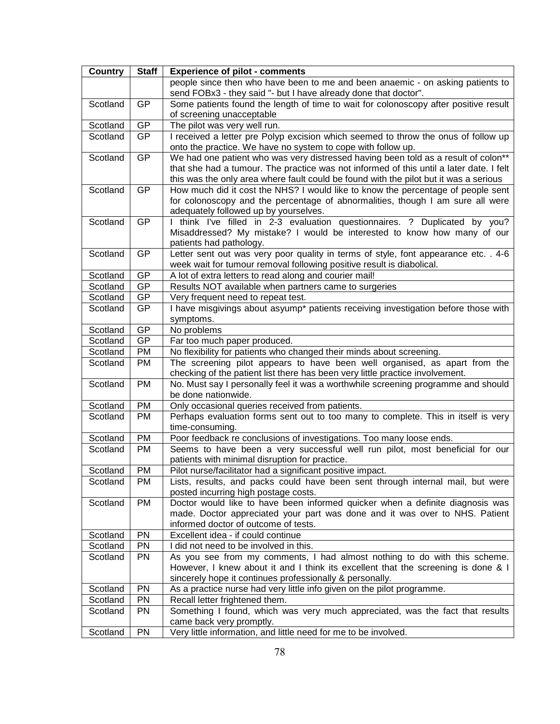| <b>Country</b> | <b>Staff</b> | <b>Experience of pilot - comments</b>                                                                                                                       |
|----------------|--------------|-------------------------------------------------------------------------------------------------------------------------------------------------------------|
|                |              | people since then who have been to me and been anaemic - on asking patients to<br>send FOBx3 - they said "- but I have already done that doctor".           |
| Scotland       | <b>GP</b>    | Some patients found the length of time to wait for colonoscopy after positive result<br>of screening unacceptable                                           |
| Scotland       | GP           | The pilot was very well run.                                                                                                                                |
| Scotland       | <b>GP</b>    | I received a letter pre Polyp excision which seemed to throw the onus of follow up                                                                          |
|                |              | onto the practice. We have no system to cope with follow up.                                                                                                |
| Scotland       | GP           | We had one patient who was very distressed having been told as a result of colon**                                                                          |
|                |              | that she had a tumour. The practice was not informed of this until a later date. I felt                                                                     |
|                |              | this was the only area where fault could be found with the pilot but it was a serious                                                                       |
| Scotland       | <b>GP</b>    | How much did it cost the NHS? I would like to know the percentage of people sent                                                                            |
|                |              | for colonoscopy and the percentage of abnormalities, though I am sure all were                                                                              |
|                |              | adequately followed up by yourselves.                                                                                                                       |
| Scotland       | <b>GP</b>    | think I've filled in 2-3 evaluation questionnaires. ? Duplicated by you?<br>L                                                                               |
|                |              | Misaddressed? My mistake? I would be interested to know how many of our                                                                                     |
|                |              | patients had pathology.                                                                                                                                     |
| Scotland       | <b>GP</b>    | Letter sent out was very poor quality in terms of style, font appearance etc. . 4-6                                                                         |
|                |              | week wait for tumour removal following positive result is diabolical.                                                                                       |
| Scotland       | GP           | A lot of extra letters to read along and courier mail!                                                                                                      |
| Scotland       | GP           | Results NOT available when partners came to surgeries                                                                                                       |
| Scotland       | GP           | Very frequent need to repeat test.                                                                                                                          |
| Scotland       | GP           | I have misgivings about asyump* patients receiving investigation before those with                                                                          |
|                |              | symptoms.                                                                                                                                                   |
| Scotland       | <b>GP</b>    | No problems                                                                                                                                                 |
| Scotland       | GP           | Far too much paper produced.                                                                                                                                |
| Scotland       | <b>PM</b>    | No flexibility for patients who changed their minds about screening.                                                                                        |
| Scotland       | <b>PM</b>    | The screening pilot appears to have been well organised, as apart from the<br>checking of the patient list there has been very little practice involvement. |
| Scotland       | <b>PM</b>    | No. Must say I personally feel it was a worthwhile screening programme and should<br>be done nationwide.                                                    |
| Scotland       | <b>PM</b>    | Only occasional queries received from patients.                                                                                                             |
| Scotland       | <b>PM</b>    | Perhaps evaluation forms sent out to too many to complete. This in itself is very                                                                           |
|                |              | time-consuming.                                                                                                                                             |
| Scotland       | <b>PM</b>    | Poor feedback re conclusions of investigations. Too many loose ends.                                                                                        |
| Scotland       | PM           | Seems to have been a very successful well run pilot, most beneficial for our                                                                                |
|                |              | patients with minimal disruption for practice.                                                                                                              |
| Scotland       | <b>PM</b>    | Pilot nurse/facilitator had a significant positive impact.                                                                                                  |
| Scotland       | <b>PM</b>    | Lists, results, and packs could have been sent through internal mail, but were                                                                              |
|                |              | posted incurring high postage costs.                                                                                                                        |
| Scotland       | <b>PM</b>    | Doctor would like to have been informed quicker when a definite diagnosis was                                                                               |
|                |              | made. Doctor appreciated your part was done and it was over to NHS. Patient                                                                                 |
|                |              | informed doctor of outcome of tests.                                                                                                                        |
| Scotland       | PN           | Excellent idea - if could continue                                                                                                                          |
| Scotland       | <b>PN</b>    | I did not need to be involved in this.                                                                                                                      |
| Scotland       | PN           | As you see from my comments, I had almost nothing to do with this scheme.                                                                                   |
|                |              | However, I knew about it and I think its excellent that the screening is done & I                                                                           |
|                |              | sincerely hope it continues professionally & personally.                                                                                                    |
| Scotland       | PN           | As a practice nurse had very little info given on the pilot programme.                                                                                      |
| Scotland       | PN           | Recall letter frightened them.                                                                                                                              |
| Scotland       | PN           | Something I found, which was very much appreciated, was the fact that results                                                                               |
| Scotland       | PN           | came back very promptly.<br>Very little information, and little need for me to be involved.                                                                 |
|                |              |                                                                                                                                                             |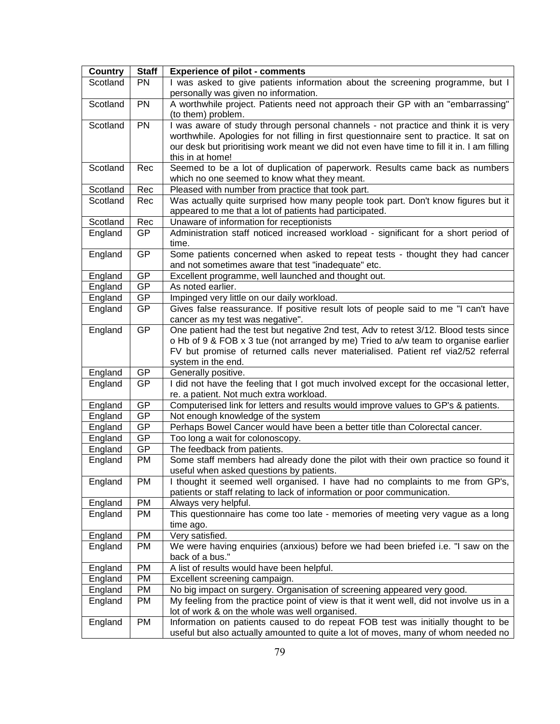| <b>Country</b> | <b>Staff</b> | <b>Experience of pilot - comments</b>                                                                                        |
|----------------|--------------|------------------------------------------------------------------------------------------------------------------------------|
| Scotland       | <b>PN</b>    | I was asked to give patients information about the screening programme, but I                                                |
|                |              | personally was given no information.                                                                                         |
| Scotland       | <b>PN</b>    | A worthwhile project. Patients need not approach their GP with an "embarrassing"                                             |
|                |              | (to them) problem.                                                                                                           |
| Scotland       | PN           | I was aware of study through personal channels - not practice and think it is very                                           |
|                |              | worthwhile. Apologies for not filling in first questionnaire sent to practice. It sat on                                     |
|                |              | our desk but prioritising work meant we did not even have time to fill it in. I am filling                                   |
|                |              | this in at home!                                                                                                             |
| Scotland       | Rec          | Seemed to be a lot of duplication of paperwork. Results came back as numbers<br>which no one seemed to know what they meant. |
| Scotland       | Rec          | Pleased with number from practice that took part.                                                                            |
| Scotland       | Rec          | Was actually quite surprised how many people took part. Don't know figures but it                                            |
|                |              | appeared to me that a lot of patients had participated.                                                                      |
| Scotland       | Rec          | Unaware of information for receptionists                                                                                     |
| England        | <b>GP</b>    | Administration staff noticed increased workload - significant for a short period of                                          |
|                |              | time.                                                                                                                        |
| England        | GP           | Some patients concerned when asked to repeat tests - thought they had cancer                                                 |
|                |              | and not sometimes aware that test "inadequate" etc.                                                                          |
| England        | GP           | Excellent programme, well launched and thought out.                                                                          |
| England        | GP           | As noted earlier.                                                                                                            |
| England        | GP           | Impinged very little on our daily workload.                                                                                  |
| England        | GP           | Gives false reassurance. If positive result lots of people said to me "I can't have                                          |
|                |              | cancer as my test was negative".                                                                                             |
| England        | GP           | One patient had the test but negative 2nd test, Adv to retest 3/12. Blood tests since                                        |
|                |              | o Hb of 9 & FOB x 3 tue (not arranged by me) Tried to a/w team to organise earlier                                           |
|                |              | FV but promise of returned calls never materialised. Patient ref via2/52 referral<br>system in the end.                      |
| England        | <b>GP</b>    | Generally positive.                                                                                                          |
| England        | <b>GP</b>    | I did not have the feeling that I got much involved except for the occasional letter,                                        |
|                |              | re. a patient. Not much extra workload.                                                                                      |
| England        | GP           | Computerised link for letters and results would improve values to GP's & patients.                                           |
| England        | GP           | Not enough knowledge of the system                                                                                           |
| England        | GP           | Perhaps Bowel Cancer would have been a better title than Colorectal cancer.                                                  |
| England        | GP           | Too long a wait for colonoscopy.                                                                                             |
| England        | <b>GP</b>    | The feedback from patients.                                                                                                  |
| England        | PM           | Some staff members had already done the pilot with their own practice so found it                                            |
|                |              | useful when asked questions by patients.                                                                                     |
| England        | PM           | I thought it seemed well organised. I have had no complaints to me from GP's,                                                |
|                |              | patients or staff relating to lack of information or poor communication.                                                     |
| England        | <b>PM</b>    | Always very helpful.                                                                                                         |
| England        | PM           | This questionnaire has come too late - memories of meeting very vague as a long                                              |
|                |              | time ago.                                                                                                                    |
| England        | PM           | Very satisfied.                                                                                                              |
| England        | PM           | We were having enquiries (anxious) before we had been briefed i.e. "I saw on the<br>back of a bus."                          |
| England        | <b>PM</b>    | A list of results would have been helpful.                                                                                   |
| England        | <b>PM</b>    | Excellent screening campaign.                                                                                                |
| England        | PM           | No big impact on surgery. Organisation of screening appeared very good.                                                      |
| England        | <b>PM</b>    | My feeling from the practice point of view is that it went well, did not involve us in a                                     |
|                |              | lot of work & on the whole was well organised.                                                                               |
| England        | <b>PM</b>    | Information on patients caused to do repeat FOB test was initially thought to be                                             |
|                |              | useful but also actually amounted to quite a lot of moves, many of whom needed no                                            |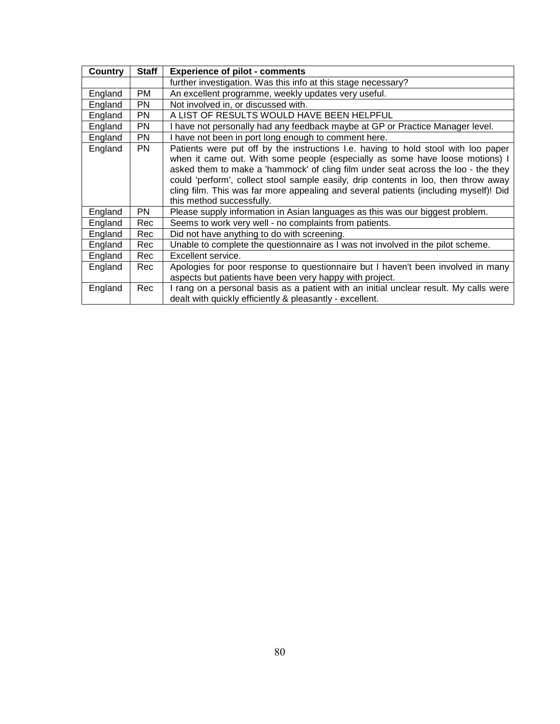| <b>Country</b> | <b>Staff</b> | <b>Experience of pilot - comments</b>                                                                                                                                                                                                                                                                                                                                                                                                                               |
|----------------|--------------|---------------------------------------------------------------------------------------------------------------------------------------------------------------------------------------------------------------------------------------------------------------------------------------------------------------------------------------------------------------------------------------------------------------------------------------------------------------------|
|                |              | further investigation. Was this info at this stage necessary?                                                                                                                                                                                                                                                                                                                                                                                                       |
| England        | PM           | An excellent programme, weekly updates very useful.                                                                                                                                                                                                                                                                                                                                                                                                                 |
| England        | <b>PN</b>    | Not involved in, or discussed with.                                                                                                                                                                                                                                                                                                                                                                                                                                 |
| England        | <b>PN</b>    | A LIST OF RESULTS WOULD HAVE BEEN HELPFUL                                                                                                                                                                                                                                                                                                                                                                                                                           |
| England        | <b>PN</b>    | I have not personally had any feedback maybe at GP or Practice Manager level.                                                                                                                                                                                                                                                                                                                                                                                       |
| England        | <b>PN</b>    | I have not been in port long enough to comment here.                                                                                                                                                                                                                                                                                                                                                                                                                |
| England        | PN           | Patients were put off by the instructions I.e. having to hold stool with loo paper<br>when it came out. With some people (especially as some have loose motions) I<br>asked them to make a 'hammock' of cling film under seat across the loo - the they<br>could 'perform', collect stool sample easily, drip contents in loo, then throw away<br>cling film. This was far more appealing and several patients (including myself)! Did<br>this method successfully. |
| England        | <b>PN</b>    | Please supply information in Asian languages as this was our biggest problem.                                                                                                                                                                                                                                                                                                                                                                                       |
| England        | Rec          | Seems to work very well - no complaints from patients.                                                                                                                                                                                                                                                                                                                                                                                                              |
| England        | Rec          | Did not have anything to do with screening.                                                                                                                                                                                                                                                                                                                                                                                                                         |
| England        | Rec          | Unable to complete the questionnaire as I was not involved in the pilot scheme.                                                                                                                                                                                                                                                                                                                                                                                     |
| England        | Rec          | Excellent service.                                                                                                                                                                                                                                                                                                                                                                                                                                                  |
| England        | Rec          | Apologies for poor response to questionnaire but I haven't been involved in many<br>aspects but patients have been very happy with project.                                                                                                                                                                                                                                                                                                                         |
| England        | Rec          | I rang on a personal basis as a patient with an initial unclear result. My calls were<br>dealt with quickly efficiently & pleasantly - excellent.                                                                                                                                                                                                                                                                                                                   |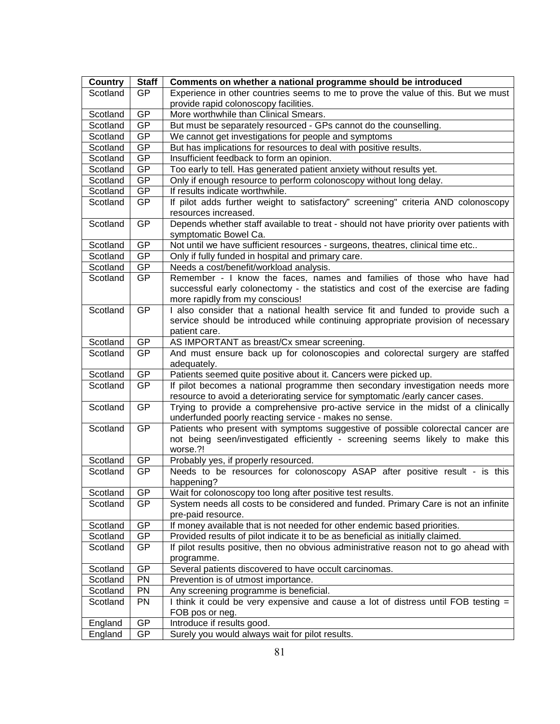| <b>Country</b> | <b>Staff</b> | Comments on whether a national programme should be introduced                                             |
|----------------|--------------|-----------------------------------------------------------------------------------------------------------|
| Scotland       | <b>GP</b>    | Experience in other countries seems to me to prove the value of this. But we must                         |
|                |              | provide rapid colonoscopy facilities.                                                                     |
| Scotland       | GP           | More worthwhile than Clinical Smears.                                                                     |
| Scotland       | GP           | But must be separately resourced - GPs cannot do the counselling.                                         |
| Scotland       | GP           | We cannot get investigations for people and symptoms                                                      |
| Scotland       | GP           | But has implications for resources to deal with positive results.                                         |
| Scotland       | GP           | Insufficient feedback to form an opinion.                                                                 |
| Scotland       | GP           | Too early to tell. Has generated patient anxiety without results yet.                                     |
| Scotland       | GP           | Only if enough resource to perform colonoscopy without long delay.                                        |
| Scotland       | GP           | If results indicate worthwhile.                                                                           |
| Scotland       | GP           | If pilot adds further weight to satisfactory" screening" criteria AND colonoscopy<br>resources increased. |
| Scotland       | GP           | Depends whether staff available to treat - should not have priority over patients with                    |
|                |              | symptomatic Bowel Ca.                                                                                     |
| Scotland       | GP           | Not until we have sufficient resources - surgeons, theatres, clinical time etc                            |
| Scotland       | GP           | Only if fully funded in hospital and primary care.                                                        |
| Scotland       | GP           | Needs a cost/benefit/workload analysis.                                                                   |
| Scotland       | GP           | Remember - I know the faces, names and families of those who have had                                     |
|                |              | successful early colonectomy - the statistics and cost of the exercise are fading                         |
|                |              | more rapidly from my conscious!                                                                           |
| Scotland       | GP           | I also consider that a national health service fit and funded to provide such a                           |
|                |              | service should be introduced while continuing appropriate provision of necessary                          |
|                |              | patient care.                                                                                             |
| Scotland       | GP           | AS IMPORTANT as breast/Cx smear screening.                                                                |
| Scotland       | <b>GP</b>    | And must ensure back up for colonoscopies and colorectal surgery are staffed<br>adequately.               |
| Scotland       | GP           | Patients seemed quite positive about it. Cancers were picked up.                                          |
| Scotland       | GP           | If pilot becomes a national programme then secondary investigation needs more                             |
|                |              | resource to avoid a deteriorating service for symptomatic /early cancer cases.                            |
| Scotland       | GP           | Trying to provide a comprehensive pro-active service in the midst of a clinically                         |
|                |              | underfunded poorly reacting service - makes no sense.                                                     |
| Scotland       | GP           | Patients who present with symptoms suggestive of possible colorectal cancer are                           |
|                |              | not being seen/investigated efficiently - screening seems likely to make this                             |
|                |              | worse.?!                                                                                                  |
| Scotland       | <b>GP</b>    | Probably yes, if properly resourced.                                                                      |
| Scotland       | <b>GP</b>    | Needs to be resources for colonoscopy ASAP after positive result - is this                                |
|                |              | happening?                                                                                                |
| Scotland       | GP           | Wait for colonoscopy too long after positive test results.                                                |
| Scotland       | GP           | System needs all costs to be considered and funded. Primary Care is not an infinite<br>pre-paid resource. |
| Scotland       | GP           | If money available that is not needed for other endemic based priorities.                                 |
| Scotland       | GP           | Provided results of pilot indicate it to be as beneficial as initially claimed.                           |
| Scotland       | GP           | If pilot results positive, then no obvious administrative reason not to go ahead with                     |
|                |              | programme.                                                                                                |
| Scotland       | GP           | Several patients discovered to have occult carcinomas.                                                    |
| Scotland       | PN           | Prevention is of utmost importance.                                                                       |
| Scotland       | PN           | Any screening programme is beneficial.                                                                    |
| Scotland       | PN           | I think it could be very expensive and cause a lot of distress until FOB testing =                        |
|                |              | FOB pos or neg.                                                                                           |
| England        | GP           | Introduce if results good.                                                                                |
| England        | GP           | Surely you would always wait for pilot results.                                                           |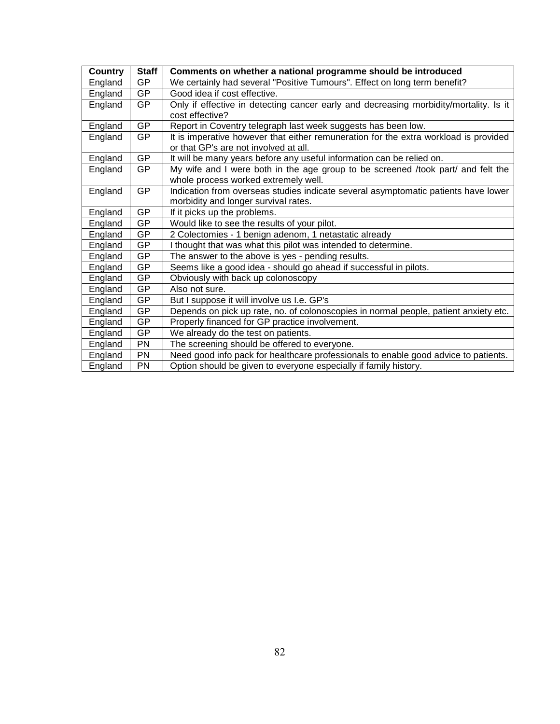| <b>Country</b> | <b>Staff</b> | Comments on whether a national programme should be introduced                         |
|----------------|--------------|---------------------------------------------------------------------------------------|
| England        | <b>GP</b>    | We certainly had several "Positive Tumours". Effect on long term benefit?             |
| England        | <b>GP</b>    | Good idea if cost effective.                                                          |
| England        | <b>GP</b>    | Only if effective in detecting cancer early and decreasing morbidity/mortality. Is it |
|                |              | cost effective?                                                                       |
| England        | <b>GP</b>    | Report in Coventry telegraph last week suggests has been low.                         |
| England        | <b>GP</b>    | It is imperative however that either remuneration for the extra workload is provided  |
|                |              | or that GP's are not involved at all.                                                 |
| England        | <b>GP</b>    | It will be many years before any useful information can be relied on.                 |
| England        | GP           | My wife and I were both in the age group to be screened /took part/ and felt the      |
|                |              | whole process worked extremely well.                                                  |
| England        | GP           | Indication from overseas studies indicate several asymptomatic patients have lower    |
|                |              | morbidity and longer survival rates.                                                  |
| England        | <b>GP</b>    | If it picks up the problems.                                                          |
| England        | <b>GP</b>    | Would like to see the results of your pilot.                                          |
| England        | GP           | 2 Colectomies - 1 benign adenom, 1 netastatic already                                 |
| England        | GP           | thought that was what this pilot was intended to determine.                           |
| England        | GP           | The answer to the above is yes - pending results.                                     |
| England        | GP           | Seems like a good idea - should go ahead if successful in pilots.                     |
| England        | GP           | Obviously with back up colonoscopy                                                    |
| England        | GP           | Also not sure.                                                                        |
| England        | GP           | But I suppose it will involve us I.e. GP's                                            |
| England        | GP           | Depends on pick up rate, no. of colonoscopies in normal people, patient anxiety etc.  |
| England        | GP           | Properly financed for GP practice involvement.                                        |
| England        | GP           | We already do the test on patients.                                                   |
| England        | <b>PN</b>    | The screening should be offered to everyone.                                          |
| England        | <b>PN</b>    | Need good info pack for healthcare professionals to enable good advice to patients.   |
| England        | PN           | Option should be given to everyone especially if family history.                      |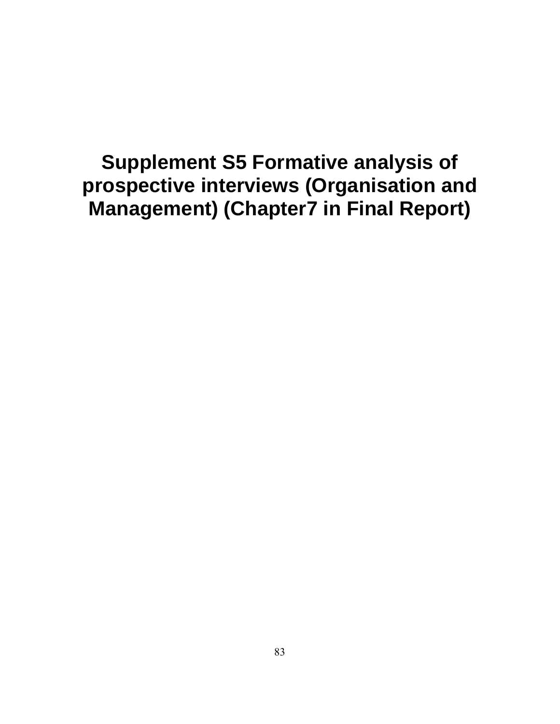# **Supplement S5 Formative analysis of prospective interviews (Organisation and Management) (Chapter7 in Final Report)**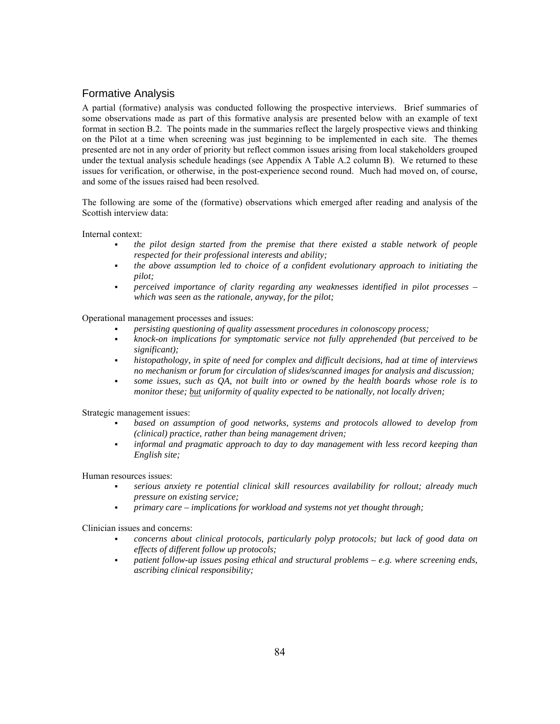# Formative Analysis

A partial (formative) analysis was conducted following the prospective interviews. Brief summaries of some observations made as part of this formative analysis are presented below with an example of text format in section B.2. The points made in the summaries reflect the largely prospective views and thinking on the Pilot at a time when screening was just beginning to be implemented in each site. The themes presented are not in any order of priority but reflect common issues arising from local stakeholders grouped under the textual analysis schedule headings (see Appendix A Table A.2 column B). We returned to these issues for verification, or otherwise, in the post-experience second round. Much had moved on, of course, and some of the issues raised had been resolved.

The following are some of the (formative) observations which emerged after reading and analysis of the Scottish interview data:

Internal context:

- ! *the pilot design started from the premise that there existed a stable network of people respected for their professional interests and ability;*
- ! *the above assumption led to choice of a confident evolutionary approach to initiating the pilot;*
- ! *perceived importance of clarity regarding any weaknesses identified in pilot processes – which was seen as the rationale, anyway, for the pilot;*

Operational management processes and issues:

- ! *persisting questioning of quality assessment procedures in colonoscopy process;*
- ! *knock-on implications for symptomatic service not fully apprehended (but perceived to be significant);*
- ! *histopathology, in spite of need for complex and difficult decisions, had at time of interviews no mechanism or forum for circulation of slides/scanned images for analysis and discussion;*
- ! *some issues, such as QA, not built into or owned by the health boards whose role is to monitor these; but uniformity of quality expected to be nationally, not locally driven;*

Strategic management issues:

- ! *based on assumption of good networks, systems and protocols allowed to develop from (clinical) practice, rather than being management driven;*
- ! *informal and pragmatic approach to day to day management with less record keeping than English site;*

Human resources issues:

- ! *serious anxiety re potential clinical skill resources availability for rollout; already much pressure on existing service;*
- ! *primary care implications for workload and systems not yet thought through;*

Clinician issues and concerns:

- ! *concerns about clinical protocols, particularly polyp protocols; but lack of good data on effects of different follow up protocols;*
- ! *patient follow-up issues posing ethical and structural problems e.g. where screening ends, ascribing clinical responsibility;*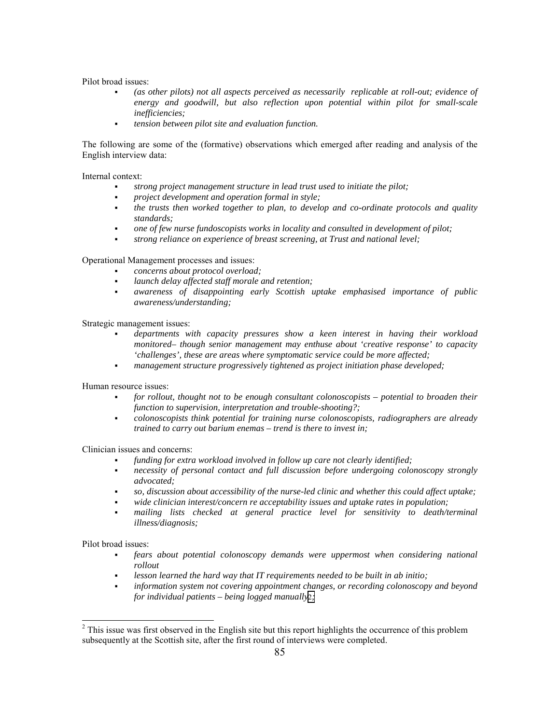Pilot broad issues:

- ! *(as other pilots) not all aspects perceived as necessarily replicable at roll-out; evidence of energy and goodwill, but also reflection upon potential within pilot for small-scale inefficiencies;*
- ! *tension between pilot site and evaluation function.*

The following are some of the (formative) observations which emerged after reading and analysis of the English interview data:

Internal context:

- ! *strong project management structure in lead trust used to initiate the pilot;*
- ! *project development and operation formal in style;*
- ! *the trusts then worked together to plan, to develop and co-ordinate protocols and quality standards;*
- ! *one of few nurse fundoscopists works in locality and consulted in development of pilot;*
- ! *strong reliance on experience of breast screening, at Trust and national level;*

Operational Management processes and issues:

- ! *concerns about protocol overload;*
- ! *launch delay affected staff morale and retention;*
- ! *awareness of disappointing early Scottish uptake emphasised importance of public awareness/understanding;*

Strategic management issues:

- ! *departments with capacity pressures show a keen interest in having their workload monitored– though senior management may enthuse about 'creative response' to capacity 'challenges', these are areas where symptomatic service could be more affected;*
- ! *management structure progressively tightened as project initiation phase developed;*

Human resource issues:

- ! *for rollout, thought not to be enough consultant colonoscopists potential to broaden their function to supervision, interpretation and trouble-shooting?;*
- ! *colonoscopists think potential for training nurse colonoscopists, radiographers are already trained to carry out barium enemas – trend is there to invest in;*

Clinician issues and concerns:

- ! *funding for extra workload involved in follow up care not clearly identified;*
- ! *necessity of personal contact and full discussion before undergoing colonoscopy strongly advocated;*
- ! *so, discussion about accessibility of the nurse-led clinic and whether this could affect uptake;*
- ! *wide clinician interest/concern re acceptability issues and uptake rates in population;*
- ! *mailing lists checked at general practice level for sensitivity to death/terminal illness/diagnosis;*

Pilot broad issues:

l

- ! *fears about potential colonoscopy demands were uppermost when considering national rollout*
- ! *lesson learned the hard way that IT requirements needed to be built in ab initio;*
- ! *information system not covering appointment changes, or recording colonoscopy and beyond for individual patients – being logged manually*2*;*

 $2$ <sup>2</sup> This issue was first observed in the English site but this report highlights the occurrence of this problem subsequently at the Scottish site, after the first round of interviews were completed.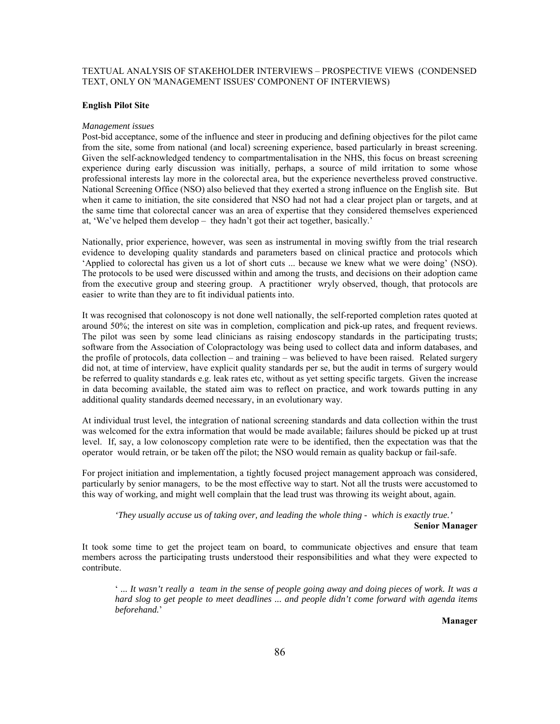## TEXTUAL ANALYSIS OF STAKEHOLDER INTERVIEWS - PROSPECTIVE VIEWS (CONDENSED TEXT, ONLY ON 'MANAGEMENT ISSUES' COMPONENT OF INTERVIEWS)

## **English Pilot Site**

#### *Management issues*

Post-bid acceptance, some of the influence and steer in producing and defining objectives for the pilot came from the site, some from national (and local) screening experience, based particularly in breast screening. Given the self-acknowledged tendency to compartmentalisation in the NHS, this focus on breast screening experience during early discussion was initially, perhaps, a source of mild irritation to some whose professional interests lay more in the colorectal area, but the experience nevertheless proved constructive. National Screening Office (NSO) also believed that they exerted a strong influence on the English site. But when it came to initiation, the site considered that NSO had not had a clear project plan or targets, and at the same time that colorectal cancer was an area of expertise that they considered themselves experienced at, 'We've helped them develop  $-$  they hadn't got their act together, basically.'

Nationally, prior experience, however, was seen as instrumental in moving swiftly from the trial research evidence to developing quality standards and parameters based on clinical practice and protocols which ëApplied to colorectal has given us a lot of short cuts ... because we knew what we were doingí (NSO). The protocols to be used were discussed within and among the trusts, and decisions on their adoption came from the executive group and steering group. A practitioner wryly observed, though, that protocols are easier to write than they are to fit individual patients into.

It was recognised that colonoscopy is not done well nationally, the self-reported completion rates quoted at around 50%; the interest on site was in completion, complication and pick-up rates, and frequent reviews. The pilot was seen by some lead clinicians as raising endoscopy standards in the participating trusts; software from the Association of Colopractology was being used to collect data and inform databases, and the profile of protocols, data collection – and training – was believed to have been raised. Related surgery did not, at time of interview, have explicit quality standards per se, but the audit in terms of surgery would be referred to quality standards e.g. leak rates etc, without as yet setting specific targets. Given the increase in data becoming available, the stated aim was to reflect on practice, and work towards putting in any additional quality standards deemed necessary, in an evolutionary way.

At individual trust level, the integration of national screening standards and data collection within the trust was welcomed for the extra information that would be made available; failures should be picked up at trust level. If, say, a low colonoscopy completion rate were to be identified, then the expectation was that the operator would retrain, or be taken off the pilot; the NSO would remain as quality backup or fail-safe.

For project initiation and implementation, a tightly focused project management approach was considered, particularly by senior managers, to be the most effective way to start. Not all the trusts were accustomed to this way of working, and might well complain that the lead trust was throwing its weight about, again.

## *'They usually accuse us of taking over, and leading the whole thing - which is exactly true.'* **Senior Manager**

It took some time to get the project team on board, to communicate objectives and ensure that team members across the participating trusts understood their responsibilities and what they were expected to contribute.

ë *... It wasn't really a team in the sense of people going away and doing pieces of work. It was a hard slog to get people to meet deadlines ... and people didn't come forward with agenda items* beforehand.'

**Manager**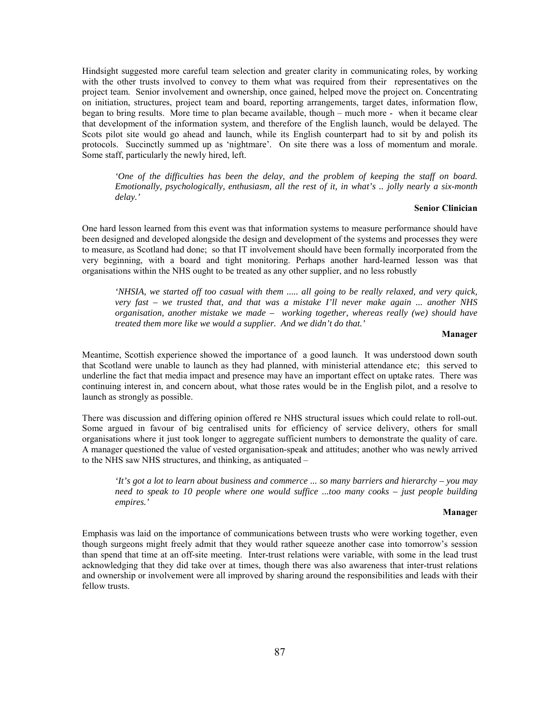Hindsight suggested more careful team selection and greater clarity in communicating roles, by working with the other trusts involved to convey to them what was required from their representatives on the project team. Senior involvement and ownership, once gained, helped move the project on. Concentrating on initiation, structures, project team and board, reporting arrangements, target dates, information flow, began to bring results. More time to plan became available, though – much more - when it became clear that development of the information system, and therefore of the English launch, would be delayed. The Scots pilot site would go ahead and launch, while its English counterpart had to sit by and polish its protocols. Succinctly summed up as 'nightmare'. On site there was a loss of momentum and morale. Some staff, particularly the newly hired, left.

*'One of the difficulties has been the delay, and the problem of keeping the staff on board. Emotionally, psychologically, enthusiasm, all the rest of it, in what's .. jolly nearly a six-month delay.'*

## **Senior Clinician**

One hard lesson learned from this event was that information systems to measure performance should have been designed and developed alongside the design and development of the systems and processes they were to measure, as Scotland had done; so that IT involvement should have been formally incorporated from the very beginning, with a board and tight monitoring. Perhaps another hard-learned lesson was that organisations within the NHS ought to be treated as any other supplier, and no less robustly

*'NHSIA, we started off too casual with them ..... all going to be really relaxed, and very quick, very fast – we trusted that, and that was a mistake I'll never make again ... another NHS organisation, another mistake we made – working together, whereas really (we) should have treated them more like we would a supplier. And we didn't do that.'*

#### **Manager**

Meantime, Scottish experience showed the importance of a good launch. It was understood down south that Scotland were unable to launch as they had planned, with ministerial attendance etc; this served to underline the fact that media impact and presence may have an important effect on uptake rates. There was continuing interest in, and concern about, what those rates would be in the English pilot, and a resolve to launch as strongly as possible.

There was discussion and differing opinion offered re NHS structural issues which could relate to roll-out. Some argued in favour of big centralised units for efficiency of service delivery, others for small organisations where it just took longer to aggregate sufficient numbers to demonstrate the quality of care. A manager questioned the value of vested organisation-speak and attitudes; another who was newly arrived to the NHS saw NHS structures, and thinking, as antiquated  $-$ 

*'It's got a lot to learn about business and commerce ... so many barriers and hierarchy – you may need to speak to 10 people where one would suffice ...too many cooks – just people building empires.'*

#### **Manage**r

Emphasis was laid on the importance of communications between trusts who were working together, even though surgeons might freely admit that they would rather squeeze another case into tomorrow's session than spend that time at an off-site meeting. Inter-trust relations were variable, with some in the lead trust acknowledging that they did take over at times, though there was also awareness that inter-trust relations and ownership or involvement were all improved by sharing around the responsibilities and leads with their fellow trusts.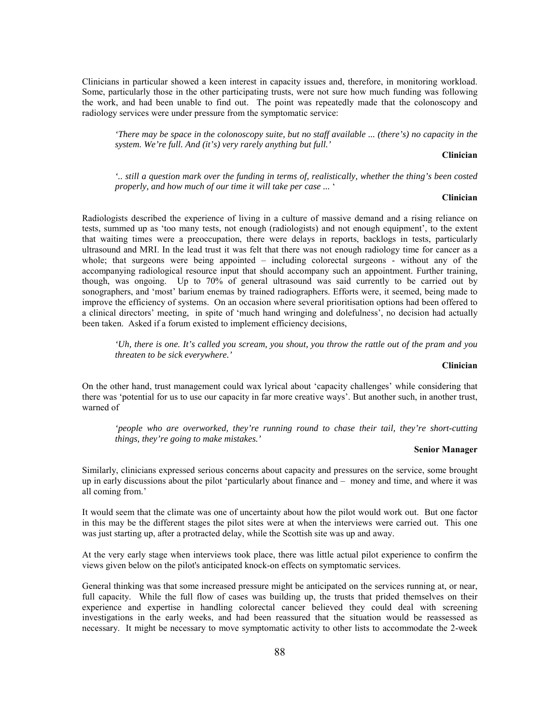Clinicians in particular showed a keen interest in capacity issues and, therefore, in monitoring workload. Some, particularly those in the other participating trusts, were not sure how much funding was following the work, and had been unable to find out. The point was repeatedly made that the colonoscopy and radiology services were under pressure from the symptomatic service:

*'There may be space in the colonoscopy suite, but no staff available ... (there's) no capacity in the system. We're full. And (it's) very rarely anything but full.'*

## **Clinician**

*'.. still a question mark over the funding in terms of, realistically, whether the thing's been costed properly, and how much of our time it will take per case ...* ë

#### **Clinician**

Radiologists described the experience of living in a culture of massive demand and a rising reliance on tests, summed up as 'too many tests, not enough (radiologists) and not enough equipment', to the extent that waiting times were a preoccupation, there were delays in reports, backlogs in tests, particularly ultrasound and MRI. In the lead trust it was felt that there was not enough radiology time for cancer as a whole; that surgeons were being appointed  $-$  including colorectal surgeons  $-$  without any of the accompanying radiological resource input that should accompany such an appointment. Further training, though, was ongoing. Up to 70% of general ultrasound was said currently to be carried out by sonographers, and 'most' barium enemas by trained radiographers. Efforts were, it seemed, being made to improve the efficiency of systems. On an occasion where several prioritisation options had been offered to a clinical directors' meeting, in spite of 'much hand wringing and dolefulness', no decision had actually been taken. Asked if a forum existed to implement efficiency decisions,

*'Uh, there is one. It's called you scream, you shout, you throw the rattle out of the pram and you threaten to be sick everywhere.'*

#### **Clinician**

On the other hand, trust management could wax lyrical about 'capacity challenges' while considering that there was 'potential for us to use our capacity in far more creative ways'. But another such, in another trust, warned of

*'people who are overworked, they're running round to chase their tail, they're short-cutting things, they're going to make mistakes.'* 

## **Senior Manager**

Similarly, clinicians expressed serious concerns about capacity and pressures on the service, some brought up in early discussions about the pilot 'particularly about finance and  $-$  money and time, and where it was all coming from.'

It would seem that the climate was one of uncertainty about how the pilot would work out. But one factor in this may be the different stages the pilot sites were at when the interviews were carried out. This one was just starting up, after a protracted delay, while the Scottish site was up and away.

At the very early stage when interviews took place, there was little actual pilot experience to confirm the views given below on the pilot's anticipated knock-on effects on symptomatic services.

General thinking was that some increased pressure might be anticipated on the services running at, or near, full capacity. While the full flow of cases was building up, the trusts that prided themselves on their experience and expertise in handling colorectal cancer believed they could deal with screening investigations in the early weeks, and had been reassured that the situation would be reassessed as necessary. It might be necessary to move symptomatic activity to other lists to accommodate the 2-week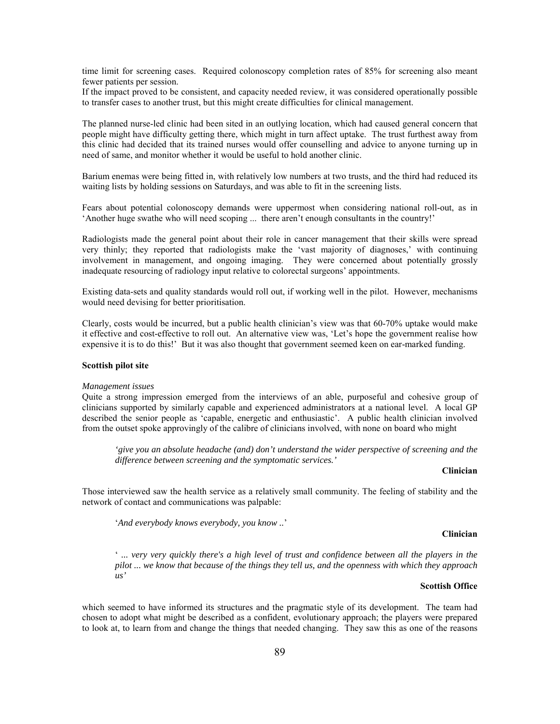time limit for screening cases. Required colonoscopy completion rates of 85% for screening also meant fewer patients per session.

If the impact proved to be consistent, and capacity needed review, it was considered operationally possible to transfer cases to another trust, but this might create difficulties for clinical management.

The planned nurse-led clinic had been sited in an outlying location, which had caused general concern that people might have difficulty getting there, which might in turn affect uptake. The trust furthest away from this clinic had decided that its trained nurses would offer counselling and advice to anyone turning up in need of same, and monitor whether it would be useful to hold another clinic.

Barium enemas were being fitted in, with relatively low numbers at two trusts, and the third had reduced its waiting lists by holding sessions on Saturdays, and was able to fit in the screening lists.

Fears about potential colonoscopy demands were uppermost when considering national roll-out, as in 'Another huge swathe who will need scoping ... there aren't enough consultants in the country!'

Radiologists made the general point about their role in cancer management that their skills were spread very thinly; they reported that radiologists make the 'vast majority of diagnoses,' with continuing involvement in management, and ongoing imaging. They were concerned about potentially grossly inadequate resourcing of radiology input relative to colorectal surgeons' appointments.

Existing data-sets and quality standards would roll out, if working well in the pilot. However, mechanisms would need devising for better prioritisation.

Clearly, costs would be incurred, but a public health clinicianís view was that 60-70% uptake would make it effective and cost-effective to roll out. An alternative view was, 'Let's hope the government realise how expensive it is to do this!' But it was also thought that government seemed keen on ear-marked funding.

## **Scottish pilot site**

#### *Management issues*

Quite a strong impression emerged from the interviews of an able, purposeful and cohesive group of clinicians supported by similarly capable and experienced administrators at a national level. A local GP described the senior people as 'capable, energetic and enthusiastic'. A public health clinician involved from the outset spoke approvingly of the calibre of clinicians involved, with none on board who might

*'give you an absolute headache (and) don't understand the wider perspective of screening and the difference between screening and the symptomatic services.'*

#### **Clinician**

Those interviewed saw the health service as a relatively small community. The feeling of stability and the network of contact and communications was palpable:

ë*And everybody knows everybody, you know ..*í

## **Clinician**

ë *... very very quickly there's a high level of trust and confidence between all the players in the pilot ... we know that because of the things they tell us, and the openness with which they approach us'*

## **Scottish Office**

which seemed to have informed its structures and the pragmatic style of its development. The team had chosen to adopt what might be described as a confident, evolutionary approach; the players were prepared to look at, to learn from and change the things that needed changing. They saw this as one of the reasons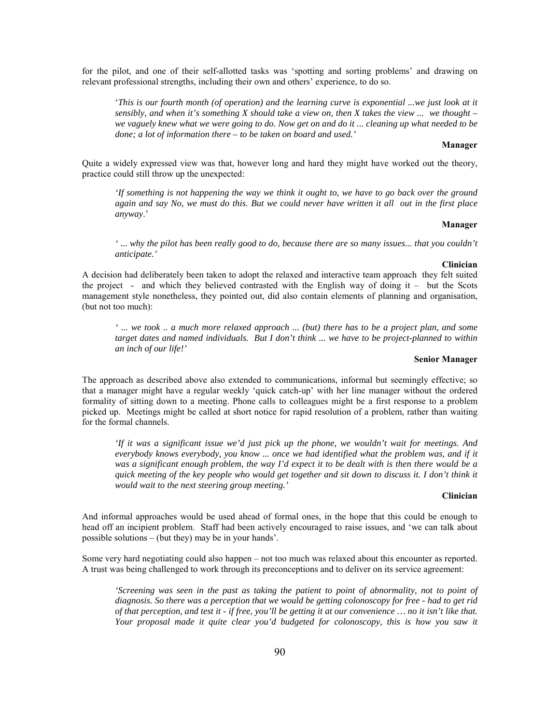for the pilot, and one of their self-allotted tasks was 'spotting and sorting problems' and drawing on relevant professional strengths, including their own and others' experience, to do so.

ë*This is our fourth month (of operation) and the learning curve is exponential ...we just look at it sensibly, and when it's something X should take a view on, then X takes the view ... we thought – we vaguely knew what we were going to do. Now get on and do it ... cleaning up what needed to be done; a lot of information there – to be taken on board and used.'*

## **Manager**

Quite a widely expressed view was that, however long and hard they might have worked out the theory, practice could still throw up the unexpected:

*'If something is not happening the way we think it ought to, we have to go back over the ground again and say No, we must do this. But we could never have written it all out in the first place* anyway.'

## **Manager**

*' ... why the pilot has been really good to do, because there are so many issues... that you couldn't anticipate.'*

#### **Clinician**

A decision had deliberately been taken to adopt the relaxed and interactive team approach they felt suited the project - and which they believed contrasted with the English way of doing it  $-$  but the Scots management style nonetheless, they pointed out, did also contain elements of planning and organisation, (but not too much):

*' ... we took .. a much more relaxed approach ... (but) there has to be a project plan, and some target dates and named individuals. But I don't think ... we have to be project-planned to within an inch of our life!'*

## **Senior Manager**

The approach as described above also extended to communications, informal but seemingly effective; so that a manager might have a regular weekly 'quick catch-up' with her line manager without the ordered formality of sitting down to a meeting. Phone calls to colleagues might be a first response to a problem picked up. Meetings might be called at short notice for rapid resolution of a problem, rather than waiting for the formal channels.

*'If it was a significant issue we'd just pick up the phone, we wouldn't wait for meetings. And everybody knows everybody, you know ... once we had identified what the problem was, and if it was a significant enough problem, the way I'd expect it to be dealt with is then there would be a quick meeting of the key people who would get together and sit down to discuss it. I don't think it would wait to the next steering group meeting.'*

#### **Clinician**

And informal approaches would be used ahead of formal ones, in the hope that this could be enough to head off an incipient problem. Staff had been actively encouraged to raise issues, and 'we can talk about possible solutions  $-$  (but they) may be in your hands<sup>2</sup>.

Some very hard negotiating could also happen – not too much was relaxed about this encounter as reported. A trust was being challenged to work through its preconceptions and to deliver on its service agreement:

*'Screening was seen in the past as taking the patient to point of abnormality, not to point of diagnosis. So there was a perception that we would be getting colonoscopy for free - had to get rid of that perception, and test it - if free, you'll be getting it at our convenience … no it isn't like that. Your proposal made it quite clear you'd budgeted for colonoscopy, this is how you saw it*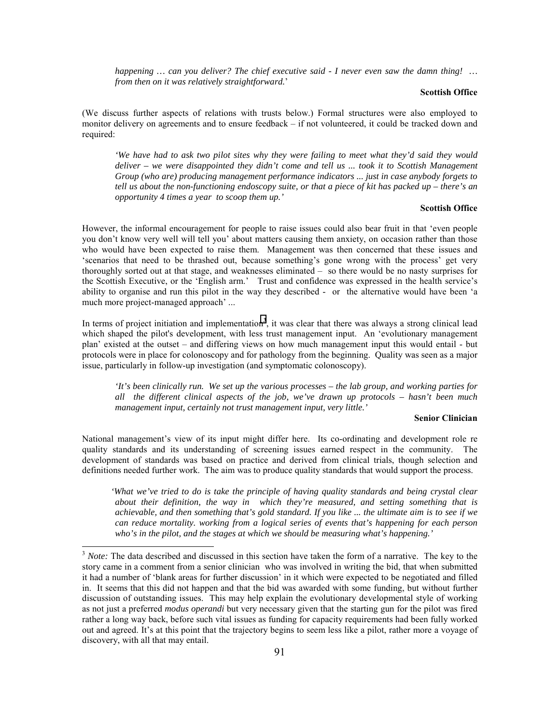*happening … can you deliver? The chief executive said - I never even saw the damn thing! … from then on it was relatively straightforward.*<sup>*'*</sup>

## **Scottish Office**

(We discuss further aspects of relations with trusts below.) Formal structures were also employed to monitor delivery on agreements and to ensure feedback  $-$  if not volunteered, it could be tracked down and required:

*'We have had to ask two pilot sites why they were failing to meet what they'd said they would deliver – we were disappointed they didn't come and tell us ... took it to Scottish Management Group (who are) producing management performance indicators ... just in case anybody forgets to tell us about the non-functioning endoscopy suite, or that a piece of kit has packed up – there's an opportunity 4 times a year to scoop them up.'* 

#### **Scottish Office**

However, the informal encouragement for people to raise issues could also bear fruit in that ëeven people you don't know very well will tell you' about matters causing them anxiety, on occasion rather than those who would have been expected to raise them. Management was then concerned that these issues and ëscenarios that need to be thrashed out, because somethingís gone wrong with the processí get very thoroughly sorted out at that stage, and weaknesses eliminated  $-$  so there would be no nasty surprises for the Scottish Executive, or the 'English arm.' Trust and confidence was expressed in the health service's ability to organise and run this pilot in the way they described - or the alternative would have been ëa much more project-managed approach'...

In terms of project initiation and implementation<sup>3</sup>, it was clear that there was always a strong clinical lead which shaped the pilot's development, with less trust management input. An 'evolutionary management plan' existed at the outset – and differing views on how much management input this would entail - but protocols were in place for colonoscopy and for pathology from the beginning. Quality was seen as a major issue, particularly in follow-up investigation (and symptomatic colonoscopy).

*'It's been clinically run. We set up the various processes – the lab group, and working parties for all the different clinical aspects of the job, we've drawn up protocols – hasn't been much management input, certainly not trust management input, very little.'*

## **Senior Clinician**

National management's view of its input might differ here. Its co-ordinating and development role re quality standards and its understanding of screening issues earned respect in the community. The development of standards was based on practice and derived from clinical trials, though selection and definitions needed further work. The aim was to produce quality standards that would support the process.

*'What we've tried to do is take the principle of having quality standards and being crystal clear about their definition, the way in which they're measured, and setting something that is achievable, and then something that's gold standard. If you like ... the ultimate aim is to see if we can reduce mortality. working from a logical series of events that's happening for each person who's in the pilot, and the stages at which we should be measuring what's happening.'*

l

<sup>&</sup>lt;sup>3</sup> *Note:* The data described and discussed in this section have taken the form of a narrative. The key to the story came in a comment from a senior clinician who was involved in writing the bid, that when submitted it had a number of 'blank areas for further discussion' in it which were expected to be negotiated and filled in. It seems that this did not happen and that the bid was awarded with some funding, but without further discussion of outstanding issues. This may help explain the evolutionary developmental style of working as not just a preferred *modus operandi* but very necessary given that the starting gun for the pilot was fired rather a long way back, before such vital issues as funding for capacity requirements had been fully worked out and agreed. Itís at this point that the trajectory begins to seem less like a pilot, rather more a voyage of discovery, with all that may entail.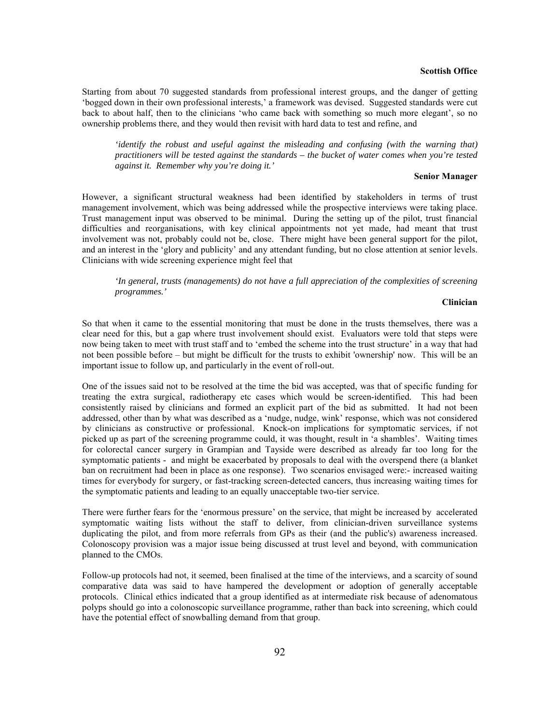## **Scottish Office**

Starting from about 70 suggested standards from professional interest groups, and the danger of getting 'bogged down in their own professional interests,' a framework was devised. Suggested standards were cut back to about half, then to the clinicians 'who came back with something so much more elegant', so no ownership problems there, and they would then revisit with hard data to test and refine, and

*'identify the robust and useful against the misleading and confusing (with the warning that) practitioners will be tested against the standards – the bucket of water comes when you're tested against it. Remember why you're doing it.'*

## **Senior Manager**

However, a significant structural weakness had been identified by stakeholders in terms of trust management involvement, which was being addressed while the prospective interviews were taking place. Trust management input was observed to be minimal. During the setting up of the pilot, trust financial difficulties and reorganisations, with key clinical appointments not yet made, had meant that trust involvement was not, probably could not be, close. There might have been general support for the pilot, and an interest in the 'glory and publicity' and any attendant funding, but no close attention at senior levels. Clinicians with wide screening experience might feel that

*'In general, trusts (managements) do not have a full appreciation of the complexities of screening programmes.'*

#### **Clinician**

So that when it came to the essential monitoring that must be done in the trusts themselves, there was a clear need for this, but a gap where trust involvement should exist. Evaluators were told that steps were now being taken to meet with trust staff and to 'embed the scheme into the trust structure' in a way that had not been possible before – but might be difficult for the trusts to exhibit 'ownership' now. This will be an important issue to follow up, and particularly in the event of roll-out.

One of the issues said not to be resolved at the time the bid was accepted, was that of specific funding for treating the extra surgical, radiotherapy etc cases which would be screen-identified. This had been consistently raised by clinicians and formed an explicit part of the bid as submitted. It had not been addressed, other than by what was described as a 'nudge, nudge, wink' response, which was not considered by clinicians as constructive or professional. Knock-on implications for symptomatic services, if not picked up as part of the screening programme could, it was thought, result in 'a shambles'. Waiting times for colorectal cancer surgery in Grampian and Tayside were described as already far too long for the symptomatic patients - and might be exacerbated by proposals to deal with the overspend there (a blanket ban on recruitment had been in place as one response). Two scenarios envisaged were:- increased waiting times for everybody for surgery, or fast-tracking screen-detected cancers, thus increasing waiting times for the symptomatic patients and leading to an equally unacceptable two-tier service.

There were further fears for the 'enormous pressure' on the service, that might be increased by accelerated symptomatic waiting lists without the staff to deliver, from clinician-driven surveillance systems duplicating the pilot, and from more referrals from GPs as their (and the public's) awareness increased. Colonoscopy provision was a major issue being discussed at trust level and beyond, with communication planned to the CMOs.

Follow-up protocols had not, it seemed, been finalised at the time of the interviews, and a scarcity of sound comparative data was said to have hampered the development or adoption of generally acceptable protocols. Clinical ethics indicated that a group identified as at intermediate risk because of adenomatous polyps should go into a colonoscopic surveillance programme, rather than back into screening, which could have the potential effect of snowballing demand from that group.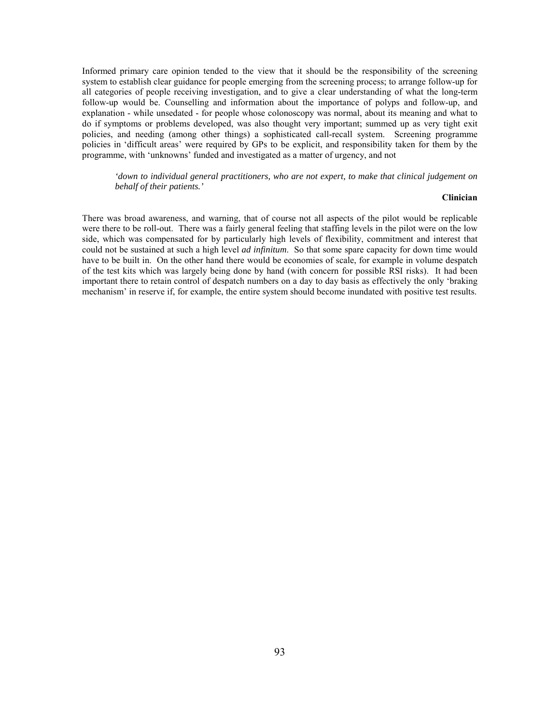Informed primary care opinion tended to the view that it should be the responsibility of the screening system to establish clear guidance for people emerging from the screening process; to arrange follow-up for all categories of people receiving investigation, and to give a clear understanding of what the long-term follow-up would be. Counselling and information about the importance of polyps and follow-up, and explanation - while unsedated - for people whose colonoscopy was normal, about its meaning and what to do if symptoms or problems developed, was also thought very important; summed up as very tight exit policies, and needing (among other things) a sophisticated call-recall system. Screening programme policies in 'difficult areas' were required by GPs to be explicit, and responsibility taken for them by the programme, with 'unknowns' funded and investigated as a matter of urgency, and not

## *'down to individual general practitioners, who are not expert, to make that clinical judgement on behalf of their patients.'*

#### **Clinician**

There was broad awareness, and warning, that of course not all aspects of the pilot would be replicable were there to be roll-out. There was a fairly general feeling that staffing levels in the pilot were on the low side, which was compensated for by particularly high levels of flexibility, commitment and interest that could not be sustained at such a high level *ad infinitum*. So that some spare capacity for down time would have to be built in. On the other hand there would be economies of scale, for example in volume despatch of the test kits which was largely being done by hand (with concern for possible RSI risks). It had been important there to retain control of despatch numbers on a day to day basis as effectively the only ëbraking mechanism' in reserve if, for example, the entire system should become inundated with positive test results.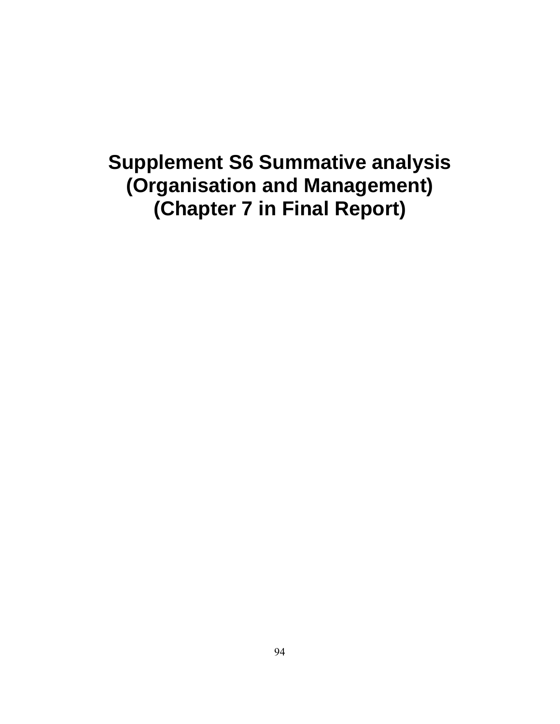# **Supplement S6 Summative analysis (Organisation and Management) (Chapter 7 in Final Report)**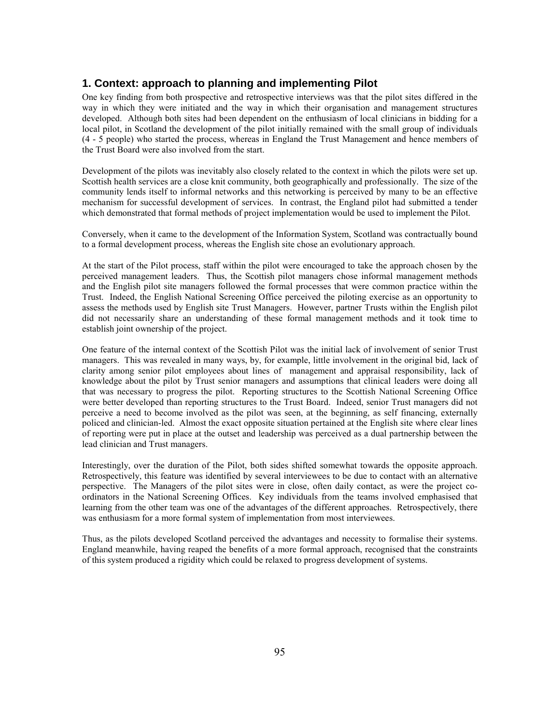# **1. Context: approach to planning and implementing Pilot**

One key finding from both prospective and retrospective interviews was that the pilot sites differed in the way in which they were initiated and the way in which their organisation and management structures developed. Although both sites had been dependent on the enthusiasm of local clinicians in bidding for a local pilot, in Scotland the development of the pilot initially remained with the small group of individuals (4 - 5 people) who started the process, whereas in England the Trust Management and hence members of the Trust Board were also involved from the start.

Development of the pilots was inevitably also closely related to the context in which the pilots were set up. Scottish health services are a close knit community, both geographically and professionally. The size of the community lends itself to informal networks and this networking is perceived by many to be an effective mechanism for successful development of services. In contrast, the England pilot had submitted a tender which demonstrated that formal methods of project implementation would be used to implement the Pilot.

Conversely, when it came to the development of the Information System, Scotland was contractually bound to a formal development process, whereas the English site chose an evolutionary approach.

At the start of the Pilot process, staff within the pilot were encouraged to take the approach chosen by the perceived management leaders. Thus, the Scottish pilot managers chose informal management methods and the English pilot site managers followed the formal processes that were common practice within the Trust. Indeed, the English National Screening Office perceived the piloting exercise as an opportunity to assess the methods used by English site Trust Managers. However, partner Trusts within the English pilot did not necessarily share an understanding of these formal management methods and it took time to establish joint ownership of the project.

One feature of the internal context of the Scottish Pilot was the initial lack of involvement of senior Trust managers. This was revealed in many ways, by, for example, little involvement in the original bid, lack of clarity among senior pilot employees about lines of management and appraisal responsibility, lack of knowledge about the pilot by Trust senior managers and assumptions that clinical leaders were doing all that was necessary to progress the pilot. Reporting structures to the Scottish National Screening Office were better developed than reporting structures to the Trust Board. Indeed, senior Trust managers did not perceive a need to become involved as the pilot was seen, at the beginning, as self financing, externally policed and clinician-led. Almost the exact opposite situation pertained at the English site where clear lines of reporting were put in place at the outset and leadership was perceived as a dual partnership between the lead clinician and Trust managers.

Interestingly, over the duration of the Pilot, both sides shifted somewhat towards the opposite approach. Retrospectively, this feature was identified by several interviewees to be due to contact with an alternative perspective. The Managers of the pilot sites were in close, often daily contact, as were the project coordinators in the National Screening Offices. Key individuals from the teams involved emphasised that learning from the other team was one of the advantages of the different approaches. Retrospectively, there was enthusiasm for a more formal system of implementation from most interviewees.

Thus, as the pilots developed Scotland perceived the advantages and necessity to formalise their systems. England meanwhile, having reaped the benefits of a more formal approach, recognised that the constraints of this system produced a rigidity which could be relaxed to progress development of systems.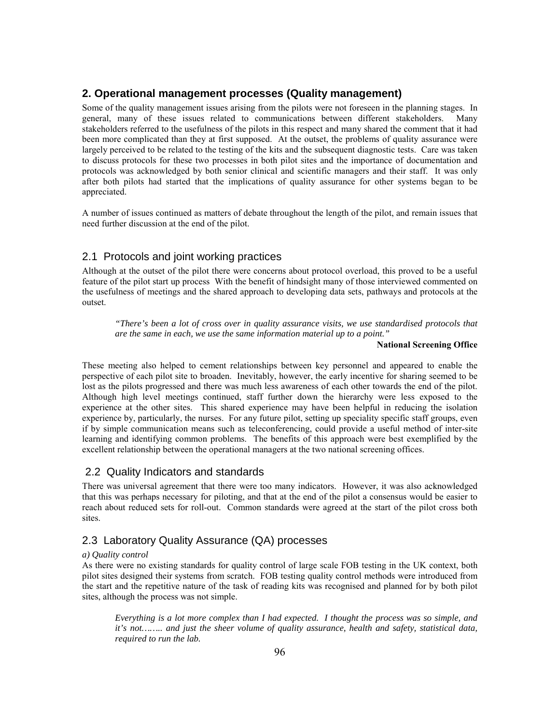# **2. Operational management processes (Quality management)**

Some of the quality management issues arising from the pilots were not foreseen in the planning stages. In general, many of these issues related to communications between different stakeholders. Many stakeholders referred to the usefulness of the pilots in this respect and many shared the comment that it had been more complicated than they at first supposed. At the outset, the problems of quality assurance were largely perceived to be related to the testing of the kits and the subsequent diagnostic tests. Care was taken to discuss protocols for these two processes in both pilot sites and the importance of documentation and protocols was acknowledged by both senior clinical and scientific managers and their staff. It was only after both pilots had started that the implications of quality assurance for other systems began to be appreciated.

A number of issues continued as matters of debate throughout the length of the pilot, and remain issues that need further discussion at the end of the pilot.

# 2.1 Protocols and joint working practices

Although at the outset of the pilot there were concerns about protocol overload, this proved to be a useful feature of the pilot start up process With the benefit of hindsight many of those interviewed commented on the usefulness of meetings and the shared approach to developing data sets, pathways and protocols at the outset.

*"There's been a lot of cross over in quality assurance visits, we use standardised protocols that are the same in each, we use the same information material up to a point."*

#### **National Screening Office**

These meeting also helped to cement relationships between key personnel and appeared to enable the perspective of each pilot site to broaden. Inevitably, however, the early incentive for sharing seemed to be lost as the pilots progressed and there was much less awareness of each other towards the end of the pilot. Although high level meetings continued, staff further down the hierarchy were less exposed to the experience at the other sites. This shared experience may have been helpful in reducing the isolation experience by, particularly, the nurses. For any future pilot, setting up speciality specific staff groups, even if by simple communication means such as teleconferencing, could provide a useful method of inter-site learning and identifying common problems. The benefits of this approach were best exemplified by the excellent relationship between the operational managers at the two national screening offices.

# 2.2 Quality Indicators and standards

There was universal agreement that there were too many indicators. However, it was also acknowledged that this was perhaps necessary for piloting, and that at the end of the pilot a consensus would be easier to reach about reduced sets for roll-out. Common standards were agreed at the start of the pilot cross both sites.

# 2.3 Laboratory Quality Assurance (QA) processes

## *a) Quality control*

As there were no existing standards for quality control of large scale FOB testing in the UK context, both pilot sites designed their systems from scratch. FOB testing quality control methods were introduced from the start and the repetitive nature of the task of reading kits was recognised and planned for by both pilot sites, although the process was not simple.

*Everything is a lot more complex than I had expected. I thought the process was so simple, and it's not…….. and just the sheer volume of quality assurance, health and safety, statistical data, required to run the lab.*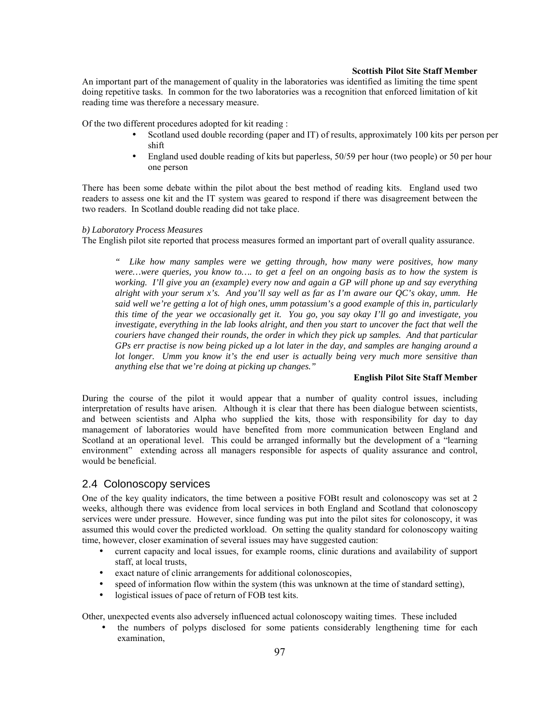#### **Scottish Pilot Site Staff Member**

An important part of the management of quality in the laboratories was identified as limiting the time spent doing repetitive tasks. In common for the two laboratories was a recognition that enforced limitation of kit reading time was therefore a necessary measure.

Of the two different procedures adopted for kit reading :

- Scotland used double recording (paper and IT) of results, approximately 100 kits per person per shift
- England used double reading of kits but paperless, 50/59 per hour (two people) or 50 per hour one person

There has been some debate within the pilot about the best method of reading kits. England used two readers to assess one kit and the IT system was geared to respond if there was disagreement between the two readers. In Scotland double reading did not take place.

#### *b) Laboratory Process Measures*

The English pilot site reported that process measures formed an important part of overall quality assurance.

*" Like how many samples were we getting through, how many were positives, how many were…were queries, you know to…. to get a feel on an ongoing basis as to how the system is working. I'll give you an (example) every now and again a GP will phone up and say everything alright with your serum x's. And you'll say well as far as I'm aware our QC's okay, umm. He said well we're getting a lot of high ones, umm potassium's a good example of this in, particularly this time of the year we occasionally get it. You go, you say okay I'll go and investigate, you investigate, everything in the lab looks alright, and then you start to uncover the fact that well the couriers have changed their rounds, the order in which they pick up samples. And that particular GPs err practise is now being picked up a lot later in the day, and samples are hanging around a lot longer. Umm you know it's the end user is actually being very much more sensitive than anything else that we're doing at picking up changes."*

## **English Pilot Site Staff Member**

During the course of the pilot it would appear that a number of quality control issues, including interpretation of results have arisen. Although it is clear that there has been dialogue between scientists, and between scientists and Alpha who supplied the kits, those with responsibility for day to day management of laboratories would have benefited from more communication between England and Scotland at an operational level. This could be arranged informally but the development of a "learning" environment" extending across all managers responsible for aspects of quality assurance and control, would be beneficial.

## 2.4 Colonoscopy services

One of the key quality indicators, the time between a positive FOBt result and colonoscopy was set at 2 weeks, although there was evidence from local services in both England and Scotland that colonoscopy services were under pressure. However, since funding was put into the pilot sites for colonoscopy, it was assumed this would cover the predicted workload. On setting the quality standard for colonoscopy waiting time, however, closer examination of several issues may have suggested caution:

- current capacity and local issues, for example rooms, clinic durations and availability of support staff, at local trusts,
- exact nature of clinic arrangements for additional colonoscopies,
- speed of information flow within the system (this was unknown at the time of standard setting),
- logistical issues of pace of return of FOB test kits.

Other, unexpected events also adversely influenced actual colonoscopy waiting times. These included

• the numbers of polyps disclosed for some patients considerably lengthening time for each examination,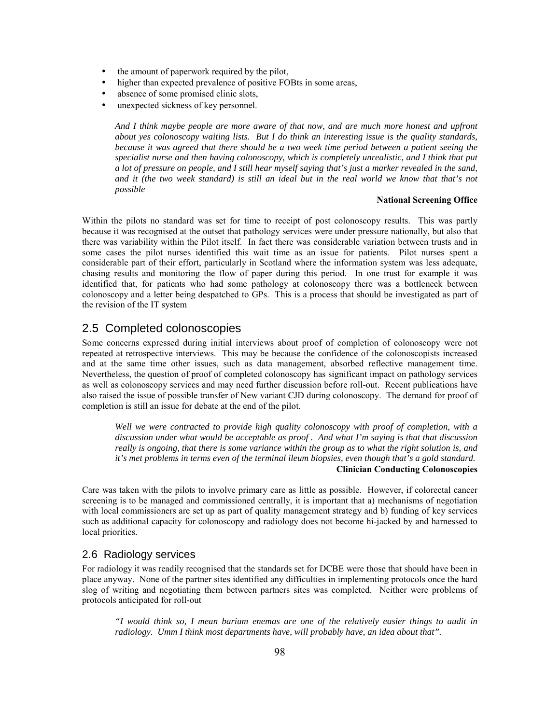- the amount of paperwork required by the pilot,
- higher than expected prevalence of positive FOBts in some areas,
- absence of some promised clinic slots,
- unexpected sickness of key personnel.

*And I think maybe people are more aware of that now, and are much more honest and upfront about yes colonoscopy waiting lists. But I do think an interesting issue is the quality standards, because it was agreed that there should be a two week time period between a patient seeing the specialist nurse and then having colonoscopy, which is completely unrealistic, and I think that put a lot of pressure on people, and I still hear myself saying that's just a marker revealed in the sand, and it (the two week standard) is still an ideal but in the real world we know that that's not possible*

#### **National Screening Office**

Within the pilots no standard was set for time to receipt of post colonoscopy results. This was partly because it was recognised at the outset that pathology services were under pressure nationally, but also that there was variability within the Pilot itself. In fact there was considerable variation between trusts and in some cases the pilot nurses identified this wait time as an issue for patients. Pilot nurses spent a considerable part of their effort, particularly in Scotland where the information system was less adequate, chasing results and monitoring the flow of paper during this period. In one trust for example it was identified that, for patients who had some pathology at colonoscopy there was a bottleneck between colonoscopy and a letter being despatched to GPs. This is a process that should be investigated as part of the revision of the IT system

# 2.5 Completed colonoscopies

Some concerns expressed during initial interviews about proof of completion of colonoscopy were not repeated at retrospective interviews. This may be because the confidence of the colonoscopists increased and at the same time other issues, such as data management, absorbed reflective management time. Nevertheless, the question of proof of completed colonoscopy has significant impact on pathology services as well as colonoscopy services and may need further discussion before roll-out. Recent publications have also raised the issue of possible transfer of New variant CJD during colonoscopy. The demand for proof of completion is still an issue for debate at the end of the pilot.

*Well we were contracted to provide high quality colonoscopy with proof of completion, with a discussion under what would be acceptable as proof . And what I'm saying is that that discussion really is ongoing, that there is some variance within the group as to what the right solution is, and it's met problems in terms even of the terminal ileum biopsies, even though that's a gold standard.* **Clinician Conducting Colonoscopies**

Care was taken with the pilots to involve primary care as little as possible. However, if colorectal cancer screening is to be managed and commissioned centrally, it is important that a) mechanisms of negotiation with local commissioners are set up as part of quality management strategy and b) funding of key services such as additional capacity for colonoscopy and radiology does not become hi-jacked by and harnessed to local priorities.

## 2.6 Radiology services

For radiology it was readily recognised that the standards set for DCBE were those that should have been in place anyway. None of the partner sites identified any difficulties in implementing protocols once the hard slog of writing and negotiating them between partners sites was completed. Neither were problems of protocols anticipated for roll-out

*"I would think so, I mean barium enemas are one of the relatively easier things to audit in radiology. Umm I think most departments have, will probably have, an idea about that".*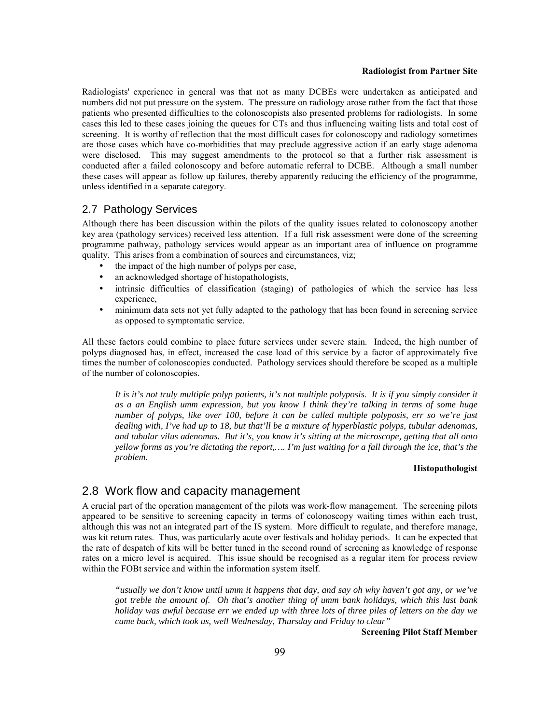#### **Radiologist from Partner Site**

Radiologists' experience in general was that not as many DCBEs were undertaken as anticipated and numbers did not put pressure on the system. The pressure on radiology arose rather from the fact that those patients who presented difficulties to the colonoscopists also presented problems for radiologists. In some cases this led to these cases joining the queues for CTs and thus influencing waiting lists and total cost of screening. It is worthy of reflection that the most difficult cases for colonoscopy and radiology sometimes are those cases which have co-morbidities that may preclude aggressive action if an early stage adenoma were disclosed. This may suggest amendments to the protocol so that a further risk assessment is conducted after a failed colonoscopy and before automatic referral to DCBE. Although a small number these cases will appear as follow up failures, thereby apparently reducing the efficiency of the programme, unless identified in a separate category.

## 2.7 Pathology Services

Although there has been discussion within the pilots of the quality issues related to colonoscopy another key area (pathology services) received less attention. If a full risk assessment were done of the screening programme pathway, pathology services would appear as an important area of influence on programme quality. This arises from a combination of sources and circumstances, viz;

- the impact of the high number of polyps per case,
- an acknowledged shortage of histopathologists,
- intrinsic difficulties of classification (staging) of pathologies of which the service has less experience,
- minimum data sets not yet fully adapted to the pathology that has been found in screening service as opposed to symptomatic service.

All these factors could combine to place future services under severe stain. Indeed, the high number of polyps diagnosed has, in effect, increased the case load of this service by a factor of approximately five times the number of colonoscopies conducted. Pathology services should therefore be scoped as a multiple of the number of colonoscopies.

*It is it's not truly multiple polyp patients, it's not multiple polyposis. It is if you simply consider it as a an English umm expression, but you know I think they're talking in terms of some huge number of polyps, like over 100, before it can be called multiple polyposis, err so we're just dealing with, I've had up to 18, but that'll be a mixture of hyperblastic polyps, tubular adenomas, and tubular vilus adenomas. But it's, you know it's sitting at the microscope, getting that all onto yellow forms as you're dictating the report,…. I'm just waiting for a fall through the ice, that's the problem.*

#### **Histopathologist**

# 2.8 Work flow and capacity management

A crucial part of the operation management of the pilots was work-flow management. The screening pilots appeared to be sensitive to screening capacity in terms of colonoscopy waiting times within each trust, although this was not an integrated part of the IS system. More difficult to regulate, and therefore manage, was kit return rates. Thus, was particularly acute over festivals and holiday periods. It can be expected that the rate of despatch of kits will be better tuned in the second round of screening as knowledge of response rates on a micro level is acquired. This issue should be recognised as a regular item for process review within the FOBt service and within the information system itself.

*"usually we don't know until umm it happens that day, and say oh why haven't got any, or we've got treble the amount of. Oh that's another thing of umm bank holidays, which this last bank holiday was awful because err we ended up with three lots of three piles of letters on the day we came back, which took us, well Wednesday, Thursday and Friday to clear"*

**Screening Pilot Staff Member**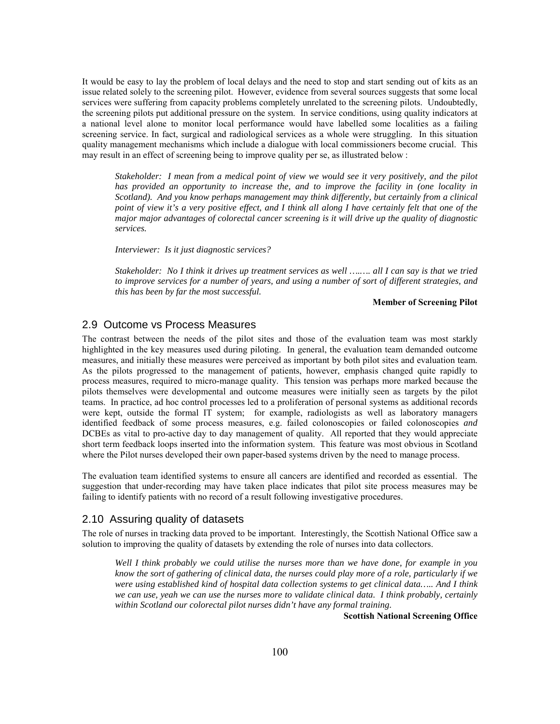It would be easy to lay the problem of local delays and the need to stop and start sending out of kits as an issue related solely to the screening pilot. However, evidence from several sources suggests that some local services were suffering from capacity problems completely unrelated to the screening pilots. Undoubtedly, the screening pilots put additional pressure on the system. In service conditions, using quality indicators at a national level alone to monitor local performance would have labelled some localities as a failing screening service. In fact, surgical and radiological services as a whole were struggling. In this situation quality management mechanisms which include a dialogue with local commissioners become crucial. This may result in an effect of screening being to improve quality per se, as illustrated below :

*Stakeholder: I mean from a medical point of view we would see it very positively, and the pilot has provided an opportunity to increase the, and to improve the facility in (one locality in Scotland). And you know perhaps management may think differently, but certainly from a clinical point of view it's a very positive effect, and I think all along I have certainly felt that one of the major major advantages of colorectal cancer screening is it will drive up the quality of diagnostic services.*

*Interviewer: Is it just diagnostic services?*

*Stakeholder: No I think it drives up treatment services as well ….…. all I can say is that we tried to improve services for a number of years, and using a number of sort of different strategies, and this has been by far the most successful.*

**Member of Screening Pilot**

## 2.9 Outcome vs Process Measures

The contrast between the needs of the pilot sites and those of the evaluation team was most starkly highlighted in the key measures used during piloting. In general, the evaluation team demanded outcome measures, and initially these measures were perceived as important by both pilot sites and evaluation team. As the pilots progressed to the management of patients, however, emphasis changed quite rapidly to process measures, required to micro-manage quality. This tension was perhaps more marked because the pilots themselves were developmental and outcome measures were initially seen as targets by the pilot teams. In practice, ad hoc control processes led to a proliferation of personal systems as additional records were kept, outside the formal IT system; for example, radiologists as well as laboratory managers identified feedback of some process measures, e.g. failed colonoscopies or failed colonoscopies *and* DCBEs as vital to pro-active day to day management of quality. All reported that they would appreciate short term feedback loops inserted into the information system. This feature was most obvious in Scotland where the Pilot nurses developed their own paper-based systems driven by the need to manage process.

The evaluation team identified systems to ensure all cancers are identified and recorded as essential. The suggestion that under-recording may have taken place indicates that pilot site process measures may be failing to identify patients with no record of a result following investigative procedures.

# 2.10 Assuring quality of datasets

The role of nurses in tracking data proved to be important. Interestingly, the Scottish National Office saw a solution to improving the quality of datasets by extending the role of nurses into data collectors.

*Well I think probably we could utilise the nurses more than we have done, for example in you know the sort of gathering of clinical data, the nurses could play more of a role, particularly if we were using established kind of hospital data collection systems to get clinical data….. And I think we can use, yeah we can use the nurses more to validate clinical data. I think probably, certainly within Scotland our colorectal pilot nurses didn't have any formal training.*

**Scottish National Screening Office**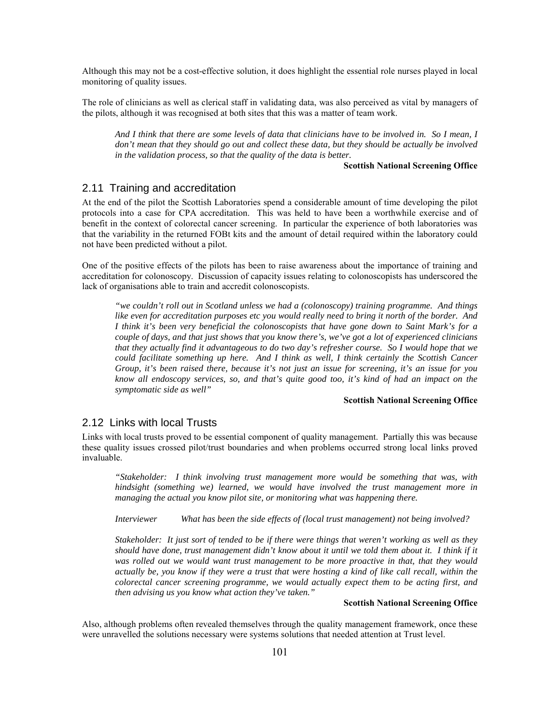Although this may not be a cost-effective solution, it does highlight the essential role nurses played in local monitoring of quality issues.

The role of clinicians as well as clerical staff in validating data, was also perceived as vital by managers of the pilots, although it was recognised at both sites that this was a matter of team work.

*And I think that there are some levels of data that clinicians have to be involved in. So I mean, I don't mean that they should go out and collect these data, but they should be actually be involved in the validation process, so that the quality of the data is better.*

## **Scottish National Screening Office**

## 2.11 Training and accreditation

At the end of the pilot the Scottish Laboratories spend a considerable amount of time developing the pilot protocols into a case for CPA accreditation. This was held to have been a worthwhile exercise and of benefit in the context of colorectal cancer screening. In particular the experience of both laboratories was that the variability in the returned FOBt kits and the amount of detail required within the laboratory could not have been predicted without a pilot.

One of the positive effects of the pilots has been to raise awareness about the importance of training and accreditation for colonoscopy. Discussion of capacity issues relating to colonoscopists has underscored the lack of organisations able to train and accredit colonoscopists.

*"we couldn't roll out in Scotland unless we had a (colonoscopy) training programme. And things like even for accreditation purposes etc you would really need to bring it north of the border. And I think it's been very beneficial the colonoscopists that have gone down to Saint Mark's for a couple of days, and that just shows that you know there's, we've got a lot of experienced clinicians that they actually find it advantageous to do two day's refresher course. So I would hope that we could facilitate something up here. And I think as well, I think certainly the Scottish Cancer Group, it's been raised there, because it's not just an issue for screening, it's an issue for you know all endoscopy services, so, and that's quite good too, it's kind of had an impact on the symptomatic side as well"*

#### **Scottish National Screening Office**

# 2.12 Links with local Trusts

Links with local trusts proved to be essential component of quality management. Partially this was because these quality issues crossed pilot/trust boundaries and when problems occurred strong local links proved invaluable.

*"Stakeholder: I think involving trust management more would be something that was, with hindsight (something we) learned, we would have involved the trust management more in managing the actual you know pilot site, or monitoring what was happening there.*

*Interviewer What has been the side effects of (local trust management) not being involved?*

*Stakeholder: It just sort of tended to be if there were things that weren't working as well as they should have done, trust management didn't know about it until we told them about it. I think if it was rolled out we would want trust management to be more proactive in that, that they would actually be, you know if they were a trust that were hosting a kind of like call recall, within the colorectal cancer screening programme, we would actually expect them to be acting first, and then advising us you know what action they've taken."*

## **Scottish National Screening Office**

Also, although problems often revealed themselves through the quality management framework, once these were unravelled the solutions necessary were systems solutions that needed attention at Trust level.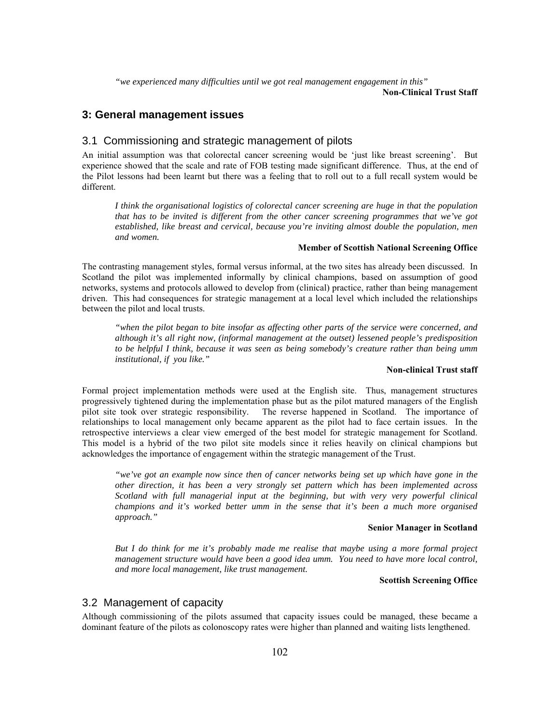*"we experienced many difficulties until we got real management engagement in this"* **Non-Clinical Trust Staff**

# **3: General management issues**

## 3.1 Commissioning and strategic management of pilots

An initial assumption was that colorectal cancer screening would be 'just like breast screening'. But experience showed that the scale and rate of FOB testing made significant difference. Thus, at the end of the Pilot lessons had been learnt but there was a feeling that to roll out to a full recall system would be different.

*I think the organisational logistics of colorectal cancer screening are huge in that the population that has to be invited is different from the other cancer screening programmes that we've got established, like breast and cervical, because you're inviting almost double the population, men and women.*

#### **Member of Scottish National Screening Office**

The contrasting management styles, formal versus informal, at the two sites has already been discussed. In Scotland the pilot was implemented informally by clinical champions, based on assumption of good networks, systems and protocols allowed to develop from (clinical) practice, rather than being management driven. This had consequences for strategic management at a local level which included the relationships between the pilot and local trusts.

*"when the pilot began to bite insofar as affecting other parts of the service were concerned, and although it's all right now, (informal management at the outset) lessened people's predisposition to be helpful I think, because it was seen as being somebody's creature rather than being umm institutional, if you like."*

#### **Non-clinical Trust staff**

Formal project implementation methods were used at the English site. Thus, management structures progressively tightened during the implementation phase but as the pilot matured managers of the English pilot site took over strategic responsibility. The reverse happened in Scotland. The importance of relationships to local management only became apparent as the pilot had to face certain issues. In the retrospective interviews a clear view emerged of the best model for strategic management for Scotland. This model is a hybrid of the two pilot site models since it relies heavily on clinical champions but acknowledges the importance of engagement within the strategic management of the Trust.

*"we've got an example now since then of cancer networks being set up which have gone in the other direction, it has been a very strongly set pattern which has been implemented across Scotland with full managerial input at the beginning, but with very very powerful clinical champions and it's worked better umm in the sense that it's been a much more organised approach."*

## **Senior Manager in Scotland**

*But I do think for me it's probably made me realise that maybe using a more formal project management structure would have been a good idea umm. You need to have more local control, and more local management, like trust management.*

#### **Scottish Screening Office**

## 3.2 Management of capacity

Although commissioning of the pilots assumed that capacity issues could be managed, these became a dominant feature of the pilots as colonoscopy rates were higher than planned and waiting lists lengthened.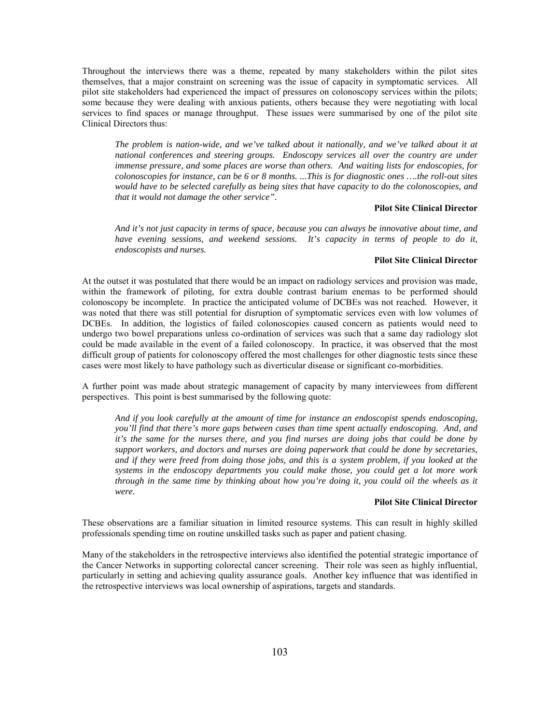Throughout the interviews there was a theme, repeated by many stakeholders within the pilot sites themselves, that a major constraint on screening was the issue of capacity in symptomatic services. All pilot site stakeholders had experienced the impact of pressures on colonoscopy services within the pilots; some because they were dealing with anxious patients, others because they were negotiating with local services to find spaces or manage throughput. These issues were summarised by one of the pilot site Clinical Directors thus:

*The problem is nation-wide, and we've talked about it nationally, and we've talked about it at national conferences and steering groups. Endoscopy services all over the country are under immense pressure, and some places are worse than others. And waiting lists for endoscopies, for colonoscopies for instance, can be 6 or 8 months. ...This is for diagnostic ones ….the roll-out sites would have to be selected carefully as being sites that have capacity to do the colonoscopies, and that it would not damage the other service".*

## **Pilot Site Clinical Director**

*And it's not just capacity in terms of space, because you can always be innovative about time, and have evening sessions, and weekend sessions. It's capacity in terms of people to do it, endoscopists and nurses.*

## **Pilot Site Clinical Director**

At the outset it was postulated that there would be an impact on radiology services and provision was made, within the framework of piloting, for extra double contrast barium enemas to be performed should colonoscopy be incomplete. In practice the anticipated volume of DCBEs was not reached. However, it was noted that there was still potential for disruption of symptomatic services even with low volumes of DCBEs. In addition, the logistics of failed colonoscopies caused concern as patients would need to undergo two bowel preparations unless co-ordination of services was such that a same day radiology slot could be made available in the event of a failed colonoscopy. In practice, it was observed that the most difficult group of patients for colonoscopy offered the most challenges for other diagnostic tests since these cases were most likely to have pathology such as diverticular disease or significant co-morbidities.

A further point was made about strategic management of capacity by many interviewees from different perspectives. This point is best summarised by the following quote:

*And if you look carefully at the amount of time for instance an endoscopist spends endoscoping, you'll find that there's more gaps between cases than time spent actually endoscoping. And, and it's the same for the nurses there, and you find nurses are doing jobs that could be done by support workers, and doctors and nurses are doing paperwork that could be done by secretaries, and if they were freed from doing those jobs, and this is a system problem, if you looked at the systems in the endoscopy departments you could make those, you could get a lot more work through in the same time by thinking about how you're doing it, you could oil the wheels as it were.*

#### **Pilot Site Clinical Director**

These observations are a familiar situation in limited resource systems. This can result in highly skilled professionals spending time on routine unskilled tasks such as paper and patient chasing.

Many of the stakeholders in the retrospective interviews also identified the potential strategic importance of the Cancer Networks in supporting colorectal cancer screening. Their role was seen as highly influential, particularly in setting and achieving quality assurance goals. Another key influence that was identified in the retrospective interviews was local ownership of aspirations, targets and standards.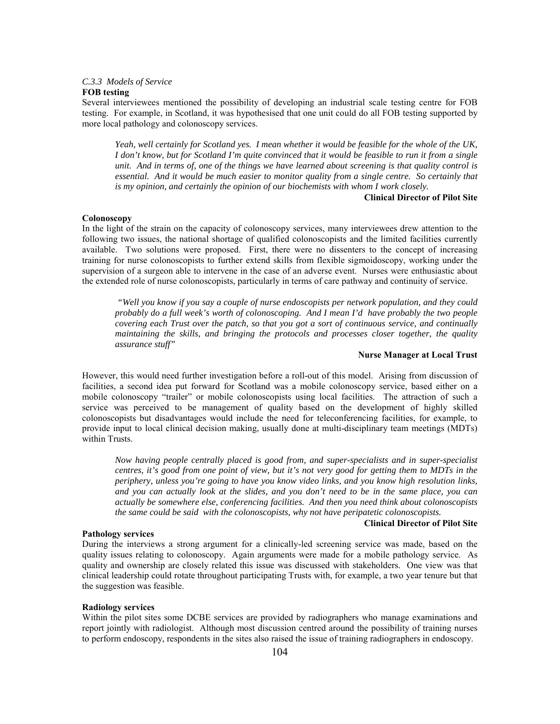# *C.3.3 Models of Service*

## **FOB testing**

Several interviewees mentioned the possibility of developing an industrial scale testing centre for FOB testing. For example, in Scotland, it was hypothesised that one unit could do all FOB testing supported by more local pathology and colonoscopy services.

*Yeah, well certainly for Scotland yes. I mean whether it would be feasible for the whole of the UK, I don't know, but for Scotland I'm quite convinced that it would be feasible to run it from a single unit. And in terms of, one of the things we have learned about screening is that quality control is essential. And it would be much easier to monitor quality from a single centre. So certainly that is my opinion, and certainly the opinion of our biochemists with whom I work closely.*

## **Clinical Director of Pilot Site**

#### **Colonoscopy**

In the light of the strain on the capacity of colonoscopy services, many interviewees drew attention to the following two issues, the national shortage of qualified colonoscopists and the limited facilities currently available. Two solutions were proposed. First, there were no dissenters to the concept of increasing training for nurse colonoscopists to further extend skills from flexible sigmoidoscopy, working under the supervision of a surgeon able to intervene in the case of an adverse event. Nurses were enthusiastic about the extended role of nurse colonoscopists, particularly in terms of care pathway and continuity of service.

 *"Well you know if you say a couple of nurse endoscopists per network population, and they could probably do a full week's worth of colonoscoping. And I mean I'd have probably the two people covering each Trust over the patch, so that you got a sort of continuous service, and continually maintaining the skills, and bringing the protocols and processes closer together, the quality assurance stuff"*

## **Nurse Manager at Local Trust**

However, this would need further investigation before a roll-out of this model. Arising from discussion of facilities, a second idea put forward for Scotland was a mobile colonoscopy service, based either on a mobile colonoscopy "trailer" or mobile colonoscopists using local facilities. The attraction of such a service was perceived to be management of quality based on the development of highly skilled colonoscopists but disadvantages would include the need for teleconferencing facilities, for example, to provide input to local clinical decision making, usually done at multi-disciplinary team meetings (MDTs) within Trusts.

*Now having people centrally placed is good from, and super-specialists and in super-specialist centres, it's good from one point of view, but it's not very good for getting them to MDTs in the periphery, unless you're going to have you know video links, and you know high resolution links, and you can actually look at the slides, and you don't need to be in the same place, you can actually be somewhere else, conferencing facilities. And then you need think about colonoscopists the same could be said with the colonoscopists, why not have peripatetic colonoscopists.*

# **Clinical Director of Pilot Site**

#### **Pathology services**

During the interviews a strong argument for a clinically-led screening service was made, based on the quality issues relating to colonoscopy. Again arguments were made for a mobile pathology service. As quality and ownership are closely related this issue was discussed with stakeholders. One view was that clinical leadership could rotate throughout participating Trusts with, for example, a two year tenure but that the suggestion was feasible.

#### **Radiology services**

Within the pilot sites some DCBE services are provided by radiographers who manage examinations and report jointly with radiologist. Although most discussion centred around the possibility of training nurses to perform endoscopy, respondents in the sites also raised the issue of training radiographers in endoscopy.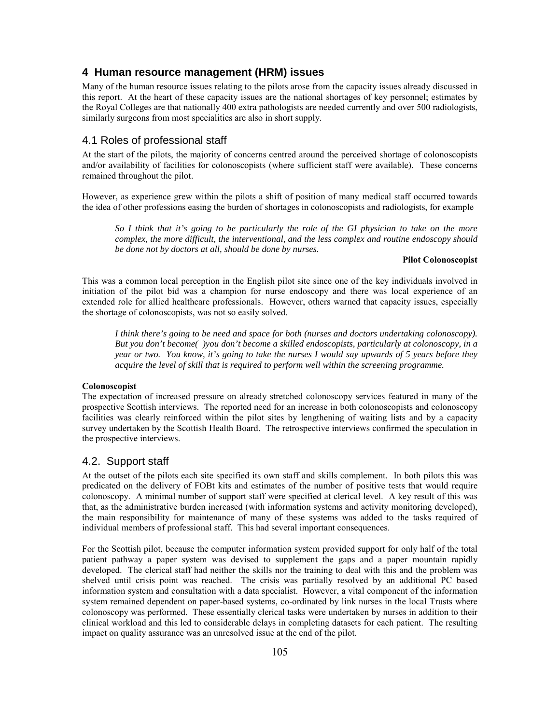# **4 Human resource management (HRM) issues**

Many of the human resource issues relating to the pilots arose from the capacity issues already discussed in this report. At the heart of these capacity issues are the national shortages of key personnel; estimates by the Royal Colleges are that nationally 400 extra pathologists are needed currently and over 500 radiologists, similarly surgeons from most specialities are also in short supply.

# 4.1 Roles of professional staff

At the start of the pilots, the majority of concerns centred around the perceived shortage of colonoscopists and/or availability of facilities for colonoscopists (where sufficient staff were available). These concerns remained throughout the pilot.

However, as experience grew within the pilots a shift of position of many medical staff occurred towards the idea of other professions easing the burden of shortages in colonoscopists and radiologists, for example

*So I think that it's going to be particularly the role of the GI physician to take on the more complex, the more difficult, the interventional, and the less complex and routine endoscopy should be done not by doctors at all, should be done by nurses.*

#### **Pilot Colonoscopist**

This was a common local perception in the English pilot site since one of the key individuals involved in initiation of the pilot bid was a champion for nurse endoscopy and there was local experience of an extended role for allied healthcare professionals. However, others warned that capacity issues, especially the shortage of colonoscopists, was not so easily solved.

*I think there's going to be need and space for both (nurses and doctors undertaking colonoscopy). But you don't become( )you don't become a skilled endoscopists, particularly at colonoscopy, in a year or two. You know, it's going to take the nurses I would say upwards of 5 years before they acquire the level of skill that is required to perform well within the screening programme.*

## **Colonoscopist**

The expectation of increased pressure on already stretched colonoscopy services featured in many of the prospective Scottish interviews. The reported need for an increase in both colonoscopists and colonoscopy facilities was clearly reinforced within the pilot sites by lengthening of waiting lists and by a capacity survey undertaken by the Scottish Health Board. The retrospective interviews confirmed the speculation in the prospective interviews.

## 4.2. Support staff

At the outset of the pilots each site specified its own staff and skills complement. In both pilots this was predicated on the delivery of FOBt kits and estimates of the number of positive tests that would require colonoscopy. A minimal number of support staff were specified at clerical level. A key result of this was that, as the administrative burden increased (with information systems and activity monitoring developed), the main responsibility for maintenance of many of these systems was added to the tasks required of individual members of professional staff. This had several important consequences.

For the Scottish pilot, because the computer information system provided support for only half of the total patient pathway a paper system was devised to supplement the gaps and a paper mountain rapidly developed. The clerical staff had neither the skills nor the training to deal with this and the problem was shelved until crisis point was reached. The crisis was partially resolved by an additional PC based information system and consultation with a data specialist. However, a vital component of the information system remained dependent on paper-based systems, co-ordinated by link nurses in the local Trusts where colonoscopy was performed. These essentially clerical tasks were undertaken by nurses in addition to their clinical workload and this led to considerable delays in completing datasets for each patient. The resulting impact on quality assurance was an unresolved issue at the end of the pilot.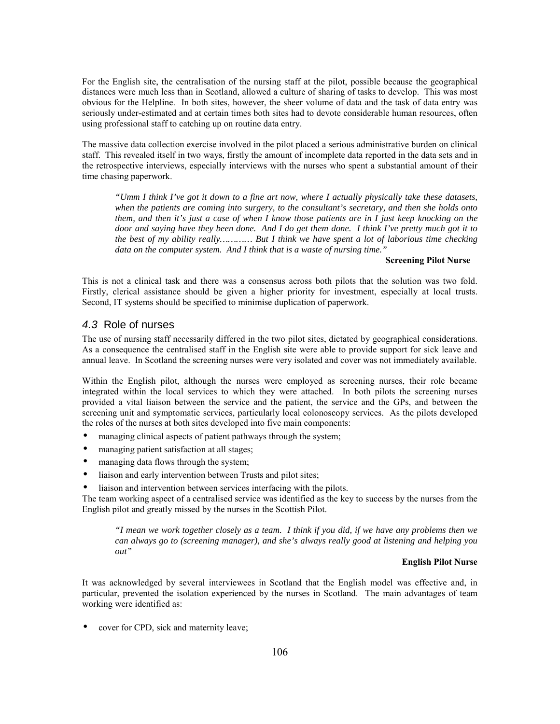For the English site, the centralisation of the nursing staff at the pilot, possible because the geographical distances were much less than in Scotland, allowed a culture of sharing of tasks to develop. This was most obvious for the Helpline. In both sites, however, the sheer volume of data and the task of data entry was seriously under-estimated and at certain times both sites had to devote considerable human resources, often using professional staff to catching up on routine data entry.

The massive data collection exercise involved in the pilot placed a serious administrative burden on clinical staff. This revealed itself in two ways, firstly the amount of incomplete data reported in the data sets and in the retrospective interviews, especially interviews with the nurses who spent a substantial amount of their time chasing paperwork.

*"Umm I think I've got it down to a fine art now, where I actually physically take these datasets, when the patients are coming into surgery, to the consultant's secretary, and then she holds onto them, and then it's just a case of when I know those patients are in I just keep knocking on the door and saying have they been done. And I do get them done. I think I've pretty much got it to the best of my ability really………… But I think we have spent a lot of laborious time checking data on the computer system. And I think that is a waste of nursing time."*

#### **Screening Pilot Nurse**

This is not a clinical task and there was a consensus across both pilots that the solution was two fold. Firstly, clerical assistance should be given a higher priority for investment, especially at local trusts. Second, IT systems should be specified to minimise duplication of paperwork.

# *4.3* Role of nurses

The use of nursing staff necessarily differed in the two pilot sites, dictated by geographical considerations. As a consequence the centralised staff in the English site were able to provide support for sick leave and annual leave. In Scotland the screening nurses were very isolated and cover was not immediately available.

Within the English pilot, although the nurses were employed as screening nurses, their role became integrated within the local services to which they were attached. In both pilots the screening nurses provided a vital liaison between the service and the patient, the service and the GPs, and between the screening unit and symptomatic services, particularly local colonoscopy services. As the pilots developed the roles of the nurses at both sites developed into five main components:

- managing clinical aspects of patient pathways through the system;
- managing patient satisfaction at all stages;
- managing data flows through the system;
- liaison and early intervention between Trusts and pilot sites;
- liaison and intervention between services interfacing with the pilots.

The team working aspect of a centralised service was identified as the key to success by the nurses from the English pilot and greatly missed by the nurses in the Scottish Pilot.

*"I mean we work together closely as a team. I think if you did, if we have any problems then we can always go to (screening manager), and she's always really good at listening and helping you out"*

### **English Pilot Nurse**

It was acknowledged by several interviewees in Scotland that the English model was effective and, in particular, prevented the isolation experienced by the nurses in Scotland. The main advantages of team working were identified as:

• cover for CPD, sick and maternity leave;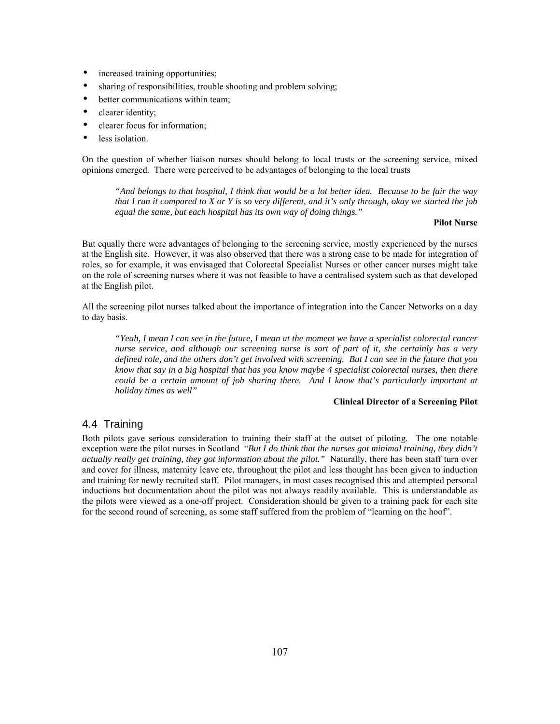- increased training opportunities;
- sharing of responsibilities, trouble shooting and problem solving;
- better communications within team;
- clearer identity;
- clearer focus for information;
- less isolation

On the question of whether liaison nurses should belong to local trusts or the screening service, mixed opinions emerged. There were perceived to be advantages of belonging to the local trusts

*"And belongs to that hospital, I think that would be a lot better idea. Because to be fair the way that I run it compared to X or Y is so very different, and it's only through, okay we started the job equal the same, but each hospital has its own way of doing things."*

## **Pilot Nurse**

But equally there were advantages of belonging to the screening service, mostly experienced by the nurses at the English site. However, it was also observed that there was a strong case to be made for integration of roles, so for example, it was envisaged that Colorectal Specialist Nurses or other cancer nurses might take on the role of screening nurses where it was not feasible to have a centralised system such as that developed at the English pilot.

All the screening pilot nurses talked about the importance of integration into the Cancer Networks on a day to day basis.

*"Yeah, I mean I can see in the future, I mean at the moment we have a specialist colorectal cancer nurse service, and although our screening nurse is sort of part of it, she certainly has a very defined role, and the others don't get involved with screening. But I can see in the future that you know that say in a big hospital that has you know maybe 4 specialist colorectal nurses, then there could be a certain amount of job sharing there. And I know that's particularly important at holiday times as well"*

## **Clinical Director of a Screening Pilot**

# 4.4 Training

Both pilots gave serious consideration to training their staff at the outset of piloting. The one notable exception were the pilot nurses in Scotland "But I do think that the nurses got minimal training, they didn't *actually really get training, they got information about the pilot."* Naturally, there has been staff turn over and cover for illness, maternity leave etc, throughout the pilot and less thought has been given to induction and training for newly recruited staff. Pilot managers, in most cases recognised this and attempted personal inductions but documentation about the pilot was not always readily available. This is understandable as the pilots were viewed as a one-off project. Consideration should be given to a training pack for each site for the second round of screening, as some staff suffered from the problem of "learning on the hoof".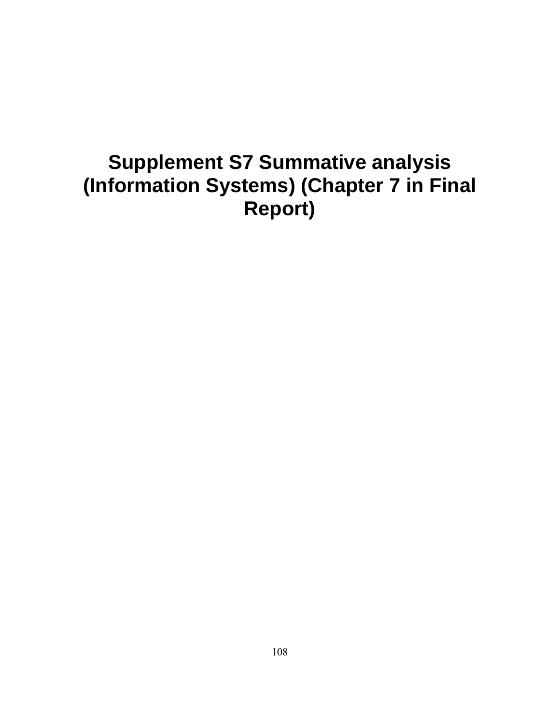# **Supplement S7 Summative analysis (Information Systems) (Chapter 7 in Final Report)**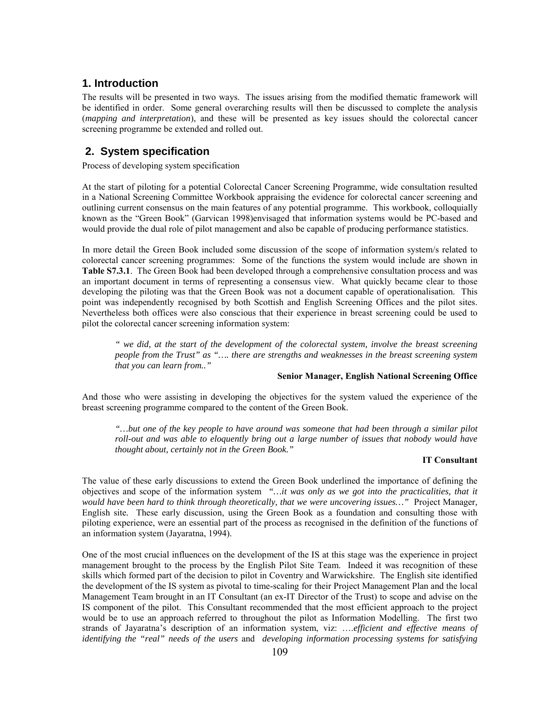# **1. Introduction**

The results will be presented in two ways. The issues arising from the modified thematic framework will be identified in order. Some general overarching results will then be discussed to complete the analysis (*mapping and interpretation*), and these will be presented as key issues should the colorectal cancer screening programme be extended and rolled out.

# **2. System specification**

Process of developing system specification

At the start of piloting for a potential Colorectal Cancer Screening Programme, wide consultation resulted in a National Screening Committee Workbook appraising the evidence for colorectal cancer screening and outlining current consensus on the main features of any potential programme. This workbook, colloquially known as the "Green Book" (Garvican 1998)envisaged that information systems would be PC-based and would provide the dual role of pilot management and also be capable of producing performance statistics.

In more detail the Green Book included some discussion of the scope of information system/s related to colorectal cancer screening programmes: Some of the functions the system would include are shown in **Table S7.3.1**. The Green Book had been developed through a comprehensive consultation process and was an important document in terms of representing a consensus view. What quickly became clear to those developing the piloting was that the Green Book was not a document capable of operationalisation. This point was independently recognised by both Scottish and English Screening Offices and the pilot sites. Nevertheless both offices were also conscious that their experience in breast screening could be used to pilot the colorectal cancer screening information system:

*" we did, at the start of the development of the colorectal system, involve the breast screening people from the Trust" as "…. there are strengths and weaknesses in the breast screening system that you can learn from.."*

## **Senior Manager, English National Screening Office**

And those who were assisting in developing the objectives for the system valued the experience of the breast screening programme compared to the content of the Green Book.

*"…but one of the key people to have around was someone that had been through a similar pilot roll-out and was able to eloquently bring out a large number of issues that nobody would have thought about, certainly not in the Green Book."*

#### **IT Consultant**

The value of these early discussions to extend the Green Book underlined the importance of defining the objectives and scope of the information system *"…it was only as we got into the practicalities, that it would have been hard to think through theoretically, that we were uncovering issues…"* Project Manager*,* English site*.* These early discussion, using the Green Book as a foundation and consulting those with piloting experience, were an essential part of the process as recognised in the definition of the functions of an information system (Jayaratna, 1994).

One of the most crucial influences on the development of the IS at this stage was the experience in project management brought to the process by the English Pilot Site Team. Indeed it was recognition of these skills which formed part of the decision to pilot in Coventry and Warwickshire. The English site identified the development of the IS system as pivotal to time-scaling for their Project Management Plan and the local Management Team brought in an IT Consultant (an ex-IT Director of the Trust) to scope and advise on the IS component of the pilot. This Consultant recommended that the most efficient approach to the project would be to use an approach referred to throughout the pilot as Information Modelling. The first two strands of Jayaratna's description of an information system, viz: ....efficient and effective means of *identifying the "real" needs of the users* and *developing information processing systems for satisfying*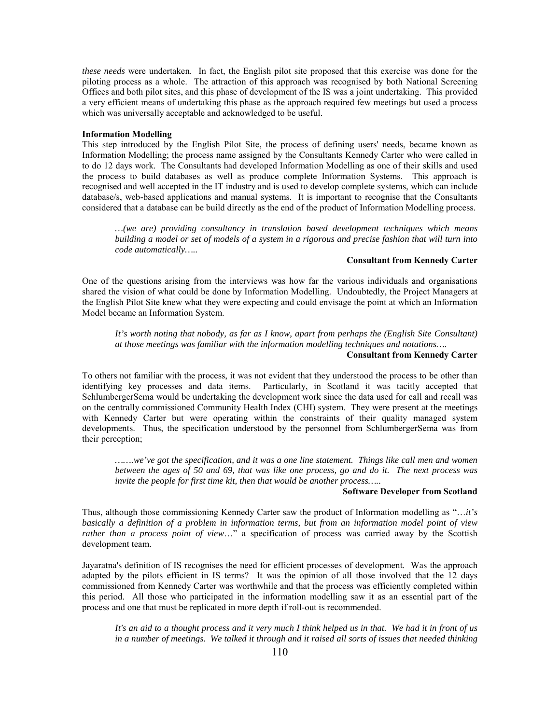*these needs* were undertaken. In fact, the English pilot site proposed that this exercise was done for the piloting process as a whole. The attraction of this approach was recognised by both National Screening Offices and both pilot sites, and this phase of development of the IS was a joint undertaking. This provided a very efficient means of undertaking this phase as the approach required few meetings but used a process which was universally acceptable and acknowledged to be useful.

#### **Information Modelling**

This step introduced by the English Pilot Site, the process of defining users' needs, became known as Information Modelling; the process name assigned by the Consultants Kennedy Carter who were called in to do 12 days work. The Consultants had developed Information Modelling as one of their skills and used the process to build databases as well as produce complete Information Systems. This approach is recognised and well accepted in the IT industry and is used to develop complete systems, which can include database/s, web-based applications and manual systems. It is important to recognise that the Consultants considered that a database can be build directly as the end of the product of Information Modelling process.

*…(we are) providing consultancy in translation based development techniques which means building a model or set of models of a system in a rigorous and precise fashion that will turn into code automatically…..*

## **Consultant from Kennedy Carter**

One of the questions arising from the interviews was how far the various individuals and organisations shared the vision of what could be done by Information Modelling. Undoubtedly, the Project Managers at the English Pilot Site knew what they were expecting and could envisage the point at which an Information Model became an Information System.

*It's worth noting that nobody, as far as I know, apart from perhaps the (English Site Consultant) at those meetings was familiar with the information modelling techniques and notations….* **Consultant from Kennedy Carter**

To others not familiar with the process, it was not evident that they understood the process to be other than identifying key processes and data items. Particularly, in Scotland it was tacitly accepted that SchlumbergerSema would be undertaking the development work since the data used for call and recall was on the centrally commissioned Community Health Index (CHI) system. They were present at the meetings with Kennedy Carter but were operating within the constraints of their quality managed system developments. Thus, the specification understood by the personnel from SchlumbergerSema was from their perception;

*…….we've got the specification, and it was a one line statement. Things like call men and women between the ages of 50 and 69, that was like one process, go and do it. The next process was invite the people for first time kit, then that would be another process…..*

## **Software Developer from Scotland**

Thus, although those commissioning Kennedy Carter saw the product of Information modelling as "...it's *basically a definition of a problem in information terms, but from an information model point of view rather than a process point of view*..." a specification of process was carried away by the Scottish development team.

Jayaratna's definition of IS recognises the need for efficient processes of development. Was the approach adapted by the pilots efficient in IS terms? It was the opinion of all those involved that the 12 days commissioned from Kennedy Carter was worthwhile and that the process was efficiently completed within this period. All those who participated in the information modelling saw it as an essential part of the process and one that must be replicated in more depth if roll-out is recommended.

*It's an aid to a thought process and it very much I think helped us in that. We had it in front of us in a number of meetings. We talked it through and it raised all sorts of issues that needed thinking*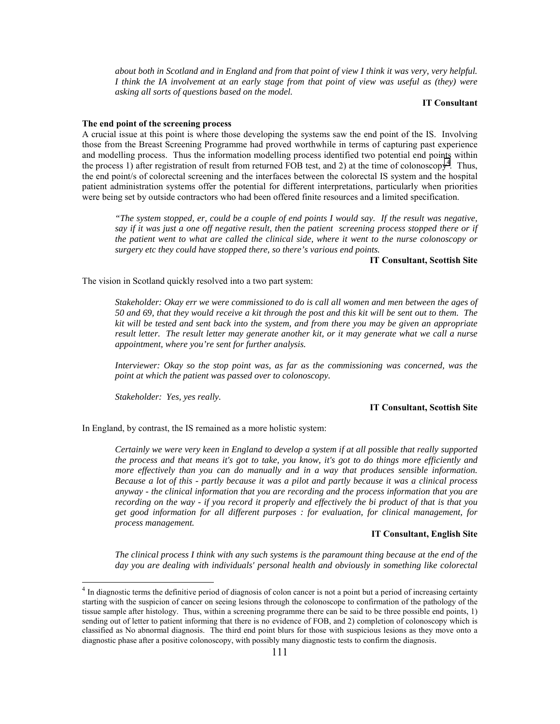*about both in Scotland and in England and from that point of view I think it was very, very helpful. I think the IA involvement at an early stage from that point of view was useful as (they) were asking all sorts of questions based on the model.*

## **IT Consultant**

#### **The end point of the screening process**

A crucial issue at this point is where those developing the systems saw the end point of the IS. Involving those from the Breast Screening Programme had proved worthwhile in terms of capturing past experience and modelling process. Thus the information modelling process identified two potential end points within the process 1) after registration of result from returned FOB test, and 2) at the time of colonoscopy<sup>4</sup>. Thus, the end point/s of colorectal screening and the interfaces between the colorectal IS system and the hospital patient administration systems offer the potential for different interpretations, particularly when priorities were being set by outside contractors who had been offered finite resources and a limited specification.

*"The system stopped, er, could be a couple of end points I would say. If the result was negative, say if it was just a one off negative result, then the patient screening process stopped there or if the patient went to what are called the clinical side, where it went to the nurse colonoscopy or surgery etc they could have stopped there, so there's various end points.*

## **IT Consultant, Scottish Site**

The vision in Scotland quickly resolved into a two part system:

*Stakeholder: Okay err we were commissioned to do is call all women and men between the ages of 50 and 69, that they would receive a kit through the post and this kit will be sent out to them. The kit will be tested and sent back into the system, and from there you may be given an appropriate result letter. The result letter may generate another kit, or it may generate what we call a nurse appointment, where you're sent for further analysis.*

*Interviewer: Okay so the stop point was, as far as the commissioning was concerned, was the point at which the patient was passed over to colonoscopy.*

*Stakeholder: Yes, yes really.*

l

#### **IT Consultant, Scottish Site**

In England, by contrast, the IS remained as a more holistic system:

*Certainly we were very keen in England to develop a system if at all possible that really supported the process and that means it's got to take, you know, it's got to do things more efficiently and more effectively than you can do manually and in a way that produces sensible information. Because a lot of this - partly because it was a pilot and partly because it was a clinical process anyway - the clinical information that you are recording and the process information that you are recording on the way - if you record it properly and effectively the bi product of that is that you get good information for all different purposes : for evaluation, for clinical management, for process management.*

### **IT Consultant, English Site**

*The clinical process I think with any such systems is the paramount thing because at the end of the day you are dealing with individuals' personal health and obviously in something like colorectal*

<sup>&</sup>lt;sup>4</sup> In diagnostic terms the definitive period of diagnosis of colon cancer is not a point but a period of increasing certainty starting with the suspicion of cancer on seeing lesions through the colonoscope to confirmation of the pathology of the tissue sample after histology. Thus, within a screening programme there can be said to be three possible end points, 1) sending out of letter to patient informing that there is no evidence of FOB, and 2) completion of colonoscopy which is classified as No abnormal diagnosis. The third end point blurs for those with suspicious lesions as they move onto a diagnostic phase after a positive colonoscopy, with possibly many diagnostic tests to confirm the diagnosis.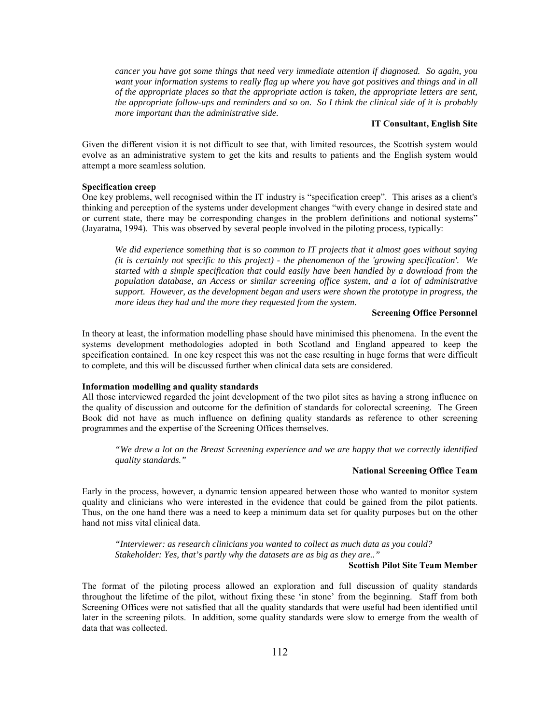*cancer you have got some things that need very immediate attention if diagnosed. So again, you want your information systems to really flag up where you have got positives and things and in all of the appropriate places so that the appropriate action is taken, the appropriate letters are sent, the appropriate follow-ups and reminders and so on. So I think the clinical side of it is probably more important than the administrative side.*

## **IT Consultant, English Site**

Given the different vision it is not difficult to see that, with limited resources, the Scottish system would evolve as an administrative system to get the kits and results to patients and the English system would attempt a more seamless solution.

## **Specification creep**

One key problems, well recognised within the IT industry is "specification creep". This arises as a client's thinking and perception of the systems under development changes "with every change in desired state and or current state, there may be corresponding changes in the problem definitions and notional systems" (Jayaratna, 1994). This was observed by several people involved in the piloting process, typically:

*We did experience something that is so common to IT projects that it almost goes without saying (it is certainly not specific to this project) - the phenomenon of the 'growing specification'. We started with a simple specification that could easily have been handled by a download from the population database, an Access or similar screening office system, and a lot of administrative support. However, as the development began and users were shown the prototype in progress, the more ideas they had and the more they requested from the system.*

### **Screening Office Personnel**

In theory at least, the information modelling phase should have minimised this phenomena. In the event the systems development methodologies adopted in both Scotland and England appeared to keep the specification contained. In one key respect this was not the case resulting in huge forms that were difficult to complete, and this will be discussed further when clinical data sets are considered.

## **Information modelling and quality standards**

All those interviewed regarded the joint development of the two pilot sites as having a strong influence on the quality of discussion and outcome for the definition of standards for colorectal screening. The Green Book did not have as much influence on defining quality standards as reference to other screening programmes and the expertise of the Screening Offices themselves.

*"We drew a lot on the Breast Screening experience and we are happy that we correctly identified quality standards."*

#### **National Screening Office Team**

Early in the process, however, a dynamic tension appeared between those who wanted to monitor system quality and clinicians who were interested in the evidence that could be gained from the pilot patients. Thus, on the one hand there was a need to keep a minimum data set for quality purposes but on the other hand not miss vital clinical data.

*"Interviewer: as research clinicians you wanted to collect as much data as you could? Stakeholder: Yes, that's partly why the datasets are as big as they are.."*

## **Scottish Pilot Site Team Member**

The format of the piloting process allowed an exploration and full discussion of quality standards throughout the lifetime of the pilot, without fixing these 'in stone' from the beginning. Staff from both Screening Offices were not satisfied that all the quality standards that were useful had been identified until later in the screening pilots. In addition, some quality standards were slow to emerge from the wealth of data that was collected.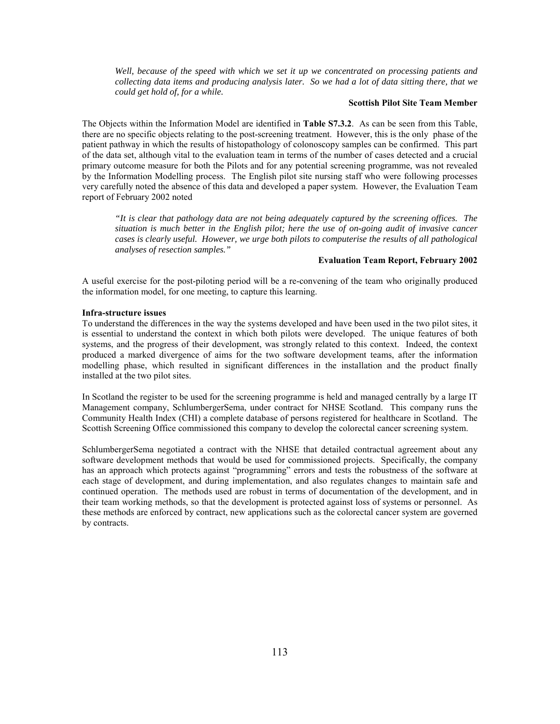*Well, because of the speed with which we set it up we concentrated on processing patients and collecting data items and producing analysis later. So we had a lot of data sitting there, that we could get hold of, for a while.*

#### **Scottish Pilot Site Team Member**

The Objects within the Information Model are identified in **Table S7.3.2**. As can be seen from this Table, there are no specific objects relating to the post-screening treatment. However, this is the only phase of the patient pathway in which the results of histopathology of colonoscopy samples can be confirmed. This part of the data set, although vital to the evaluation team in terms of the number of cases detected and a crucial primary outcome measure for both the Pilots and for any potential screening programme, was not revealed by the Information Modelling process. The English pilot site nursing staff who were following processes very carefully noted the absence of this data and developed a paper system. However, the Evaluation Team report of February 2002 noted

*"It is clear that pathology data are not being adequately captured by the screening offices. The situation is much better in the English pilot; here the use of on-going audit of invasive cancer cases is clearly useful. However, we urge both pilots to computerise the results of all pathological analyses of resection samples."*

## **Evaluation Team Report, February 2002**

A useful exercise for the post-piloting period will be a re-convening of the team who originally produced the information model, for one meeting, to capture this learning.

## **Infra-structure issues**

To understand the differences in the way the systems developed and have been used in the two pilot sites, it is essential to understand the context in which both pilots were developed. The unique features of both systems, and the progress of their development, was strongly related to this context. Indeed, the context produced a marked divergence of aims for the two software development teams, after the information modelling phase, which resulted in significant differences in the installation and the product finally installed at the two pilot sites.

In Scotland the register to be used for the screening programme is held and managed centrally by a large IT Management company, SchlumbergerSema, under contract for NHSE Scotland. This company runs the Community Health Index (CHI) a complete database of persons registered for healthcare in Scotland. The Scottish Screening Office commissioned this company to develop the colorectal cancer screening system.

SchlumbergerSema negotiated a contract with the NHSE that detailed contractual agreement about any software development methods that would be used for commissioned projects. Specifically, the company has an approach which protects against "programming" errors and tests the robustness of the software at each stage of development, and during implementation, and also regulates changes to maintain safe and continued operation. The methods used are robust in terms of documentation of the development, and in their team working methods, so that the development is protected against loss of systems or personnel. As these methods are enforced by contract, new applications such as the colorectal cancer system are governed by contracts.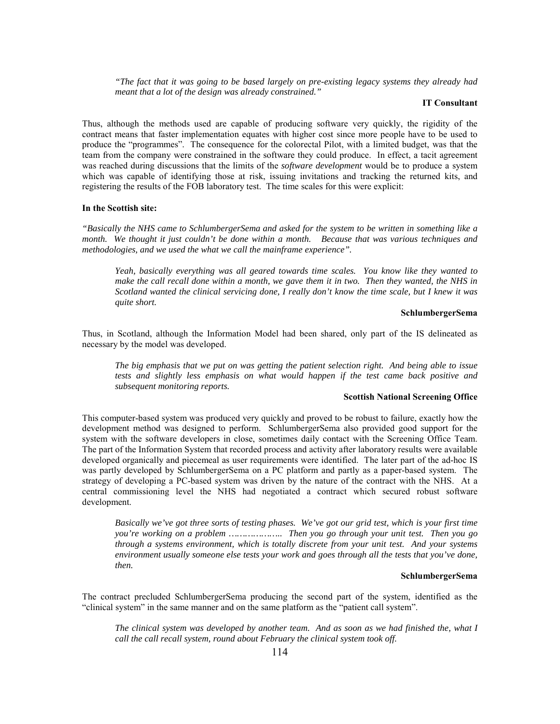*"The fact that it was going to be based largely on pre-existing legacy systems they already had meant that a lot of the design was already constrained."*

#### **IT Consultant**

Thus, although the methods used are capable of producing software very quickly, the rigidity of the contract means that faster implementation equates with higher cost since more people have to be used to produce the "programmes". The consequence for the colorectal Pilot, with a limited budget, was that the team from the company were constrained in the software they could produce. In effect, a tacit agreement was reached during discussions that the limits of the *software development* would be to produce a system which was capable of identifying those at risk, issuing invitations and tracking the returned kits, and registering the results of the FOB laboratory test. The time scales for this were explicit:

#### **In the Scottish site:**

*"Basically the NHS came to SchlumbergerSema and asked for the system to be written in something like a month. We thought it just couldn't be done within a month. Because that was various techniques and methodologies, and we used the what we call the mainframe experience".*

*Yeah, basically everything was all geared towards time scales. You know like they wanted to make the call recall done within a month, we gave them it in two. Then they wanted, the NHS in Scotland wanted the clinical servicing done, I really don't know the time scale, but I knew it was quite short.*

### **SchlumbergerSema**

Thus, in Scotland, although the Information Model had been shared, only part of the IS delineated as necessary by the model was developed.

*The big emphasis that we put on was getting the patient selection right. And being able to issue tests and slightly less emphasis on what would happen if the test came back positive and subsequent monitoring reports.*

## **Scottish National Screening Office**

This computer-based system was produced very quickly and proved to be robust to failure, exactly how the development method was designed to perform. SchlumbergerSema also provided good support for the system with the software developers in close, sometimes daily contact with the Screening Office Team. The part of the Information System that recorded process and activity after laboratory results were available developed organically and piecemeal as user requirements were identified. The later part of the ad-hoc IS was partly developed by SchlumbergerSema on a PC platform and partly as a paper-based system. The strategy of developing a PC-based system was driven by the nature of the contract with the NHS. At a central commissioning level the NHS had negotiated a contract which secured robust software development.

*Basically we've got three sorts of testing phases. We've got our grid test, which is your first time you're working on a problem ……………….. Then you go through your unit test. Then you go through a systems environment, which is totally discrete from your unit test. And your systems environment usually someone else tests your work and goes through all the tests that you've done, then.*

#### **SchlumbergerSema**

The contract precluded SchlumbergerSema producing the second part of the system, identified as the "clinical system" in the same manner and on the same platform as the "patient call system".

*The clinical system was developed by another team. And as soon as we had finished the, what I call the call recall system, round about February the clinical system took off.*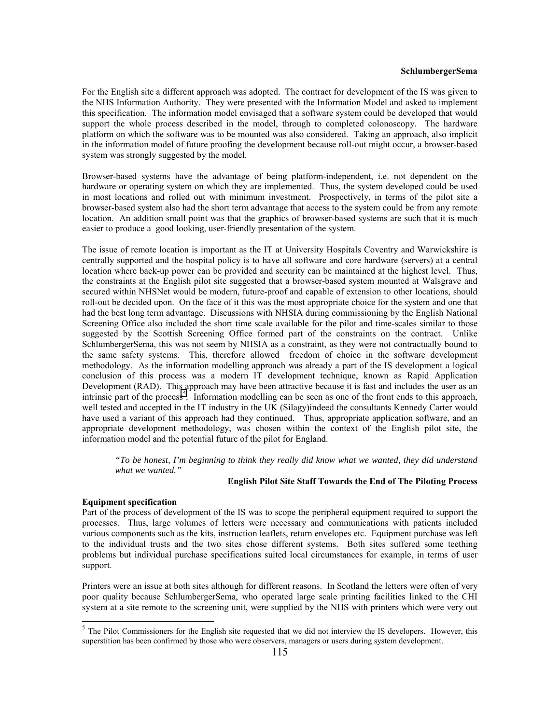#### **SchlumbergerSema**

For the English site a different approach was adopted. The contract for development of the IS was given to the NHS Information Authority. They were presented with the Information Model and asked to implement this specification. The information model envisaged that a software system could be developed that would support the whole process described in the model, through to completed colonoscopy. The hardware platform on which the software was to be mounted was also considered. Taking an approach, also implicit in the information model of future proofing the development because roll-out might occur, a browser-based system was strongly suggested by the model.

Browser-based systems have the advantage of being platform-independent, i.e. not dependent on the hardware or operating system on which they are implemented. Thus, the system developed could be used in most locations and rolled out with minimum investment. Prospectively, in terms of the pilot site a browser-based system also had the short term advantage that access to the system could be from any remote location. An addition small point was that the graphics of browser-based systems are such that it is much easier to produce a good looking, user-friendly presentation of the system.

The issue of remote location is important as the IT at University Hospitals Coventry and Warwickshire is centrally supported and the hospital policy is to have all software and core hardware (servers) at a central location where back-up power can be provided and security can be maintained at the highest level. Thus, the constraints at the English pilot site suggested that a browser-based system mounted at Walsgrave and secured within NHSNet would be modern, future-proof and capable of extension to other locations, should roll-out be decided upon. On the face of it this was the most appropriate choice for the system and one that had the best long term advantage. Discussions with NHSIA during commissioning by the English National Screening Office also included the short time scale available for the pilot and time-scales similar to those suggested by the Scottish Screening Office formed part of the constraints on the contract. Unlike SchlumbergerSema, this was not seem by NHSIA as a constraint, as they were not contractually bound to the same safety systems. This, therefore allowed freedom of choice in the software development methodology. As the information modelling approach was already a part of the IS development a logical conclusion of this process was a modern IT development technique, known as Rapid Application Development (RAD). This approach may have been attractive because it is fast and includes the user as an intrinsic part of the process<sup>5</sup>. Information modelling can be seen as one of the front ends to this approach, well tested and accepted in the IT industry in the UK (Silagy)indeed the consultants Kennedy Carter would have used a variant of this approach had they continued. Thus, appropriate application software, and an appropriate development methodology, was chosen within the context of the English pilot site, the information model and the potential future of the pilot for England.

*"To be honest, I'm beginning to think they really did know what we wanted, they did understand what we wanted."*

## **English Pilot Site Staff Towards the End of The Piloting Process**

## **Equipment specification**

l

Part of the process of development of the IS was to scope the peripheral equipment required to support the processes. Thus, large volumes of letters were necessary and communications with patients included various components such as the kits, instruction leaflets, return envelopes etc. Equipment purchase was left to the individual trusts and the two sites chose different systems. Both sites suffered some teething problems but individual purchase specifications suited local circumstances for example, in terms of user support.

Printers were an issue at both sites although for different reasons. In Scotland the letters were often of very poor quality because SchlumbergerSema, who operated large scale printing facilities linked to the CHI system at a site remote to the screening unit, were supplied by the NHS with printers which were very out

<sup>&</sup>lt;sup>5</sup> The Pilot Commissioners for the English site requested that we did not interview the IS developers. However, this superstition has been confirmed by those who were observers, managers or users during system development.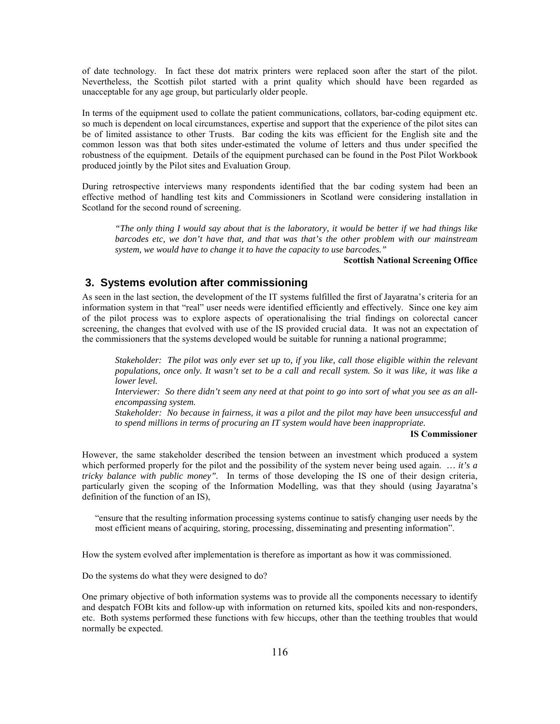of date technology. In fact these dot matrix printers were replaced soon after the start of the pilot. Nevertheless, the Scottish pilot started with a print quality which should have been regarded as unacceptable for any age group, but particularly older people.

In terms of the equipment used to collate the patient communications, collators, bar-coding equipment etc. so much is dependent on local circumstances, expertise and support that the experience of the pilot sites can be of limited assistance to other Trusts. Bar coding the kits was efficient for the English site and the common lesson was that both sites under-estimated the volume of letters and thus under specified the robustness of the equipment. Details of the equipment purchased can be found in the Post Pilot Workbook produced jointly by the Pilot sites and Evaluation Group.

During retrospective interviews many respondents identified that the bar coding system had been an effective method of handling test kits and Commissioners in Scotland were considering installation in Scotland for the second round of screening.

*"The only thing I would say about that is the laboratory, it would be better if we had things like barcodes etc, we don't have that, and that was that's the other problem with our mainstream system, we would have to change it to have the capacity to use barcodes."*

## **Scottish National Screening Office**

# **3. Systems evolution after commissioning**

As seen in the last section, the development of the IT systems fulfilled the first of Jayaratna's criteria for an information system in that "real" user needs were identified efficiently and effectively. Since one key aim of the pilot process was to explore aspects of operationalising the trial findings on colorectal cancer screening, the changes that evolved with use of the IS provided crucial data. It was not an expectation of the commissioners that the systems developed would be suitable for running a national programme;

*Stakeholder: The pilot was only ever set up to, if you like, call those eligible within the relevant populations, once only. It wasn't set to be a call and recall system. So it was like, it was like a lower level.*

*Interviewer: So there didn't seem any need at that point to go into sort of what you see as an allencompassing system.*

*Stakeholder: No because in fairness, it was a pilot and the pilot may have been unsuccessful and to spend millions in terms of procuring an IT system would have been inappropriate.*

#### **IS Commissioner**

However, the same stakeholder described the tension between an investment which produced a system which performed properly for the pilot and the possibility of the system never being used again. *… it's a tricky balance with public money".* In terms of those developing the IS one of their design criteria, particularly given the scoping of the Information Modelling, was that they should (using Jayaratna's definition of the function of an IS),

ìensure that the resulting information processing systems continue to satisfy changing user needs by the most efficient means of acquiring, storing, processing, disseminating and presenting informationî.

How the system evolved after implementation is therefore as important as how it was commissioned.

Do the systems do what they were designed to do?

One primary objective of both information systems was to provide all the components necessary to identify and despatch FOBt kits and follow-up with information on returned kits, spoiled kits and non-responders, etc. Both systems performed these functions with few hiccups, other than the teething troubles that would normally be expected.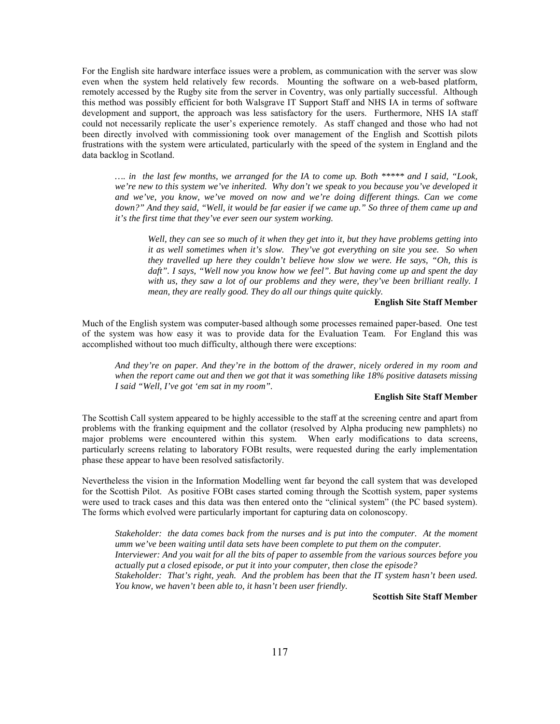For the English site hardware interface issues were a problem, as communication with the server was slow even when the system held relatively few records. Mounting the software on a web-based platform, remotely accessed by the Rugby site from the server in Coventry, was only partially successful. Although this method was possibly efficient for both Walsgrave IT Support Staff and NHS IA in terms of software development and support, the approach was less satisfactory for the users. Furthermore, NHS IA staff could not necessarily replicate the user's experience remotely. As staff changed and those who had not been directly involved with commissioning took over management of the English and Scottish pilots frustrations with the system were articulated, particularly with the speed of the system in England and the data backlog in Scotland.

*…. in the last few months, we arranged for the IA to come up. Both \*\*\*\*\* and I said, "Look, we're new to this system we've inherited. Why don't we speak to you because you've developed it and we've, you know, we've moved on now and we're doing different things. Can we come down?" And they said, "Well, it would be far easier if we came up." So three of them came up and it's the first time that they've ever seen our system working.*

*Well, they can see so much of it when they get into it, but they have problems getting into it as well sometimes when it's slow. They've got everything on site you see. So when they travelled up here they couldn't believe how slow we were. He says, "Oh, this is daft". I says, "Well now you know how we feel". But having come up and spent the day with us, they saw a lot of our problems and they were, they've been brilliant really. I mean, they are really good. They do all our things quite quickly.*

## **English Site Staff Member**

Much of the English system was computer-based although some processes remained paper-based. One test of the system was how easy it was to provide data for the Evaluation Team. For England this was accomplished without too much difficulty, although there were exceptions:

*And they're on paper. And they're in the bottom of the drawer, nicely ordered in my room and when the report came out and then we got that it was something like 18% positive datasets missing I said "Well, I've got 'em sat in my room".*

## **English Site Staff Member**

The Scottish Call system appeared to be highly accessible to the staff at the screening centre and apart from problems with the franking equipment and the collator (resolved by Alpha producing new pamphlets) no major problems were encountered within this system. When early modifications to data screens, particularly screens relating to laboratory FOBt results, were requested during the early implementation phase these appear to have been resolved satisfactorily.

Nevertheless the vision in the Information Modelling went far beyond the call system that was developed for the Scottish Pilot. As positive FOBt cases started coming through the Scottish system, paper systems were used to track cases and this data was then entered onto the "clinical system" (the PC based system). The forms which evolved were particularly important for capturing data on colonoscopy.

*Stakeholder: the data comes back from the nurses and is put into the computer. At the moment umm we've been waiting until data sets have been complete to put them on the computer.*

*Interviewer: And you wait for all the bits of paper to assemble from the various sources before you actually put a closed episode, or put it into your computer, then close the episode?*

*Stakeholder: That's right, yeah. And the problem has been that the IT system hasn't been used. You know, we haven't been able to, it hasn't been user friendly.*

**Scottish Site Staff Member**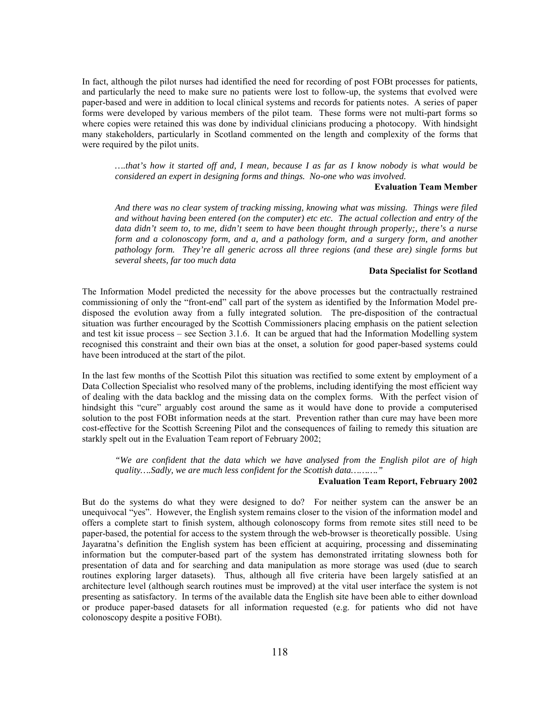In fact, although the pilot nurses had identified the need for recording of post FOBt processes for patients, and particularly the need to make sure no patients were lost to follow-up, the systems that evolved were paper-based and were in addition to local clinical systems and records for patients notes. A series of paper forms were developed by various members of the pilot team. These forms were not multi-part forms so where copies were retained this was done by individual clinicians producing a photocopy. With hindsight many stakeholders, particularly in Scotland commented on the length and complexity of the forms that were required by the pilot units.

*….that's how it started off and, I mean, because I as far as I know nobody is what would be considered an expert in designing forms and things. No-one who was involved.*

## **Evaluation Team Member**

*And there was no clear system of tracking missing, knowing what was missing. Things were filed and without having been entered (on the computer) etc etc. The actual collection and entry of the data didn't seem to, to me, didn't seem to have been thought through properly;, there's a nurse form and a colonoscopy form, and a, and a pathology form, and a surgery form, and another pathology form. They're all generic across all three regions (and these are) single forms but several sheets, far too much data*

## **Data Specialist for Scotland**

The Information Model predicted the necessity for the above processes but the contractually restrained commissioning of only the "front-end" call part of the system as identified by the Information Model predisposed the evolution away from a fully integrated solution. The pre-disposition of the contractual situation was further encouraged by the Scottish Commissioners placing emphasis on the patient selection and test kit issue process – see Section 3.1.6. It can be argued that had the Information Modelling system recognised this constraint and their own bias at the onset, a solution for good paper-based systems could have been introduced at the start of the pilot.

In the last few months of the Scottish Pilot this situation was rectified to some extent by employment of a Data Collection Specialist who resolved many of the problems, including identifying the most efficient way of dealing with the data backlog and the missing data on the complex forms. With the perfect vision of hindsight this "cure" arguably cost around the same as it would have done to provide a computerised solution to the post FOBt information needs at the start. Prevention rather than cure may have been more cost-effective for the Scottish Screening Pilot and the consequences of failing to remedy this situation are starkly spelt out in the Evaluation Team report of February 2002;

*"We are confident that the data which we have analysed from the English pilot are of high quality….Sadly, we are much less confident for the Scottish data………."*

#### **Evaluation Team Report, February 2002**

But do the systems do what they were designed to do? For neither system can the answer be an unequivocal "yes". However, the English system remains closer to the vision of the information model and offers a complete start to finish system, although colonoscopy forms from remote sites still need to be paper-based, the potential for access to the system through the web-browser is theoretically possible. Using Jayaratnaís definition the English system has been efficient at acquiring, processing and disseminating information but the computer-based part of the system has demonstrated irritating slowness both for presentation of data and for searching and data manipulation as more storage was used (due to search routines exploring larger datasets). Thus, although all five criteria have been largely satisfied at an architecture level (although search routines must be improved) at the vital user interface the system is not presenting as satisfactory. In terms of the available data the English site have been able to either download or produce paper-based datasets for all information requested (e.g. for patients who did not have colonoscopy despite a positive FOBt).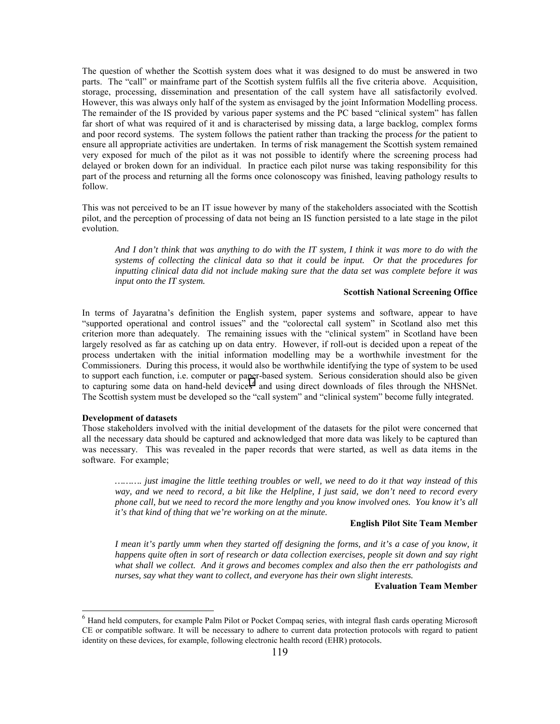The question of whether the Scottish system does what it was designed to do must be answered in two parts. The "call" or mainframe part of the Scottish system fulfils all the five criteria above. Acquisition, storage, processing, dissemination and presentation of the call system have all satisfactorily evolved. However, this was always only half of the system as envisaged by the joint Information Modelling process. The remainder of the IS provided by various paper systems and the PC based "clinical system" has fallen far short of what was required of it and is characterised by missing data, a large backlog, complex forms and poor record systems. The system follows the patient rather than tracking the process *for* the patient to ensure all appropriate activities are undertaken. In terms of risk management the Scottish system remained very exposed for much of the pilot as it was not possible to identify where the screening process had delayed or broken down for an individual. In practice each pilot nurse was taking responsibility for this part of the process and returning all the forms once colonoscopy was finished, leaving pathology results to follow.

This was not perceived to be an IT issue however by many of the stakeholders associated with the Scottish pilot, and the perception of processing of data not being an IS function persisted to a late stage in the pilot evolution.

*And I don't think that was anything to do with the IT system, I think it was more to do with the systems of collecting the clinical data so that it could be input. Or that the procedures for inputting clinical data did not include making sure that the data set was complete before it was input onto the IT system.*

## **Scottish National Screening Office**

In terms of Jayaratna's definition the English system, paper systems and software, appear to have "supported operational and control issues" and the "colorectal call system" in Scotland also met this criterion more than adequately. The remaining issues with the "clinical system" in Scotland have been largely resolved as far as catching up on data entry. However, if roll-out is decided upon a repeat of the process undertaken with the initial information modelling may be a worthwhile investment for the Commissioners. During this process, it would also be worthwhile identifying the type of system to be used to support each function, i.e. computer or paper-based system. Serious consideration should also be given to capturing some data on hand-held devices<sup>6</sup> and using direct downloads of files through the NHSNet. The Scottish system must be developed so the "call system" and "clinical system" become fully integrated.

### **Development of datasets**

l

Those stakeholders involved with the initial development of the datasets for the pilot were concerned that all the necessary data should be captured and acknowledged that more data was likely to be captured than was necessary. This was revealed in the paper records that were started, as well as data items in the software. For example;

*………. just imagine the little teething troubles or well, we need to do it that way instead of this way, and we need to record, a bit like the Helpline, I just said, we don't need to record every phone call, but we need to record the more lengthy and you know involved ones. You know it's all it's that kind of thing that we're working on at the minute.*

#### **English Pilot Site Team Member**

*I mean it's partly umm when they started off designing the forms, and it's a case of you know, it happens quite often in sort of research or data collection exercises, people sit down and say right what shall we collect. And it grows and becomes complex and also then the err pathologists and nurses, say what they want to collect, and everyone has their own slight interests.*

#### **Evaluation Team Member**

<sup>&</sup>lt;sup>6</sup> Hand held computers, for example Palm Pilot or Pocket Compaq series, with integral flash cards operating Microsoft CE or compatible software. It will be necessary to adhere to current data protection protocols with regard to patient identity on these devices, for example, following electronic health record (EHR) protocols.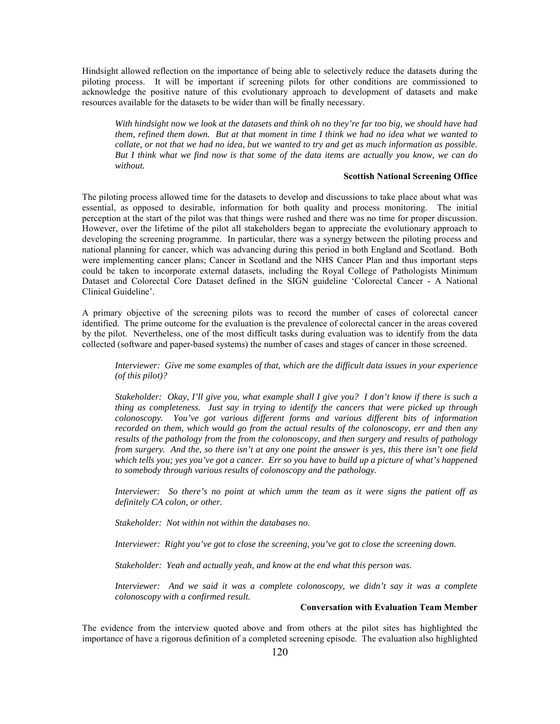Hindsight allowed reflection on the importance of being able to selectively reduce the datasets during the piloting process. It will be important if screening pilots for other conditions are commissioned to acknowledge the positive nature of this evolutionary approach to development of datasets and make resources available for the datasets to be wider than will be finally necessary.

*With hindsight now we look at the datasets and think oh no they're far too big, we should have had them, refined them down. But at that moment in time I think we had no idea what we wanted to collate, or not that we had no idea, but we wanted to try and get as much information as possible. But I think what we find now is that some of the data items are actually you know, we can do without.*

## **Scottish National Screening Office**

The piloting process allowed time for the datasets to develop and discussions to take place about what was essential, as opposed to desirable, information for both quality and process monitoring. The initial perception at the start of the pilot was that things were rushed and there was no time for proper discussion. However, over the lifetime of the pilot all stakeholders began to appreciate the evolutionary approach to developing the screening programme. In particular, there was a synergy between the piloting process and national planning for cancer, which was advancing during this period in both England and Scotland. Both were implementing cancer plans; Cancer in Scotland and the NHS Cancer Plan and thus important steps could be taken to incorporate external datasets, including the Royal College of Pathologists Minimum Dataset and Colorectal Core Dataset defined in the SIGN guideline 'Colorectal Cancer - A National Clinical Guideline'.

A primary objective of the screening pilots was to record the number of cases of colorectal cancer identified. The prime outcome for the evaluation is the prevalence of colorectal cancer in the areas covered by the pilot. Nevertheless, one of the most difficult tasks during evaluation was to identify from the data collected (software and paper-based systems) the number of cases and stages of cancer in those screened.

*Interviewer: Give me some examples of that, which are the difficult data issues in your experience (of this pilot)?*

*Stakeholder: Okay, I'll give you, what example shall I give you? I don't know if there is such a thing as completeness. Just say in trying to identify the cancers that were picked up through colonoscopy. You've got various different forms and various different bits of information recorded on them, which would go from the actual results of the colonoscopy, err and then any results of the pathology from the from the colonoscopy, and then surgery and results of pathology from surgery. And the, so there isn't at any one point the answer is yes, this there isn't one field which tells you; yes you've got a cancer. Err so you have to build up a picture of what's happened to somebody through various results of colonoscopy and the pathology.*

*Interviewer: So there's no point at which umm the team as it were signs the patient off as definitely CA colon, or other.*

*Stakeholder: Not within not within the databases no.*

*Interviewer: Right you've got to close the screening, you've got to close the screening down.*

*Stakeholder: Yeah and actually yeah, and know at the end what this person was.*

*Interviewer: And we said it was a complete colonoscopy, we didn't say it was a complete colonoscopy with a confirmed result.*

#### **Conversation with Evaluation Team Member**

The evidence from the interview quoted above and from others at the pilot sites has highlighted the importance of have a rigorous definition of a completed screening episode. The evaluation also highlighted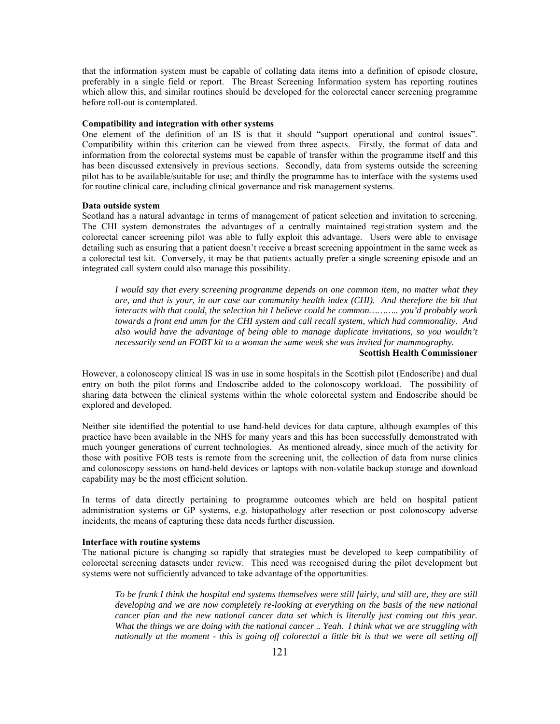that the information system must be capable of collating data items into a definition of episode closure, preferably in a single field or report. The Breast Screening Information system has reporting routines which allow this, and similar routines should be developed for the colorectal cancer screening programme before roll-out is contemplated.

## **Compatibility and integration with other systems**

One element of the definition of an IS is that it should "support operational and control issues". Compatibility within this criterion can be viewed from three aspects. Firstly, the format of data and information from the colorectal systems must be capable of transfer within the programme itself and this has been discussed extensively in previous sections. Secondly, data from systems outside the screening pilot has to be available/suitable for use; and thirdly the programme has to interface with the systems used for routine clinical care, including clinical governance and risk management systems.

## **Data outside system**

Scotland has a natural advantage in terms of management of patient selection and invitation to screening. The CHI system demonstrates the advantages of a centrally maintained registration system and the colorectal cancer screening pilot was able to fully exploit this advantage. Users were able to envisage detailing such as ensuring that a patient doesn't receive a breast screening appointment in the same week as a colorectal test kit. Conversely, it may be that patients actually prefer a single screening episode and an integrated call system could also manage this possibility.

*I would say that every screening programme depends on one common item, no matter what they are, and that is your, in our case our community health index (CHI). And therefore the bit that interacts with that could, the selection bit I believe could be common……….. you'd probably work towards a front end umm for the CHI system and call recall system, which had commonality. And also would have the advantage of being able to manage duplicate invitations, so you wouldn't necessarily send an FOBT kit to a woman the same week she was invited for mammography.*

## **Scottish Health Commissioner**

However, a colonoscopy clinical IS was in use in some hospitals in the Scottish pilot (Endoscribe) and dual entry on both the pilot forms and Endoscribe added to the colonoscopy workload. The possibility of sharing data between the clinical systems within the whole colorectal system and Endoscribe should be explored and developed.

Neither site identified the potential to use hand-held devices for data capture, although examples of this practice have been available in the NHS for many years and this has been successfully demonstrated with much younger generations of current technologies. As mentioned already, since much of the activity for those with positive FOB tests is remote from the screening unit, the collection of data from nurse clinics and colonoscopy sessions on hand-held devices or laptops with non-volatile backup storage and download capability may be the most efficient solution.

In terms of data directly pertaining to programme outcomes which are held on hospital patient administration systems or GP systems, e.g. histopathology after resection or post colonoscopy adverse incidents, the means of capturing these data needs further discussion.

## **Interface with routine systems**

The national picture is changing so rapidly that strategies must be developed to keep compatibility of colorectal screening datasets under review. This need was recognised during the pilot development but systems were not sufficiently advanced to take advantage of the opportunities.

*To be frank I think the hospital end systems themselves were still fairly, and still are, they are still developing and we are now completely re-looking at everything on the basis of the new national cancer plan and the new national cancer data set which is literally just coming out this year. What the things we are doing with the national cancer .. Yeah. I think what we are struggling with nationally at the moment - this is going off colorectal a little bit is that we were all setting off*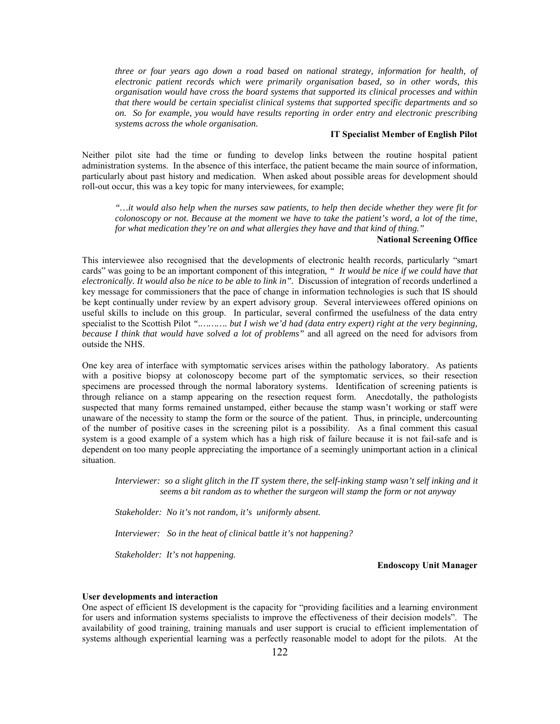*three or four years ago down a road based on national strategy, information for health, of electronic patient records which were primarily organisation based, so in other words, this organisation would have cross the board systems that supported its clinical processes and within that there would be certain specialist clinical systems that supported specific departments and so on. So for example, you would have results reporting in order entry and electronic prescribing systems across the whole organisation.*

## **IT Specialist Member of English Pilot**

Neither pilot site had the time or funding to develop links between the routine hospital patient administration systems. In the absence of this interface, the patient became the main source of information, particularly about past history and medication. When asked about possible areas for development should roll-out occur, this was a key topic for many interviewees, for example;

*"…it would also help when the nurses saw patients, to help then decide whether they were fit for colonoscopy or not. Because at the moment we have to take the patient's word, a lot of the time, for what medication they're on and what allergies they have and that kind of thing."*

## **National Screening Office**

This interviewee also recognised that the developments of electronic health records, particularly "smart cards" was going to be an important component of this integration, " It would be nice if we could have that *electronically. It would also be nice to be able to link in".* Discussion of integration of records underlined a key message for commissioners that the pace of change in information technologies is such that IS should be kept continually under review by an expert advisory group. Several interviewees offered opinions on useful skills to include on this group. In particular, several confirmed the usefulness of the data entry specialist to the Scottish Pilot *".………. but I wish we'd had (data entry expert) right at the very beginning, because I think that would have solved a lot of problems"* and all agreed on the need for advisors from outside the NHS.

One key area of interface with symptomatic services arises within the pathology laboratory. As patients with a positive biopsy at colonoscopy become part of the symptomatic services, so their resection specimens are processed through the normal laboratory systems. Identification of screening patients is through reliance on a stamp appearing on the resection request form. Anecdotally, the pathologists suspected that many forms remained unstamped, either because the stamp wasn't working or staff were unaware of the necessity to stamp the form or the source of the patient. Thus, in principle, undercounting of the number of positive cases in the screening pilot is a possibility. As a final comment this casual system is a good example of a system which has a high risk of failure because it is not fail-safe and is dependent on too many people appreciating the importance of a seemingly unimportant action in a clinical situation.

*Interviewer: so a slight glitch in the IT system there, the self-inking stamp wasn't self inking and it seems a bit random as to whether the surgeon will stamp the form or not anyway*

*Stakeholder: No it's not random, it's uniformly absent.*

*Interviewer: So in the heat of clinical battle it's not happening?*

*Stakeholder: It's not happening.*

**Endoscopy Unit Manager**

## **User developments and interaction**

One aspect of efficient IS development is the capacity for "providing facilities and a learning environment for users and information systems specialists to improve the effectiveness of their decision modelsî. The availability of good training, training manuals and user support is crucial to efficient implementation of systems although experiential learning was a perfectly reasonable model to adopt for the pilots. At the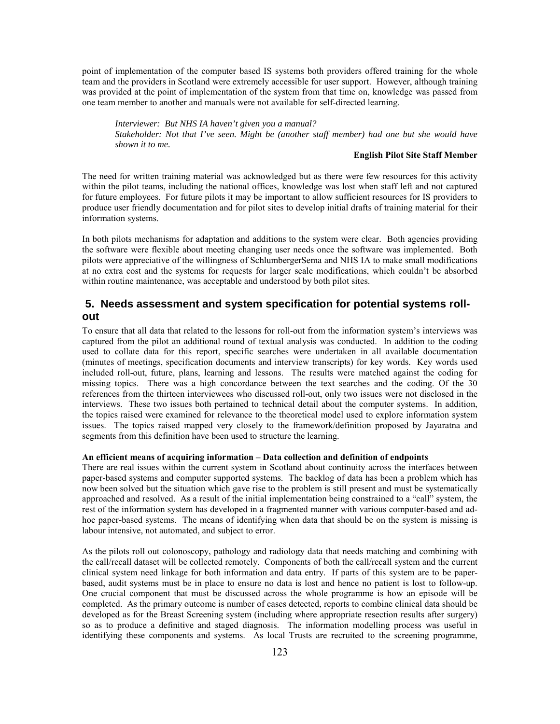point of implementation of the computer based IS systems both providers offered training for the whole team and the providers in Scotland were extremely accessible for user support. However, although training was provided at the point of implementation of the system from that time on, knowledge was passed from one team member to another and manuals were not available for self-directed learning.

*Interviewer: But NHS IA haven't given you a manual? Stakeholder: Not that I've seen. Might be (another staff member) had one but she would have shown it to me.*

## **English Pilot Site Staff Member**

The need for written training material was acknowledged but as there were few resources for this activity within the pilot teams, including the national offices, knowledge was lost when staff left and not captured for future employees. For future pilots it may be important to allow sufficient resources for IS providers to produce user friendly documentation and for pilot sites to develop initial drafts of training material for their information systems.

In both pilots mechanisms for adaptation and additions to the system were clear. Both agencies providing the software were flexible about meeting changing user needs once the software was implemented. Both pilots were appreciative of the willingness of SchlumbergerSema and NHS IA to make small modifications at no extra cost and the systems for requests for larger scale modifications, which couldn't be absorbed within routine maintenance, was acceptable and understood by both pilot sites.

# **5. Needs assessment and system specification for potential systems rollout**

To ensure that all data that related to the lessons for roll-out from the information system's interviews was captured from the pilot an additional round of textual analysis was conducted. In addition to the coding used to collate data for this report, specific searches were undertaken in all available documentation (minutes of meetings, specification documents and interview transcripts) for key words. Key words used included roll-out, future, plans, learning and lessons. The results were matched against the coding for missing topics. There was a high concordance between the text searches and the coding. Of the 30 references from the thirteen interviewees who discussed roll-out, only two issues were not disclosed in the interviews. These two issues both pertained to technical detail about the computer systems. In addition, the topics raised were examined for relevance to the theoretical model used to explore information system issues. The topics raised mapped very closely to the framework/definition proposed by Jayaratna and segments from this definition have been used to structure the learning.

## An efficient means of acquiring information – Data collection and definition of endpoints

There are real issues within the current system in Scotland about continuity across the interfaces between paper-based systems and computer supported systems. The backlog of data has been a problem which has now been solved but the situation which gave rise to the problem is still present and must be systematically approached and resolved. As a result of the initial implementation being constrained to a "call" system, the rest of the information system has developed in a fragmented manner with various computer-based and adhoc paper-based systems. The means of identifying when data that should be on the system is missing is labour intensive, not automated, and subject to error.

As the pilots roll out colonoscopy, pathology and radiology data that needs matching and combining with the call/recall dataset will be collected remotely. Components of both the call/recall system and the current clinical system need linkage for both information and data entry. If parts of this system are to be paperbased, audit systems must be in place to ensure no data is lost and hence no patient is lost to follow-up. One crucial component that must be discussed across the whole programme is how an episode will be completed. As the primary outcome is number of cases detected, reports to combine clinical data should be developed as for the Breast Screening system (including where appropriate resection results after surgery) so as to produce a definitive and staged diagnosis. The information modelling process was useful in identifying these components and systems. As local Trusts are recruited to the screening programme,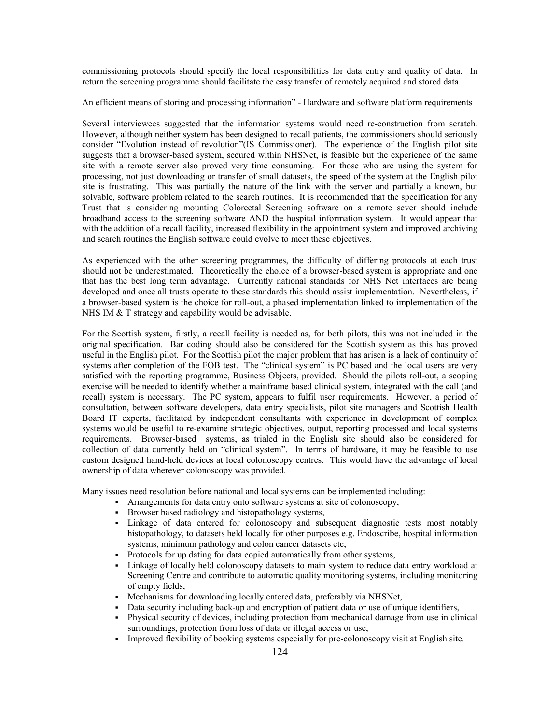commissioning protocols should specify the local responsibilities for data entry and quality of data. In return the screening programme should facilitate the easy transfer of remotely acquired and stored data.

An efficient means of storing and processing information" - Hardware and software platform requirements

Several interviewees suggested that the information systems would need re-construction from scratch. However, although neither system has been designed to recall patients, the commissioners should seriously consider "Evolution instead of revolution"(IS Commissioner). The experience of the English pilot site suggests that a browser-based system, secured within NHSNet, is feasible but the experience of the same site with a remote server also proved very time consuming. For those who are using the system for processing, not just downloading or transfer of small datasets, the speed of the system at the English pilot site is frustrating. This was partially the nature of the link with the server and partially a known, but solvable, software problem related to the search routines. It is recommended that the specification for any Trust that is considering mounting Colorectal Screening software on a remote sever should include broadband access to the screening software AND the hospital information system. It would appear that with the addition of a recall facility, increased flexibility in the appointment system and improved archiving and search routines the English software could evolve to meet these objectives.

As experienced with the other screening programmes, the difficulty of differing protocols at each trust should not be underestimated. Theoretically the choice of a browser-based system is appropriate and one that has the best long term advantage. Currently national standards for NHS Net interfaces are being developed and once all trusts operate to these standards this should assist implementation. Nevertheless, if a browser-based system is the choice for roll-out, a phased implementation linked to implementation of the NHS IM & T strategy and capability would be advisable.

For the Scottish system, firstly, a recall facility is needed as, for both pilots, this was not included in the original specification. Bar coding should also be considered for the Scottish system as this has proved useful in the English pilot. For the Scottish pilot the major problem that has arisen is a lack of continuity of systems after completion of the FOB test. The "clinical system" is PC based and the local users are very satisfied with the reporting programme, Business Objects, provided. Should the pilots roll-out, a scoping exercise will be needed to identify whether a mainframe based clinical system, integrated with the call (and recall) system is necessary. The PC system, appears to fulfil user requirements. However, a period of consultation, between software developers, data entry specialists, pilot site managers and Scottish Health Board IT experts, facilitated by independent consultants with experience in development of complex systems would be useful to re-examine strategic objectives, output, reporting processed and local systems requirements. Browser-based systems, as trialed in the English site should also be considered for collection of data currently held on "clinical system". In terms of hardware, it may be feasible to use custom designed hand-held devices at local colonoscopy centres. This would have the advantage of local ownership of data wherever colonoscopy was provided.

Many issues need resolution before national and local systems can be implemented including:

- ! Arrangements for data entry onto software systems at site of colonoscopy,
- ! Browser based radiology and histopathology systems,
- ! Linkage of data entered for colonoscopy and subsequent diagnostic tests most notably histopathology, to datasets held locally for other purposes e.g. Endoscribe, hospital information systems, minimum pathology and colon cancer datasets etc,
- Protocols for up dating for data copied automatically from other systems,
- ! Linkage of locally held colonoscopy datasets to main system to reduce data entry workload at Screening Centre and contribute to automatic quality monitoring systems, including monitoring of empty fields,
- ! Mechanisms for downloading locally entered data, preferably via NHSNet,
- ! Data security including back-up and encryption of patient data or use of unique identifiers,
- ! Physical security of devices, including protection from mechanical damage from use in clinical surroundings, protection from loss of data or illegal access or use,
- ! Improved flexibility of booking systems especially for pre-colonoscopy visit at English site.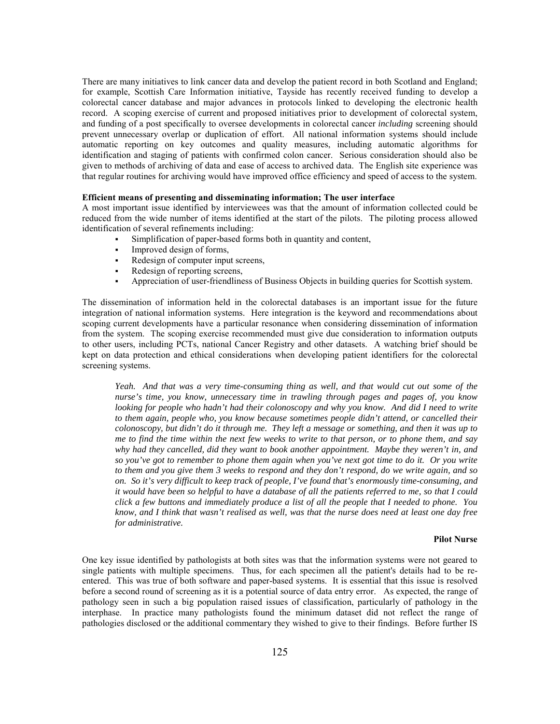There are many initiatives to link cancer data and develop the patient record in both Scotland and England; for example, Scottish Care Information initiative, Tayside has recently received funding to develop a colorectal cancer database and major advances in protocols linked to developing the electronic health record. A scoping exercise of current and proposed initiatives prior to development of colorectal system, and funding of a post specifically to oversee developments in colorectal cancer *including* screening should prevent unnecessary overlap or duplication of effort. All national information systems should include automatic reporting on key outcomes and quality measures, including automatic algorithms for identification and staging of patients with confirmed colon cancer. Serious consideration should also be given to methods of archiving of data and ease of access to archived data. The English site experience was that regular routines for archiving would have improved office efficiency and speed of access to the system.

## **Efficient means of presenting and disseminating information; The user interface**

A most important issue identified by interviewees was that the amount of information collected could be reduced from the wide number of items identified at the start of the pilots. The piloting process allowed identification of several refinements including:

- ! Simplification of paper-based forms both in quantity and content,
- Improved design of forms,<br>Redesign of computer input
- Redesign of computer input screens,
- ! Redesign of reporting screens,
- ! Appreciation of user-friendliness of Business Objects in building queries for Scottish system.

The dissemination of information held in the colorectal databases is an important issue for the future integration of national information systems. Here integration is the keyword and recommendations about scoping current developments have a particular resonance when considering dissemination of information from the system. The scoping exercise recommended must give due consideration to information outputs to other users, including PCTs, national Cancer Registry and other datasets. A watching brief should be kept on data protection and ethical considerations when developing patient identifiers for the colorectal screening systems.

*Yeah. And that was a very time-consuming thing as well, and that would cut out some of the nurse's time, you know, unnecessary time in trawling through pages and pages of, you know looking for people who hadn't had their colonoscopy and why you know. And did I need to write to them again, people who, you know because sometimes people didn't attend, or cancelled their colonoscopy, but didn't do it through me. They left a message or something, and then it was up to me to find the time within the next few weeks to write to that person, or to phone them, and say why had they cancelled, did they want to book another appointment. Maybe they weren't in, and so you've got to remember to phone them again when you've next got time to do it. Or you write to them and you give them 3 weeks to respond and they don't respond, do we write again, and so on. So it's very difficult to keep track of people, I've found that's enormously time-consuming, and it would have been so helpful to have a database of all the patients referred to me, so that I could click a few buttons and immediately produce a list of all the people that I needed to phone. You know, and I think that wasn't realised as well, was that the nurse does need at least one day free for administrative.*

#### **Pilot Nurse**

One key issue identified by pathologists at both sites was that the information systems were not geared to single patients with multiple specimens. Thus, for each specimen all the patient's details had to be reentered. This was true of both software and paper-based systems. It is essential that this issue is resolved before a second round of screening as it is a potential source of data entry error. As expected, the range of pathology seen in such a big population raised issues of classification, particularly of pathology in the interphase. In practice many pathologists found the minimum dataset did not reflect the range of pathologies disclosed or the additional commentary they wished to give to their findings. Before further IS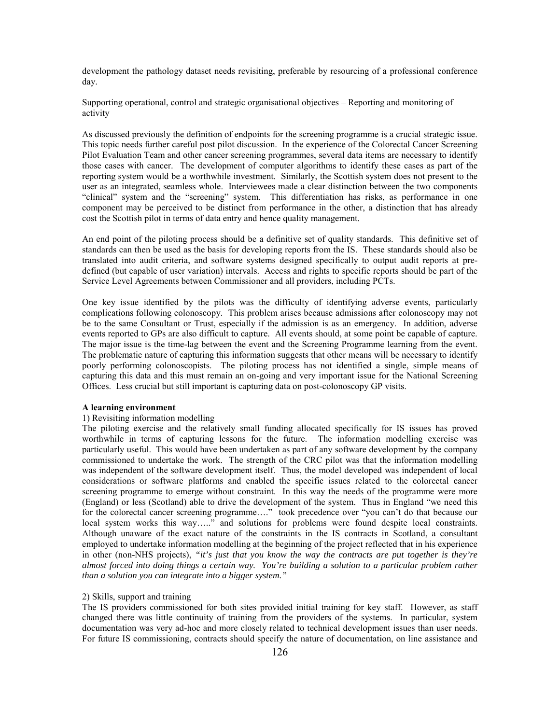development the pathology dataset needs revisiting, preferable by resourcing of a professional conference day.

Supporting operational, control and strategic organisational objectives – Reporting and monitoring of activity

As discussed previously the definition of endpoints for the screening programme is a crucial strategic issue. This topic needs further careful post pilot discussion. In the experience of the Colorectal Cancer Screening Pilot Evaluation Team and other cancer screening programmes, several data items are necessary to identify those cases with cancer. The development of computer algorithms to identify these cases as part of the reporting system would be a worthwhile investment. Similarly, the Scottish system does not present to the user as an integrated, seamless whole. Interviewees made a clear distinction between the two components "clinical" system and the "screening" system. This differentiation has risks, as performance in one component may be perceived to be distinct from performance in the other, a distinction that has already cost the Scottish pilot in terms of data entry and hence quality management.

An end point of the piloting process should be a definitive set of quality standards. This definitive set of standards can then be used as the basis for developing reports from the IS. These standards should also be translated into audit criteria, and software systems designed specifically to output audit reports at predefined (but capable of user variation) intervals. Access and rights to specific reports should be part of the Service Level Agreements between Commissioner and all providers, including PCTs.

One key issue identified by the pilots was the difficulty of identifying adverse events, particularly complications following colonoscopy. This problem arises because admissions after colonoscopy may not be to the same Consultant or Trust, especially if the admission is as an emergency. In addition, adverse events reported to GPs are also difficult to capture. All events should, at some point be capable of capture. The major issue is the time-lag between the event and the Screening Programme learning from the event. The problematic nature of capturing this information suggests that other means will be necessary to identify poorly performing colonoscopists. The piloting process has not identified a single, simple means of capturing this data and this must remain an on-going and very important issue for the National Screening Offices. Less crucial but still important is capturing data on post-colonoscopy GP visits.

### **A learning environment**

## 1) Revisiting information modelling

The piloting exercise and the relatively small funding allocated specifically for IS issues has proved worthwhile in terms of capturing lessons for the future. The information modelling exercise was particularly useful. This would have been undertaken as part of any software development by the company commissioned to undertake the work. The strength of the CRC pilot was that the information modelling was independent of the software development itself. Thus, the model developed was independent of local considerations or software platforms and enabled the specific issues related to the colorectal cancer screening programme to emerge without constraint. In this way the needs of the programme were more (England) or less (Scotland) able to drive the development of the system. Thus in England "we need this for the colorectal cancer screening programme...." took precedence over "you can't do that because our local system works this way....." and solutions for problems were found despite local constraints. Although unaware of the exact nature of the constraints in the IS contracts in Scotland, a consultant employed to undertake information modelling at the beginning of the project reflected that in his experience in other (non-NHS projects), *"it's just that you know the way the contracts are put together is they're almost forced into doing things a certain way. You're building a solution to a particular problem rather than a solution you can integrate into a bigger system."*

#### 2) Skills, support and training

The IS providers commissioned for both sites provided initial training for key staff. However, as staff changed there was little continuity of training from the providers of the systems. In particular, system documentation was very ad-hoc and more closely related to technical development issues than user needs. For future IS commissioning, contracts should specify the nature of documentation, on line assistance and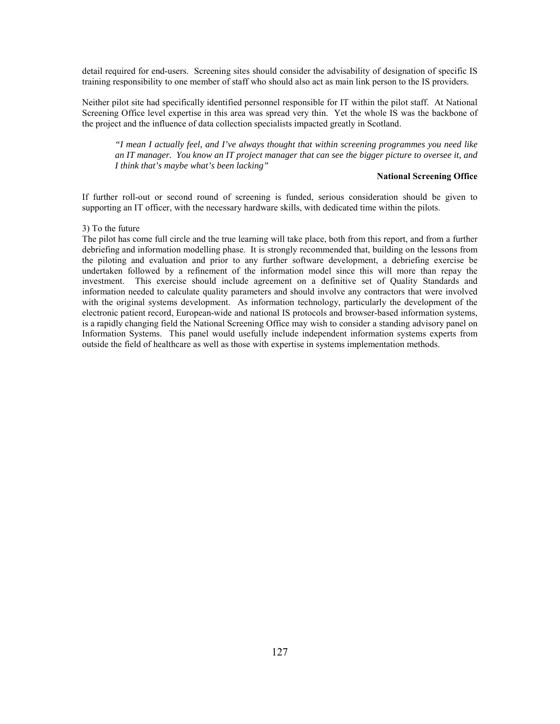detail required for end-users. Screening sites should consider the advisability of designation of specific IS training responsibility to one member of staff who should also act as main link person to the IS providers.

Neither pilot site had specifically identified personnel responsible for IT within the pilot staff. At National Screening Office level expertise in this area was spread very thin. Yet the whole IS was the backbone of the project and the influence of data collection specialists impacted greatly in Scotland.

*"I mean I actually feel, and I've always thought that within screening programmes you need like an IT manager. You know an IT project manager that can see the bigger picture to oversee it, and I think that's maybe what's been lacking"*

## **National Screening Office**

If further roll-out or second round of screening is funded, serious consideration should be given to supporting an IT officer, with the necessary hardware skills, with dedicated time within the pilots.

#### 3) To the future

The pilot has come full circle and the true learning will take place, both from this report, and from a further debriefing and information modelling phase. It is strongly recommended that, building on the lessons from the piloting and evaluation and prior to any further software development, a debriefing exercise be undertaken followed by a refinement of the information model since this will more than repay the investment. This exercise should include agreement on a definitive set of Quality Standards and information needed to calculate quality parameters and should involve any contractors that were involved with the original systems development. As information technology, particularly the development of the electronic patient record, European-wide and national IS protocols and browser-based information systems, is a rapidly changing field the National Screening Office may wish to consider a standing advisory panel on Information Systems. This panel would usefully include independent information systems experts from outside the field of healthcare as well as those with expertise in systems implementation methods.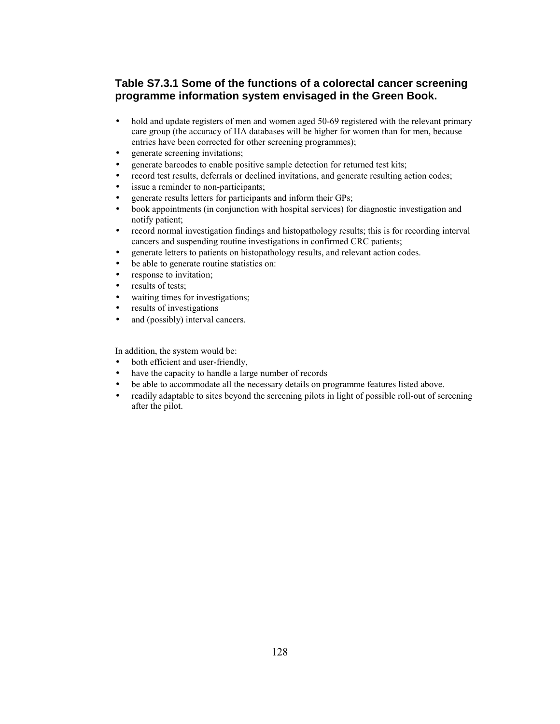# **Table S7.3.1 Some of the functions of a colorectal cancer screening programme information system envisaged in the Green Book.**

- hold and update registers of men and women aged 50-69 registered with the relevant primary care group (the accuracy of HA databases will be higher for women than for men, because entries have been corrected for other screening programmes);
- generate screening invitations;
- generate barcodes to enable positive sample detection for returned test kits;
- record test results, deferrals or declined invitations, and generate resulting action codes;
- issue a reminder to non-participants;
- generate results letters for participants and inform their GPs;
- book appointments (in conjunction with hospital services) for diagnostic investigation and notify patient;
- record normal investigation findings and histopathology results; this is for recording interval cancers and suspending routine investigations in confirmed CRC patients;
- generate letters to patients on histopathology results, and relevant action codes.
- be able to generate routine statistics on:
- response to invitation;
- results of tests;
- waiting times for investigations;
- results of investigations
- and (possibly) interval cancers.

In addition, the system would be:

- both efficient and user-friendly,
- have the capacity to handle a large number of records
- be able to accommodate all the necessary details on programme features listed above.
- readily adaptable to sites beyond the screening pilots in light of possible roll-out of screening after the pilot.